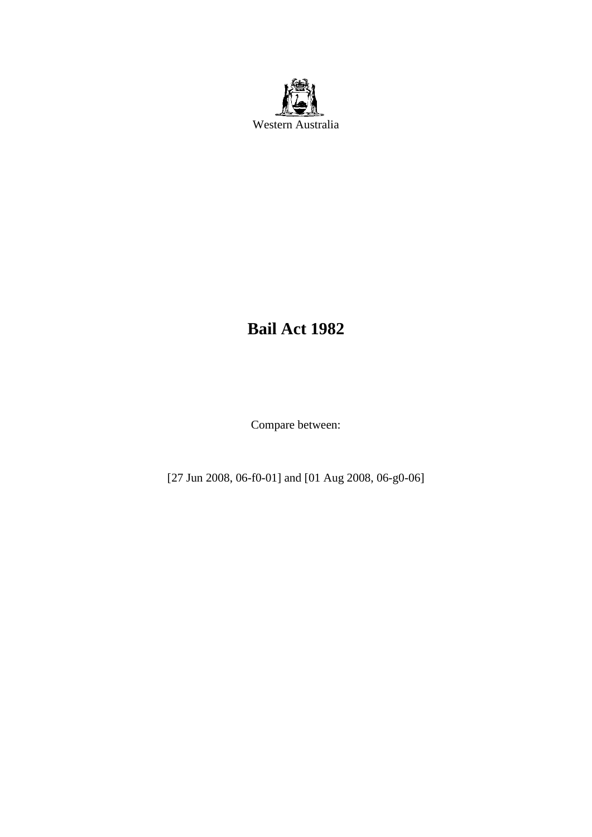

# **Bail Act 1982**

Compare between:

[27 Jun 2008, 06-f0-01] and [01 Aug 2008, 06-g0-06]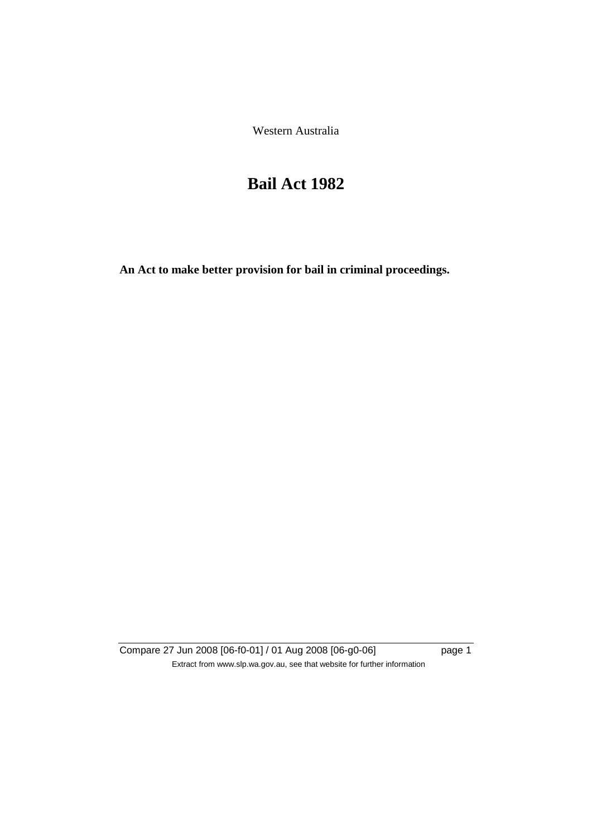Western Australia

# **Bail Act 1982**

**An Act to make better provision for bail in criminal proceedings.** 

Compare 27 Jun 2008 [06-f0-01] / 01 Aug 2008 [06-g0-06] page 1 Extract from www.slp.wa.gov.au, see that website for further information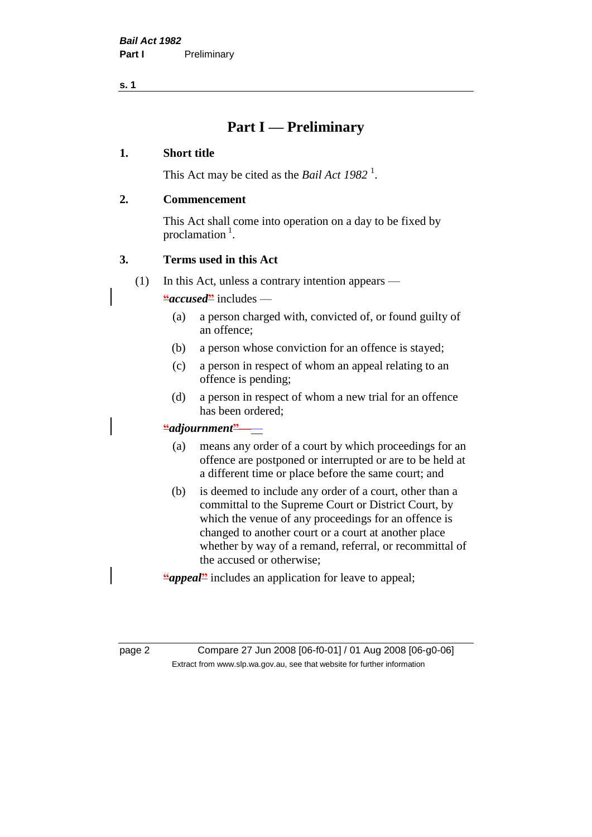**s. 1**

## **Part I — Preliminary**

#### **1. Short title**

This Act may be cited as the *Bail Act* 1982<sup>1</sup>.

#### **2. Commencement**

This Act shall come into operation on a day to be fixed by proclamation  $<sup>1</sup>$ .</sup>

#### **3. Terms used in this Act**

(1) In this Act, unless a contrary intention appears —

**"***accused***"** includes —

- (a) a person charged with, convicted of, or found guilty of an offence;
- (b) a person whose conviction for an offence is stayed;
- (c) a person in respect of whom an appeal relating to an offence is pending;
- (d) a person in respect of whom a new trial for an offence has been ordered;

#### **"***adjournment***"**——

- (a) means any order of a court by which proceedings for an offence are postponed or interrupted or are to be held at a different time or place before the same court; and
- (b) is deemed to include any order of a court, other than a committal to the Supreme Court or District Court, by which the venue of any proceedings for an offence is changed to another court or a court at another place whether by way of a remand, referral, or recommittal of the accused or otherwise;

**"***appeal***"** includes an application for leave to appeal;

page 2 Compare 27 Jun 2008 [06-f0-01] / 01 Aug 2008 [06-g0-06] Extract from www.slp.wa.gov.au, see that website for further information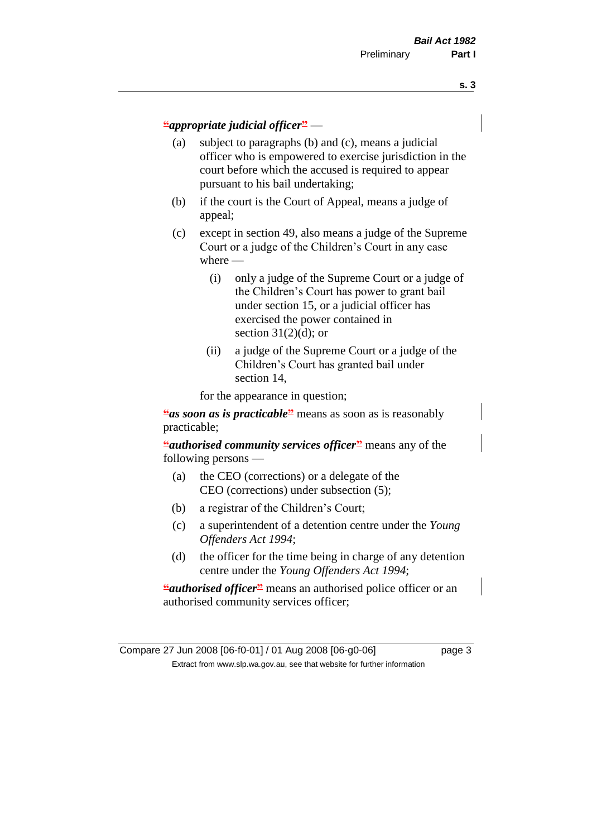#### **"***appropriate judicial officer***"** —

- (a) subject to paragraphs (b) and (c), means a judicial officer who is empowered to exercise jurisdiction in the court before which the accused is required to appear pursuant to his bail undertaking;
- (b) if the court is the Court of Appeal, means a judge of appeal;
- (c) except in section 49, also means a judge of the Supreme Court or a judge of the Children's Court in any case where —
	- (i) only a judge of the Supreme Court or a judge of the Children's Court has power to grant bail under section 15, or a judicial officer has exercised the power contained in section  $31(2)(d)$ ; or
	- (ii) a judge of the Supreme Court or a judge of the Children's Court has granted bail under section 14,

for the appearance in question;

**"***as soon as is practicable* means as soon as is reasonably practicable;

**"***authorised community services officer***"** means any of the following persons —

- (a) the CEO (corrections) or a delegate of the CEO (corrections) under subsection (5);
- (b) a registrar of the Children's Court;
- (c) a superintendent of a detention centre under the *Young Offenders Act 1994*;
- (d) the officer for the time being in charge of any detention centre under the *Young Offenders Act 1994*;

**"***authorised officer*" means an authorised police officer or an authorised community services officer;

Compare 27 Jun 2008 [06-f0-01] / 01 Aug 2008 [06-g0-06] page 3 Extract from www.slp.wa.gov.au, see that website for further information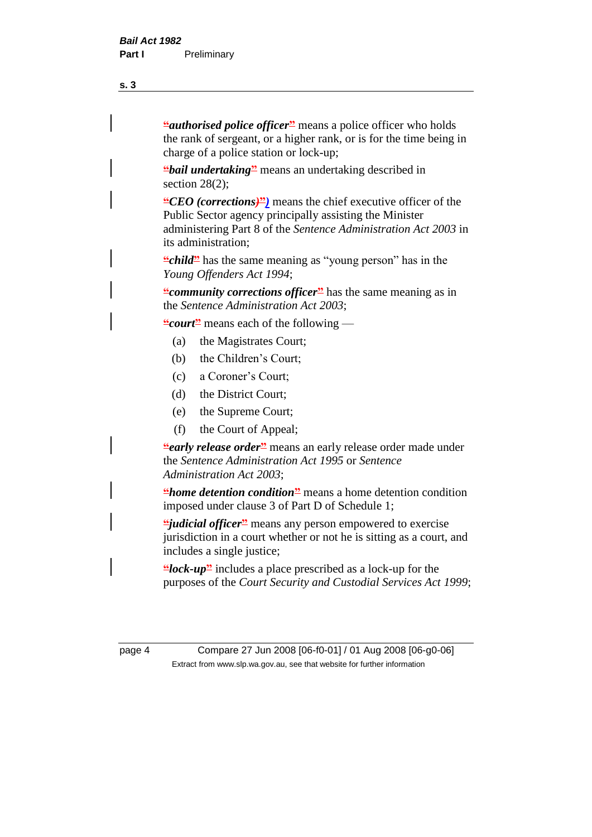**"***authorised police officer***"** means a police officer who holds the rank of sergeant, or a higher rank, or is for the time being in charge of a police station or lock-up;

**"***bail undertaking***"** means an undertaking described in section 28(2):

**"***CEO (corrections)***"***)* means the chief executive officer of the Public Sector agency principally assisting the Minister administering Part 8 of the *Sentence Administration Act 2003* in its administration;

**"***child*" has the same meaning as "young person" has in the *Young Offenders Act 1994*;

**"***community corrections officer* has the same meaning as in the *Sentence Administration Act 2003*;

**"***court***"** means each of the following —

- (a) the Magistrates Court;
- (b) the Children's Court;
- (c) a Coroner's Court;
- (d) the District Court;
- (e) the Supreme Court;
- (f) the Court of Appeal;

*<u></u>early release order means an early release order made under* the *Sentence Administration Act 1995* or *Sentence Administration Act 2003*;

**"***home detention condition***"** means a home detention condition imposed under clause 3 of Part D of Schedule 1;

**"***judicial officer***"** means any person empowered to exercise jurisdiction in a court whether or not he is sitting as a court, and includes a single justice;

**"***lock-up***"** includes a place prescribed as a lock-up for the purposes of the *Court Security and Custodial Services Act 1999*;

page 4 Compare 27 Jun 2008 [06-f0-01] / 01 Aug 2008 [06-g0-06] Extract from www.slp.wa.gov.au, see that website for further information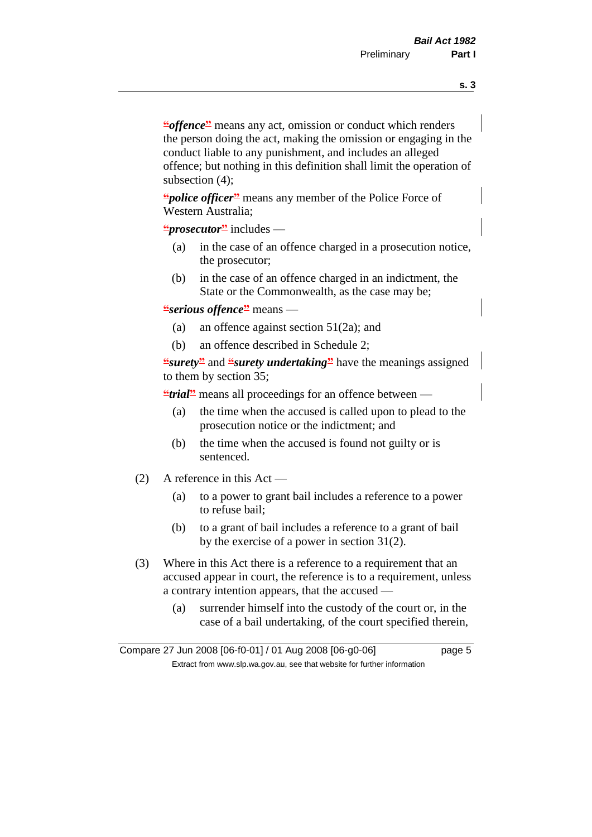**"***offence***"** means any act, omission or conduct which renders the person doing the act, making the omission or engaging in the conduct liable to any punishment, and includes an alleged offence; but nothing in this definition shall limit the operation of subsection (4);

**"***police officer***"** means any member of the Police Force of Western Australia;

**"***prosecutor***"** includes —

- (a) in the case of an offence charged in a prosecution notice, the prosecutor;
- (b) in the case of an offence charged in an indictment, the State or the Commonwealth, as the case may be;

#### **"***serious offence***"** means —

- (a) an offence against section 51(2a); and
- (b) an offence described in Schedule 2;

**"***surety***"** and **"***surety undertaking***"** have the meanings assigned to them by section 35;

**"***trial*" means all proceedings for an offence between —

- (a) the time when the accused is called upon to plead to the prosecution notice or the indictment; and
- (b) the time when the accused is found not guilty or is sentenced.
- (2) A reference in this Act
	- (a) to a power to grant bail includes a reference to a power to refuse bail;
	- (b) to a grant of bail includes a reference to a grant of bail by the exercise of a power in section 31(2).
- (3) Where in this Act there is a reference to a requirement that an accused appear in court, the reference is to a requirement, unless a contrary intention appears, that the accused —
	- (a) surrender himself into the custody of the court or, in the case of a bail undertaking, of the court specified therein,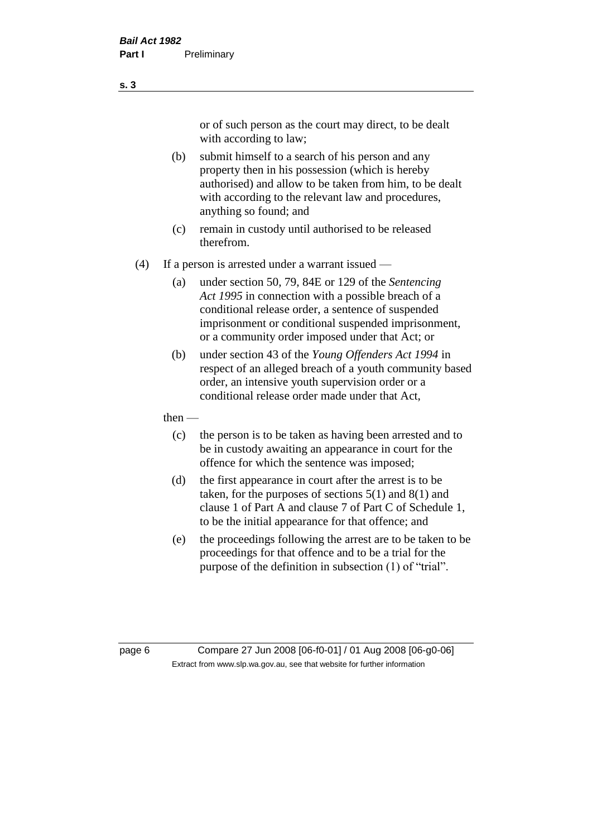or of such person as the court may direct, to be dealt with according to law;

(b) submit himself to a search of his person and any property then in his possession (which is hereby authorised) and allow to be taken from him, to be dealt with according to the relevant law and procedures, anything so found; and

- (c) remain in custody until authorised to be released therefrom.
- (4) If a person is arrested under a warrant issued
	- (a) under section 50, 79, 84E or 129 of the *Sentencing Act 1995* in connection with a possible breach of a conditional release order, a sentence of suspended imprisonment or conditional suspended imprisonment, or a community order imposed under that Act; or
	- (b) under section 43 of the *Young Offenders Act 1994* in respect of an alleged breach of a youth community based order, an intensive youth supervision order or a conditional release order made under that Act,
	- then
		- (c) the person is to be taken as having been arrested and to be in custody awaiting an appearance in court for the offence for which the sentence was imposed;
		- (d) the first appearance in court after the arrest is to be taken, for the purposes of sections  $5(1)$  and  $8(1)$  and clause 1 of Part A and clause 7 of Part C of Schedule 1, to be the initial appearance for that offence; and
		- (e) the proceedings following the arrest are to be taken to be proceedings for that offence and to be a trial for the purpose of the definition in subsection (1) of "trial".

page 6 Compare 27 Jun 2008 [06-f0-01] / 01 Aug 2008 [06-g0-06] Extract from www.slp.wa.gov.au, see that website for further information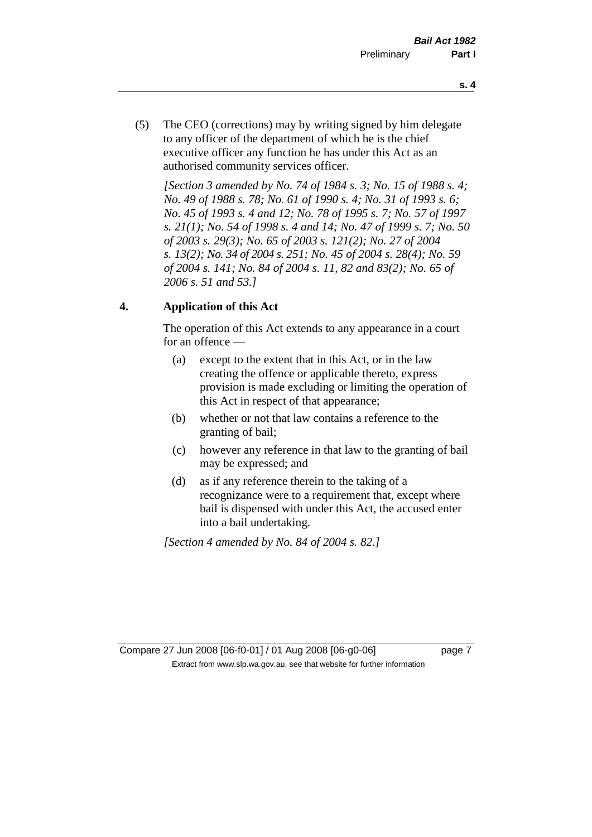- **s. 4**
- (5) The CEO (corrections) may by writing signed by him delegate to any officer of the department of which he is the chief executive officer any function he has under this Act as an authorised community services officer.

*[Section 3 amended by No. 74 of 1984 s. 3; No. 15 of 1988 s. 4; No. 49 of 1988 s. 78; No. 61 of 1990 s. 4; No. 31 of 1993 s. 6; No. 45 of 1993 s. 4 and 12; No. 78 of 1995 s. 7; No. 57 of 1997 s. 21(1); No. 54 of 1998 s. 4 and 14; No. 47 of 1999 s. 7; No. 50 of 2003 s. 29(3); No. 65 of 2003 s. 121(2); No. 27 of 2004 s. 13(2); No. 34 of 2004 s. 251; No. 45 of 2004 s. 28(4); No. 59 of 2004 s. 141; No. 84 of 2004 s. 11, 82 and 83(2); No. 65 of 2006 s. 51 and 53.]* 

#### **4. Application of this Act**

The operation of this Act extends to any appearance in a court for an offence —

- (a) except to the extent that in this Act, or in the law creating the offence or applicable thereto, express provision is made excluding or limiting the operation of this Act in respect of that appearance;
- (b) whether or not that law contains a reference to the granting of bail;
- (c) however any reference in that law to the granting of bail may be expressed; and
- (d) as if any reference therein to the taking of a recognizance were to a requirement that, except where bail is dispensed with under this Act, the accused enter into a bail undertaking.

*[Section 4 amended by No. 84 of 2004 s. 82.]*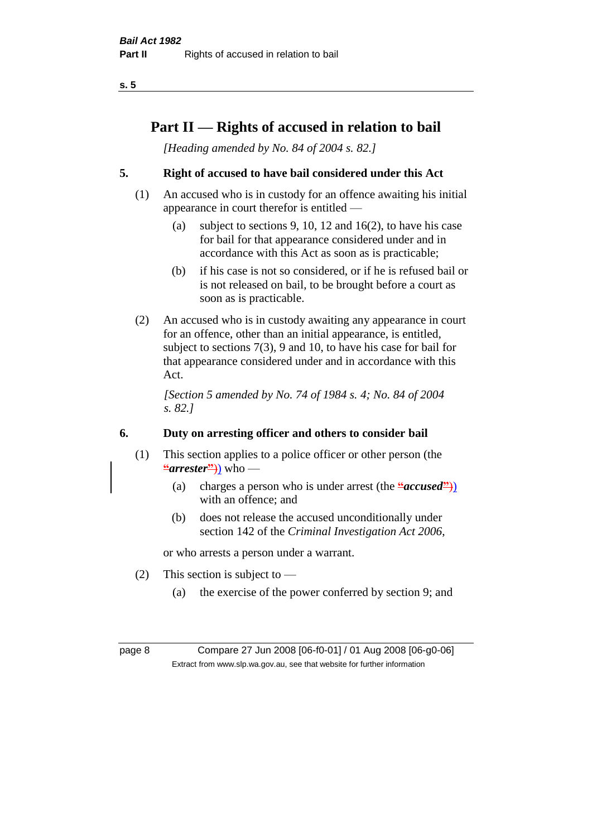**s. 5**

## **Part II — Rights of accused in relation to bail**

*[Heading amended by No. 84 of 2004 s. 82.]* 

#### **5. Right of accused to have bail considered under this Act**

- (1) An accused who is in custody for an offence awaiting his initial appearance in court therefor is entitled —
	- (a) subject to sections 9, 10, 12 and 16(2), to have his case for bail for that appearance considered under and in accordance with this Act as soon as is practicable;
	- (b) if his case is not so considered, or if he is refused bail or is not released on bail, to be brought before a court as soon as is practicable.
- (2) An accused who is in custody awaiting any appearance in court for an offence, other than an initial appearance, is entitled, subject to sections 7(3), 9 and 10, to have his case for bail for that appearance considered under and in accordance with this Act.

*[Section 5 amended by No. 74 of 1984 s. 4; No. 84 of 2004 s. 82.]* 

#### **6. Duty on arresting officer and others to consider bail**

- (1) This section applies to a police officer or other person (the **"***arrester***"**)) who —
	- (a) charges a person who is under arrest (the **"***accused***"**)) with an offence; and
	- (b) does not release the accused unconditionally under section 142 of the *Criminal Investigation Act 2006*,

or who arrests a person under a warrant.

- (2) This section is subject to  $-$ 
	- (a) the exercise of the power conferred by section 9; and

page 8 Compare 27 Jun 2008 [06-f0-01] / 01 Aug 2008 [06-g0-06] Extract from www.slp.wa.gov.au, see that website for further information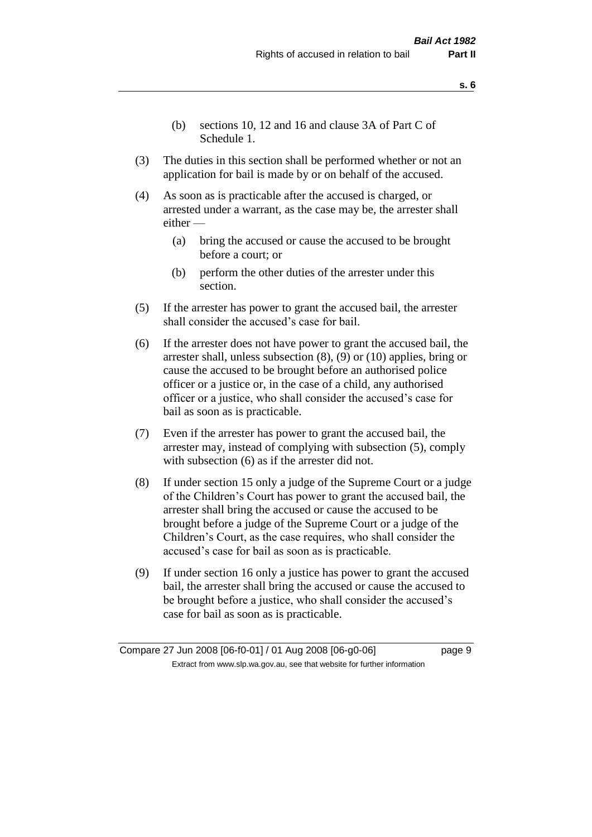- **s. 6**
- (b) sections 10, 12 and 16 and clause 3A of Part C of Schedule 1.
- (3) The duties in this section shall be performed whether or not an application for bail is made by or on behalf of the accused.
- (4) As soon as is practicable after the accused is charged, or arrested under a warrant, as the case may be, the arrester shall either —
	- (a) bring the accused or cause the accused to be brought before a court; or
	- (b) perform the other duties of the arrester under this section.
- (5) If the arrester has power to grant the accused bail, the arrester shall consider the accused's case for bail.
- (6) If the arrester does not have power to grant the accused bail, the arrester shall, unless subsection (8), (9) or (10) applies, bring or cause the accused to be brought before an authorised police officer or a justice or, in the case of a child, any authorised officer or a justice, who shall consider the accused's case for bail as soon as is practicable.
- (7) Even if the arrester has power to grant the accused bail, the arrester may, instead of complying with subsection (5), comply with subsection  $(6)$  as if the arrester did not.
- (8) If under section 15 only a judge of the Supreme Court or a judge of the Children's Court has power to grant the accused bail, the arrester shall bring the accused or cause the accused to be brought before a judge of the Supreme Court or a judge of the Children's Court, as the case requires, who shall consider the accused's case for bail as soon as is practicable.
- (9) If under section 16 only a justice has power to grant the accused bail, the arrester shall bring the accused or cause the accused to be brought before a justice, who shall consider the accused's case for bail as soon as is practicable.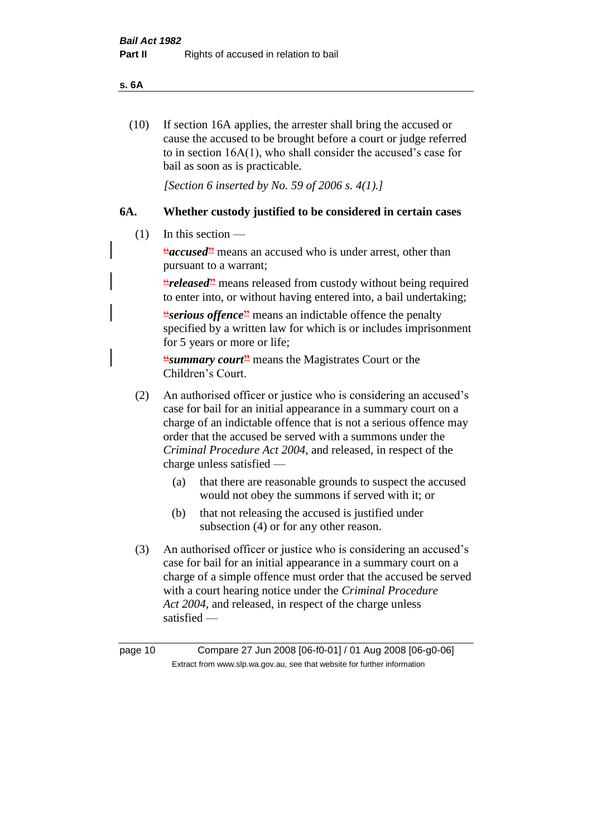#### **s. 6A**

(10) If section 16A applies, the arrester shall bring the accused or cause the accused to be brought before a court or judge referred to in section 16A(1), who shall consider the accused's case for bail as soon as is practicable.

*[Section 6 inserted by No. 59 of 2006 s. 4(1).]* 

#### **6A. Whether custody justified to be considered in certain cases**

(1) In this section —

**"***accused***"** means an accused who is under arrest, other than pursuant to a warrant;

*<u></u>released* means released from custody without being required to enter into, or without having entered into, a bail undertaking;

**"***serious offence***</u> means an indictable offence the penalty** specified by a written law for which is or includes imprisonment for 5 years or more or life;

**"***summary court***"** means the Magistrates Court or the Children's Court.

- (2) An authorised officer or justice who is considering an accused's case for bail for an initial appearance in a summary court on a charge of an indictable offence that is not a serious offence may order that the accused be served with a summons under the *Criminal Procedure Act 2004*, and released, in respect of the charge unless satisfied —
	- (a) that there are reasonable grounds to suspect the accused would not obey the summons if served with it; or
	- (b) that not releasing the accused is justified under subsection (4) or for any other reason.
- (3) An authorised officer or justice who is considering an accused's case for bail for an initial appearance in a summary court on a charge of a simple offence must order that the accused be served with a court hearing notice under the *Criminal Procedure Act 2004*, and released, in respect of the charge unless satisfied —

page 10 Compare 27 Jun 2008 [06-f0-01] / 01 Aug 2008 [06-g0-06] Extract from www.slp.wa.gov.au, see that website for further information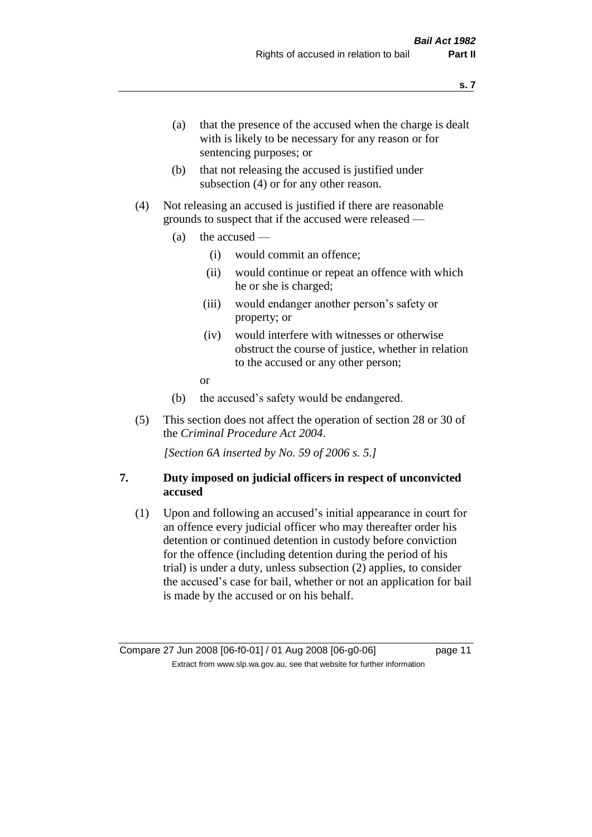- (a) that the presence of the accused when the charge is dealt with is likely to be necessary for any reason or for sentencing purposes; or
- (b) that not releasing the accused is justified under subsection (4) or for any other reason.
- (4) Not releasing an accused is justified if there are reasonable grounds to suspect that if the accused were released —
	- (a) the accused
		- (i) would commit an offence;
		- (ii) would continue or repeat an offence with which he or she is charged;
		- (iii) would endanger another person's safety or property; or
		- (iv) would interfere with witnesses or otherwise obstruct the course of justice, whether in relation to the accused or any other person;
		- or
	- (b) the accused's safety would be endangered.
- (5) This section does not affect the operation of section 28 or 30 of the *Criminal Procedure Act 2004*.

*[Section 6A inserted by No. 59 of 2006 s. 5.]* 

#### **7. Duty imposed on judicial officers in respect of unconvicted accused**

(1) Upon and following an accused's initial appearance in court for an offence every judicial officer who may thereafter order his detention or continued detention in custody before conviction for the offence (including detention during the period of his trial) is under a duty, unless subsection (2) applies, to consider the accused's case for bail, whether or not an application for bail is made by the accused or on his behalf.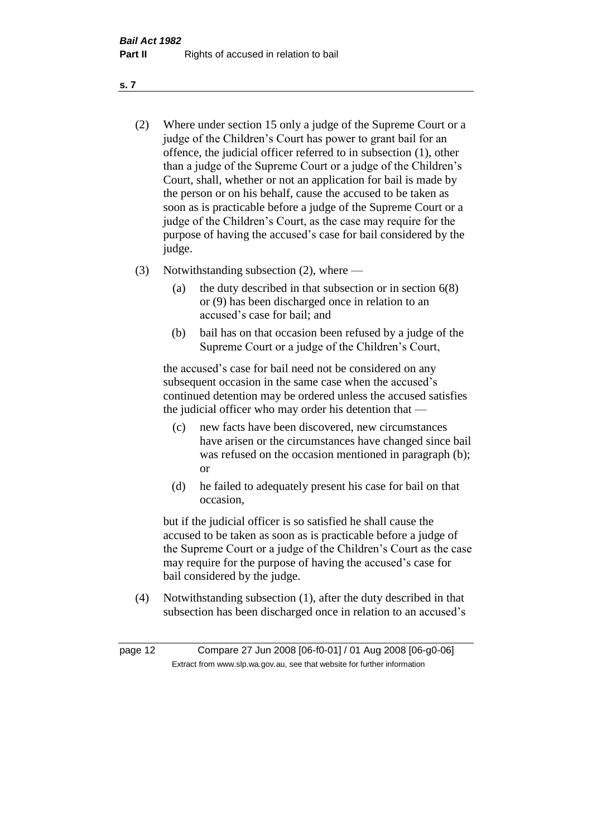- (2) Where under section 15 only a judge of the Supreme Court or a judge of the Children's Court has power to grant bail for an offence, the judicial officer referred to in subsection (1), other than a judge of the Supreme Court or a judge of the Children's Court, shall, whether or not an application for bail is made by the person or on his behalf, cause the accused to be taken as soon as is practicable before a judge of the Supreme Court or a judge of the Children's Court, as the case may require for the purpose of having the accused's case for bail considered by the judge.
- (3) Notwithstanding subsection (2), where
	- (a) the duty described in that subsection or in section 6(8) or (9) has been discharged once in relation to an accused's case for bail; and
	- (b) bail has on that occasion been refused by a judge of the Supreme Court or a judge of the Children's Court,

the accused's case for bail need not be considered on any subsequent occasion in the same case when the accused's continued detention may be ordered unless the accused satisfies the judicial officer who may order his detention that —

- (c) new facts have been discovered, new circumstances have arisen or the circumstances have changed since bail was refused on the occasion mentioned in paragraph (b); or
- (d) he failed to adequately present his case for bail on that occasion,

but if the judicial officer is so satisfied he shall cause the accused to be taken as soon as is practicable before a judge of the Supreme Court or a judge of the Children's Court as the case may require for the purpose of having the accused's case for bail considered by the judge.

(4) Notwithstanding subsection (1), after the duty described in that subsection has been discharged once in relation to an accused's

page 12 Compare 27 Jun 2008 [06-f0-01] / 01 Aug 2008 [06-g0-06] Extract from www.slp.wa.gov.au, see that website for further information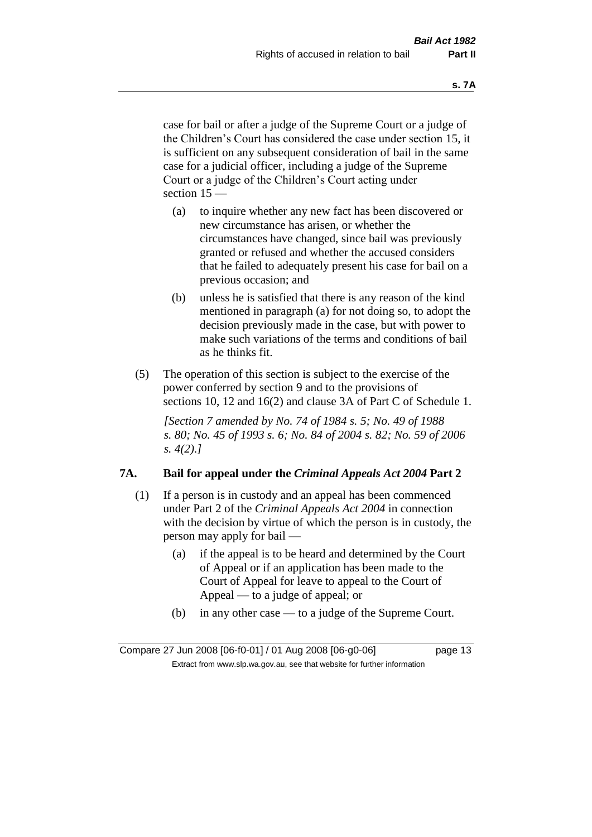case for bail or after a judge of the Supreme Court or a judge of the Children's Court has considered the case under section 15, it is sufficient on any subsequent consideration of bail in the same case for a judicial officer, including a judge of the Supreme Court or a judge of the Children's Court acting under section 15 —

- (a) to inquire whether any new fact has been discovered or new circumstance has arisen, or whether the circumstances have changed, since bail was previously granted or refused and whether the accused considers that he failed to adequately present his case for bail on a previous occasion; and
- (b) unless he is satisfied that there is any reason of the kind mentioned in paragraph (a) for not doing so, to adopt the decision previously made in the case, but with power to make such variations of the terms and conditions of bail as he thinks fit.
- (5) The operation of this section is subject to the exercise of the power conferred by section 9 and to the provisions of sections 10, 12 and 16(2) and clause 3A of Part C of Schedule 1.

*[Section 7 amended by No. 74 of 1984 s. 5; No. 49 of 1988 s. 80; No. 45 of 1993 s. 6; No. 84 of 2004 s. 82; No. 59 of 2006 s. 4(2).]* 

#### **7A. Bail for appeal under the** *Criminal Appeals Act 2004* **Part 2**

- (1) If a person is in custody and an appeal has been commenced under Part 2 of the *Criminal Appeals Act 2004* in connection with the decision by virtue of which the person is in custody, the person may apply for bail —
	- (a) if the appeal is to be heard and determined by the Court of Appeal or if an application has been made to the Court of Appeal for leave to appeal to the Court of Appeal — to a judge of appeal; or
	- (b) in any other case to a judge of the Supreme Court.

Compare 27 Jun 2008 [06-f0-01] / 01 Aug 2008 [06-g0-06] page 13 Extract from www.slp.wa.gov.au, see that website for further information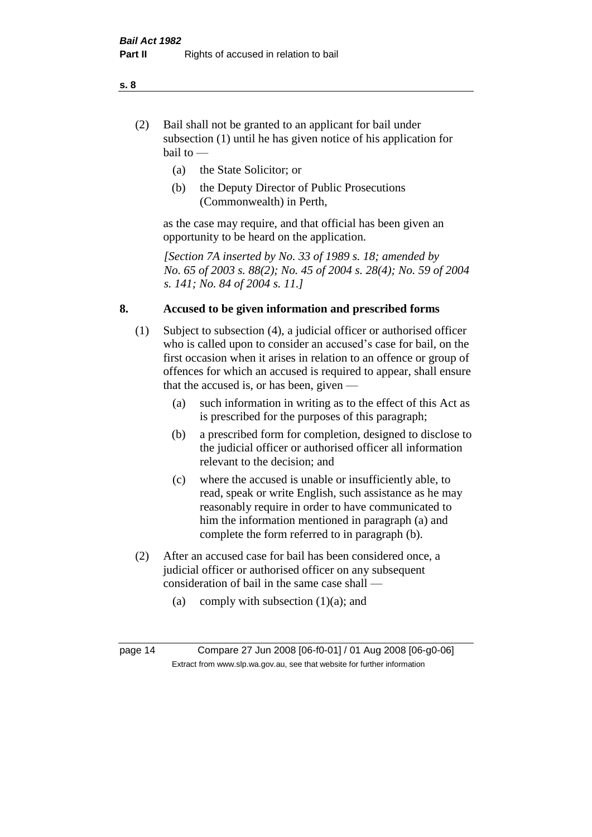- (2) Bail shall not be granted to an applicant for bail under subsection (1) until he has given notice of his application for bail to —
	- (a) the State Solicitor; or
	- (b) the Deputy Director of Public Prosecutions (Commonwealth) in Perth,

as the case may require, and that official has been given an opportunity to be heard on the application.

*[Section 7A inserted by No. 33 of 1989 s. 18; amended by No. 65 of 2003 s. 88(2); No. 45 of 2004 s. 28(4); No. 59 of 2004 s. 141; No. 84 of 2004 s. 11.]* 

#### **8. Accused to be given information and prescribed forms**

- (1) Subject to subsection (4), a judicial officer or authorised officer who is called upon to consider an accused's case for bail, on the first occasion when it arises in relation to an offence or group of offences for which an accused is required to appear, shall ensure that the accused is, or has been, given —
	- (a) such information in writing as to the effect of this Act as is prescribed for the purposes of this paragraph;
	- (b) a prescribed form for completion, designed to disclose to the judicial officer or authorised officer all information relevant to the decision; and
	- (c) where the accused is unable or insufficiently able, to read, speak or write English, such assistance as he may reasonably require in order to have communicated to him the information mentioned in paragraph (a) and complete the form referred to in paragraph (b).
- (2) After an accused case for bail has been considered once, a judicial officer or authorised officer on any subsequent consideration of bail in the same case shall —
	- (a) comply with subsection  $(1)(a)$ ; and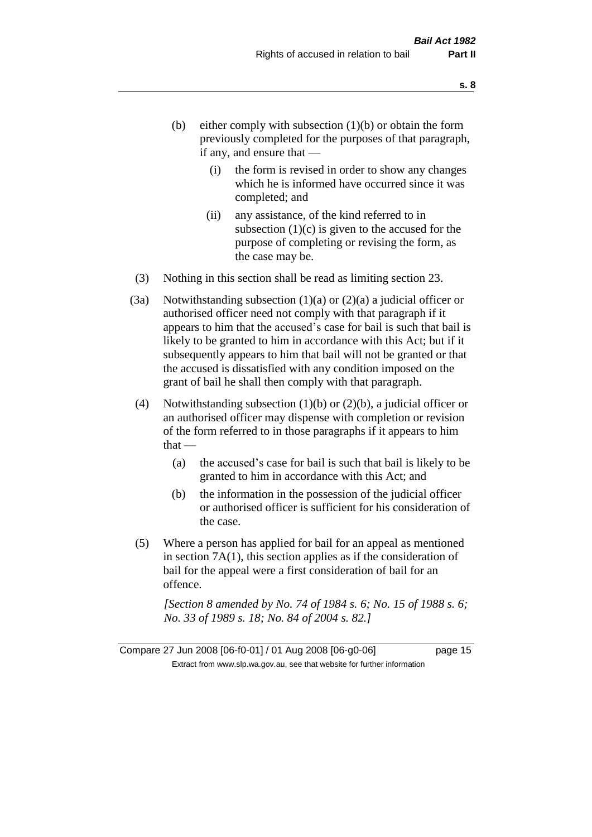- (b) either comply with subsection  $(1)(b)$  or obtain the form previously completed for the purposes of that paragraph, if any, and ensure that —
	- (i) the form is revised in order to show any changes which he is informed have occurred since it was completed; and
	- (ii) any assistance, of the kind referred to in subsection  $(1)(c)$  is given to the accused for the purpose of completing or revising the form, as the case may be.
- (3) Nothing in this section shall be read as limiting section 23.
- (3a) Notwithstanding subsection  $(1)(a)$  or  $(2)(a)$  a judicial officer or authorised officer need not comply with that paragraph if it appears to him that the accused's case for bail is such that bail is likely to be granted to him in accordance with this Act; but if it subsequently appears to him that bail will not be granted or that the accused is dissatisfied with any condition imposed on the grant of bail he shall then comply with that paragraph.
- (4) Notwithstanding subsection  $(1)(b)$  or  $(2)(b)$ , a judicial officer or an authorised officer may dispense with completion or revision of the form referred to in those paragraphs if it appears to him  $that -$ 
	- (a) the accused's case for bail is such that bail is likely to be granted to him in accordance with this Act; and
	- (b) the information in the possession of the judicial officer or authorised officer is sufficient for his consideration of the case.
- (5) Where a person has applied for bail for an appeal as mentioned in section 7A(1), this section applies as if the consideration of bail for the appeal were a first consideration of bail for an offence.

*[Section 8 amended by No. 74 of 1984 s. 6; No. 15 of 1988 s. 6; No. 33 of 1989 s. 18; No. 84 of 2004 s. 82.]* 

Compare 27 Jun 2008 [06-f0-01] / 01 Aug 2008 [06-g0-06] page 15 Extract from www.slp.wa.gov.au, see that website for further information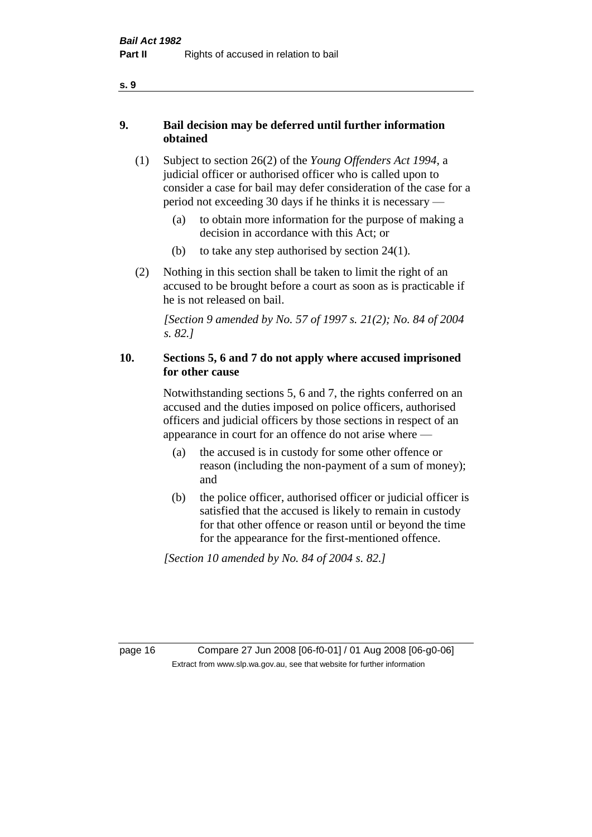- **9. Bail decision may be deferred until further information obtained** 
	- (1) Subject to section 26(2) of the *Young Offenders Act 1994*, a judicial officer or authorised officer who is called upon to consider a case for bail may defer consideration of the case for a period not exceeding 30 days if he thinks it is necessary —
		- (a) to obtain more information for the purpose of making a decision in accordance with this Act; or
		- (b) to take any step authorised by section  $24(1)$ .
	- (2) Nothing in this section shall be taken to limit the right of an accused to be brought before a court as soon as is practicable if he is not released on bail.

*[Section 9 amended by No. 57 of 1997 s. 21(2); No. 84 of 2004 s. 82.]*

#### **10. Sections 5, 6 and 7 do not apply where accused imprisoned for other cause**

Notwithstanding sections 5, 6 and 7, the rights conferred on an accused and the duties imposed on police officers, authorised officers and judicial officers by those sections in respect of an appearance in court for an offence do not arise where —

- (a) the accused is in custody for some other offence or reason (including the non-payment of a sum of money); and
- (b) the police officer, authorised officer or judicial officer is satisfied that the accused is likely to remain in custody for that other offence or reason until or beyond the time for the appearance for the first-mentioned offence.

*[Section 10 amended by No. 84 of 2004 s. 82.]*

page 16 Compare 27 Jun 2008 [06-f0-01] / 01 Aug 2008 [06-g0-06] Extract from www.slp.wa.gov.au, see that website for further information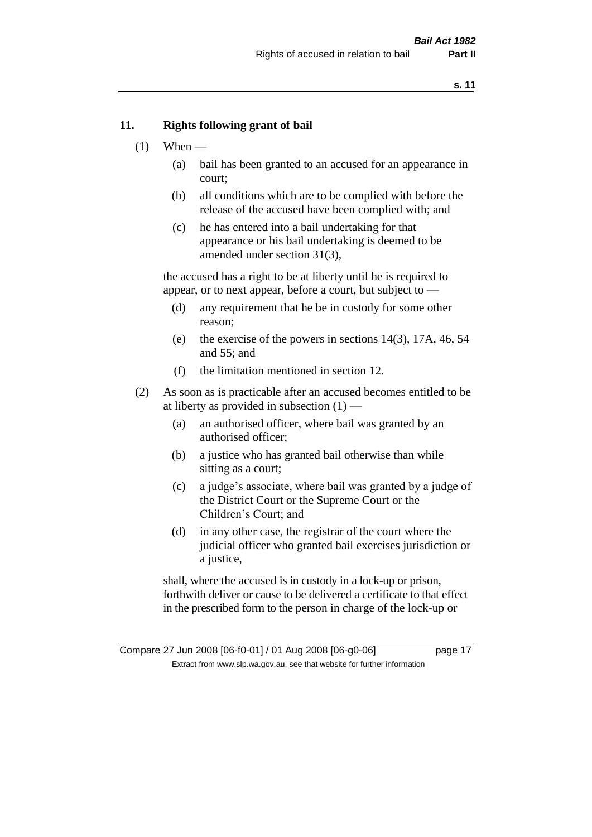#### **11. Rights following grant of bail**

- $(1)$  When
	- (a) bail has been granted to an accused for an appearance in court;
	- (b) all conditions which are to be complied with before the release of the accused have been complied with; and
	- (c) he has entered into a bail undertaking for that appearance or his bail undertaking is deemed to be amended under section 31(3),

the accused has a right to be at liberty until he is required to appear, or to next appear, before a court, but subject to —

- (d) any requirement that he be in custody for some other reason;
- (e) the exercise of the powers in sections 14(3), 17A, 46, 54 and 55; and
- (f) the limitation mentioned in section 12.
- (2) As soon as is practicable after an accused becomes entitled to be at liberty as provided in subsection  $(1)$  —
	- (a) an authorised officer, where bail was granted by an authorised officer;
	- (b) a justice who has granted bail otherwise than while sitting as a court;
	- (c) a judge's associate, where bail was granted by a judge of the District Court or the Supreme Court or the Children's Court; and
	- (d) in any other case, the registrar of the court where the judicial officer who granted bail exercises jurisdiction or a justice,

shall, where the accused is in custody in a lock-up or prison, forthwith deliver or cause to be delivered a certificate to that effect in the prescribed form to the person in charge of the lock-up or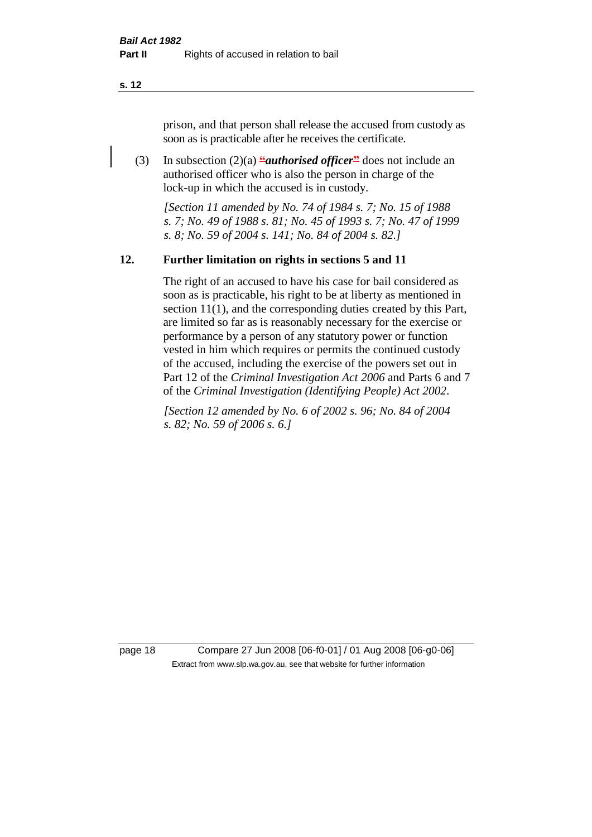**s. 12**

prison, and that person shall release the accused from custody as soon as is practicable after he receives the certificate.

(3) In subsection  $(2)(a)$  *"authorised officer*" does not include an authorised officer who is also the person in charge of the lock-up in which the accused is in custody.

*[Section 11 amended by No. 74 of 1984 s. 7; No. 15 of 1988 s. 7; No. 49 of 1988 s. 81; No. 45 of 1993 s. 7; No. 47 of 1999 s. 8; No. 59 of 2004 s. 141; No. 84 of 2004 s. 82.]* 

#### **12. Further limitation on rights in sections 5 and 11**

The right of an accused to have his case for bail considered as soon as is practicable, his right to be at liberty as mentioned in section 11(1), and the corresponding duties created by this Part, are limited so far as is reasonably necessary for the exercise or performance by a person of any statutory power or function vested in him which requires or permits the continued custody of the accused, including the exercise of the powers set out in Part 12 of the *Criminal Investigation Act 2006* and Parts 6 and 7 of the *Criminal Investigation (Identifying People) Act 2002*.

*[Section 12 amended by No. 6 of 2002 s. 96; No. 84 of 2004 s. 82; No. 59 of 2006 s. 6.]*

page 18 Compare 27 Jun 2008 [06-f0-01] / 01 Aug 2008 [06-g0-06] Extract from www.slp.wa.gov.au, see that website for further information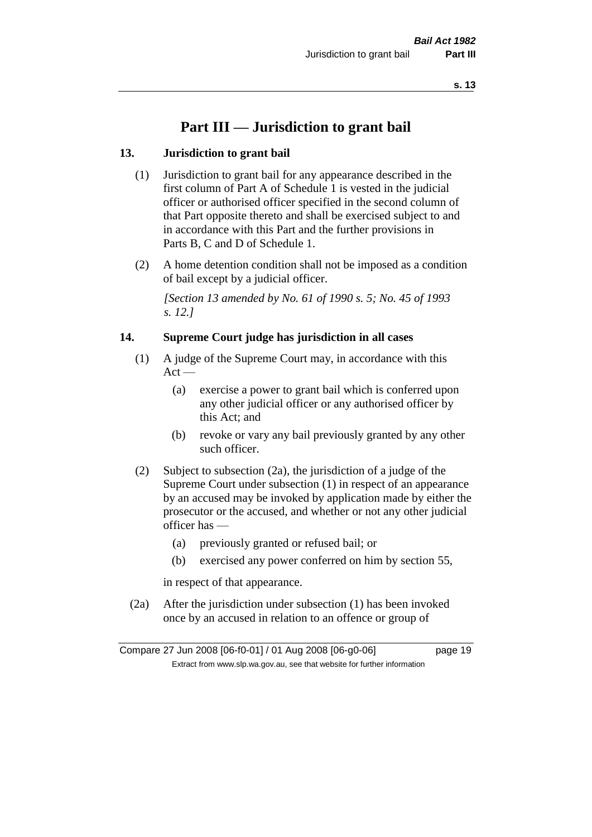## **Part III — Jurisdiction to grant bail**

#### **13. Jurisdiction to grant bail**

- (1) Jurisdiction to grant bail for any appearance described in the first column of Part A of Schedule 1 is vested in the judicial officer or authorised officer specified in the second column of that Part opposite thereto and shall be exercised subject to and in accordance with this Part and the further provisions in Parts B, C and D of Schedule 1.
- (2) A home detention condition shall not be imposed as a condition of bail except by a judicial officer.

*[Section 13 amended by No. 61 of 1990 s. 5; No. 45 of 1993 s. 12.]* 

#### **14. Supreme Court judge has jurisdiction in all cases**

- (1) A judge of the Supreme Court may, in accordance with this  $Act -$ 
	- (a) exercise a power to grant bail which is conferred upon any other judicial officer or any authorised officer by this Act; and
	- (b) revoke or vary any bail previously granted by any other such officer.
- (2) Subject to subsection (2a), the jurisdiction of a judge of the Supreme Court under subsection (1) in respect of an appearance by an accused may be invoked by application made by either the prosecutor or the accused, and whether or not any other judicial officer has —
	- (a) previously granted or refused bail; or
	- (b) exercised any power conferred on him by section 55,

in respect of that appearance.

(2a) After the jurisdiction under subsection (1) has been invoked once by an accused in relation to an offence or group of

Compare 27 Jun 2008 [06-f0-01] / 01 Aug 2008 [06-g0-06] page 19 Extract from www.slp.wa.gov.au, see that website for further information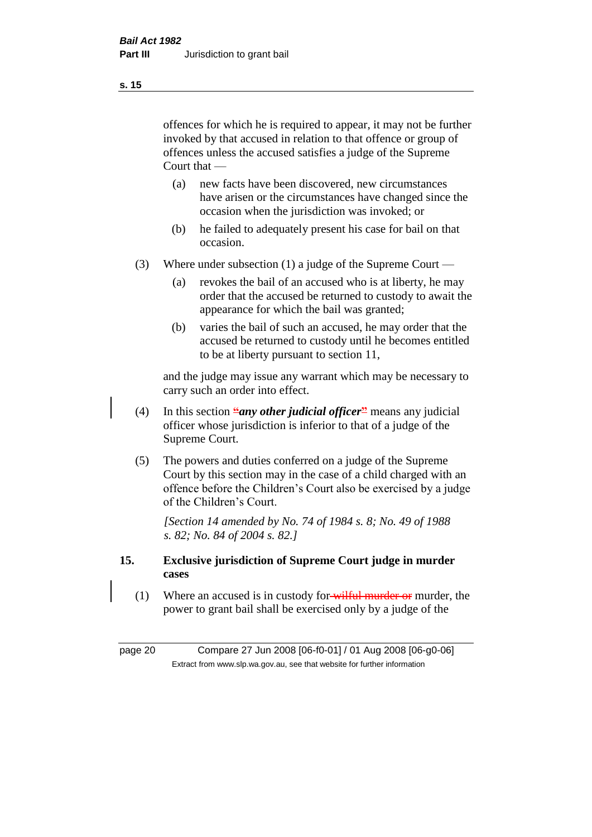offences for which he is required to appear, it may not be further invoked by that accused in relation to that offence or group of offences unless the accused satisfies a judge of the Supreme Court that —

- (a) new facts have been discovered, new circumstances have arisen or the circumstances have changed since the occasion when the jurisdiction was invoked; or
- (b) he failed to adequately present his case for bail on that occasion.
- (3) Where under subsection (1) a judge of the Supreme Court
	- (a) revokes the bail of an accused who is at liberty, he may order that the accused be returned to custody to await the appearance for which the bail was granted;
	- (b) varies the bail of such an accused, he may order that the accused be returned to custody until he becomes entitled to be at liberty pursuant to section 11,

and the judge may issue any warrant which may be necessary to carry such an order into effect.

- (4) In this section **"***any other judicial officer***"** means any judicial officer whose jurisdiction is inferior to that of a judge of the Supreme Court.
- (5) The powers and duties conferred on a judge of the Supreme Court by this section may in the case of a child charged with an offence before the Children's Court also be exercised by a judge of the Children's Court.

*[Section 14 amended by No. 74 of 1984 s. 8; No. 49 of 1988 s. 82; No. 84 of 2004 s. 82.]* 

- **15. Exclusive jurisdiction of Supreme Court judge in murder cases** 
	- (1) Where an accused is in custody for wilful murder or murder, the power to grant bail shall be exercised only by a judge of the

page 20 Compare 27 Jun 2008 [06-f0-01] / 01 Aug 2008 [06-g0-06] Extract from www.slp.wa.gov.au, see that website for further information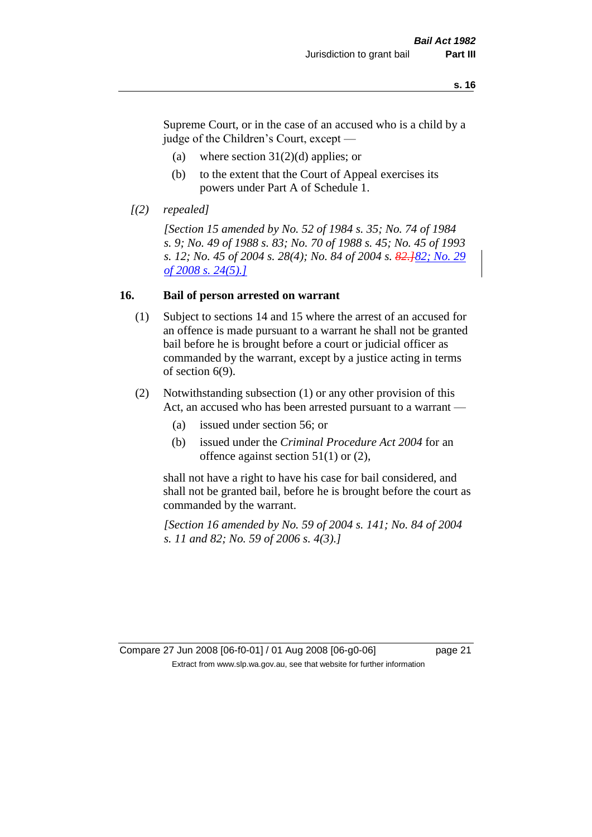Supreme Court, or in the case of an accused who is a child by a judge of the Children's Court, except —

- (a) where section  $31(2)(d)$  applies; or
- (b) to the extent that the Court of Appeal exercises its powers under Part A of Schedule 1.
- *[(2) repealed]*

*[Section 15 amended by No. 52 of 1984 s. 35; No. 74 of 1984 s. 9; No. 49 of 1988 s. 83; No. 70 of 1988 s. 45; No. 45 of 1993 s. 12; No. 45 of 2004 s. 28(4); No. 84 of 2004 s. 82.]82; No. 29 of 2008 s. 24(5).]*

#### **16. Bail of person arrested on warrant**

- (1) Subject to sections 14 and 15 where the arrest of an accused for an offence is made pursuant to a warrant he shall not be granted bail before he is brought before a court or judicial officer as commanded by the warrant, except by a justice acting in terms of section 6(9).
- (2) Notwithstanding subsection (1) or any other provision of this Act, an accused who has been arrested pursuant to a warrant —
	- (a) issued under section 56; or
	- (b) issued under the *Criminal Procedure Act 2004* for an offence against section 51(1) or (2),

shall not have a right to have his case for bail considered, and shall not be granted bail, before he is brought before the court as commanded by the warrant.

*[Section 16 amended by No. 59 of 2004 s. 141; No. 84 of 2004 s. 11 and 82; No. 59 of 2006 s. 4(3).]*

#### Compare 27 Jun 2008 [06-f0-01] / 01 Aug 2008 [06-g0-06] page 21 Extract from www.slp.wa.gov.au, see that website for further information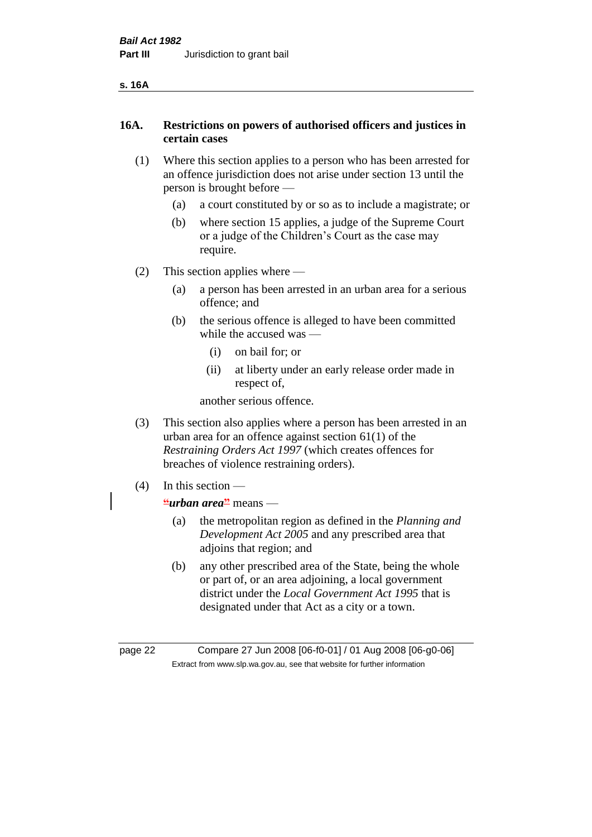#### **s. 16A**

#### **16A. Restrictions on powers of authorised officers and justices in certain cases**

- (1) Where this section applies to a person who has been arrested for an offence jurisdiction does not arise under section 13 until the person is brought before —
	- (a) a court constituted by or so as to include a magistrate; or
	- (b) where section 15 applies, a judge of the Supreme Court or a judge of the Children's Court as the case may require.
- (2) This section applies where
	- (a) a person has been arrested in an urban area for a serious offence; and
	- (b) the serious offence is alleged to have been committed while the accused was —
		- (i) on bail for; or
		- (ii) at liberty under an early release order made in respect of,

another serious offence.

- (3) This section also applies where a person has been arrested in an urban area for an offence against section 61(1) of the *Restraining Orders Act 1997* (which creates offences for breaches of violence restraining orders).
- (4) In this section
	- **"***urban area***"** means
		- (a) the metropolitan region as defined in the *Planning and Development Act 2005* and any prescribed area that adjoins that region; and
		- (b) any other prescribed area of the State, being the whole or part of, or an area adjoining, a local government district under the *Local Government Act 1995* that is designated under that Act as a city or a town.

page 22 Compare 27 Jun 2008 [06-f0-01] / 01 Aug 2008 [06-g0-06] Extract from www.slp.wa.gov.au, see that website for further information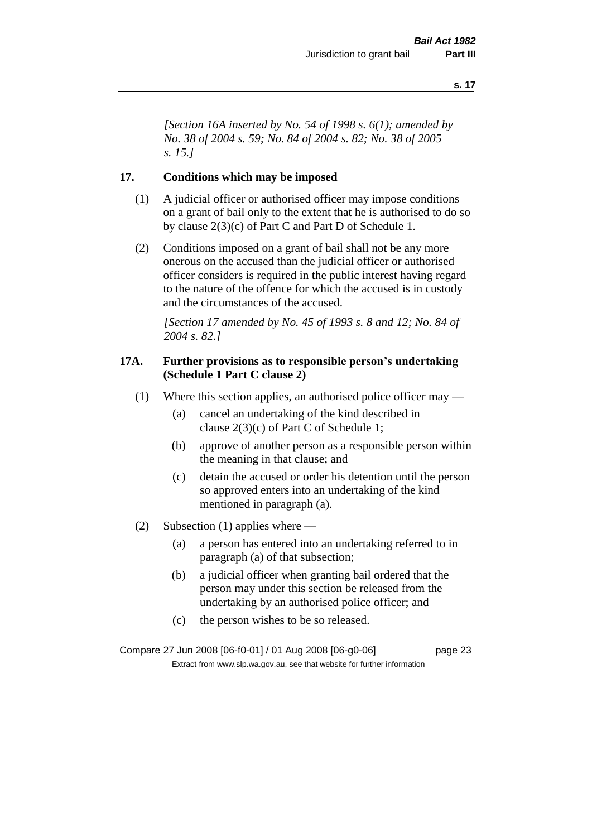*[Section 16A inserted by No. 54 of 1998 s. 6(1); amended by No. 38 of 2004 s. 59; No. 84 of 2004 s. 82; No. 38 of 2005 s. 15.]*

#### **17. Conditions which may be imposed**

- (1) A judicial officer or authorised officer may impose conditions on a grant of bail only to the extent that he is authorised to do so by clause 2(3)(c) of Part C and Part D of Schedule 1.
- (2) Conditions imposed on a grant of bail shall not be any more onerous on the accused than the judicial officer or authorised officer considers is required in the public interest having regard to the nature of the offence for which the accused is in custody and the circumstances of the accused.

*[Section 17 amended by No. 45 of 1993 s. 8 and 12; No. 84 of 2004 s. 82.]* 

#### **17A. Further provisions as to responsible person's undertaking (Schedule 1 Part C clause 2)**

- (1) Where this section applies, an authorised police officer may
	- (a) cancel an undertaking of the kind described in clause 2(3)(c) of Part C of Schedule 1;
	- (b) approve of another person as a responsible person within the meaning in that clause; and
	- (c) detain the accused or order his detention until the person so approved enters into an undertaking of the kind mentioned in paragraph (a).
- (2) Subsection (1) applies where
	- (a) a person has entered into an undertaking referred to in paragraph (a) of that subsection;
	- (b) a judicial officer when granting bail ordered that the person may under this section be released from the undertaking by an authorised police officer; and
	- (c) the person wishes to be so released.

Compare 27 Jun 2008 [06-f0-01] / 01 Aug 2008 [06-g0-06] page 23 Extract from www.slp.wa.gov.au, see that website for further information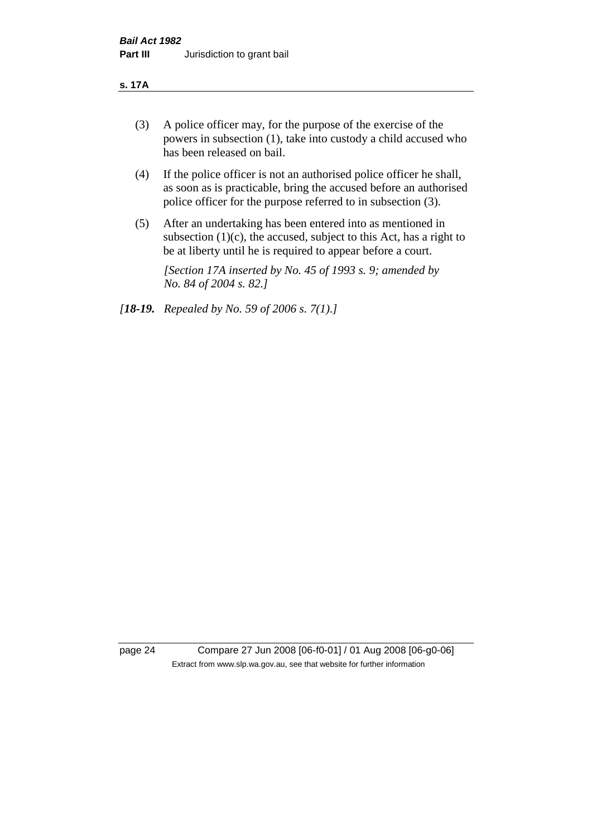#### **s. 17A**

- (3) A police officer may, for the purpose of the exercise of the powers in subsection (1), take into custody a child accused who has been released on bail.
- (4) If the police officer is not an authorised police officer he shall, as soon as is practicable, bring the accused before an authorised police officer for the purpose referred to in subsection (3).
- (5) After an undertaking has been entered into as mentioned in subsection  $(1)(c)$ , the accused, subject to this Act, has a right to be at liberty until he is required to appear before a court.

*[Section 17A inserted by No. 45 of 1993 s. 9; amended by No. 84 of 2004 s. 82.]* 

*[18-19. Repealed by No. 59 of 2006 s. 7(1).]*

page 24 Compare 27 Jun 2008 [06-f0-01] / 01 Aug 2008 [06-g0-06] Extract from www.slp.wa.gov.au, see that website for further information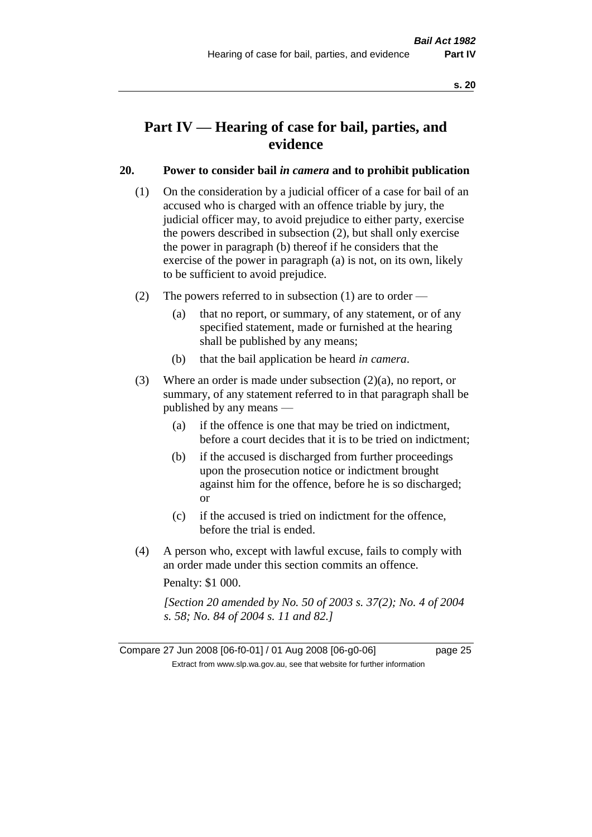## **Part IV — Hearing of case for bail, parties, and evidence**

#### **20. Power to consider bail** *in camera* **and to prohibit publication**

- (1) On the consideration by a judicial officer of a case for bail of an accused who is charged with an offence triable by jury, the judicial officer may, to avoid prejudice to either party, exercise the powers described in subsection (2), but shall only exercise the power in paragraph (b) thereof if he considers that the exercise of the power in paragraph (a) is not, on its own, likely to be sufficient to avoid prejudice.
- (2) The powers referred to in subsection (1) are to order
	- (a) that no report, or summary, of any statement, or of any specified statement, made or furnished at the hearing shall be published by any means;
	- (b) that the bail application be heard *in camera*.
- (3) Where an order is made under subsection (2)(a), no report, or summary, of any statement referred to in that paragraph shall be published by any means —
	- (a) if the offence is one that may be tried on indictment, before a court decides that it is to be tried on indictment;
	- (b) if the accused is discharged from further proceedings upon the prosecution notice or indictment brought against him for the offence, before he is so discharged; or
	- (c) if the accused is tried on indictment for the offence, before the trial is ended.
- (4) A person who, except with lawful excuse, fails to comply with an order made under this section commits an offence.

Penalty: \$1 000.

*[Section 20 amended by No. 50 of 2003 s. 37(2); No. 4 of 2004 s. 58; No. 84 of 2004 s. 11 and 82.]*

Compare 27 Jun 2008 [06-f0-01] / 01 Aug 2008 [06-g0-06] page 25 Extract from www.slp.wa.gov.au, see that website for further information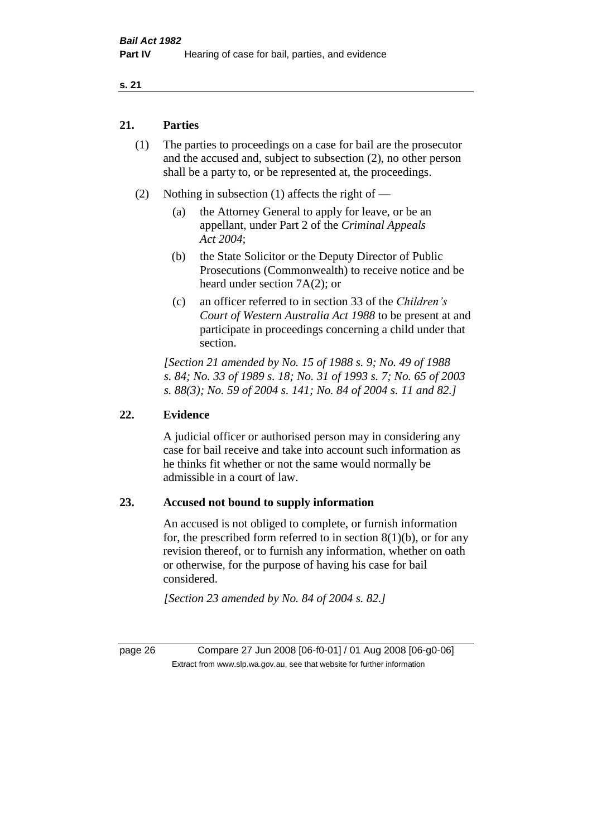#### **s. 21**

#### **21. Parties**

- (1) The parties to proceedings on a case for bail are the prosecutor and the accused and, subject to subsection (2), no other person shall be a party to, or be represented at, the proceedings.
- (2) Nothing in subsection (1) affects the right of
	- (a) the Attorney General to apply for leave, or be an appellant, under Part 2 of the *Criminal Appeals Act 2004*;
	- (b) the State Solicitor or the Deputy Director of Public Prosecutions (Commonwealth) to receive notice and be heard under section 7A(2); or
	- (c) an officer referred to in section 33 of the *Children's Court of Western Australia Act 1988* to be present at and participate in proceedings concerning a child under that section.

*[Section 21 amended by No. 15 of 1988 s. 9; No. 49 of 1988 s. 84; No. 33 of 1989 s. 18; No. 31 of 1993 s. 7; No. 65 of 2003 s. 88(3); No. 59 of 2004 s. 141; No. 84 of 2004 s. 11 and 82.]* 

#### **22. Evidence**

A judicial officer or authorised person may in considering any case for bail receive and take into account such information as he thinks fit whether or not the same would normally be admissible in a court of law.

#### **23. Accused not bound to supply information**

An accused is not obliged to complete, or furnish information for, the prescribed form referred to in section  $8(1)(b)$ , or for any revision thereof, or to furnish any information, whether on oath or otherwise, for the purpose of having his case for bail considered.

*[Section 23 amended by No. 84 of 2004 s. 82.]* 

page 26 Compare 27 Jun 2008 [06-f0-01] / 01 Aug 2008 [06-g0-06] Extract from www.slp.wa.gov.au, see that website for further information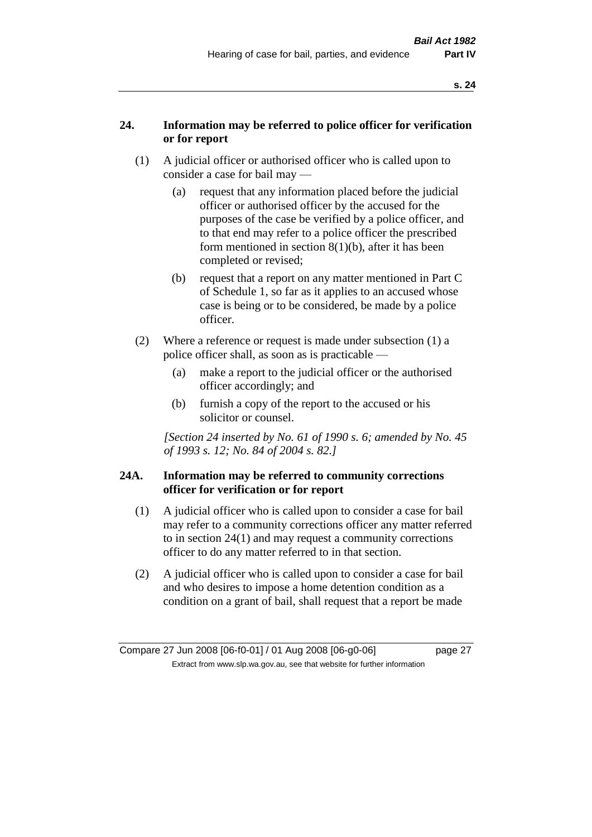#### **24. Information may be referred to police officer for verification or for report**

- (1) A judicial officer or authorised officer who is called upon to consider a case for bail may —
	- (a) request that any information placed before the judicial officer or authorised officer by the accused for the purposes of the case be verified by a police officer, and to that end may refer to a police officer the prescribed form mentioned in section 8(1)(b), after it has been completed or revised;
	- (b) request that a report on any matter mentioned in Part C of Schedule 1, so far as it applies to an accused whose case is being or to be considered, be made by a police officer.
- (2) Where a reference or request is made under subsection (1) a police officer shall, as soon as is practicable —
	- (a) make a report to the judicial officer or the authorised officer accordingly; and
	- (b) furnish a copy of the report to the accused or his solicitor or counsel.

*[Section 24 inserted by No. 61 of 1990 s. 6; amended by No. 45 of 1993 s. 12; No. 84 of 2004 s. 82.]* 

#### **24A. Information may be referred to community corrections officer for verification or for report**

- (1) A judicial officer who is called upon to consider a case for bail may refer to a community corrections officer any matter referred to in section 24(1) and may request a community corrections officer to do any matter referred to in that section.
- (2) A judicial officer who is called upon to consider a case for bail and who desires to impose a home detention condition as a condition on a grant of bail, shall request that a report be made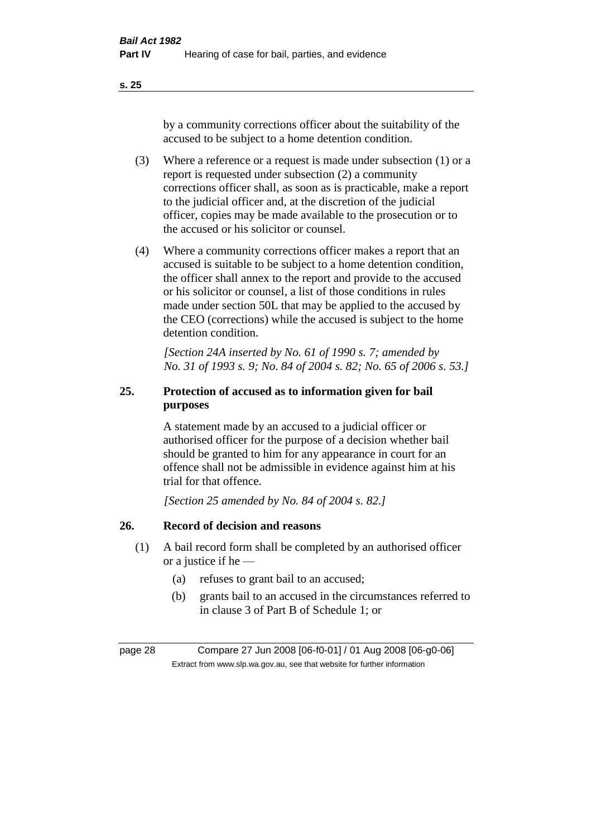**s. 25**

by a community corrections officer about the suitability of the accused to be subject to a home detention condition.

- (3) Where a reference or a request is made under subsection (1) or a report is requested under subsection (2) a community corrections officer shall, as soon as is practicable, make a report to the judicial officer and, at the discretion of the judicial officer, copies may be made available to the prosecution or to the accused or his solicitor or counsel.
- (4) Where a community corrections officer makes a report that an accused is suitable to be subject to a home detention condition, the officer shall annex to the report and provide to the accused or his solicitor or counsel, a list of those conditions in rules made under section 50L that may be applied to the accused by the CEO (corrections) while the accused is subject to the home detention condition.

*[Section 24A inserted by No. 61 of 1990 s. 7; amended by No. 31 of 1993 s. 9; No. 84 of 2004 s. 82; No. 65 of 2006 s. 53.]* 

### **25. Protection of accused as to information given for bail purposes**

A statement made by an accused to a judicial officer or authorised officer for the purpose of a decision whether bail should be granted to him for any appearance in court for an offence shall not be admissible in evidence against him at his trial for that offence.

*[Section 25 amended by No. 84 of 2004 s. 82.]* 

#### **26. Record of decision and reasons**

- (1) A bail record form shall be completed by an authorised officer or a justice if he —
	- (a) refuses to grant bail to an accused;
	- (b) grants bail to an accused in the circumstances referred to in clause 3 of Part B of Schedule 1; or

page 28 Compare 27 Jun 2008 [06-f0-01] / 01 Aug 2008 [06-g0-06] Extract from www.slp.wa.gov.au, see that website for further information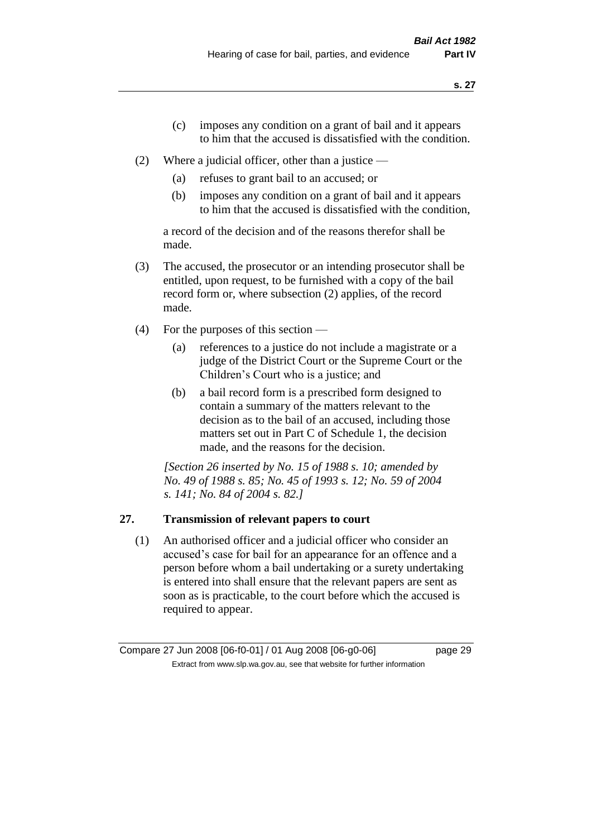- (c) imposes any condition on a grant of bail and it appears to him that the accused is dissatisfied with the condition.
- (2) Where a judicial officer, other than a justice
	- (a) refuses to grant bail to an accused; or
	- (b) imposes any condition on a grant of bail and it appears to him that the accused is dissatisfied with the condition,

a record of the decision and of the reasons therefor shall be made.

- (3) The accused, the prosecutor or an intending prosecutor shall be entitled, upon request, to be furnished with a copy of the bail record form or, where subsection (2) applies, of the record made.
- (4) For the purposes of this section
	- (a) references to a justice do not include a magistrate or a judge of the District Court or the Supreme Court or the Children's Court who is a justice; and
	- (b) a bail record form is a prescribed form designed to contain a summary of the matters relevant to the decision as to the bail of an accused, including those matters set out in Part C of Schedule 1, the decision made, and the reasons for the decision.

*[Section 26 inserted by No. 15 of 1988 s. 10; amended by No. 49 of 1988 s. 85; No. 45 of 1993 s. 12; No. 59 of 2004 s. 141; No. 84 of 2004 s. 82.]* 

#### **27. Transmission of relevant papers to court**

(1) An authorised officer and a judicial officer who consider an accused's case for bail for an appearance for an offence and a person before whom a bail undertaking or a surety undertaking is entered into shall ensure that the relevant papers are sent as soon as is practicable, to the court before which the accused is required to appear.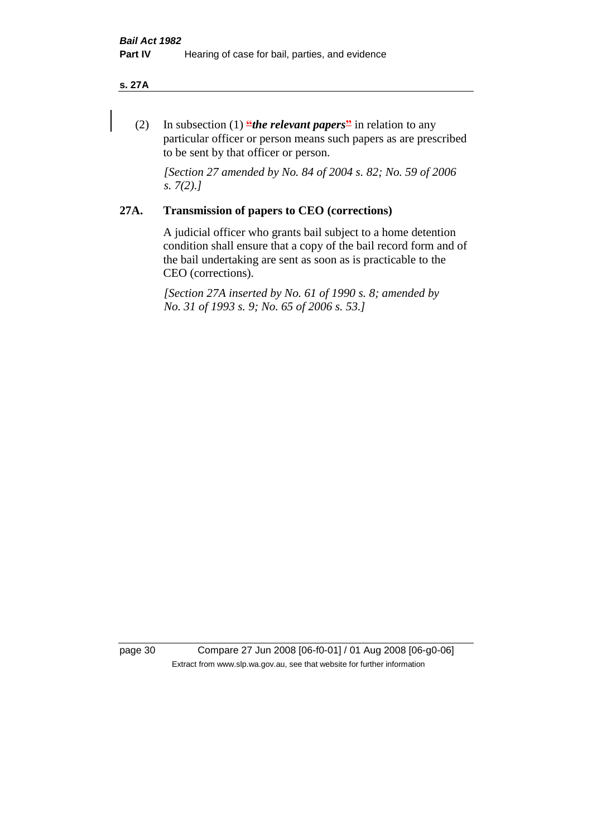#### **s. 27A**

(2) In subsection (1) **"***the relevant papers*" in relation to any particular officer or person means such papers as are prescribed to be sent by that officer or person.

*[Section 27 amended by No. 84 of 2004 s. 82; No. 59 of 2006 s. 7(2).]* 

#### **27A. Transmission of papers to CEO (corrections)**

A judicial officer who grants bail subject to a home detention condition shall ensure that a copy of the bail record form and of the bail undertaking are sent as soon as is practicable to the CEO (corrections).

*[Section 27A inserted by No. 61 of 1990 s. 8; amended by No. 31 of 1993 s. 9; No. 65 of 2006 s. 53.]* 

page 30 Compare 27 Jun 2008 [06-f0-01] / 01 Aug 2008 [06-g0-06] Extract from www.slp.wa.gov.au, see that website for further information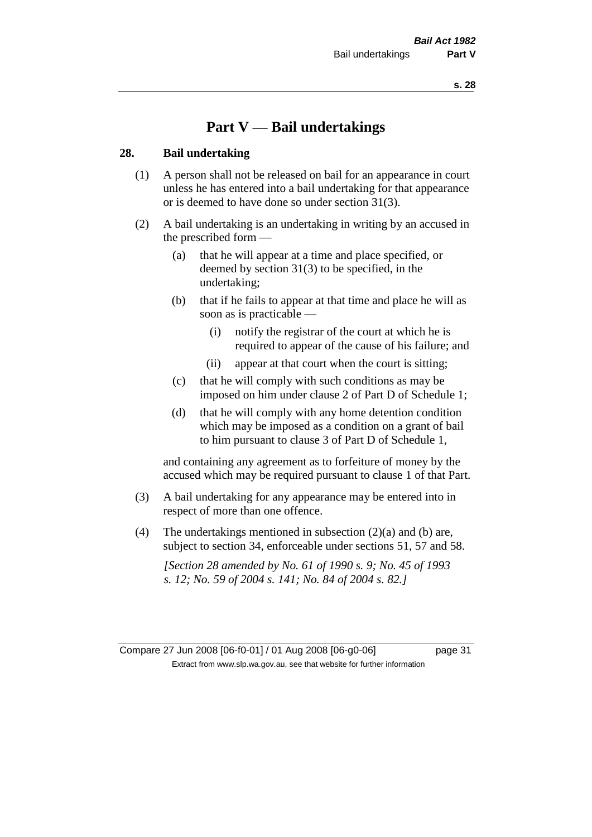## **Part V — Bail undertakings**

#### **28. Bail undertaking**

- (1) A person shall not be released on bail for an appearance in court unless he has entered into a bail undertaking for that appearance or is deemed to have done so under section 31(3).
- (2) A bail undertaking is an undertaking in writing by an accused in the prescribed form —
	- (a) that he will appear at a time and place specified, or deemed by section 31(3) to be specified, in the undertaking;
	- (b) that if he fails to appear at that time and place he will as soon as is practicable —
		- (i) notify the registrar of the court at which he is required to appear of the cause of his failure; and
		- (ii) appear at that court when the court is sitting;
	- (c) that he will comply with such conditions as may be imposed on him under clause 2 of Part D of Schedule 1;
	- (d) that he will comply with any home detention condition which may be imposed as a condition on a grant of bail to him pursuant to clause 3 of Part D of Schedule 1,

and containing any agreement as to forfeiture of money by the accused which may be required pursuant to clause 1 of that Part.

- (3) A bail undertaking for any appearance may be entered into in respect of more than one offence.
- (4) The undertakings mentioned in subsection  $(2)(a)$  and (b) are, subject to section 34, enforceable under sections 51, 57 and 58.

*[Section 28 amended by No. 61 of 1990 s. 9; No. 45 of 1993 s. 12; No. 59 of 2004 s. 141; No. 84 of 2004 s. 82.]*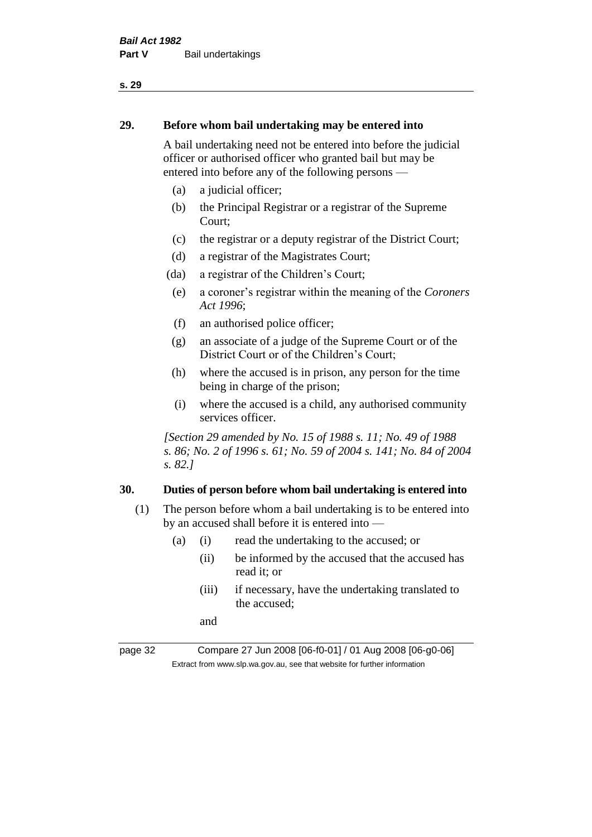#### **s. 29**

#### **29. Before whom bail undertaking may be entered into**

A bail undertaking need not be entered into before the judicial officer or authorised officer who granted bail but may be entered into before any of the following persons —

- (a) a judicial officer;
- (b) the Principal Registrar or a registrar of the Supreme Court;
- (c) the registrar or a deputy registrar of the District Court;
- (d) a registrar of the Magistrates Court;
- (da) a registrar of the Children's Court;
- (e) a coroner's registrar within the meaning of the *Coroners Act 1996*;
- (f) an authorised police officer;
- (g) an associate of a judge of the Supreme Court or of the District Court or of the Children's Court;
- (h) where the accused is in prison, any person for the time being in charge of the prison;
- (i) where the accused is a child, any authorised community services officer.

*[Section 29 amended by No. 15 of 1988 s. 11; No. 49 of 1988 s. 86; No. 2 of 1996 s. 61; No. 59 of 2004 s. 141; No. 84 of 2004 s. 82.]* 

#### **30. Duties of person before whom bail undertaking is entered into**

- (1) The person before whom a bail undertaking is to be entered into by an accused shall before it is entered into —
	- (a) (i) read the undertaking to the accused; or
		- (ii) be informed by the accused that the accused has read it; or
		- (iii) if necessary, have the undertaking translated to the accused;

and

page 32 Compare 27 Jun 2008 [06-f0-01] / 01 Aug 2008 [06-g0-06] Extract from www.slp.wa.gov.au, see that website for further information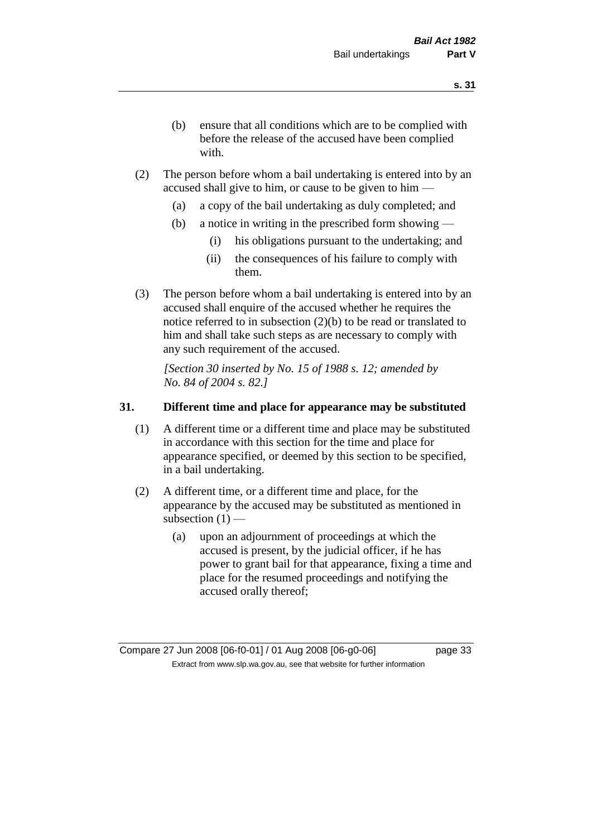- (b) ensure that all conditions which are to be complied with before the release of the accused have been complied with.
- (2) The person before whom a bail undertaking is entered into by an accused shall give to him, or cause to be given to him —
	- (a) a copy of the bail undertaking as duly completed; and
	- (b) a notice in writing in the prescribed form showing
		- (i) his obligations pursuant to the undertaking; and
		- (ii) the consequences of his failure to comply with them.
- (3) The person before whom a bail undertaking is entered into by an accused shall enquire of the accused whether he requires the notice referred to in subsection (2)(b) to be read or translated to him and shall take such steps as are necessary to comply with any such requirement of the accused.

*[Section 30 inserted by No. 15 of 1988 s. 12; amended by No. 84 of 2004 s. 82.]* 

#### **31. Different time and place for appearance may be substituted**

- (1) A different time or a different time and place may be substituted in accordance with this section for the time and place for appearance specified, or deemed by this section to be specified, in a bail undertaking.
- (2) A different time, or a different time and place, for the appearance by the accused may be substituted as mentioned in subsection  $(1)$  —
	- (a) upon an adjournment of proceedings at which the accused is present, by the judicial officer, if he has power to grant bail for that appearance, fixing a time and place for the resumed proceedings and notifying the accused orally thereof;

Compare 27 Jun 2008 [06-f0-01] / 01 Aug 2008 [06-g0-06] page 33 Extract from www.slp.wa.gov.au, see that website for further information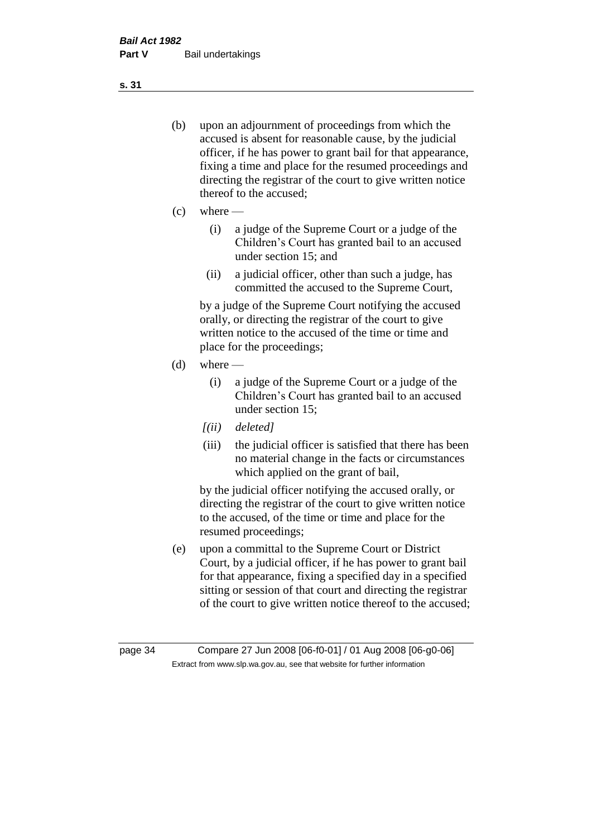- (b) upon an adjournment of proceedings from which the accused is absent for reasonable cause, by the judicial officer, if he has power to grant bail for that appearance, fixing a time and place for the resumed proceedings and directing the registrar of the court to give written notice thereof to the accused;
- $(c)$  where
	- (i) a judge of the Supreme Court or a judge of the Children's Court has granted bail to an accused under section 15; and
	- (ii) a judicial officer, other than such a judge, has committed the accused to the Supreme Court,

by a judge of the Supreme Court notifying the accused orally, or directing the registrar of the court to give written notice to the accused of the time or time and place for the proceedings;

- $(d)$  where
	- (i) a judge of the Supreme Court or a judge of the Children's Court has granted bail to an accused under section 15;
	- *[(ii) deleted]*
	- (iii) the judicial officer is satisfied that there has been no material change in the facts or circumstances which applied on the grant of bail,

by the judicial officer notifying the accused orally, or directing the registrar of the court to give written notice to the accused, of the time or time and place for the resumed proceedings;

(e) upon a committal to the Supreme Court or District Court, by a judicial officer, if he has power to grant bail for that appearance, fixing a specified day in a specified sitting or session of that court and directing the registrar of the court to give written notice thereof to the accused;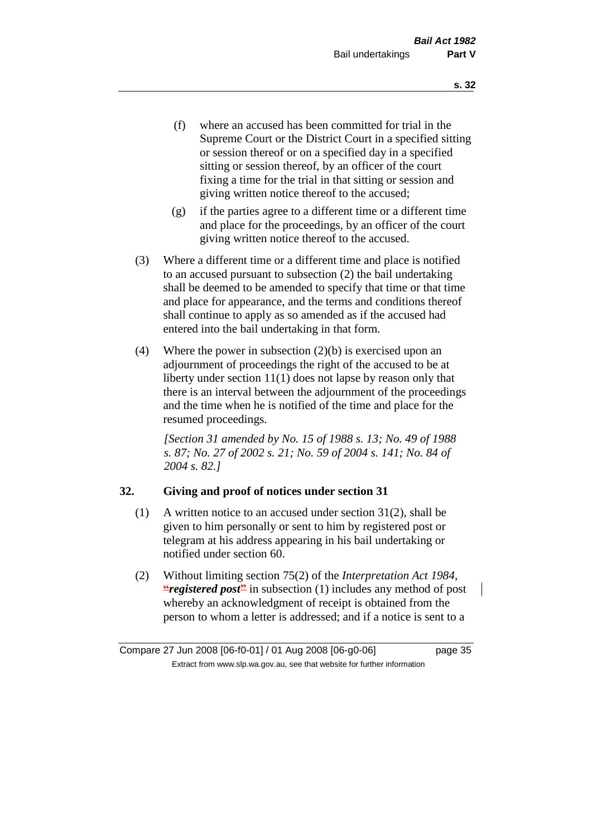- (f) where an accused has been committed for trial in the Supreme Court or the District Court in a specified sitting or session thereof or on a specified day in a specified sitting or session thereof, by an officer of the court fixing a time for the trial in that sitting or session and giving written notice thereof to the accused;
- (g) if the parties agree to a different time or a different time and place for the proceedings, by an officer of the court giving written notice thereof to the accused.
- (3) Where a different time or a different time and place is notified to an accused pursuant to subsection (2) the bail undertaking shall be deemed to be amended to specify that time or that time and place for appearance, and the terms and conditions thereof shall continue to apply as so amended as if the accused had entered into the bail undertaking in that form.
- (4) Where the power in subsection  $(2)(b)$  is exercised upon an adjournment of proceedings the right of the accused to be at liberty under section 11(1) does not lapse by reason only that there is an interval between the adjournment of the proceedings and the time when he is notified of the time and place for the resumed proceedings.

*[Section 31 amended by No. 15 of 1988 s. 13; No. 49 of 1988 s. 87; No. 27 of 2002 s. 21; No. 59 of 2004 s. 141; No. 84 of 2004 s. 82.]* 

## **32. Giving and proof of notices under section 31**

- (1) A written notice to an accused under section 31(2), shall be given to him personally or sent to him by registered post or telegram at his address appearing in his bail undertaking or notified under section 60.
- (2) Without limiting section 75(2) of the *Interpretation Act 1984*, **"***registered post* in subsection (1) includes any method of post whereby an acknowledgment of receipt is obtained from the person to whom a letter is addressed; and if a notice is sent to a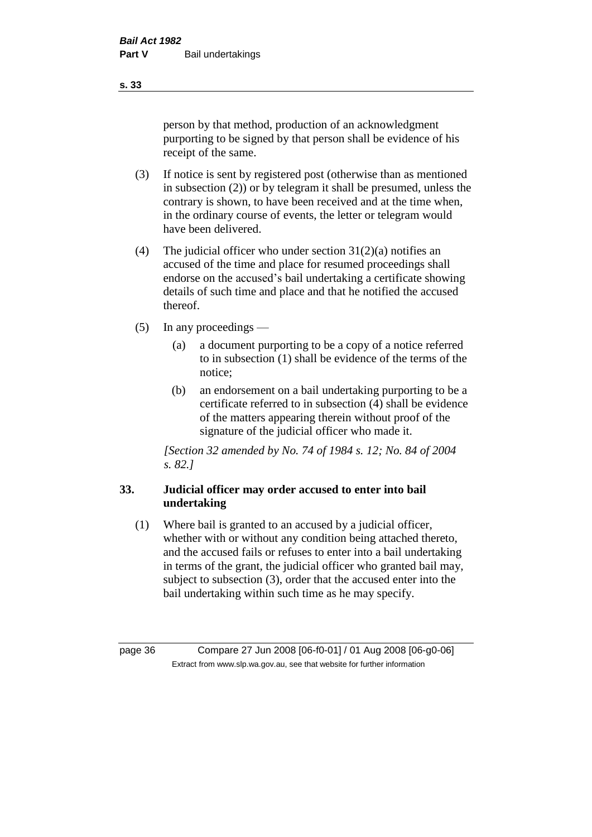person by that method, production of an acknowledgment purporting to be signed by that person shall be evidence of his receipt of the same.

- (3) If notice is sent by registered post (otherwise than as mentioned in subsection (2)) or by telegram it shall be presumed, unless the contrary is shown, to have been received and at the time when, in the ordinary course of events, the letter or telegram would have been delivered.
- (4) The judicial officer who under section  $31(2)(a)$  notifies an accused of the time and place for resumed proceedings shall endorse on the accused's bail undertaking a certificate showing details of such time and place and that he notified the accused thereof.
- (5) In any proceedings
	- (a) a document purporting to be a copy of a notice referred to in subsection (1) shall be evidence of the terms of the notice;
	- (b) an endorsement on a bail undertaking purporting to be a certificate referred to in subsection (4) shall be evidence of the matters appearing therein without proof of the signature of the judicial officer who made it.

*[Section 32 amended by No. 74 of 1984 s. 12; No. 84 of 2004 s. 82.]* 

## **33. Judicial officer may order accused to enter into bail undertaking**

(1) Where bail is granted to an accused by a judicial officer, whether with or without any condition being attached thereto, and the accused fails or refuses to enter into a bail undertaking in terms of the grant, the judicial officer who granted bail may, subject to subsection (3), order that the accused enter into the bail undertaking within such time as he may specify.

page 36 Compare 27 Jun 2008 [06-f0-01] / 01 Aug 2008 [06-g0-06] Extract from www.slp.wa.gov.au, see that website for further information

**s. 33**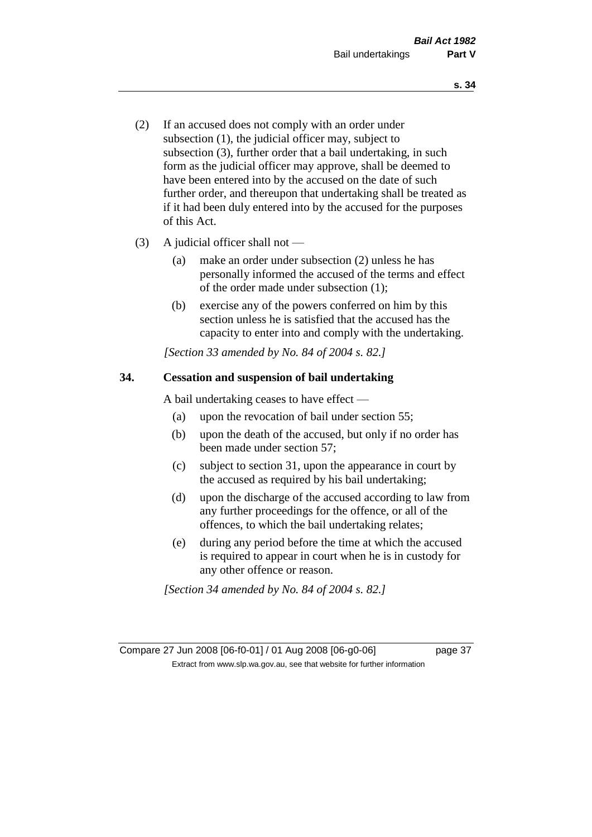- (2) If an accused does not comply with an order under subsection (1), the judicial officer may, subject to subsection (3), further order that a bail undertaking, in such form as the judicial officer may approve, shall be deemed to have been entered into by the accused on the date of such further order, and thereupon that undertaking shall be treated as if it had been duly entered into by the accused for the purposes of this Act.
- (3) A judicial officer shall not
	- (a) make an order under subsection (2) unless he has personally informed the accused of the terms and effect of the order made under subsection (1);
	- (b) exercise any of the powers conferred on him by this section unless he is satisfied that the accused has the capacity to enter into and comply with the undertaking.

*[Section 33 amended by No. 84 of 2004 s. 82.]* 

## **34. Cessation and suspension of bail undertaking**

A bail undertaking ceases to have effect —

- (a) upon the revocation of bail under section 55;
- (b) upon the death of the accused, but only if no order has been made under section 57;
- (c) subject to section 31, upon the appearance in court by the accused as required by his bail undertaking;
- (d) upon the discharge of the accused according to law from any further proceedings for the offence, or all of the offences, to which the bail undertaking relates;
- (e) during any period before the time at which the accused is required to appear in court when he is in custody for any other offence or reason.

*[Section 34 amended by No. 84 of 2004 s. 82.]* 

Compare 27 Jun 2008 [06-f0-01] / 01 Aug 2008 [06-g0-06] page 37 Extract from www.slp.wa.gov.au, see that website for further information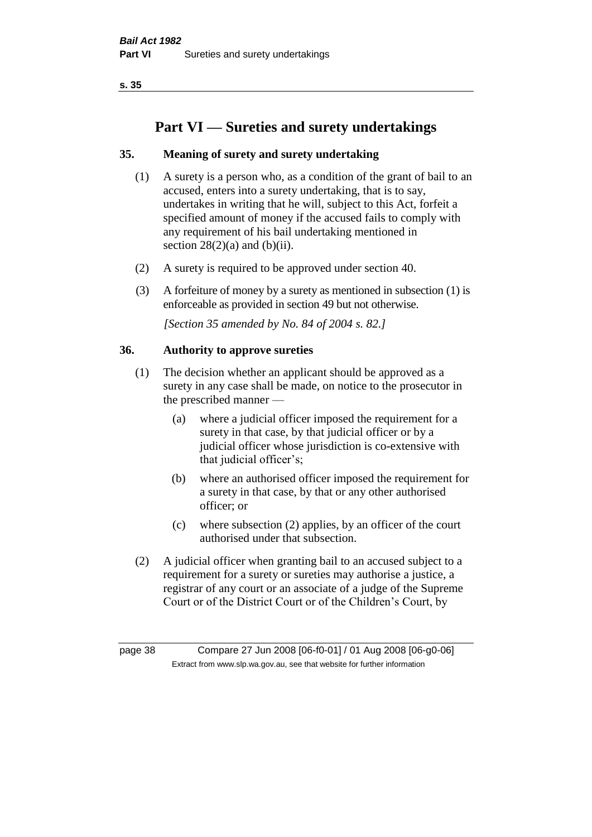# **Part VI — Sureties and surety undertakings**

## **35. Meaning of surety and surety undertaking**

- (1) A surety is a person who, as a condition of the grant of bail to an accused, enters into a surety undertaking, that is to say, undertakes in writing that he will, subject to this Act, forfeit a specified amount of money if the accused fails to comply with any requirement of his bail undertaking mentioned in section  $28(2)(a)$  and  $(b)(ii)$ .
- (2) A surety is required to be approved under section 40.
- (3) A forfeiture of money by a surety as mentioned in subsection (1) is enforceable as provided in section 49 but not otherwise.

*[Section 35 amended by No. 84 of 2004 s. 82.]* 

## **36. Authority to approve sureties**

- (1) The decision whether an applicant should be approved as a surety in any case shall be made, on notice to the prosecutor in the prescribed manner —
	- (a) where a judicial officer imposed the requirement for a surety in that case, by that judicial officer or by a judicial officer whose jurisdiction is co-extensive with that judicial officer's;
	- (b) where an authorised officer imposed the requirement for a surety in that case, by that or any other authorised officer; or
	- (c) where subsection (2) applies, by an officer of the court authorised under that subsection.
- (2) A judicial officer when granting bail to an accused subject to a requirement for a surety or sureties may authorise a justice, a registrar of any court or an associate of a judge of the Supreme Court or of the District Court or of the Children's Court, by

page 38 Compare 27 Jun 2008 [06-f0-01] / 01 Aug 2008 [06-g0-06] Extract from www.slp.wa.gov.au, see that website for further information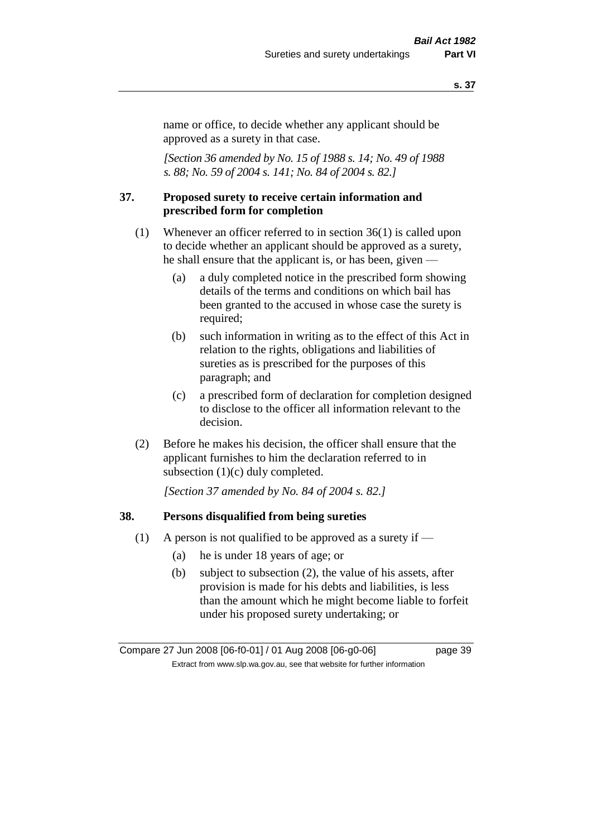name or office, to decide whether any applicant should be approved as a surety in that case.

*[Section 36 amended by No. 15 of 1988 s. 14; No. 49 of 1988 s. 88; No. 59 of 2004 s. 141; No. 84 of 2004 s. 82.]* 

### **37. Proposed surety to receive certain information and prescribed form for completion**

- (1) Whenever an officer referred to in section 36(1) is called upon to decide whether an applicant should be approved as a surety, he shall ensure that the applicant is, or has been, given —
	- (a) a duly completed notice in the prescribed form showing details of the terms and conditions on which bail has been granted to the accused in whose case the surety is required;
	- (b) such information in writing as to the effect of this Act in relation to the rights, obligations and liabilities of sureties as is prescribed for the purposes of this paragraph; and
	- (c) a prescribed form of declaration for completion designed to disclose to the officer all information relevant to the decision.
- (2) Before he makes his decision, the officer shall ensure that the applicant furnishes to him the declaration referred to in subsection (1)(c) duly completed.

*[Section 37 amended by No. 84 of 2004 s. 82.]* 

#### **38. Persons disqualified from being sureties**

- (1) A person is not qualified to be approved as a surety if  $-$ 
	- (a) he is under 18 years of age; or
	- (b) subject to subsection (2), the value of his assets, after provision is made for his debts and liabilities, is less than the amount which he might become liable to forfeit under his proposed surety undertaking; or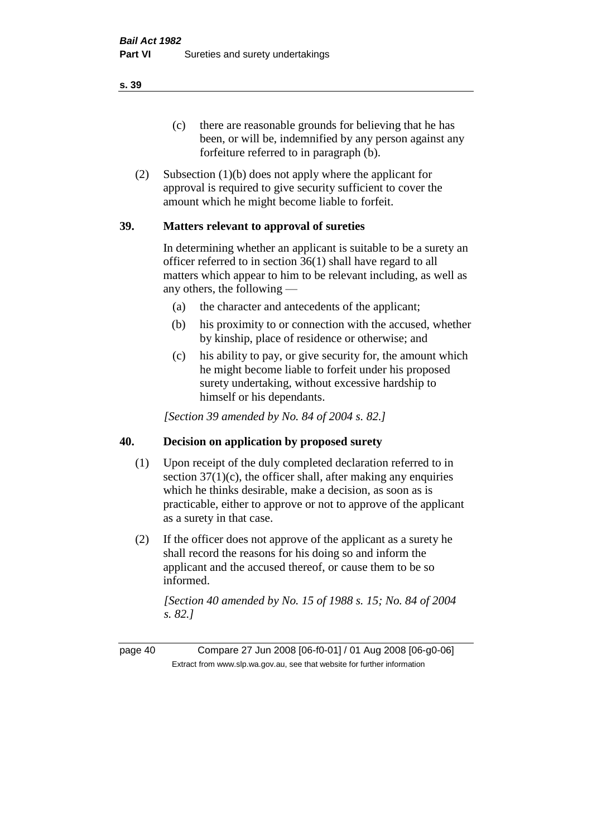(c) there are reasonable grounds for believing that he has been, or will be, indemnified by any person against any forfeiture referred to in paragraph (b).

(2) Subsection (1)(b) does not apply where the applicant for approval is required to give security sufficient to cover the amount which he might become liable to forfeit.

## **39. Matters relevant to approval of sureties**

In determining whether an applicant is suitable to be a surety an officer referred to in section 36(1) shall have regard to all matters which appear to him to be relevant including, as well as any others, the following —

- (a) the character and antecedents of the applicant;
- (b) his proximity to or connection with the accused, whether by kinship, place of residence or otherwise; and
- (c) his ability to pay, or give security for, the amount which he might become liable to forfeit under his proposed surety undertaking, without excessive hardship to himself or his dependants.

*[Section 39 amended by No. 84 of 2004 s. 82.]* 

## **40. Decision on application by proposed surety**

- (1) Upon receipt of the duly completed declaration referred to in section  $37(1)(c)$ , the officer shall, after making any enquiries which he thinks desirable, make a decision, as soon as is practicable, either to approve or not to approve of the applicant as a surety in that case.
- (2) If the officer does not approve of the applicant as a surety he shall record the reasons for his doing so and inform the applicant and the accused thereof, or cause them to be so informed.

*[Section 40 amended by No. 15 of 1988 s. 15; No. 84 of 2004 s. 82.]* 

page 40 Compare 27 Jun 2008 [06-f0-01] / 01 Aug 2008 [06-g0-06] Extract from www.slp.wa.gov.au, see that website for further information

**s. 39**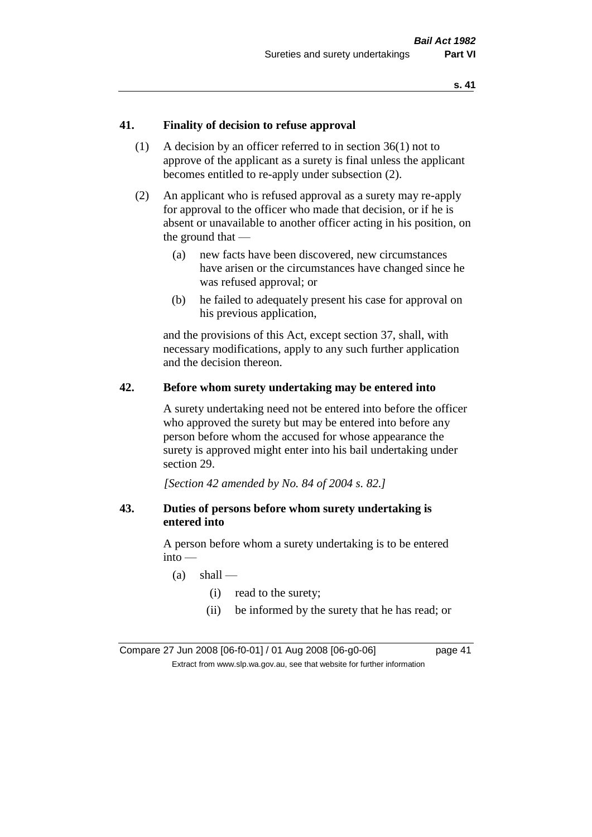## **41. Finality of decision to refuse approval**

- (1) A decision by an officer referred to in section 36(1) not to approve of the applicant as a surety is final unless the applicant becomes entitled to re-apply under subsection (2).
- (2) An applicant who is refused approval as a surety may re-apply for approval to the officer who made that decision, or if he is absent or unavailable to another officer acting in his position, on the ground that —
	- (a) new facts have been discovered, new circumstances have arisen or the circumstances have changed since he was refused approval; or
	- (b) he failed to adequately present his case for approval on his previous application,

and the provisions of this Act, except section 37, shall, with necessary modifications, apply to any such further application and the decision thereon.

## **42. Before whom surety undertaking may be entered into**

A surety undertaking need not be entered into before the officer who approved the surety but may be entered into before any person before whom the accused for whose appearance the surety is approved might enter into his bail undertaking under section 29.

*[Section 42 amended by No. 84 of 2004 s. 82.]* 

### **43. Duties of persons before whom surety undertaking is entered into**

A person before whom a surety undertaking is to be entered into —

- $(a)$  shall
	- (i) read to the surety;
	- (ii) be informed by the surety that he has read; or

Compare 27 Jun 2008 [06-f0-01] / 01 Aug 2008 [06-g0-06] page 41 Extract from www.slp.wa.gov.au, see that website for further information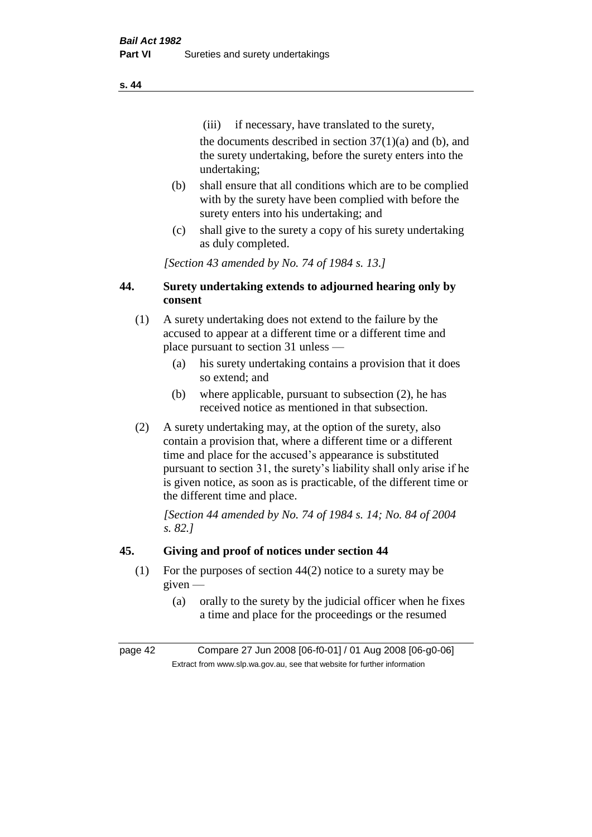(iii) if necessary, have translated to the surety, the documents described in section  $37(1)(a)$  and (b), and the surety undertaking, before the surety enters into the undertaking;

- (b) shall ensure that all conditions which are to be complied with by the surety have been complied with before the surety enters into his undertaking; and
- (c) shall give to the surety a copy of his surety undertaking as duly completed.

*[Section 43 amended by No. 74 of 1984 s. 13.]* 

## **44. Surety undertaking extends to adjourned hearing only by consent**

- (1) A surety undertaking does not extend to the failure by the accused to appear at a different time or a different time and place pursuant to section 31 unless —
	- (a) his surety undertaking contains a provision that it does so extend; and
	- (b) where applicable, pursuant to subsection (2), he has received notice as mentioned in that subsection.
- (2) A surety undertaking may, at the option of the surety, also contain a provision that, where a different time or a different time and place for the accused's appearance is substituted pursuant to section 31, the surety's liability shall only arise if he is given notice, as soon as is practicable, of the different time or the different time and place.

*[Section 44 amended by No. 74 of 1984 s. 14; No. 84 of 2004 s. 82.]* 

## **45. Giving and proof of notices under section 44**

- (1) For the purposes of section 44(2) notice to a surety may be given —
	- (a) orally to the surety by the judicial officer when he fixes a time and place for the proceedings or the resumed

page 42 Compare 27 Jun 2008 [06-f0-01] / 01 Aug 2008 [06-g0-06] Extract from www.slp.wa.gov.au, see that website for further information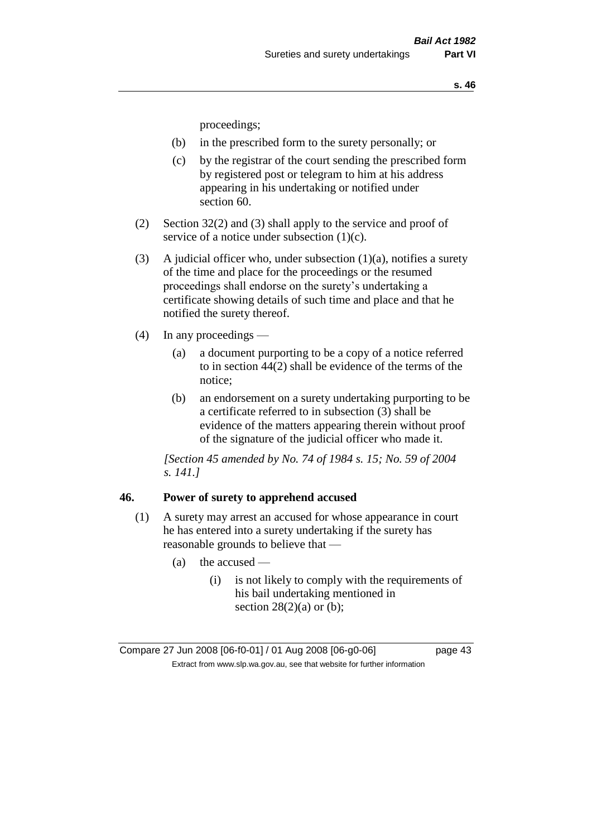proceedings;

- (b) in the prescribed form to the surety personally; or
- (c) by the registrar of the court sending the prescribed form by registered post or telegram to him at his address appearing in his undertaking or notified under section 60.
- (2) Section 32(2) and (3) shall apply to the service and proof of service of a notice under subsection (1)(c).
- (3) A judicial officer who, under subsection  $(1)(a)$ , notifies a surety of the time and place for the proceedings or the resumed proceedings shall endorse on the surety's undertaking a certificate showing details of such time and place and that he notified the surety thereof.
- (4) In any proceedings
	- (a) a document purporting to be a copy of a notice referred to in section 44(2) shall be evidence of the terms of the notice;
	- (b) an endorsement on a surety undertaking purporting to be a certificate referred to in subsection (3) shall be evidence of the matters appearing therein without proof of the signature of the judicial officer who made it.

*[Section 45 amended by No. 74 of 1984 s. 15; No. 59 of 2004 s. 141.]* 

### **46. Power of surety to apprehend accused**

- (1) A surety may arrest an accused for whose appearance in court he has entered into a surety undertaking if the surety has reasonable grounds to believe that —
	- $(a)$  the accused
		- (i) is not likely to comply with the requirements of his bail undertaking mentioned in section  $28(2)(a)$  or (b);

Compare 27 Jun 2008 [06-f0-01] / 01 Aug 2008 [06-g0-06] page 43 Extract from www.slp.wa.gov.au, see that website for further information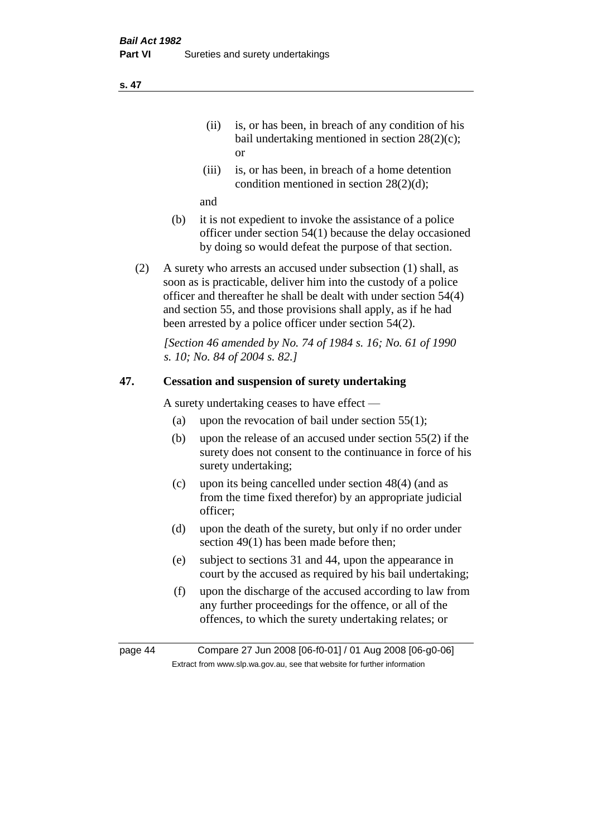- (ii) is, or has been, in breach of any condition of his bail undertaking mentioned in section 28(2)(c); or
- (iii) is, or has been, in breach of a home detention condition mentioned in section 28(2)(d);

and

- (b) it is not expedient to invoke the assistance of a police officer under section 54(1) because the delay occasioned by doing so would defeat the purpose of that section.
- (2) A surety who arrests an accused under subsection (1) shall, as soon as is practicable, deliver him into the custody of a police officer and thereafter he shall be dealt with under section 54(4) and section 55, and those provisions shall apply, as if he had been arrested by a police officer under section 54(2).

*[Section 46 amended by No. 74 of 1984 s. 16; No. 61 of 1990 s. 10; No. 84 of 2004 s. 82.]* 

## **47. Cessation and suspension of surety undertaking**

A surety undertaking ceases to have effect —

- (a) upon the revocation of bail under section  $55(1)$ ;
- (b) upon the release of an accused under section 55(2) if the surety does not consent to the continuance in force of his surety undertaking;
- (c) upon its being cancelled under section 48(4) (and as from the time fixed therefor) by an appropriate judicial officer;
- (d) upon the death of the surety, but only if no order under section 49(1) has been made before then;
- (e) subject to sections 31 and 44, upon the appearance in court by the accused as required by his bail undertaking;
- (f) upon the discharge of the accused according to law from any further proceedings for the offence, or all of the offences, to which the surety undertaking relates; or

page 44 Compare 27 Jun 2008 [06-f0-01] / 01 Aug 2008 [06-g0-06] Extract from www.slp.wa.gov.au, see that website for further information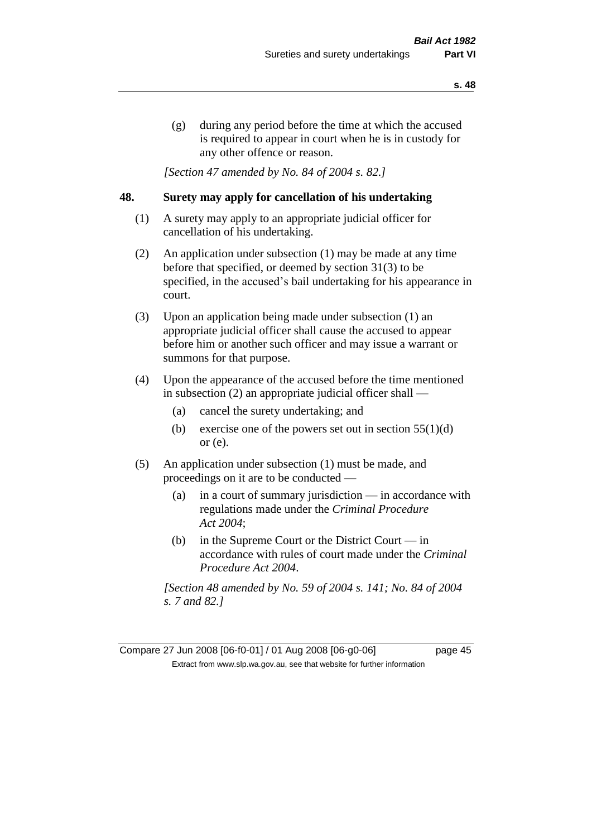(g) during any period before the time at which the accused is required to appear in court when he is in custody for any other offence or reason.

*[Section 47 amended by No. 84 of 2004 s. 82.]* 

## **48. Surety may apply for cancellation of his undertaking**

- (1) A surety may apply to an appropriate judicial officer for cancellation of his undertaking.
- (2) An application under subsection (1) may be made at any time before that specified, or deemed by section 31(3) to be specified, in the accused's bail undertaking for his appearance in court.
- (3) Upon an application being made under subsection (1) an appropriate judicial officer shall cause the accused to appear before him or another such officer and may issue a warrant or summons for that purpose.
- (4) Upon the appearance of the accused before the time mentioned in subsection (2) an appropriate judicial officer shall —
	- (a) cancel the surety undertaking; and
	- (b) exercise one of the powers set out in section  $55(1)(d)$ or (e).
- (5) An application under subsection (1) must be made, and proceedings on it are to be conducted —
	- (a) in a court of summary jurisdiction in accordance with regulations made under the *Criminal Procedure Act 2004*;
	- (b) in the Supreme Court or the District Court  $-\text{in}$ accordance with rules of court made under the *Criminal Procedure Act 2004*.

*[Section 48 amended by No. 59 of 2004 s. 141; No. 84 of 2004 s. 7 and 82.]* 

Compare 27 Jun 2008 [06-f0-01] / 01 Aug 2008 [06-g0-06] page 45 Extract from www.slp.wa.gov.au, see that website for further information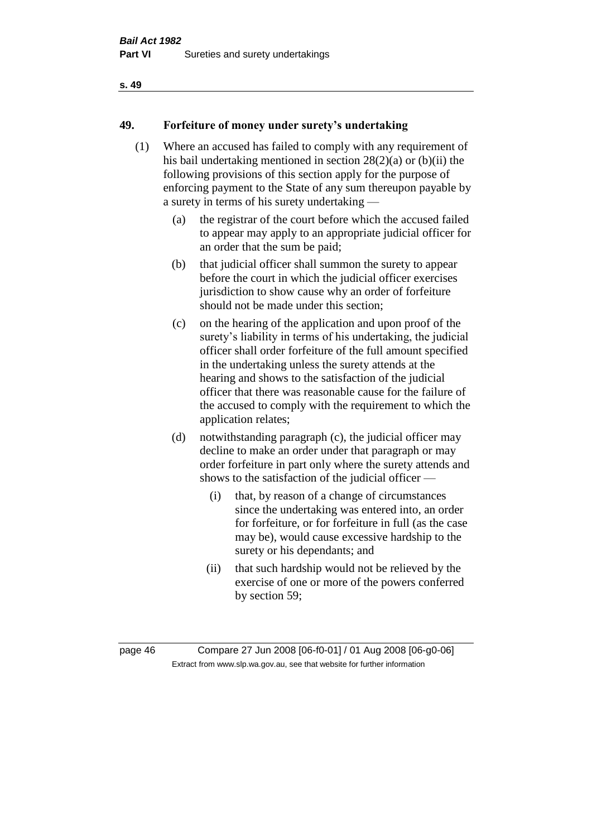## **49. Forfeiture of money under surety's undertaking**

- (1) Where an accused has failed to comply with any requirement of his bail undertaking mentioned in section 28(2)(a) or (b)(ii) the following provisions of this section apply for the purpose of enforcing payment to the State of any sum thereupon payable by a surety in terms of his surety undertaking —
	- (a) the registrar of the court before which the accused failed to appear may apply to an appropriate judicial officer for an order that the sum be paid;
	- (b) that judicial officer shall summon the surety to appear before the court in which the judicial officer exercises jurisdiction to show cause why an order of forfeiture should not be made under this section;
	- (c) on the hearing of the application and upon proof of the surety's liability in terms of his undertaking, the judicial officer shall order forfeiture of the full amount specified in the undertaking unless the surety attends at the hearing and shows to the satisfaction of the judicial officer that there was reasonable cause for the failure of the accused to comply with the requirement to which the application relates;
	- (d) notwithstanding paragraph (c), the judicial officer may decline to make an order under that paragraph or may order forfeiture in part only where the surety attends and shows to the satisfaction of the judicial officer —
		- (i) that, by reason of a change of circumstances since the undertaking was entered into, an order for forfeiture, or for forfeiture in full (as the case may be), would cause excessive hardship to the surety or his dependants; and
		- (ii) that such hardship would not be relieved by the exercise of one or more of the powers conferred by section 59;

page 46 Compare 27 Jun 2008 [06-f0-01] / 01 Aug 2008 [06-g0-06] Extract from www.slp.wa.gov.au, see that website for further information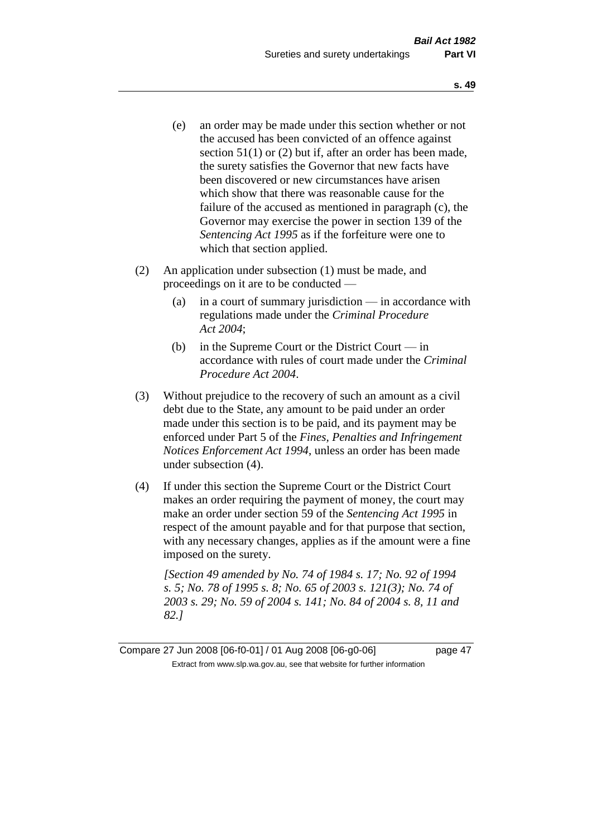- (e) an order may be made under this section whether or not the accused has been convicted of an offence against section 51(1) or (2) but if, after an order has been made, the surety satisfies the Governor that new facts have been discovered or new circumstances have arisen which show that there was reasonable cause for the failure of the accused as mentioned in paragraph (c), the Governor may exercise the power in section 139 of the *Sentencing Act 1995* as if the forfeiture were one to which that section applied.
- (2) An application under subsection (1) must be made, and proceedings on it are to be conducted —
	- (a) in a court of summary jurisdiction in accordance with regulations made under the *Criminal Procedure Act 2004*;
	- (b) in the Supreme Court or the District Court in accordance with rules of court made under the *Criminal Procedure Act 2004*.
- (3) Without prejudice to the recovery of such an amount as a civil debt due to the State, any amount to be paid under an order made under this section is to be paid, and its payment may be enforced under Part 5 of the *Fines, Penalties and Infringement Notices Enforcement Act 1994*, unless an order has been made under subsection (4).
- (4) If under this section the Supreme Court or the District Court makes an order requiring the payment of money, the court may make an order under section 59 of the *Sentencing Act 1995* in respect of the amount payable and for that purpose that section, with any necessary changes, applies as if the amount were a fine imposed on the surety.

*[Section 49 amended by No. 74 of 1984 s. 17; No. 92 of 1994 s. 5; No. 78 of 1995 s. 8; No. 65 of 2003 s. 121(3); No. 74 of 2003 s. 29; No. 59 of 2004 s. 141; No. 84 of 2004 s. 8, 11 and 82.]* 

Compare 27 Jun 2008 [06-f0-01] / 01 Aug 2008 [06-g0-06] page 47 Extract from www.slp.wa.gov.au, see that website for further information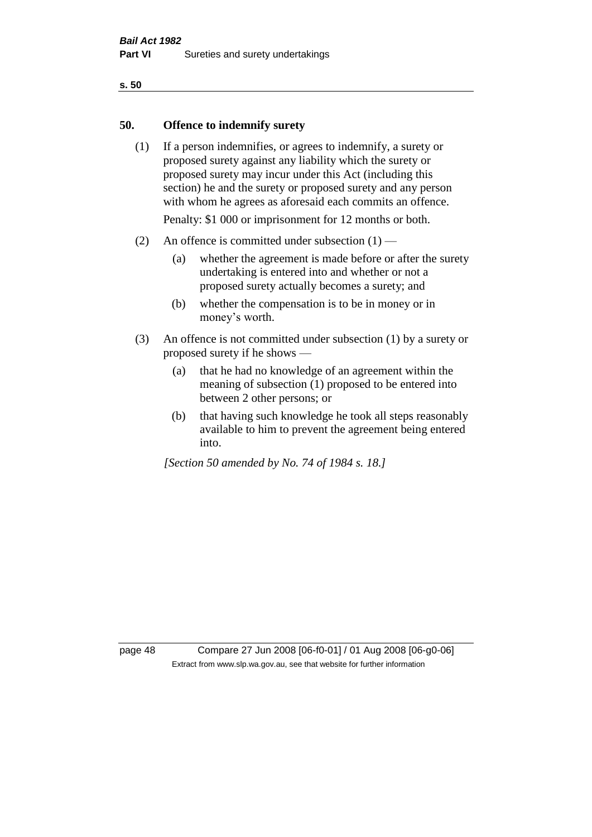## **50. Offence to indemnify surety**

(1) If a person indemnifies, or agrees to indemnify, a surety or proposed surety against any liability which the surety or proposed surety may incur under this Act (including this section) he and the surety or proposed surety and any person with whom he agrees as aforesaid each commits an offence.

Penalty: \$1 000 or imprisonment for 12 months or both.

- (2) An offence is committed under subsection  $(1)$ 
	- (a) whether the agreement is made before or after the surety undertaking is entered into and whether or not a proposed surety actually becomes a surety; and
	- (b) whether the compensation is to be in money or in money's worth.
- (3) An offence is not committed under subsection (1) by a surety or proposed surety if he shows —
	- (a) that he had no knowledge of an agreement within the meaning of subsection (1) proposed to be entered into between 2 other persons; or
	- (b) that having such knowledge he took all steps reasonably available to him to prevent the agreement being entered into.

*[Section 50 amended by No. 74 of 1984 s. 18.]* 

page 48 Compare 27 Jun 2008 [06-f0-01] / 01 Aug 2008 [06-g0-06] Extract from www.slp.wa.gov.au, see that website for further information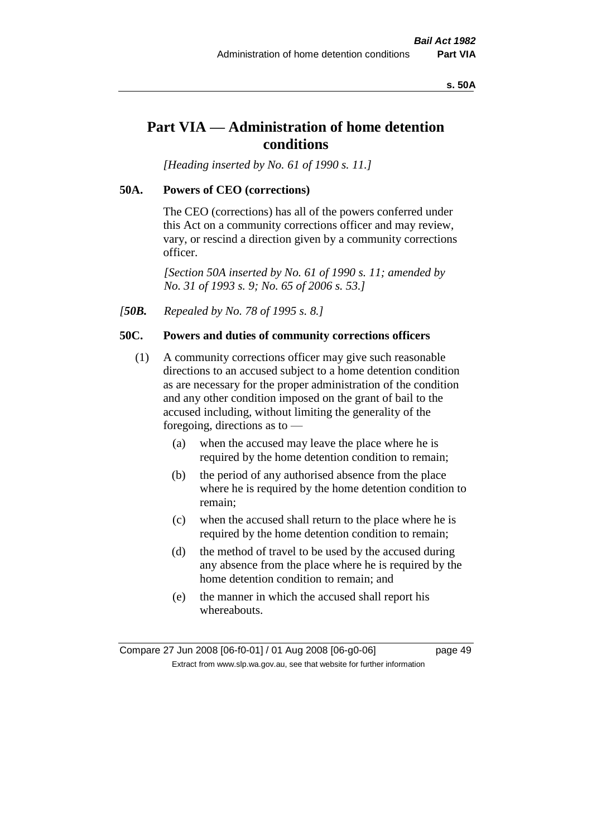#### **s. 50A**

# **Part VIA — Administration of home detention conditions**

*[Heading inserted by No. 61 of 1990 s. 11.]* 

### **50A. Powers of CEO (corrections)**

The CEO (corrections) has all of the powers conferred under this Act on a community corrections officer and may review, vary, or rescind a direction given by a community corrections officer.

*[Section 50A inserted by No. 61 of 1990 s. 11; amended by No. 31 of 1993 s. 9; No. 65 of 2006 s. 53.]* 

*[50B. Repealed by No. 78 of 1995 s. 8.]* 

## **50C. Powers and duties of community corrections officers**

- (1) A community corrections officer may give such reasonable directions to an accused subject to a home detention condition as are necessary for the proper administration of the condition and any other condition imposed on the grant of bail to the accused including, without limiting the generality of the foregoing, directions as to —
	- (a) when the accused may leave the place where he is required by the home detention condition to remain;
	- (b) the period of any authorised absence from the place where he is required by the home detention condition to remain;
	- (c) when the accused shall return to the place where he is required by the home detention condition to remain;
	- (d) the method of travel to be used by the accused during any absence from the place where he is required by the home detention condition to remain; and
	- (e) the manner in which the accused shall report his whereabouts.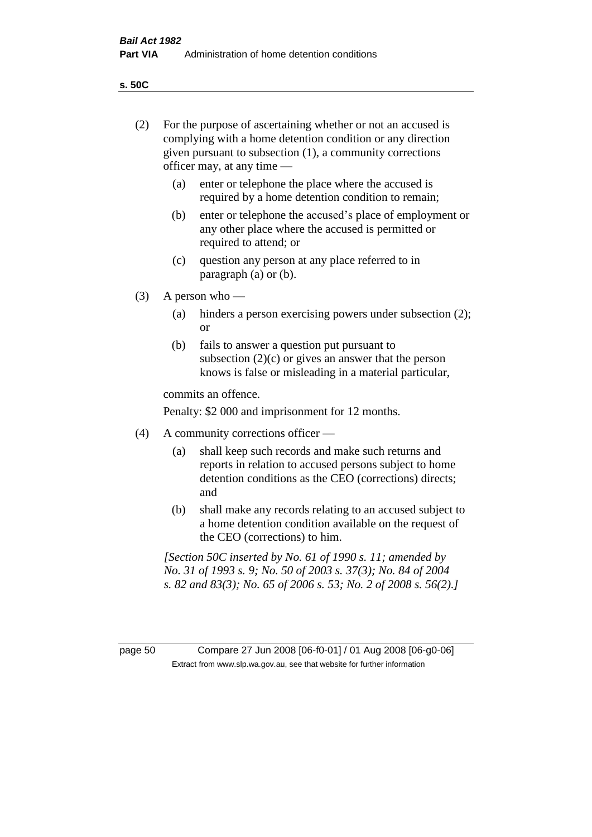**s. 50C**

| (2)     | For the purpose of ascertaining whether or not an accused is<br>complying with a home detention condition or any direction<br>given pursuant to subsection (1), a community corrections<br>officer may, at any time — |                                                                                                                                                                                              |  |  |
|---------|-----------------------------------------------------------------------------------------------------------------------------------------------------------------------------------------------------------------------|----------------------------------------------------------------------------------------------------------------------------------------------------------------------------------------------|--|--|
|         | (a)                                                                                                                                                                                                                   | enter or telephone the place where the accused is<br>required by a home detention condition to remain;                                                                                       |  |  |
|         | (b)                                                                                                                                                                                                                   | enter or telephone the accused's place of employment or<br>any other place where the accused is permitted or<br>required to attend; or                                                       |  |  |
|         | (c)                                                                                                                                                                                                                   | question any person at any place referred to in<br>paragraph $(a)$ or $(b)$ .                                                                                                                |  |  |
| (3)     |                                                                                                                                                                                                                       | A person who $-$                                                                                                                                                                             |  |  |
|         | (a)                                                                                                                                                                                                                   | hinders a person exercising powers under subsection (2);<br><sub>or</sub>                                                                                                                    |  |  |
|         | (b)                                                                                                                                                                                                                   | fails to answer a question put pursuant to<br>subsection $(2)(c)$ or gives an answer that the person<br>knows is false or misleading in a material particular,                               |  |  |
|         | commits an offence.                                                                                                                                                                                                   |                                                                                                                                                                                              |  |  |
|         | Penalty: \$2 000 and imprisonment for 12 months.                                                                                                                                                                      |                                                                                                                                                                                              |  |  |
| (4)     | A community corrections officer —                                                                                                                                                                                     |                                                                                                                                                                                              |  |  |
|         | (a)                                                                                                                                                                                                                   | shall keep such records and make such returns and<br>reports in relation to accused persons subject to home<br>detention conditions as the CEO (corrections) directs;<br>and                 |  |  |
|         | (b)                                                                                                                                                                                                                   | shall make any records relating to an accused subject to<br>a home detention condition available on the request of<br>the CEO (corrections) to him.                                          |  |  |
|         |                                                                                                                                                                                                                       | [Section 50C inserted by No. 61 of 1990 s. 11; amended by<br>No. 31 of 1993 s. 9; No. 50 of 2003 s. 37(3); No. 84 of 2004<br>s. 82 and 83(3); No. 65 of 2006 s. 53; No. 2 of 2008 s. 56(2).] |  |  |
|         |                                                                                                                                                                                                                       |                                                                                                                                                                                              |  |  |
| page 50 |                                                                                                                                                                                                                       | Compare 27 Jun 2008 [06-f0-01] / 01 Aug 2008 [06-g0-06]<br>Extract from www.slp.wa.gov.au, see that website for further information                                                          |  |  |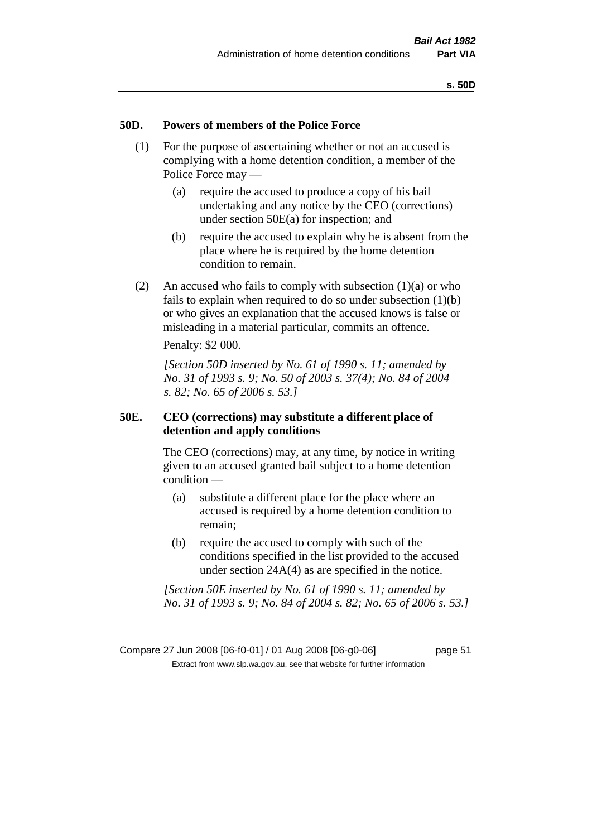### **50D. Powers of members of the Police Force**

- (1) For the purpose of ascertaining whether or not an accused is complying with a home detention condition, a member of the Police Force may —
	- (a) require the accused to produce a copy of his bail undertaking and any notice by the CEO (corrections) under section 50E(a) for inspection; and
	- (b) require the accused to explain why he is absent from the place where he is required by the home detention condition to remain.
- (2) An accused who fails to comply with subsection  $(1)(a)$  or who fails to explain when required to do so under subsection (1)(b) or who gives an explanation that the accused knows is false or misleading in a material particular, commits an offence.

Penalty: \$2 000.

*[Section 50D inserted by No. 61 of 1990 s. 11; amended by No. 31 of 1993 s. 9; No. 50 of 2003 s. 37(4); No. 84 of 2004 s. 82; No. 65 of 2006 s. 53.]* 

## **50E. CEO (corrections) may substitute a different place of detention and apply conditions**

The CEO (corrections) may, at any time, by notice in writing given to an accused granted bail subject to a home detention condition —

- (a) substitute a different place for the place where an accused is required by a home detention condition to remain;
- (b) require the accused to comply with such of the conditions specified in the list provided to the accused under section 24A(4) as are specified in the notice.

*[Section 50E inserted by No. 61 of 1990 s. 11; amended by No. 31 of 1993 s. 9; No. 84 of 2004 s. 82; No. 65 of 2006 s. 53.]*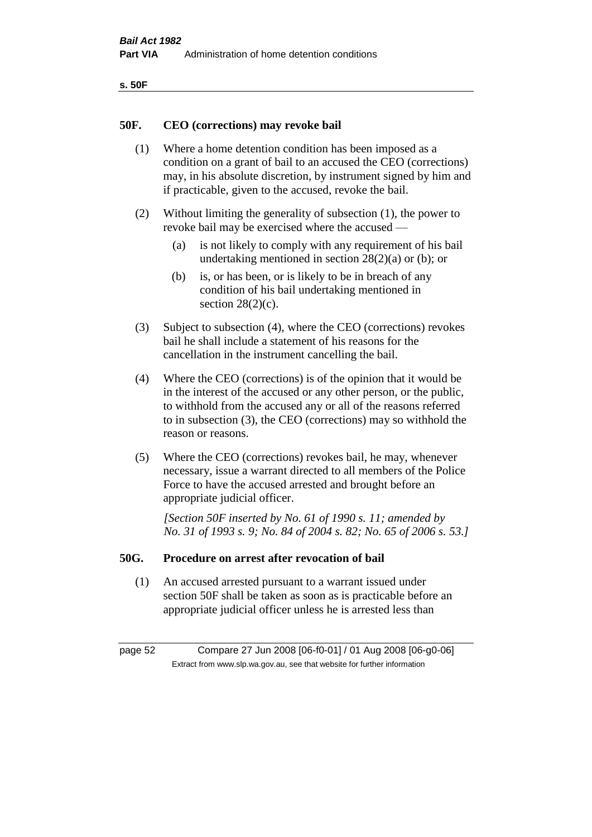| ۰.<br>×<br>-<br>۰.<br>× |  |
|-------------------------|--|
|-------------------------|--|

### **50F. CEO (corrections) may revoke bail**

- (1) Where a home detention condition has been imposed as a condition on a grant of bail to an accused the CEO (corrections) may, in his absolute discretion, by instrument signed by him and if practicable, given to the accused, revoke the bail.
- (2) Without limiting the generality of subsection (1), the power to revoke bail may be exercised where the accused —
	- (a) is not likely to comply with any requirement of his bail undertaking mentioned in section  $28(2)(a)$  or (b); or
	- (b) is, or has been, or is likely to be in breach of any condition of his bail undertaking mentioned in section  $28(2)(c)$ .
- (3) Subject to subsection (4), where the CEO (corrections) revokes bail he shall include a statement of his reasons for the cancellation in the instrument cancelling the bail.
- (4) Where the CEO (corrections) is of the opinion that it would be in the interest of the accused or any other person, or the public, to withhold from the accused any or all of the reasons referred to in subsection (3), the CEO (corrections) may so withhold the reason or reasons.
- (5) Where the CEO (corrections) revokes bail, he may, whenever necessary, issue a warrant directed to all members of the Police Force to have the accused arrested and brought before an appropriate judicial officer.

*[Section 50F inserted by No. 61 of 1990 s. 11; amended by No. 31 of 1993 s. 9; No. 84 of 2004 s. 82; No. 65 of 2006 s. 53.]* 

#### **50G. Procedure on arrest after revocation of bail**

(1) An accused arrested pursuant to a warrant issued under section 50F shall be taken as soon as is practicable before an appropriate judicial officer unless he is arrested less than

page 52 Compare 27 Jun 2008 [06-f0-01] / 01 Aug 2008 [06-g0-06] Extract from www.slp.wa.gov.au, see that website for further information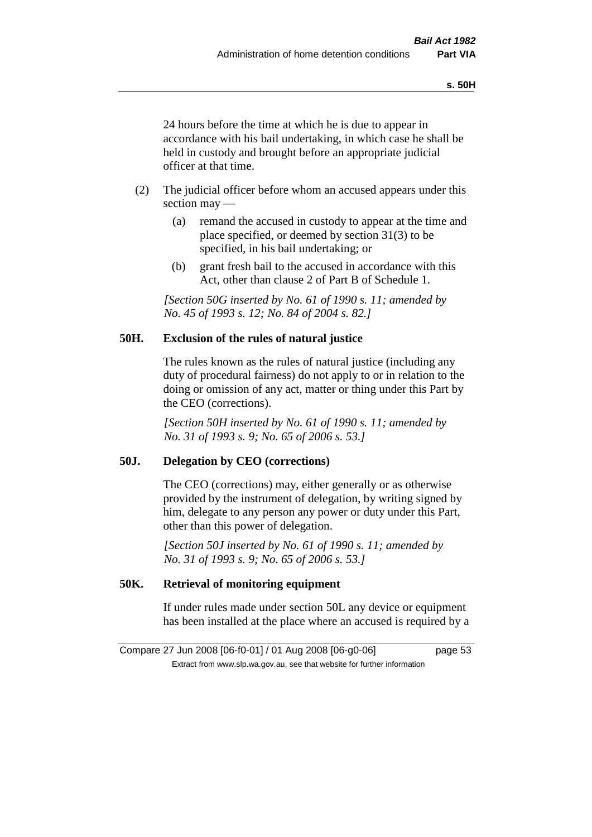24 hours before the time at which he is due to appear in accordance with his bail undertaking, in which case he shall be held in custody and brought before an appropriate judicial officer at that time.

- (2) The judicial officer before whom an accused appears under this section may —
	- (a) remand the accused in custody to appear at the time and place specified, or deemed by section 31(3) to be specified, in his bail undertaking; or
	- (b) grant fresh bail to the accused in accordance with this Act, other than clause 2 of Part B of Schedule 1.

*[Section 50G inserted by No. 61 of 1990 s. 11; amended by No. 45 of 1993 s. 12; No. 84 of 2004 s. 82.]* 

## **50H. Exclusion of the rules of natural justice**

The rules known as the rules of natural justice (including any duty of procedural fairness) do not apply to or in relation to the doing or omission of any act, matter or thing under this Part by the CEO (corrections).

*[Section 50H inserted by No. 61 of 1990 s. 11; amended by No. 31 of 1993 s. 9; No. 65 of 2006 s. 53.]* 

## **50J. Delegation by CEO (corrections)**

The CEO (corrections) may, either generally or as otherwise provided by the instrument of delegation, by writing signed by him, delegate to any person any power or duty under this Part, other than this power of delegation.

*[Section 50J inserted by No. 61 of 1990 s. 11; amended by No. 31 of 1993 s. 9; No. 65 of 2006 s. 53.]* 

## **50K. Retrieval of monitoring equipment**

If under rules made under section 50L any device or equipment has been installed at the place where an accused is required by a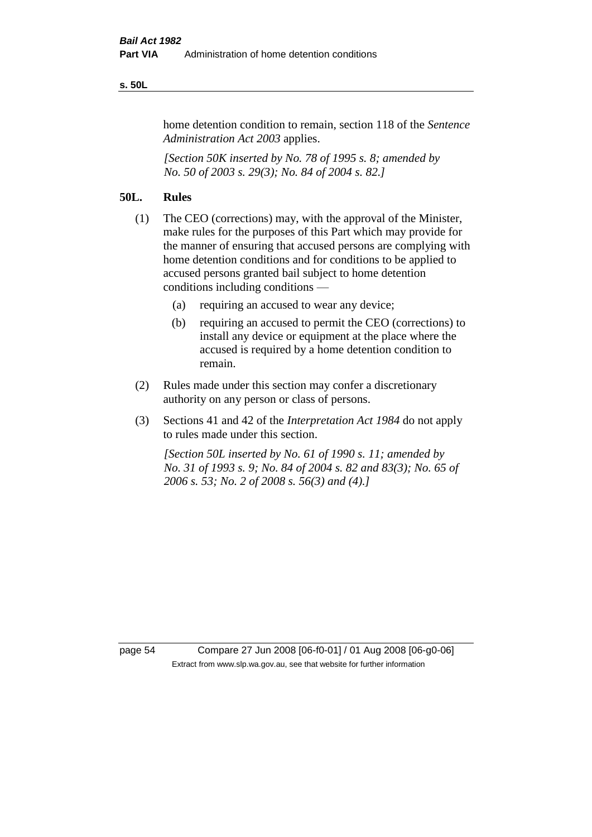#### **s. 50L**

home detention condition to remain, section 118 of the *Sentence Administration Act 2003* applies.

*[Section 50K inserted by No. 78 of 1995 s. 8; amended by No. 50 of 2003 s. 29(3); No. 84 of 2004 s. 82.]* 

## **50L. Rules**

- (1) The CEO (corrections) may, with the approval of the Minister, make rules for the purposes of this Part which may provide for the manner of ensuring that accused persons are complying with home detention conditions and for conditions to be applied to accused persons granted bail subject to home detention conditions including conditions —
	- (a) requiring an accused to wear any device;
	- (b) requiring an accused to permit the CEO (corrections) to install any device or equipment at the place where the accused is required by a home detention condition to remain.
- (2) Rules made under this section may confer a discretionary authority on any person or class of persons.
- (3) Sections 41 and 42 of the *Interpretation Act 1984* do not apply to rules made under this section.

*[Section 50L inserted by No. 61 of 1990 s. 11; amended by No. 31 of 1993 s. 9; No. 84 of 2004 s. 82 and 83(3); No. 65 of 2006 s. 53; No. 2 of 2008 s. 56(3) and (4).]* 

page 54 Compare 27 Jun 2008 [06-f0-01] / 01 Aug 2008 [06-g0-06] Extract from www.slp.wa.gov.au, see that website for further information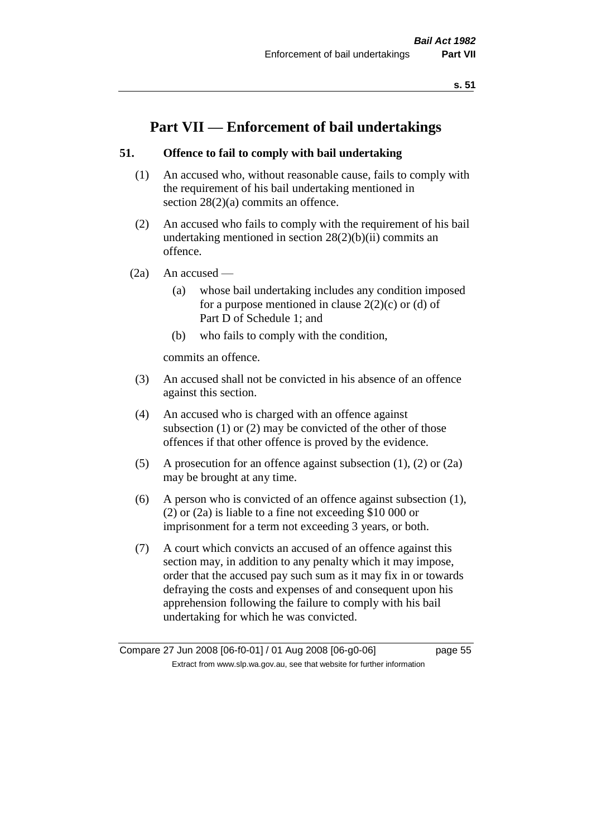# **Part VII — Enforcement of bail undertakings**

## **51. Offence to fail to comply with bail undertaking**

- (1) An accused who, without reasonable cause, fails to comply with the requirement of his bail undertaking mentioned in section 28(2)(a) commits an offence.
- (2) An accused who fails to comply with the requirement of his bail undertaking mentioned in section  $28(2)(b)(ii)$  commits an offence.
- $(2a)$  An accused
	- (a) whose bail undertaking includes any condition imposed for a purpose mentioned in clause  $2(2)(c)$  or (d) of Part D of Schedule 1; and
	- (b) who fails to comply with the condition,

commits an offence.

- (3) An accused shall not be convicted in his absence of an offence against this section.
- (4) An accused who is charged with an offence against subsection (1) or (2) may be convicted of the other of those offences if that other offence is proved by the evidence.
- (5) A prosecution for an offence against subsection (1), (2) or (2a) may be brought at any time.
- (6) A person who is convicted of an offence against subsection (1), (2) or (2a) is liable to a fine not exceeding \$10 000 or imprisonment for a term not exceeding 3 years, or both.
- (7) A court which convicts an accused of an offence against this section may, in addition to any penalty which it may impose, order that the accused pay such sum as it may fix in or towards defraying the costs and expenses of and consequent upon his apprehension following the failure to comply with his bail undertaking for which he was convicted.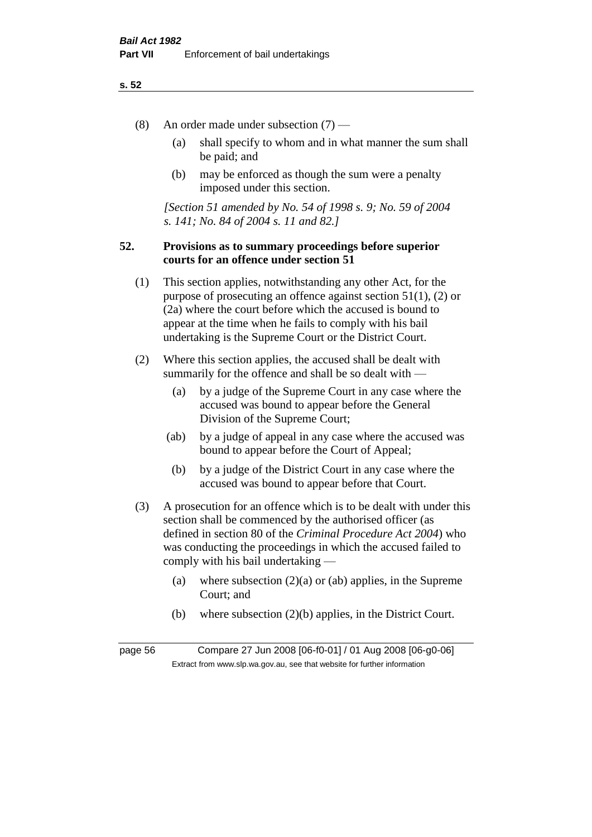- (8) An order made under subsection (7)
	- (a) shall specify to whom and in what manner the sum shall be paid; and
	- (b) may be enforced as though the sum were a penalty imposed under this section.

*[Section 51 amended by No. 54 of 1998 s. 9; No. 59 of 2004 s. 141; No. 84 of 2004 s. 11 and 82.]*

## **52. Provisions as to summary proceedings before superior courts for an offence under section 51**

- (1) This section applies, notwithstanding any other Act, for the purpose of prosecuting an offence against section 51(1), (2) or (2a) where the court before which the accused is bound to appear at the time when he fails to comply with his bail undertaking is the Supreme Court or the District Court.
- (2) Where this section applies, the accused shall be dealt with summarily for the offence and shall be so dealt with —
	- (a) by a judge of the Supreme Court in any case where the accused was bound to appear before the General Division of the Supreme Court;
	- (ab) by a judge of appeal in any case where the accused was bound to appear before the Court of Appeal;
	- (b) by a judge of the District Court in any case where the accused was bound to appear before that Court.
- (3) A prosecution for an offence which is to be dealt with under this section shall be commenced by the authorised officer (as defined in section 80 of the *Criminal Procedure Act 2004*) who was conducting the proceedings in which the accused failed to comply with his bail undertaking —
	- (a) where subsection  $(2)(a)$  or (ab) applies, in the Supreme Court; and
	- (b) where subsection (2)(b) applies, in the District Court.

page 56 Compare 27 Jun 2008 [06-f0-01] / 01 Aug 2008 [06-g0-06] Extract from www.slp.wa.gov.au, see that website for further information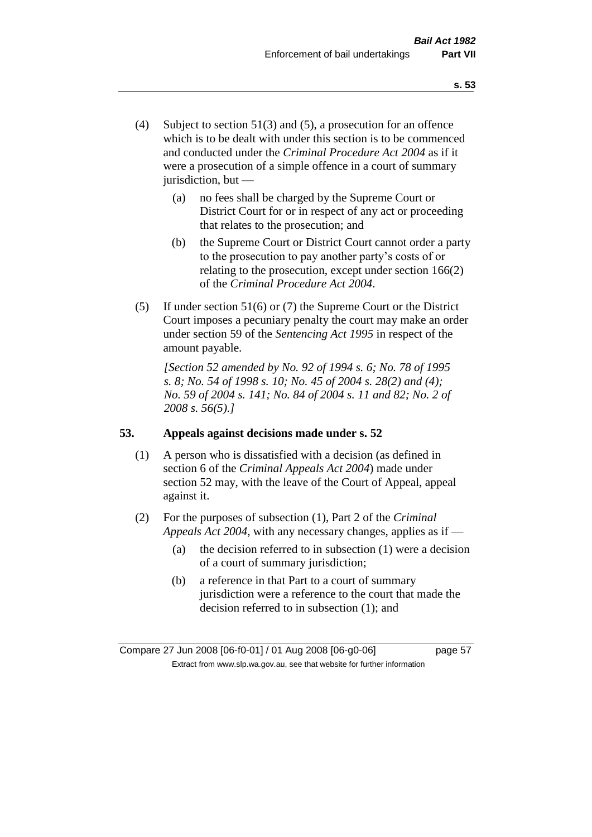- (4) Subject to section 51(3) and (5), a prosecution for an offence which is to be dealt with under this section is to be commenced and conducted under the *Criminal Procedure Act 2004* as if it were a prosecution of a simple offence in a court of summary jurisdiction, but —
	- (a) no fees shall be charged by the Supreme Court or District Court for or in respect of any act or proceeding that relates to the prosecution; and
	- (b) the Supreme Court or District Court cannot order a party to the prosecution to pay another party's costs of or relating to the prosecution, except under section 166(2) of the *Criminal Procedure Act 2004*.
- (5) If under section 51(6) or (7) the Supreme Court or the District Court imposes a pecuniary penalty the court may make an order under section 59 of the *Sentencing Act 1995* in respect of the amount payable.

*[Section 52 amended by No. 92 of 1994 s. 6; No. 78 of 1995 s. 8; No. 54 of 1998 s. 10; No. 45 of 2004 s. 28(2) and (4); No. 59 of 2004 s. 141; No. 84 of 2004 s. 11 and 82; No. 2 of 2008 s. 56(5).]* 

## **53. Appeals against decisions made under s. 52**

- (1) A person who is dissatisfied with a decision (as defined in section 6 of the *Criminal Appeals Act 2004*) made under section 52 may, with the leave of the Court of Appeal, appeal against it.
- (2) For the purposes of subsection (1), Part 2 of the *Criminal Appeals Act 2004*, with any necessary changes, applies as if —
	- (a) the decision referred to in subsection (1) were a decision of a court of summary jurisdiction;
	- (b) a reference in that Part to a court of summary jurisdiction were a reference to the court that made the decision referred to in subsection (1); and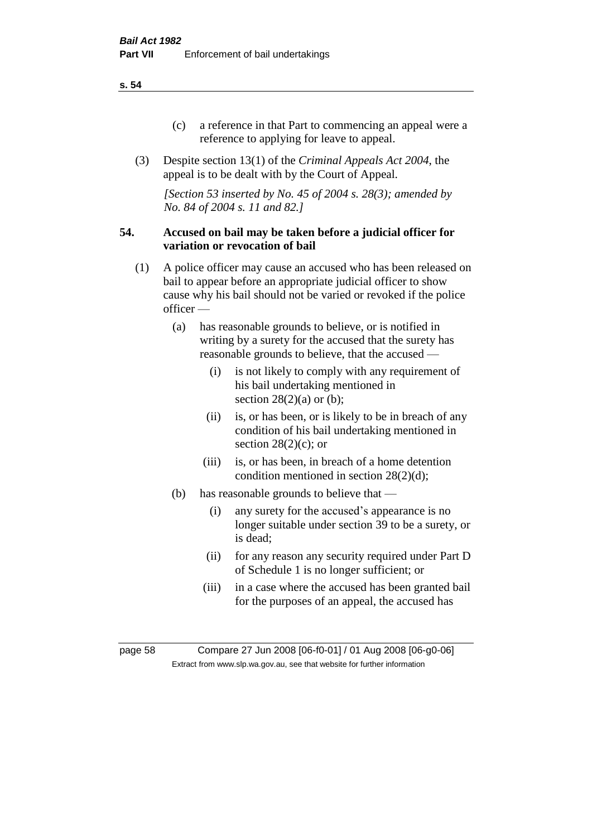- (c) a reference in that Part to commencing an appeal were a reference to applying for leave to appeal.
- (3) Despite section 13(1) of the *Criminal Appeals Act 2004*, the appeal is to be dealt with by the Court of Appeal.

*[Section 53 inserted by No. 45 of 2004 s. 28(3); amended by No. 84 of 2004 s. 11 and 82.]*

### **54. Accused on bail may be taken before a judicial officer for variation or revocation of bail**

- (1) A police officer may cause an accused who has been released on bail to appear before an appropriate judicial officer to show cause why his bail should not be varied or revoked if the police officer —
	- (a) has reasonable grounds to believe, or is notified in writing by a surety for the accused that the surety has reasonable grounds to believe, that the accused —
		- (i) is not likely to comply with any requirement of his bail undertaking mentioned in section  $28(2)(a)$  or (b);
		- (ii) is, or has been, or is likely to be in breach of any condition of his bail undertaking mentioned in section  $28(2)(c)$ ; or
		- (iii) is, or has been, in breach of a home detention condition mentioned in section 28(2)(d);
	- (b) has reasonable grounds to believe that
		- (i) any surety for the accused's appearance is no longer suitable under section 39 to be a surety, or is dead;
		- (ii) for any reason any security required under Part D of Schedule 1 is no longer sufficient; or
		- (iii) in a case where the accused has been granted bail for the purposes of an appeal, the accused has

page 58 Compare 27 Jun 2008 [06-f0-01] / 01 Aug 2008 [06-g0-06] Extract from www.slp.wa.gov.au, see that website for further information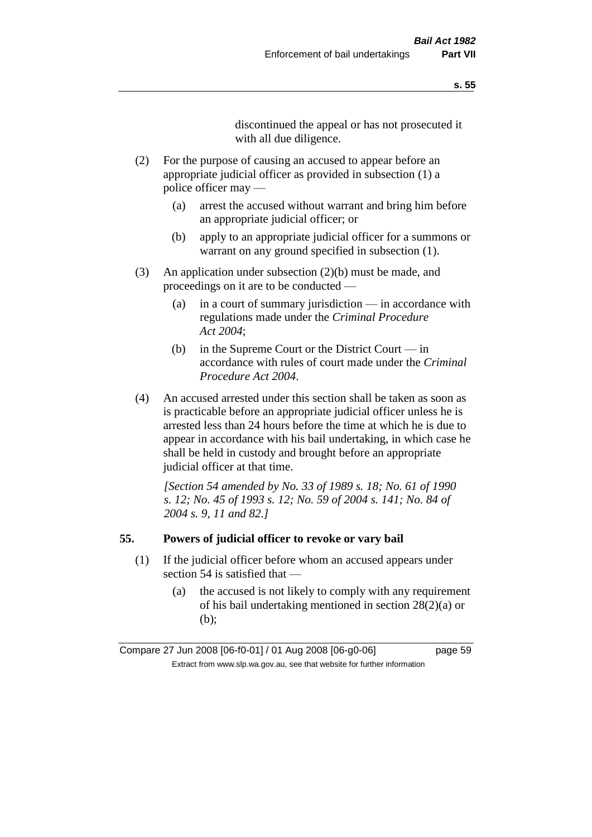discontinued the appeal or has not prosecuted it with all due diligence.

- (2) For the purpose of causing an accused to appear before an appropriate judicial officer as provided in subsection (1) a police officer may —
	- (a) arrest the accused without warrant and bring him before an appropriate judicial officer; or
	- (b) apply to an appropriate judicial officer for a summons or warrant on any ground specified in subsection  $(1)$ .
- (3) An application under subsection (2)(b) must be made, and proceedings on it are to be conducted —
	- (a) in a court of summary jurisdiction in accordance with regulations made under the *Criminal Procedure Act 2004*;
	- (b) in the Supreme Court or the District Court in accordance with rules of court made under the *Criminal Procedure Act 2004*.
- (4) An accused arrested under this section shall be taken as soon as is practicable before an appropriate judicial officer unless he is arrested less than 24 hours before the time at which he is due to appear in accordance with his bail undertaking, in which case he shall be held in custody and brought before an appropriate judicial officer at that time.

*[Section 54 amended by No. 33 of 1989 s. 18; No. 61 of 1990 s. 12; No. 45 of 1993 s. 12; No. 59 of 2004 s. 141; No. 84 of 2004 s. 9, 11 and 82.]* 

#### **55. Powers of judicial officer to revoke or vary bail**

- (1) If the judicial officer before whom an accused appears under section 54 is satisfied that —
	- (a) the accused is not likely to comply with any requirement of his bail undertaking mentioned in section 28(2)(a) or (b);

Compare 27 Jun 2008 [06-f0-01] / 01 Aug 2008 [06-g0-06] page 59 Extract from www.slp.wa.gov.au, see that website for further information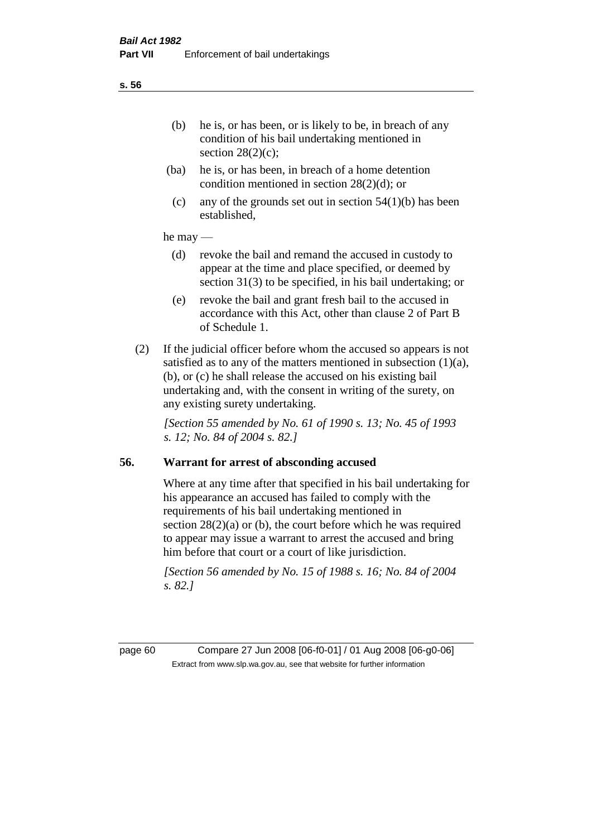- (ba) he is, or has been, in breach of a home detention condition mentioned in section 28(2)(d); or
- (c) any of the grounds set out in section  $54(1)(b)$  has been established,

### he may —

- (d) revoke the bail and remand the accused in custody to appear at the time and place specified, or deemed by section 31(3) to be specified, in his bail undertaking; or
- (e) revoke the bail and grant fresh bail to the accused in accordance with this Act, other than clause 2 of Part B of Schedule 1.
- (2) If the judicial officer before whom the accused so appears is not satisfied as to any of the matters mentioned in subsection  $(1)(a)$ , (b), or (c) he shall release the accused on his existing bail undertaking and, with the consent in writing of the surety, on any existing surety undertaking.

*[Section 55 amended by No. 61 of 1990 s. 13; No. 45 of 1993 s. 12; No. 84 of 2004 s. 82.]* 

## **56. Warrant for arrest of absconding accused**

Where at any time after that specified in his bail undertaking for his appearance an accused has failed to comply with the requirements of his bail undertaking mentioned in section  $28(2)(a)$  or (b), the court before which he was required to appear may issue a warrant to arrest the accused and bring him before that court or a court of like jurisdiction.

*[Section 56 amended by No. 15 of 1988 s. 16; No. 84 of 2004 s. 82.]* 

page 60 Compare 27 Jun 2008 [06-f0-01] / 01 Aug 2008 [06-g0-06] Extract from www.slp.wa.gov.au, see that website for further information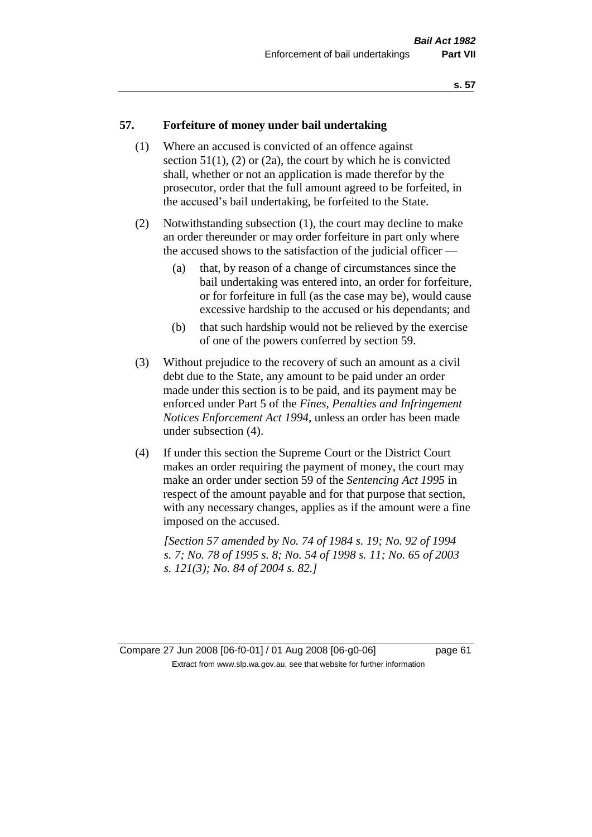### **57. Forfeiture of money under bail undertaking**

- (1) Where an accused is convicted of an offence against section  $51(1)$ ,  $(2)$  or  $(2a)$ , the court by which he is convicted shall, whether or not an application is made therefor by the prosecutor, order that the full amount agreed to be forfeited, in the accused's bail undertaking, be forfeited to the State.
- (2) Notwithstanding subsection (1), the court may decline to make an order thereunder or may order forfeiture in part only where the accused shows to the satisfaction of the judicial officer —
	- (a) that, by reason of a change of circumstances since the bail undertaking was entered into, an order for forfeiture, or for forfeiture in full (as the case may be), would cause excessive hardship to the accused or his dependants; and
	- (b) that such hardship would not be relieved by the exercise of one of the powers conferred by section 59.
- (3) Without prejudice to the recovery of such an amount as a civil debt due to the State, any amount to be paid under an order made under this section is to be paid, and its payment may be enforced under Part 5 of the *Fines, Penalties and Infringement Notices Enforcement Act 1994*, unless an order has been made under subsection (4).
- (4) If under this section the Supreme Court or the District Court makes an order requiring the payment of money, the court may make an order under section 59 of the *Sentencing Act 1995* in respect of the amount payable and for that purpose that section, with any necessary changes, applies as if the amount were a fine imposed on the accused.

*[Section 57 amended by No. 74 of 1984 s. 19; No. 92 of 1994 s. 7; No. 78 of 1995 s. 8; No. 54 of 1998 s. 11; No. 65 of 2003 s. 121(3); No. 84 of 2004 s. 82.]* 

Compare 27 Jun 2008 [06-f0-01] / 01 Aug 2008 [06-g0-06] page 61 Extract from www.slp.wa.gov.au, see that website for further information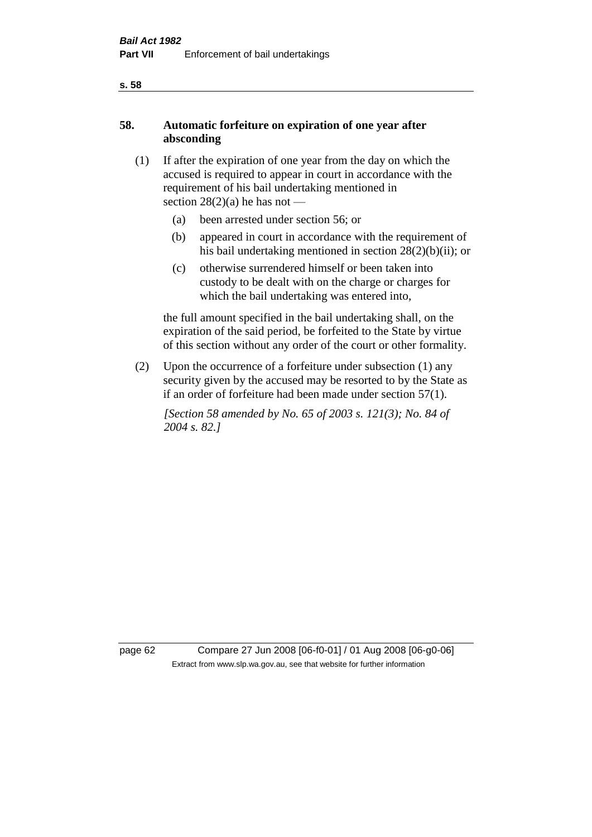## **58. Automatic forfeiture on expiration of one year after absconding**

- (1) If after the expiration of one year from the day on which the accused is required to appear in court in accordance with the requirement of his bail undertaking mentioned in section  $28(2)(a)$  he has not —
	- (a) been arrested under section 56; or
	- (b) appeared in court in accordance with the requirement of his bail undertaking mentioned in section 28(2)(b)(ii); or
	- (c) otherwise surrendered himself or been taken into custody to be dealt with on the charge or charges for which the bail undertaking was entered into,

the full amount specified in the bail undertaking shall, on the expiration of the said period, be forfeited to the State by virtue of this section without any order of the court or other formality.

(2) Upon the occurrence of a forfeiture under subsection (1) any security given by the accused may be resorted to by the State as if an order of forfeiture had been made under section 57(1).

*[Section 58 amended by No. 65 of 2003 s. 121(3); No. 84 of 2004 s. 82.]*

page 62 Compare 27 Jun 2008 [06-f0-01] / 01 Aug 2008 [06-g0-06] Extract from www.slp.wa.gov.au, see that website for further information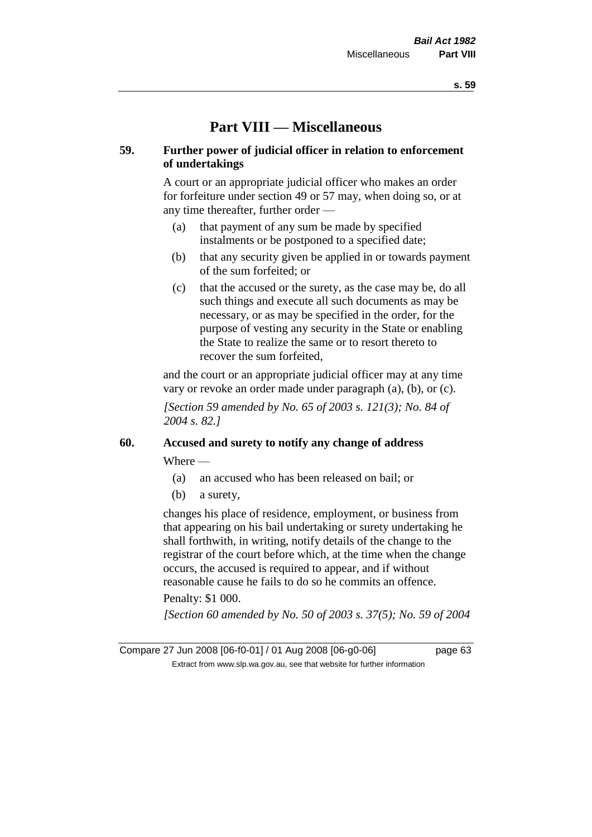# **Part VIII — Miscellaneous**

## **59. Further power of judicial officer in relation to enforcement of undertakings**

A court or an appropriate judicial officer who makes an order for forfeiture under section 49 or 57 may, when doing so, or at any time thereafter, further order —

- (a) that payment of any sum be made by specified instalments or be postponed to a specified date;
- (b) that any security given be applied in or towards payment of the sum forfeited; or
- (c) that the accused or the surety, as the case may be, do all such things and execute all such documents as may be necessary, or as may be specified in the order, for the purpose of vesting any security in the State or enabling the State to realize the same or to resort thereto to recover the sum forfeited,

and the court or an appropriate judicial officer may at any time vary or revoke an order made under paragraph (a), (b), or (c).

*[Section 59 amended by No. 65 of 2003 s. 121(3); No. 84 of 2004 s. 82.]*

## **60. Accused and surety to notify any change of address**

Where —

- (a) an accused who has been released on bail; or
- (b) a surety,

changes his place of residence, employment, or business from that appearing on his bail undertaking or surety undertaking he shall forthwith, in writing, notify details of the change to the registrar of the court before which, at the time when the change occurs, the accused is required to appear, and if without reasonable cause he fails to do so he commits an offence.

## Penalty: \$1 000.

*[Section 60 amended by No. 50 of 2003 s. 37(5); No. 59 of 2004*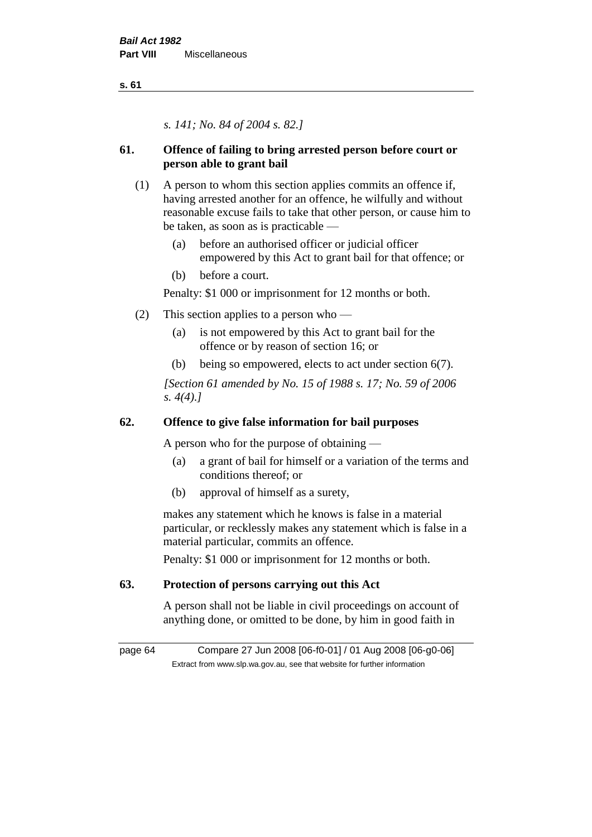*s. 141; No. 84 of 2004 s. 82.]*

## **61. Offence of failing to bring arrested person before court or person able to grant bail**

- (1) A person to whom this section applies commits an offence if, having arrested another for an offence, he wilfully and without reasonable excuse fails to take that other person, or cause him to be taken, as soon as is practicable —
	- (a) before an authorised officer or judicial officer empowered by this Act to grant bail for that offence; or
	- (b) before a court.

Penalty: \$1 000 or imprisonment for 12 months or both.

- (2) This section applies to a person who
	- (a) is not empowered by this Act to grant bail for the offence or by reason of section 16; or
	- (b) being so empowered, elects to act under section 6(7).

*[Section 61 amended by No. 15 of 1988 s. 17; No. 59 of 2006 s. 4(4).]* 

## **62. Offence to give false information for bail purposes**

A person who for the purpose of obtaining —

- (a) a grant of bail for himself or a variation of the terms and conditions thereof; or
- (b) approval of himself as a surety,

makes any statement which he knows is false in a material particular, or recklessly makes any statement which is false in a material particular, commits an offence.

Penalty: \$1 000 or imprisonment for 12 months or both.

## **63. Protection of persons carrying out this Act**

A person shall not be liable in civil proceedings on account of anything done, or omitted to be done, by him in good faith in

page 64 Compare 27 Jun 2008 [06-f0-01] / 01 Aug 2008 [06-g0-06] Extract from www.slp.wa.gov.au, see that website for further information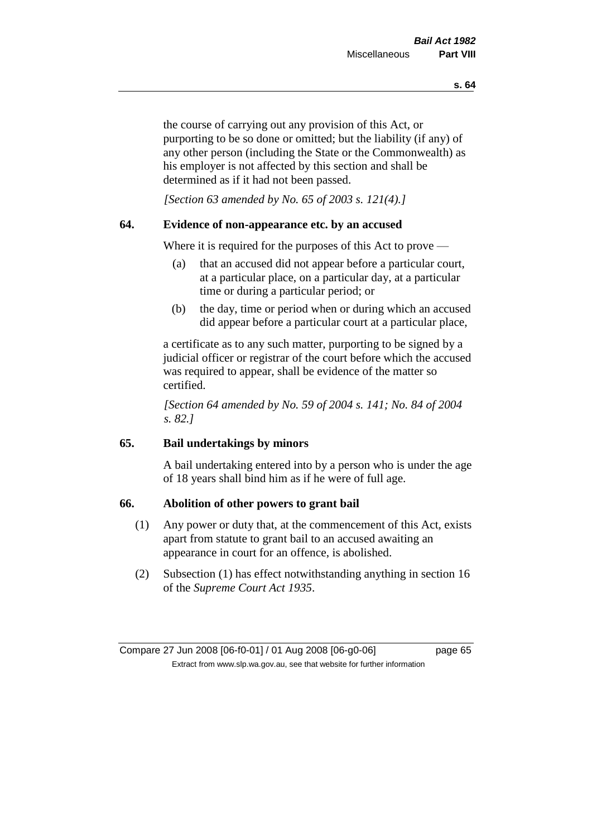the course of carrying out any provision of this Act, or purporting to be so done or omitted; but the liability (if any) of any other person (including the State or the Commonwealth) as his employer is not affected by this section and shall be determined as if it had not been passed.

*[Section 63 amended by No. 65 of 2003 s. 121(4).]*

## **64. Evidence of non-appearance etc. by an accused**

Where it is required for the purposes of this Act to prove —

- (a) that an accused did not appear before a particular court, at a particular place, on a particular day, at a particular time or during a particular period; or
- (b) the day, time or period when or during which an accused did appear before a particular court at a particular place,

a certificate as to any such matter, purporting to be signed by a judicial officer or registrar of the court before which the accused was required to appear, shall be evidence of the matter so certified.

*[Section 64 amended by No. 59 of 2004 s. 141; No. 84 of 2004 s. 82.]* 

## **65. Bail undertakings by minors**

A bail undertaking entered into by a person who is under the age of 18 years shall bind him as if he were of full age.

## **66. Abolition of other powers to grant bail**

- (1) Any power or duty that, at the commencement of this Act, exists apart from statute to grant bail to an accused awaiting an appearance in court for an offence, is abolished.
- (2) Subsection (1) has effect notwithstanding anything in section 16 of the *Supreme Court Act 1935*.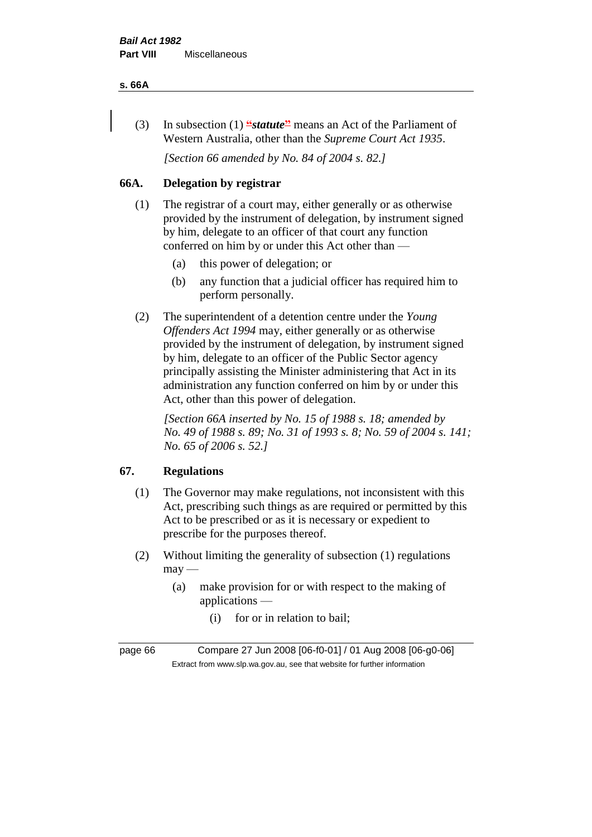#### **s. 66A**

(3) In subsection (1) **"***statute***"** means an Act of the Parliament of Western Australia, other than the *Supreme Court Act 1935*.

*[Section 66 amended by No. 84 of 2004 s. 82.]*

## **66A. Delegation by registrar**

- (1) The registrar of a court may, either generally or as otherwise provided by the instrument of delegation, by instrument signed by him, delegate to an officer of that court any function conferred on him by or under this Act other than —
	- (a) this power of delegation; or
	- (b) any function that a judicial officer has required him to perform personally.
- (2) The superintendent of a detention centre under the *Young Offenders Act 1994* may, either generally or as otherwise provided by the instrument of delegation, by instrument signed by him, delegate to an officer of the Public Sector agency principally assisting the Minister administering that Act in its administration any function conferred on him by or under this Act, other than this power of delegation.

*[Section 66A inserted by No. 15 of 1988 s. 18; amended by No. 49 of 1988 s. 89; No. 31 of 1993 s. 8; No. 59 of 2004 s. 141; No. 65 of 2006 s. 52.]* 

## **67. Regulations**

- (1) The Governor may make regulations, not inconsistent with this Act, prescribing such things as are required or permitted by this Act to be prescribed or as it is necessary or expedient to prescribe for the purposes thereof.
- (2) Without limiting the generality of subsection (1) regulations  $may$ —
	- (a) make provision for or with respect to the making of applications —
		- (i) for or in relation to bail;

page 66 Compare 27 Jun 2008 [06-f0-01] / 01 Aug 2008 [06-g0-06] Extract from www.slp.wa.gov.au, see that website for further information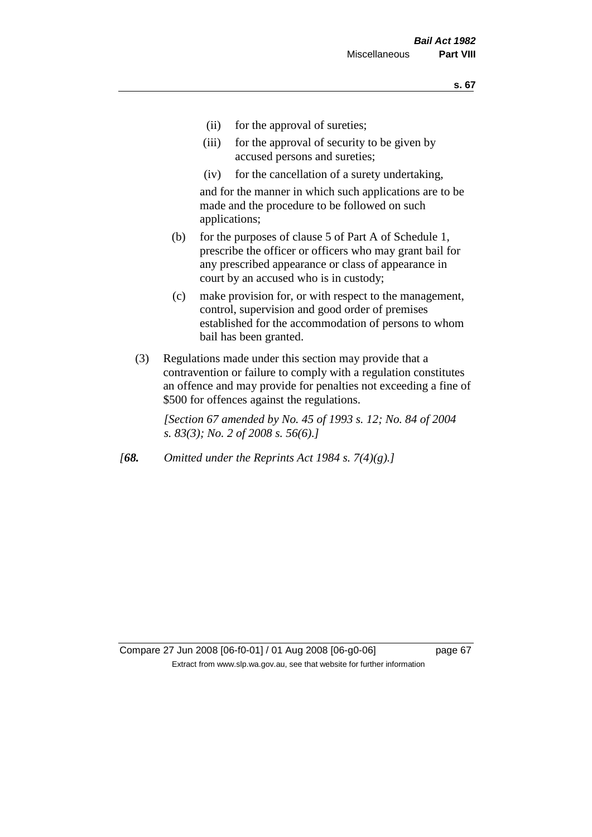- (ii) for the approval of sureties;
- (iii) for the approval of security to be given by accused persons and sureties;
- (iv) for the cancellation of a surety undertaking,

and for the manner in which such applications are to be made and the procedure to be followed on such applications;

- (b) for the purposes of clause 5 of Part A of Schedule 1, prescribe the officer or officers who may grant bail for any prescribed appearance or class of appearance in court by an accused who is in custody;
- (c) make provision for, or with respect to the management, control, supervision and good order of premises established for the accommodation of persons to whom bail has been granted.
- (3) Regulations made under this section may provide that a contravention or failure to comply with a regulation constitutes an offence and may provide for penalties not exceeding a fine of \$500 for offences against the regulations.

*[Section 67 amended by No. 45 of 1993 s. 12; No. 84 of 2004 s. 83(3); No. 2 of 2008 s. 56(6).]* 

*[68. Omitted under the Reprints Act 1984 s. 7(4)(g).]*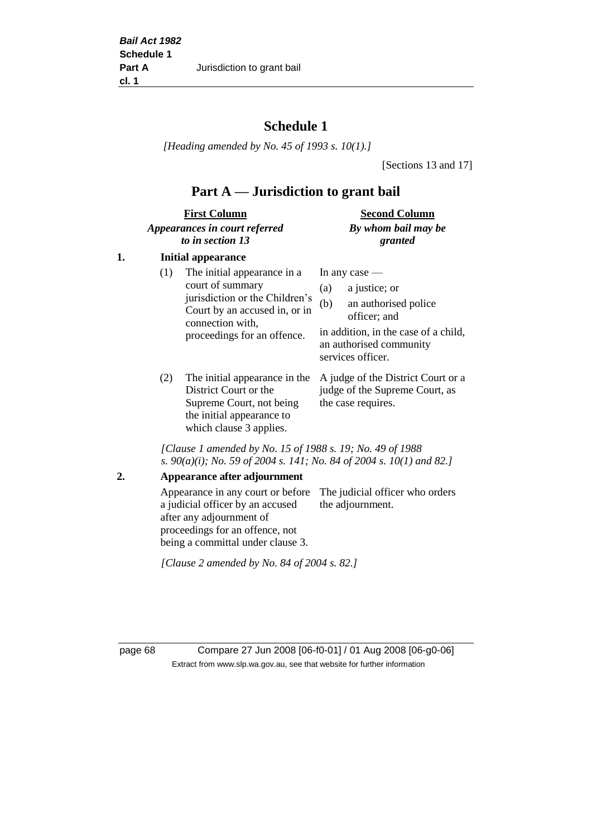# **Schedule 1**

*[Heading amended by No. 45 of 1993 s. 10(1).]*

[Sections 13 and 17]

# **Part A — Jurisdiction to grant bail**

| <b>First Column</b>           | <b>Second Column</b> |  |
|-------------------------------|----------------------|--|
| Appearances in court referred | By whom bail may be  |  |
| to in section 13              | granted              |  |

## **1. Initial appearance**

| (1)    | The initial appearance in a<br>court of summary<br>jurisdiction or the Children's<br>Court by an accused in, or in<br>connection with,<br>proceedings for an offence. | In any case $-$<br>a justice; or<br>(a)<br>an authorised police<br>(b)<br>officer; and<br>in addition, in the case of a child,<br>an authorised community<br>services officer. |
|--------|-----------------------------------------------------------------------------------------------------------------------------------------------------------------------|--------------------------------------------------------------------------------------------------------------------------------------------------------------------------------|
| $\sim$ |                                                                                                                                                                       | $\cdots$ $\cdots$ $\cdots$                                                                                                                                                     |

District Court or the Supreme Court, not being the initial appearance to which clause 3 applies.

(2) The initial appearance in the A judge of the District Court or a judge of the Supreme Court, as the case requires.

*[Clause 1 amended by No. 15 of 1988 s. 19; No. 49 of 1988 s. 90(a)(i); No. 59 of 2004 s. 141; No. 84 of 2004 s. 10(1) and 82.]*

**2. Appearance after adjournment**

Appearance in any court or before The judicial officer who orders a judicial officer by an accused after any adjournment of proceedings for an offence, not being a committal under clause 3. the adjournment.

*[Clause 2 amended by No. 84 of 2004 s. 82.]*

page 68 Compare 27 Jun 2008 [06-f0-01] / 01 Aug 2008 [06-g0-06] Extract from www.slp.wa.gov.au, see that website for further information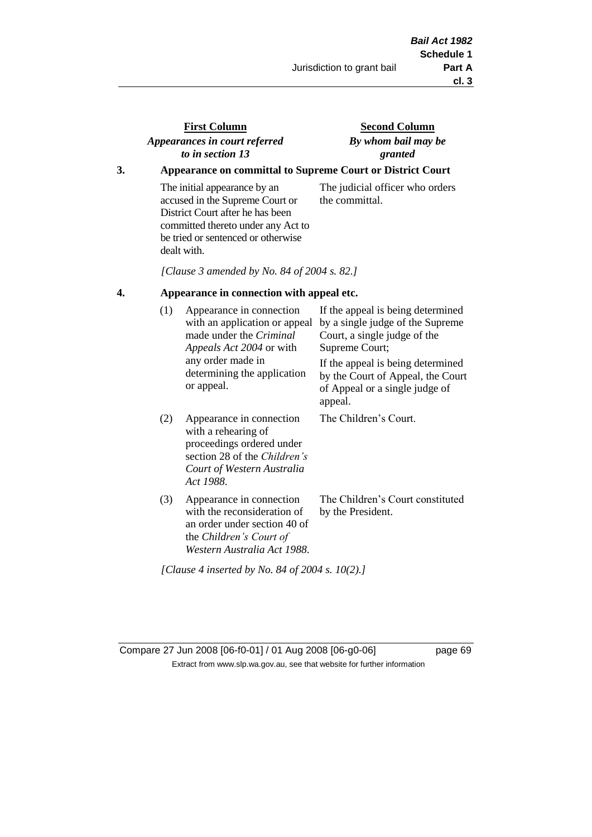## **First Column** *Appearances in court referred to in section 13*

## **Second Column** *By whom bail may be granted*

## **3. Appearance on committal to Supreme Court or District Court**

The initial appearance by an accused in the Supreme Court or District Court after he has been committed thereto under any Act to be tried or sentenced or otherwise dealt with.

The judicial officer who orders the committal.

*[Clause 3 amended by No. 84 of 2004 s. 82.]*

### **4. Appearance in connection with appeal etc.**

| (1) | Appearance in connection<br>with an application or appeal<br>made under the <i>Criminal</i><br><i>Appeals Act 2004</i> or with<br>any order made in<br>determining the application<br>or appeal. | If the appeal is being determined<br>by a single judge of the Supreme<br>Court, a single judge of the<br>Supreme Court;<br>If the appeal is being determined<br>by the Court of Appeal, the Court<br>of Appeal or a single judge of<br>appeal. |
|-----|--------------------------------------------------------------------------------------------------------------------------------------------------------------------------------------------------|------------------------------------------------------------------------------------------------------------------------------------------------------------------------------------------------------------------------------------------------|
| (2) | Appearance in connection<br>with a rehearing of<br>proceedings ordered under<br>section 28 of the <i>Children's</i><br>Court of Western Australia<br>Act 1988.                                   | The Children's Court.                                                                                                                                                                                                                          |
| (3) | Appearance in connection<br>with the reconsideration of<br>an order under section 40 of<br>the Children's Court of<br>Western Australia Act 1988.                                                | The Children's Court constituted<br>by the President.                                                                                                                                                                                          |

*[Clause 4 inserted by No. 84 of 2004 s. 10(2).]*

Compare 27 Jun 2008 [06-f0-01] / 01 Aug 2008 [06-g0-06] page 69 Extract from www.slp.wa.gov.au, see that website for further information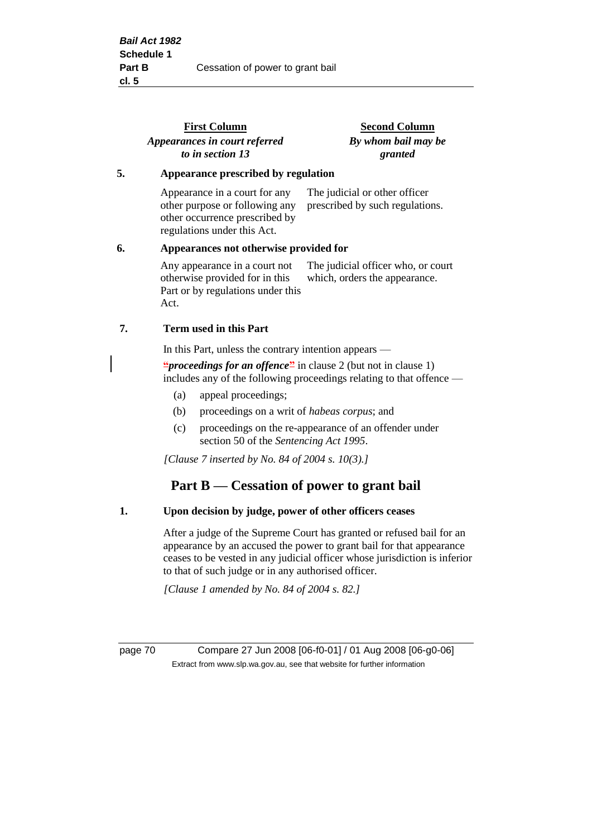|    | <b>First Column</b>                                                                                                                             | <b>Second Column</b>                                                |  |
|----|-------------------------------------------------------------------------------------------------------------------------------------------------|---------------------------------------------------------------------|--|
|    | Appearances in court referred<br>to in section 13                                                                                               | By whom bail may be<br>granted                                      |  |
| 5. | Appearance prescribed by regulation                                                                                                             |                                                                     |  |
|    | Appearance in a court for any<br>other purpose or following any<br>other occurrence prescribed by<br>regulations under this Act.                | The judicial or other officer<br>prescribed by such regulations.    |  |
| 6. | Appearances not otherwise provided for                                                                                                          |                                                                     |  |
|    | Any appearance in a court not<br>otherwise provided for in this<br>Part or by regulations under this<br>Act.                                    | The judicial officer who, or court<br>which, orders the appearance. |  |
| 7. | <b>Term used in this Part</b>                                                                                                                   |                                                                     |  |
|    | In this Part, unless the contrary intention appears —                                                                                           |                                                                     |  |
|    | " <i>proceedings for an offence</i> " in clause 2 (but not in clause 1)<br>includes any of the following proceedings relating to that offence — |                                                                     |  |
|    | appeal proceedings;<br>(a)                                                                                                                      |                                                                     |  |
|    | proceedings on a writ of <i>habeas corpus</i> ; and<br>(b)                                                                                      |                                                                     |  |
|    |                                                                                                                                                 | $(a)$ recognizes on the re-ennearges of an effender under           |  |

(c) proceedings on the re-appearance of an offender under section 50 of the *Sentencing Act 1995*.

*[Clause 7 inserted by No. 84 of 2004 s. 10(3).]*

## **Part B — Cessation of power to grant bail**

#### **1. Upon decision by judge, power of other officers ceases**

After a judge of the Supreme Court has granted or refused bail for an appearance by an accused the power to grant bail for that appearance ceases to be vested in any judicial officer whose jurisdiction is inferior to that of such judge or in any authorised officer.

*[Clause 1 amended by No. 84 of 2004 s. 82.]*

page 70 Compare 27 Jun 2008 [06-f0-01] / 01 Aug 2008 [06-g0-06] Extract from www.slp.wa.gov.au, see that website for further information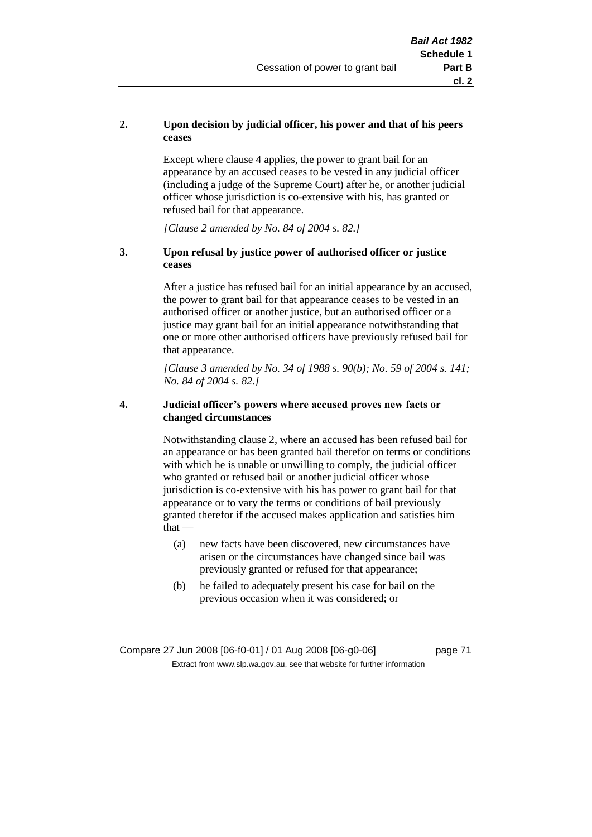## **2. Upon decision by judicial officer, his power and that of his peers ceases**

Except where clause 4 applies, the power to grant bail for an appearance by an accused ceases to be vested in any judicial officer (including a judge of the Supreme Court) after he, or another judicial officer whose jurisdiction is co-extensive with his, has granted or refused bail for that appearance.

*[Clause 2 amended by No. 84 of 2004 s. 82.]*

## **3. Upon refusal by justice power of authorised officer or justice ceases**

After a justice has refused bail for an initial appearance by an accused, the power to grant bail for that appearance ceases to be vested in an authorised officer or another justice, but an authorised officer or a justice may grant bail for an initial appearance notwithstanding that one or more other authorised officers have previously refused bail for that appearance.

*[Clause 3 amended by No. 34 of 1988 s. 90(b); No. 59 of 2004 s. 141; No. 84 of 2004 s. 82.]*

## **4. Judicial officer's powers where accused proves new facts or changed circumstances**

Notwithstanding clause 2, where an accused has been refused bail for an appearance or has been granted bail therefor on terms or conditions with which he is unable or unwilling to comply, the judicial officer who granted or refused bail or another judicial officer whose jurisdiction is co-extensive with his has power to grant bail for that appearance or to vary the terms or conditions of bail previously granted therefor if the accused makes application and satisfies him  $that -$ 

- (a) new facts have been discovered, new circumstances have arisen or the circumstances have changed since bail was previously granted or refused for that appearance;
- (b) he failed to adequately present his case for bail on the previous occasion when it was considered; or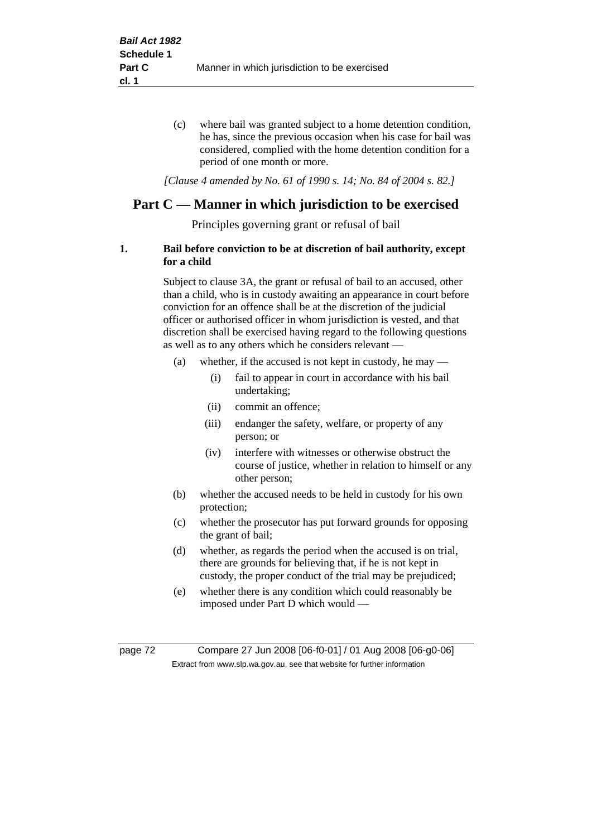(c) where bail was granted subject to a home detention condition, he has, since the previous occasion when his case for bail was considered, complied with the home detention condition for a period of one month or more.

*[Clause 4 amended by No. 61 of 1990 s. 14; No. 84 of 2004 s. 82.]*

# **Part C — Manner in which jurisdiction to be exercised**

Principles governing grant or refusal of bail

## **1. Bail before conviction to be at discretion of bail authority, except for a child**

Subject to clause 3A, the grant or refusal of bail to an accused, other than a child, who is in custody awaiting an appearance in court before conviction for an offence shall be at the discretion of the judicial officer or authorised officer in whom jurisdiction is vested, and that discretion shall be exercised having regard to the following questions as well as to any others which he considers relevant —

- (a) whether, if the accused is not kept in custody, he may
	- (i) fail to appear in court in accordance with his bail undertaking;
	- (ii) commit an offence;
	- (iii) endanger the safety, welfare, or property of any person; or
	- (iv) interfere with witnesses or otherwise obstruct the course of justice, whether in relation to himself or any other person;
- (b) whether the accused needs to be held in custody for his own protection;
- (c) whether the prosecutor has put forward grounds for opposing the grant of bail;
- (d) whether, as regards the period when the accused is on trial, there are grounds for believing that, if he is not kept in custody, the proper conduct of the trial may be prejudiced;
- (e) whether there is any condition which could reasonably be imposed under Part D which would —

page 72 Compare 27 Jun 2008 [06-f0-01] / 01 Aug 2008 [06-g0-06] Extract from www.slp.wa.gov.au, see that website for further information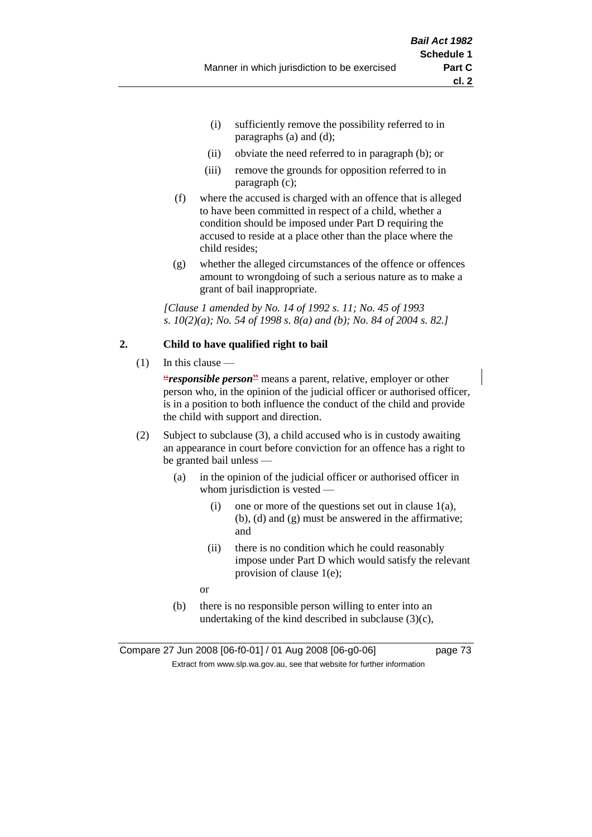- (i) sufficiently remove the possibility referred to in paragraphs (a) and (d);
- (ii) obviate the need referred to in paragraph (b); or
- (iii) remove the grounds for opposition referred to in paragraph (c);
- (f) where the accused is charged with an offence that is alleged to have been committed in respect of a child, whether a condition should be imposed under Part D requiring the accused to reside at a place other than the place where the child resides;
- (g) whether the alleged circumstances of the offence or offences amount to wrongdoing of such a serious nature as to make a grant of bail inappropriate.

*[Clause 1 amended by No. 14 of 1992 s. 11; No. 45 of 1993 s. 10(2)(a); No. 54 of 1998 s. 8(a) and (b); No. 84 of 2004 s. 82.]*

## **2. Child to have qualified right to bail**

 $(1)$  In this clause —

**"***responsible person***"** means a parent, relative, employer or other person who, in the opinion of the judicial officer or authorised officer, is in a position to both influence the conduct of the child and provide the child with support and direction.

- (2) Subject to subclause (3), a child accused who is in custody awaiting an appearance in court before conviction for an offence has a right to be granted bail unless —
	- (a) in the opinion of the judicial officer or authorised officer in whom jurisdiction is vested —
		- (i) one or more of the questions set out in clause  $1(a)$ , (b), (d) and (g) must be answered in the affirmative; and
		- (ii) there is no condition which he could reasonably impose under Part D which would satisfy the relevant provision of clause 1(e);

or

(b) there is no responsible person willing to enter into an undertaking of the kind described in subclause  $(3)(c)$ ,

Compare 27 Jun 2008 [06-f0-01] / 01 Aug 2008 [06-g0-06] page 73 Extract from www.slp.wa.gov.au, see that website for further information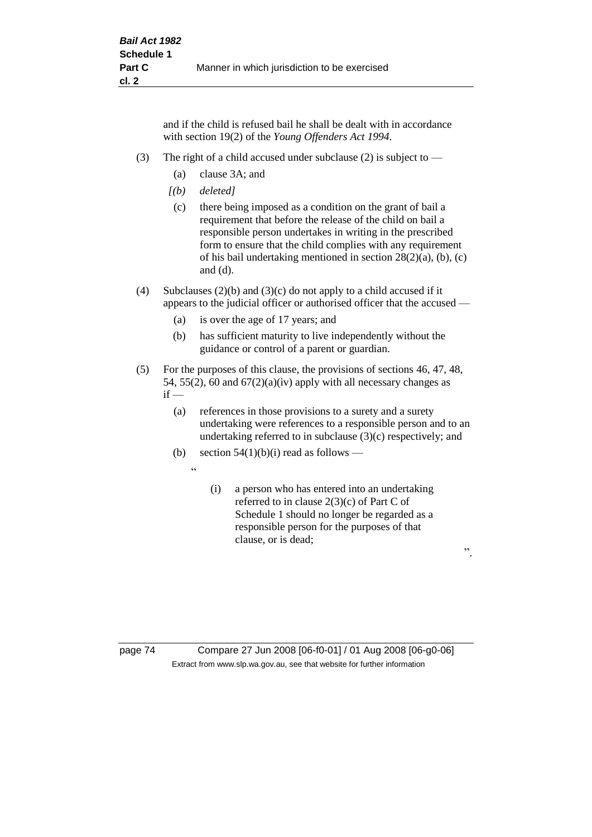and if the child is refused bail he shall be dealt with in accordance with section 19(2) of the *Young Offenders Act 1994*.

- (3) The right of a child accused under subclause (2) is subject to  $-$ 
	- (a) clause 3A; and
	- *[(b) deleted]*
	- (c) there being imposed as a condition on the grant of bail a requirement that before the release of the child on bail a responsible person undertakes in writing in the prescribed form to ensure that the child complies with any requirement of his bail undertaking mentioned in section 28(2)(a), (b), (c) and (d).
- (4) Subclauses (2)(b) and (3)(c) do not apply to a child accused if it appears to the judicial officer or authorised officer that the accused —
	- (a) is over the age of 17 years; and
	- (b) has sufficient maturity to live independently without the guidance or control of a parent or guardian.
- (5) For the purposes of this clause, the provisions of sections 46, 47, 48, 54, 55(2), 60 and  $67(2)(a)(iv)$  apply with all necessary changes as  $if -$ 
	- (a) references in those provisions to a surety and a surety undertaking were references to a responsible person and to an undertaking referred to in subclause (3)(c) respectively; and
	- (b) section  $54(1)(b)(i)$  read as follows
		- $\ddot{a}$
- (i) a person who has entered into an undertaking referred to in clause 2(3)(c) of Part C of Schedule 1 should no longer be regarded as a responsible person for the purposes of that clause, or is dead;

".

page 74 Compare 27 Jun 2008 [06-f0-01] / 01 Aug 2008 [06-g0-06] Extract from www.slp.wa.gov.au, see that website for further information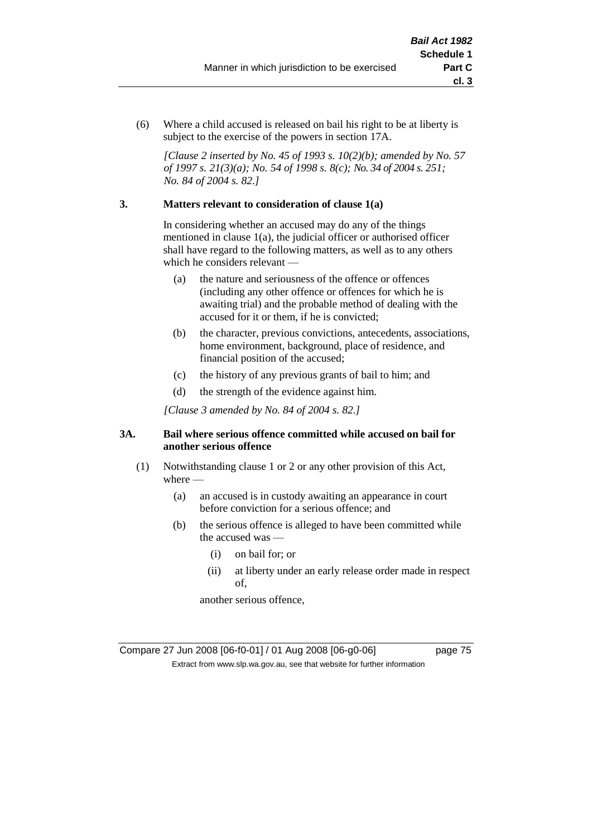(6) Where a child accused is released on bail his right to be at liberty is subject to the exercise of the powers in section 17A.

*[Clause 2 inserted by No. 45 of 1993 s. 10(2)(b); amended by No. 57 of 1997 s. 21(3)(a); No. 54 of 1998 s. 8(c); No. 34 of 2004 s. 251; No. 84 of 2004 s. 82.]*

## **3. Matters relevant to consideration of clause 1(a)**

In considering whether an accused may do any of the things mentioned in clause 1(a), the judicial officer or authorised officer shall have regard to the following matters, as well as to any others which he considers relevant —

- (a) the nature and seriousness of the offence or offences (including any other offence or offences for which he is awaiting trial) and the probable method of dealing with the accused for it or them, if he is convicted;
- (b) the character, previous convictions, antecedents, associations, home environment, background, place of residence, and financial position of the accused;
- (c) the history of any previous grants of bail to him; and
- (d) the strength of the evidence against him.

*[Clause 3 amended by No. 84 of 2004 s. 82.]*

## **3A. Bail where serious offence committed while accused on bail for another serious offence**

- (1) Notwithstanding clause 1 or 2 or any other provision of this Act, where —
	- (a) an accused is in custody awaiting an appearance in court before conviction for a serious offence; and
	- (b) the serious offence is alleged to have been committed while the accused was —
		- (i) on bail for; or
		- (ii) at liberty under an early release order made in respect of,

another serious offence,

Compare 27 Jun 2008 [06-f0-01] / 01 Aug 2008 [06-g0-06] page 75 Extract from www.slp.wa.gov.au, see that website for further information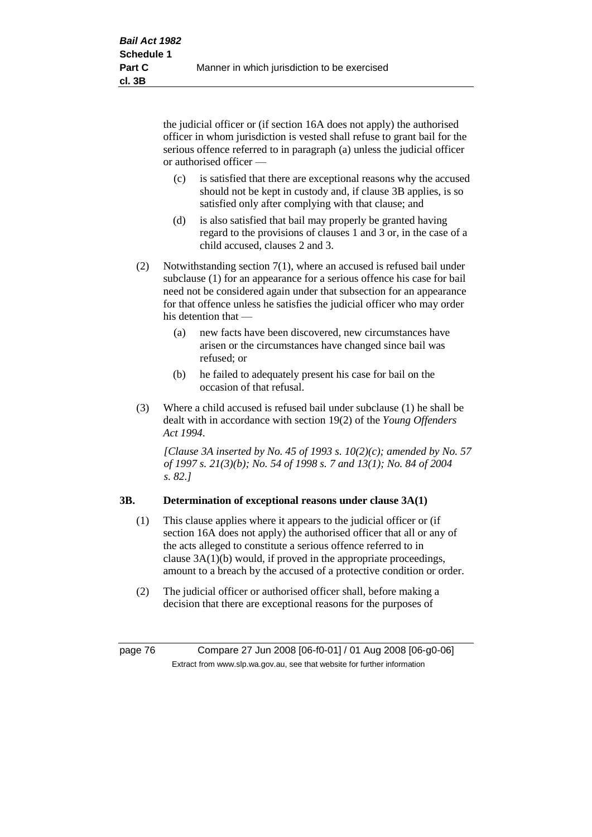the judicial officer or (if section 16A does not apply) the authorised officer in whom jurisdiction is vested shall refuse to grant bail for the serious offence referred to in paragraph (a) unless the judicial officer or authorised officer —

- (c) is satisfied that there are exceptional reasons why the accused should not be kept in custody and, if clause 3B applies, is so satisfied only after complying with that clause; and
- (d) is also satisfied that bail may properly be granted having regard to the provisions of clauses 1 and 3 or, in the case of a child accused, clauses 2 and 3.
- (2) Notwithstanding section 7(1), where an accused is refused bail under subclause (1) for an appearance for a serious offence his case for bail need not be considered again under that subsection for an appearance for that offence unless he satisfies the judicial officer who may order his detention that —
	- (a) new facts have been discovered, new circumstances have arisen or the circumstances have changed since bail was refused; or
	- (b) he failed to adequately present his case for bail on the occasion of that refusal.
- (3) Where a child accused is refused bail under subclause (1) he shall be dealt with in accordance with section 19(2) of the *Young Offenders Act 1994*.

*[Clause 3A inserted by No. 45 of 1993 s. 10(2)(c); amended by No. 57 of 1997 s. 21(3)(b); No. 54 of 1998 s. 7 and 13(1); No. 84 of 2004 s. 82.]*

## **3B. Determination of exceptional reasons under clause 3A(1)**

- (1) This clause applies where it appears to the judicial officer or (if section 16A does not apply) the authorised officer that all or any of the acts alleged to constitute a serious offence referred to in clause 3A(1)(b) would, if proved in the appropriate proceedings, amount to a breach by the accused of a protective condition or order.
- (2) The judicial officer or authorised officer shall, before making a decision that there are exceptional reasons for the purposes of

page 76 Compare 27 Jun 2008 [06-f0-01] / 01 Aug 2008 [06-g0-06] Extract from www.slp.wa.gov.au, see that website for further information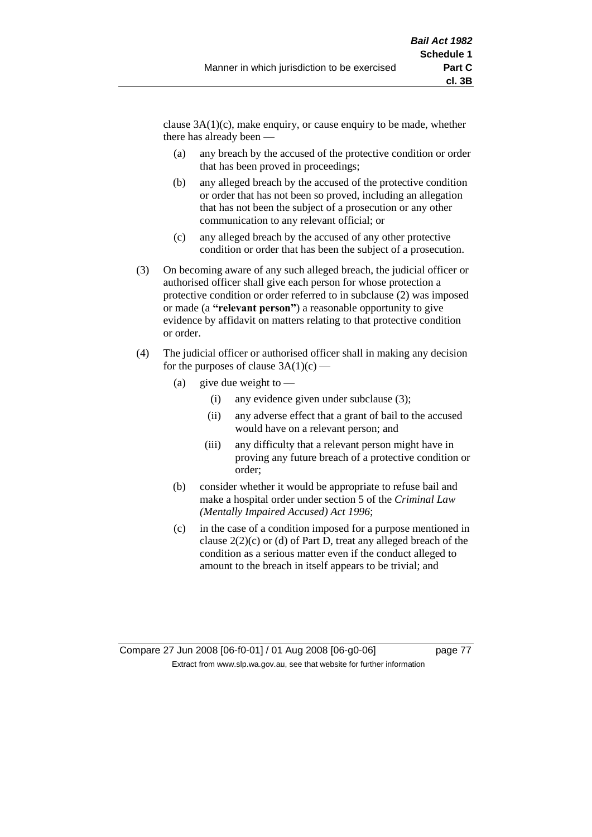clause  $3A(1)(c)$ , make enquiry, or cause enquiry to be made, whether there has already been —

- (a) any breach by the accused of the protective condition or order that has been proved in proceedings;
- (b) any alleged breach by the accused of the protective condition or order that has not been so proved, including an allegation that has not been the subject of a prosecution or any other communication to any relevant official; or
- (c) any alleged breach by the accused of any other protective condition or order that has been the subject of a prosecution.
- (3) On becoming aware of any such alleged breach, the judicial officer or authorised officer shall give each person for whose protection a protective condition or order referred to in subclause (2) was imposed or made (a **"relevant person"**) a reasonable opportunity to give evidence by affidavit on matters relating to that protective condition or order.
- (4) The judicial officer or authorised officer shall in making any decision for the purposes of clause  $3A(1)(c)$  —
	- (a) give due weight to  $-$ 
		- (i) any evidence given under subclause (3);
		- (ii) any adverse effect that a grant of bail to the accused would have on a relevant person; and
		- (iii) any difficulty that a relevant person might have in proving any future breach of a protective condition or order;
	- (b) consider whether it would be appropriate to refuse bail and make a hospital order under section 5 of the *Criminal Law (Mentally Impaired Accused) Act 1996*;
	- (c) in the case of a condition imposed for a purpose mentioned in clause 2(2)(c) or (d) of Part D, treat any alleged breach of the condition as a serious matter even if the conduct alleged to amount to the breach in itself appears to be trivial; and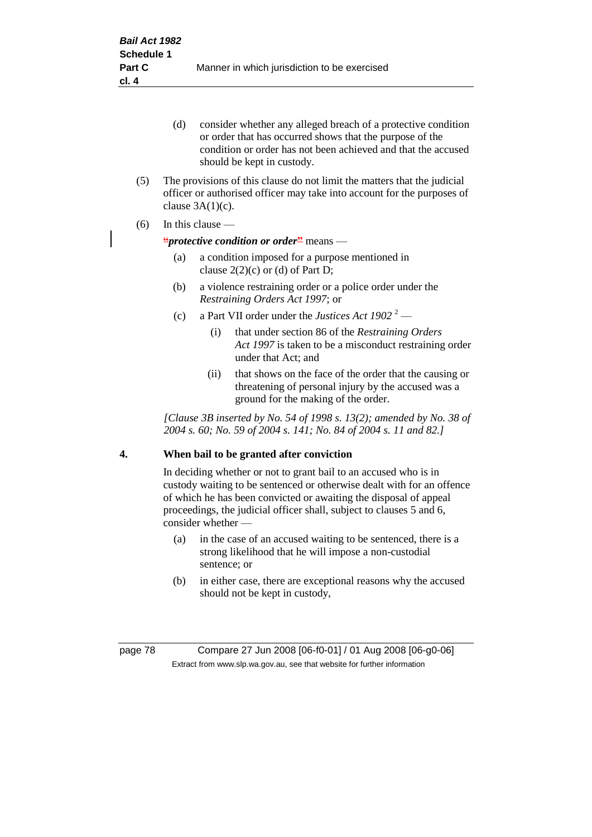- (d) consider whether any alleged breach of a protective condition or order that has occurred shows that the purpose of the condition or order has not been achieved and that the accused should be kept in custody.
- (5) The provisions of this clause do not limit the matters that the judicial officer or authorised officer may take into account for the purposes of clause  $3A(1)(c)$ .
- (6) In this clause —

### **"***protective condition or order***"** means —

- (a) a condition imposed for a purpose mentioned in clause  $2(2)(c)$  or (d) of Part D;
- (b) a violence restraining order or a police order under the *Restraining Orders Act 1997*; or
- (c) a Part VII order under the *Justices Act*  $1902^{2}$ 
	- (i) that under section 86 of the *Restraining Orders Act 1997* is taken to be a misconduct restraining order under that Act; and
	- (ii) that shows on the face of the order that the causing or threatening of personal injury by the accused was a ground for the making of the order.

*[Clause 3B inserted by No. 54 of 1998 s. 13(2); amended by No. 38 of 2004 s. 60; No. 59 of 2004 s. 141; No. 84 of 2004 s. 11 and 82.]*

## **4. When bail to be granted after conviction**

In deciding whether or not to grant bail to an accused who is in custody waiting to be sentenced or otherwise dealt with for an offence of which he has been convicted or awaiting the disposal of appeal proceedings, the judicial officer shall, subject to clauses 5 and 6, consider whether -

- (a) in the case of an accused waiting to be sentenced, there is a strong likelihood that he will impose a non-custodial sentence; or
- (b) in either case, there are exceptional reasons why the accused should not be kept in custody,

page 78 Compare 27 Jun 2008 [06-f0-01] / 01 Aug 2008 [06-g0-06] Extract from www.slp.wa.gov.au, see that website for further information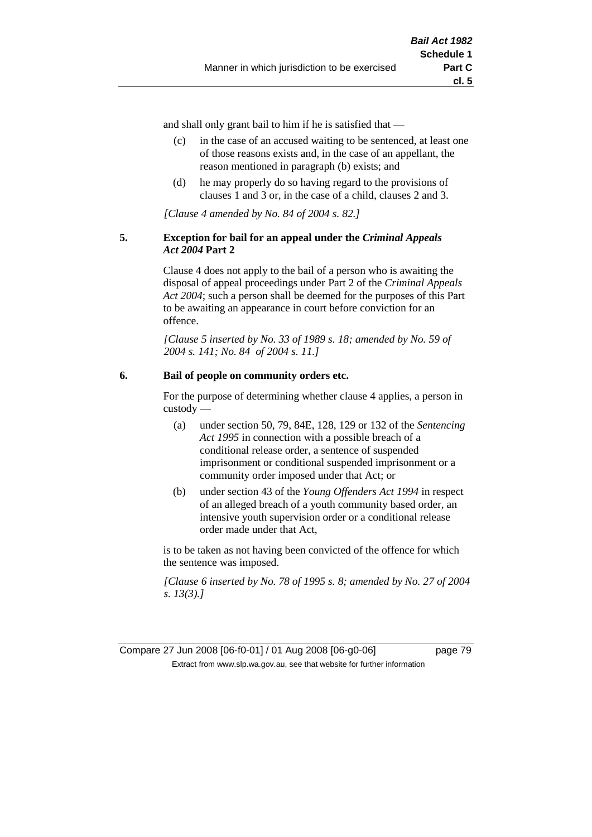and shall only grant bail to him if he is satisfied that —

- (c) in the case of an accused waiting to be sentenced, at least one of those reasons exists and, in the case of an appellant, the reason mentioned in paragraph (b) exists; and
- (d) he may properly do so having regard to the provisions of clauses 1 and 3 or, in the case of a child, clauses 2 and 3.

*[Clause 4 amended by No. 84 of 2004 s. 82.]*

## **5. Exception for bail for an appeal under the** *Criminal Appeals Act 2004* **Part 2**

Clause 4 does not apply to the bail of a person who is awaiting the disposal of appeal proceedings under Part 2 of the *Criminal Appeals Act 2004*; such a person shall be deemed for the purposes of this Part to be awaiting an appearance in court before conviction for an offence.

*[Clause 5 inserted by No. 33 of 1989 s. 18; amended by No. 59 of 2004 s. 141; No. 84 of 2004 s. 11.]*

## **6. Bail of people on community orders etc.**

For the purpose of determining whether clause 4 applies, a person in custody —

- (a) under section 50, 79, 84E, 128, 129 or 132 of the *Sentencing Act 1995* in connection with a possible breach of a conditional release order, a sentence of suspended imprisonment or conditional suspended imprisonment or a community order imposed under that Act; or
- (b) under section 43 of the *Young Offenders Act 1994* in respect of an alleged breach of a youth community based order, an intensive youth supervision order or a conditional release order made under that Act,

is to be taken as not having been convicted of the offence for which the sentence was imposed.

*[Clause 6 inserted by No. 78 of 1995 s. 8; amended by No. 27 of 2004 s. 13(3).]*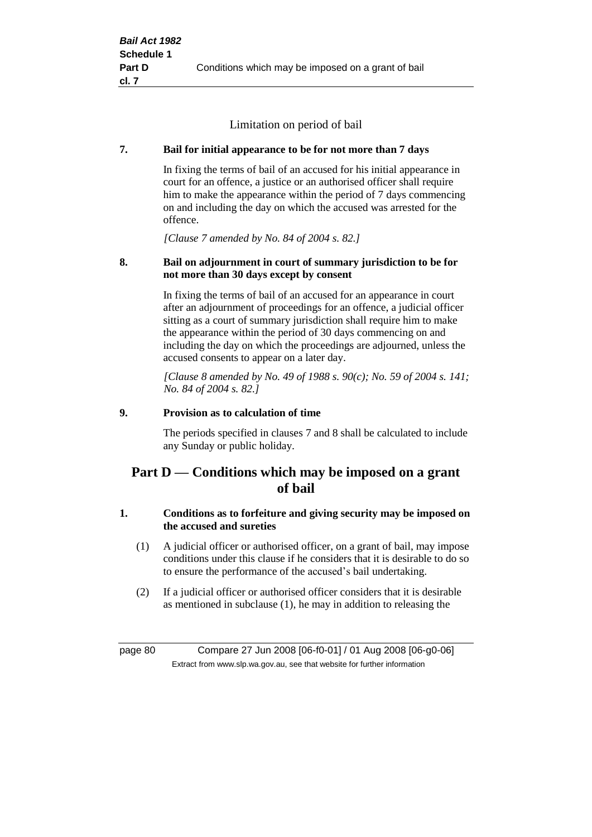Limitation on period of bail

## **7. Bail for initial appearance to be for not more than 7 days**

In fixing the terms of bail of an accused for his initial appearance in court for an offence, a justice or an authorised officer shall require him to make the appearance within the period of 7 days commencing on and including the day on which the accused was arrested for the offence.

*[Clause 7 amended by No. 84 of 2004 s. 82.]*

## **8. Bail on adjournment in court of summary jurisdiction to be for not more than 30 days except by consent**

In fixing the terms of bail of an accused for an appearance in court after an adjournment of proceedings for an offence, a judicial officer sitting as a court of summary jurisdiction shall require him to make the appearance within the period of 30 days commencing on and including the day on which the proceedings are adjourned, unless the accused consents to appear on a later day.

*[Clause 8 amended by No. 49 of 1988 s. 90(c); No. 59 of 2004 s. 141; No. 84 of 2004 s. 82.]*

## **9. Provision as to calculation of time**

The periods specified in clauses 7 and 8 shall be calculated to include any Sunday or public holiday.

# **Part D — Conditions which may be imposed on a grant of bail**

## **1. Conditions as to forfeiture and giving security may be imposed on the accused and sureties**

- (1) A judicial officer or authorised officer, on a grant of bail, may impose conditions under this clause if he considers that it is desirable to do so to ensure the performance of the accused's bail undertaking.
- (2) If a judicial officer or authorised officer considers that it is desirable as mentioned in subclause (1), he may in addition to releasing the

page 80 Compare 27 Jun 2008 [06-f0-01] / 01 Aug 2008 [06-g0-06] Extract from www.slp.wa.gov.au, see that website for further information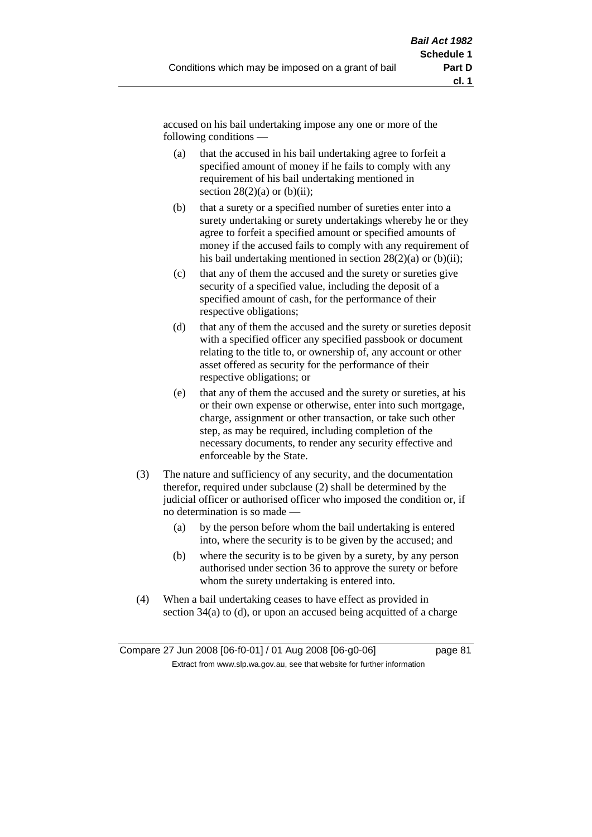accused on his bail undertaking impose any one or more of the following conditions —

- (a) that the accused in his bail undertaking agree to forfeit a specified amount of money if he fails to comply with any requirement of his bail undertaking mentioned in section  $28(2)(a)$  or  $(b)(ii)$ ;
- (b) that a surety or a specified number of sureties enter into a surety undertaking or surety undertakings whereby he or they agree to forfeit a specified amount or specified amounts of money if the accused fails to comply with any requirement of his bail undertaking mentioned in section  $28(2)(a)$  or (b)(ii);
- (c) that any of them the accused and the surety or sureties give security of a specified value, including the deposit of a specified amount of cash, for the performance of their respective obligations;
- (d) that any of them the accused and the surety or sureties deposit with a specified officer any specified passbook or document relating to the title to, or ownership of, any account or other asset offered as security for the performance of their respective obligations; or
- (e) that any of them the accused and the surety or sureties, at his or their own expense or otherwise, enter into such mortgage, charge, assignment or other transaction, or take such other step, as may be required, including completion of the necessary documents, to render any security effective and enforceable by the State.
- (3) The nature and sufficiency of any security, and the documentation therefor, required under subclause (2) shall be determined by the judicial officer or authorised officer who imposed the condition or, if no determination is so made —
	- (a) by the person before whom the bail undertaking is entered into, where the security is to be given by the accused; and
	- (b) where the security is to be given by a surety, by any person authorised under section 36 to approve the surety or before whom the surety undertaking is entered into.
- (4) When a bail undertaking ceases to have effect as provided in section 34(a) to (d), or upon an accused being acquitted of a charge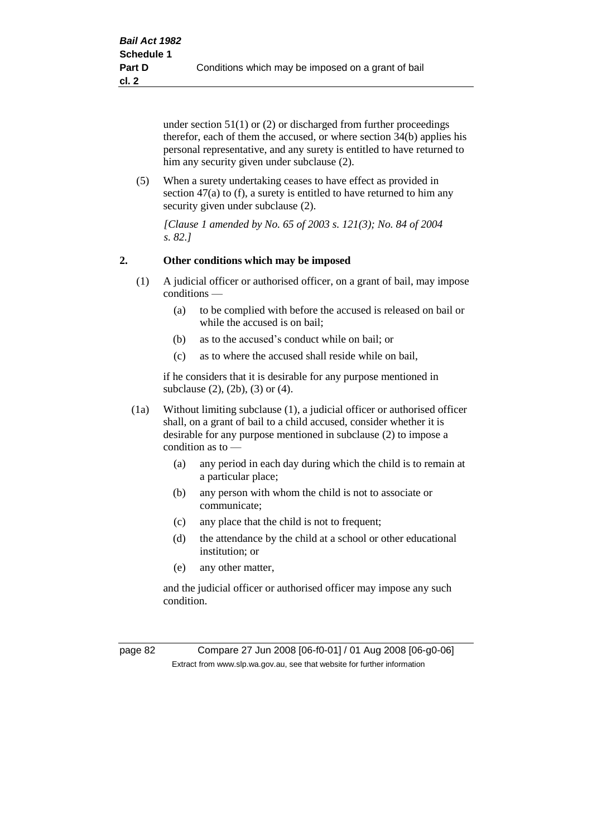under section 51(1) or (2) or discharged from further proceedings therefor, each of them the accused, or where section 34(b) applies his personal representative, and any surety is entitled to have returned to him any security given under subclause (2).

(5) When a surety undertaking ceases to have effect as provided in section 47(a) to (f), a surety is entitled to have returned to him any security given under subclause (2).

*[Clause 1 amended by No. 65 of 2003 s. 121(3); No. 84 of 2004 s. 82.]*

## **2. Other conditions which may be imposed**

- (1) A judicial officer or authorised officer, on a grant of bail, may impose conditions —
	- (a) to be complied with before the accused is released on bail or while the accused is on bail;
	- (b) as to the accused's conduct while on bail; or
	- (c) as to where the accused shall reside while on bail,

if he considers that it is desirable for any purpose mentioned in subclause (2), (2b), (3) or (4).

- (1a) Without limiting subclause (1), a judicial officer or authorised officer shall, on a grant of bail to a child accused, consider whether it is desirable for any purpose mentioned in subclause (2) to impose a condition as to —
	- (a) any period in each day during which the child is to remain at a particular place;
	- (b) any person with whom the child is not to associate or communicate;
	- (c) any place that the child is not to frequent;
	- (d) the attendance by the child at a school or other educational institution; or
	- (e) any other matter,

and the judicial officer or authorised officer may impose any such condition.

page 82 Compare 27 Jun 2008 [06-f0-01] / 01 Aug 2008 [06-g0-06] Extract from www.slp.wa.gov.au, see that website for further information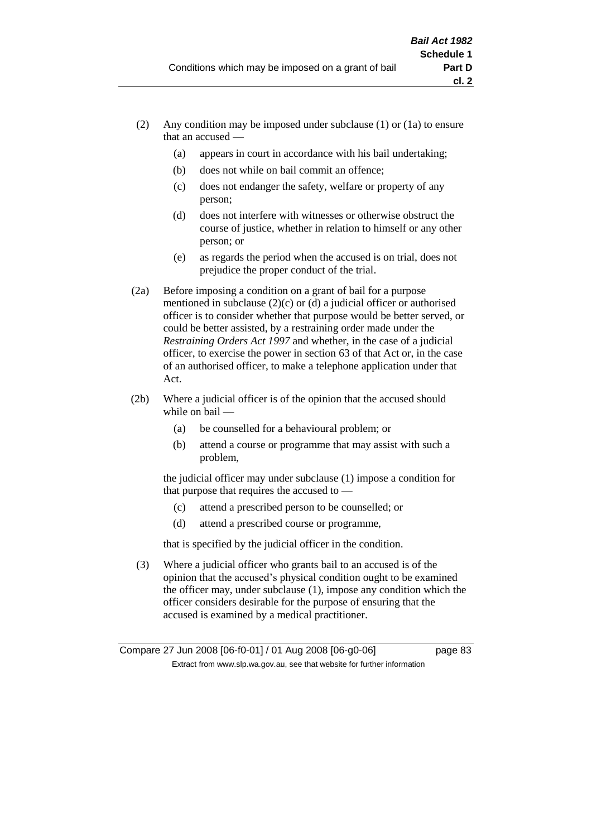- (2) Any condition may be imposed under subclause (1) or (1a) to ensure that an accused —
	- (a) appears in court in accordance with his bail undertaking;
	- (b) does not while on bail commit an offence;
	- (c) does not endanger the safety, welfare or property of any person;
	- (d) does not interfere with witnesses or otherwise obstruct the course of justice, whether in relation to himself or any other person; or
	- (e) as regards the period when the accused is on trial, does not prejudice the proper conduct of the trial.
- (2a) Before imposing a condition on a grant of bail for a purpose mentioned in subclause (2)(c) or (d) a judicial officer or authorised officer is to consider whether that purpose would be better served, or could be better assisted, by a restraining order made under the *Restraining Orders Act 1997* and whether, in the case of a judicial officer, to exercise the power in section 63 of that Act or, in the case of an authorised officer, to make a telephone application under that Act.
- (2b) Where a judicial officer is of the opinion that the accused should while on bail -
	- (a) be counselled for a behavioural problem; or
	- (b) attend a course or programme that may assist with such a problem,

the judicial officer may under subclause (1) impose a condition for that purpose that requires the accused to —

- (c) attend a prescribed person to be counselled; or
- (d) attend a prescribed course or programme,

that is specified by the judicial officer in the condition.

(3) Where a judicial officer who grants bail to an accused is of the opinion that the accused's physical condition ought to be examined the officer may, under subclause (1), impose any condition which the officer considers desirable for the purpose of ensuring that the accused is examined by a medical practitioner.

Compare 27 Jun 2008 [06-f0-01] / 01 Aug 2008 [06-g0-06] page 83 Extract from www.slp.wa.gov.au, see that website for further information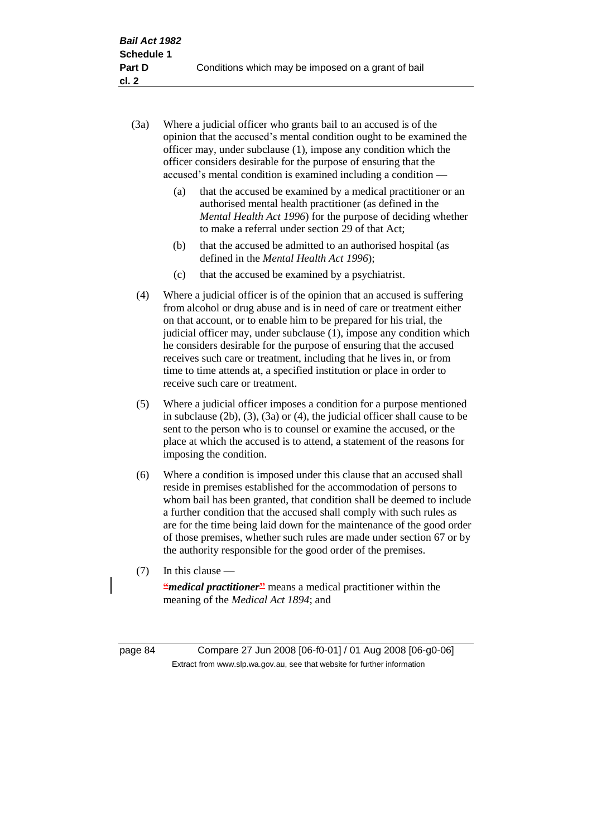- (3a) Where a judicial officer who grants bail to an accused is of the opinion that the accused's mental condition ought to be examined the officer may, under subclause (1), impose any condition which the officer considers desirable for the purpose of ensuring that the accused's mental condition is examined including a condition —
	- (a) that the accused be examined by a medical practitioner or an authorised mental health practitioner (as defined in the *Mental Health Act 1996*) for the purpose of deciding whether to make a referral under section 29 of that Act;
	- (b) that the accused be admitted to an authorised hospital (as defined in the *Mental Health Act 1996*);
	- (c) that the accused be examined by a psychiatrist.
- (4) Where a judicial officer is of the opinion that an accused is suffering from alcohol or drug abuse and is in need of care or treatment either on that account, or to enable him to be prepared for his trial, the judicial officer may, under subclause (1), impose any condition which he considers desirable for the purpose of ensuring that the accused receives such care or treatment, including that he lives in, or from time to time attends at, a specified institution or place in order to receive such care or treatment.
- (5) Where a judicial officer imposes a condition for a purpose mentioned in subclause (2b), (3), (3a) or (4), the judicial officer shall cause to be sent to the person who is to counsel or examine the accused, or the place at which the accused is to attend, a statement of the reasons for imposing the condition.
- (6) Where a condition is imposed under this clause that an accused shall reside in premises established for the accommodation of persons to whom bail has been granted, that condition shall be deemed to include a further condition that the accused shall comply with such rules as are for the time being laid down for the maintenance of the good order of those premises, whether such rules are made under section 67 or by the authority responsible for the good order of the premises.
- (7) In this clause —

**"***medical practitioner*<sup>2</sup> means a medical practitioner within the meaning of the *Medical Act 1894*; and

page 84 Compare 27 Jun 2008 [06-f0-01] / 01 Aug 2008 [06-g0-06] Extract from www.slp.wa.gov.au, see that website for further information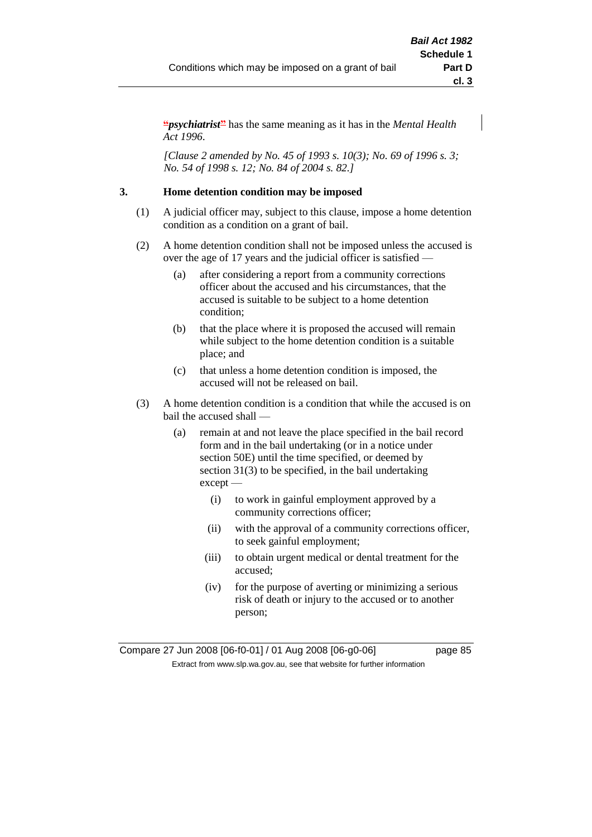**"***psychiatrist***"** has the same meaning as it has in the *Mental Health Act 1996*.

*[Clause 2 amended by No. 45 of 1993 s. 10(3); No. 69 of 1996 s. 3; No. 54 of 1998 s. 12; No. 84 of 2004 s. 82.]*

## **3. Home detention condition may be imposed**

- (1) A judicial officer may, subject to this clause, impose a home detention condition as a condition on a grant of bail.
- (2) A home detention condition shall not be imposed unless the accused is over the age of 17 years and the judicial officer is satisfied —
	- (a) after considering a report from a community corrections officer about the accused and his circumstances, that the accused is suitable to be subject to a home detention condition;
	- (b) that the place where it is proposed the accused will remain while subject to the home detention condition is a suitable place; and
	- (c) that unless a home detention condition is imposed, the accused will not be released on bail.
- (3) A home detention condition is a condition that while the accused is on bail the accused shall —
	- (a) remain at and not leave the place specified in the bail record form and in the bail undertaking (or in a notice under section 50E) until the time specified, or deemed by section 31(3) to be specified, in the bail undertaking except —
		- (i) to work in gainful employment approved by a community corrections officer;
		- (ii) with the approval of a community corrections officer, to seek gainful employment;
		- (iii) to obtain urgent medical or dental treatment for the accused;
		- (iv) for the purpose of averting or minimizing a serious risk of death or injury to the accused or to another person;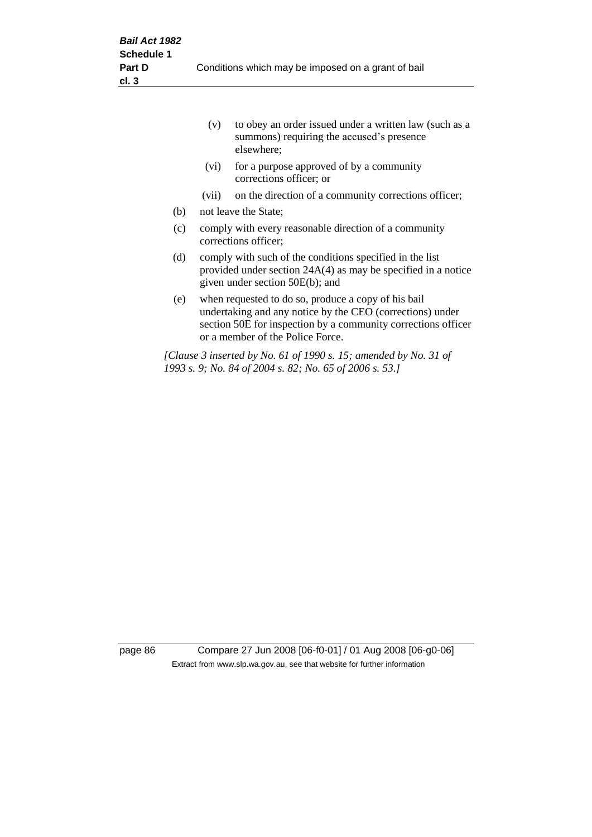|     | (v)   | to obey an order issued under a written law (such as a<br>summons) requiring the accused's presence<br>elsewhere;                                                                                                     |
|-----|-------|-----------------------------------------------------------------------------------------------------------------------------------------------------------------------------------------------------------------------|
|     | (vi)  | for a purpose approved of by a community<br>corrections officer; or                                                                                                                                                   |
|     | (vii) | on the direction of a community corrections officer;                                                                                                                                                                  |
| (b) |       | not leave the State;                                                                                                                                                                                                  |
| (c) |       | comply with every reasonable direction of a community<br>corrections officer;                                                                                                                                         |
| (d) |       | comply with such of the conditions specified in the list<br>provided under section 24A(4) as may be specified in a notice<br>given under section 50E(b); and                                                          |
| (e) |       | when requested to do so, produce a copy of his bail<br>undertaking and any notice by the CEO (corrections) under<br>section 50E for inspection by a community corrections officer<br>or a member of the Police Force. |
|     |       | [Clause 3 inserted by No. 61 of 1990 s. 15; amended by No. 31 of<br>1993 s. 9; No. 84 of 2004 s. 82; No. 65 of 2006 s. 53.]                                                                                           |

page 86 Compare 27 Jun 2008 [06-f0-01] / 01 Aug 2008 [06-g0-06] Extract from www.slp.wa.gov.au, see that website for further information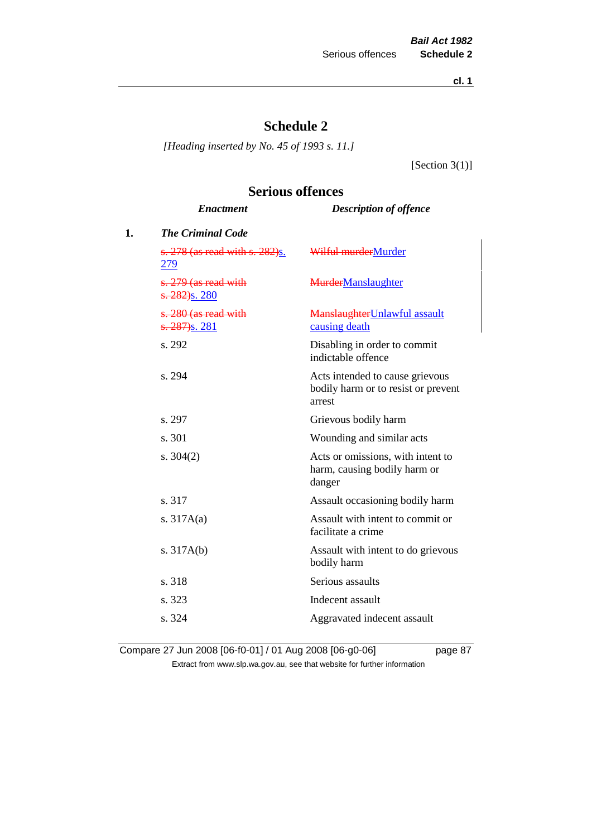**cl. 1**

# **Schedule 2**

*[Heading inserted by No. 45 of 1993 s. 11.]*

[Section 3(1)]

# **Serious offences**

|    | <b>Enactment</b>                                  | <b>Description of offence</b>                                                    |
|----|---------------------------------------------------|----------------------------------------------------------------------------------|
| 1. | <b>The Criminal Code</b>                          |                                                                                  |
|    | s. 278 (as read with s. 282)s.<br>279             | Wilful murderMurder                                                              |
|    | s. 279 (as read with<br>s. 282) <sub>S.</sub> 280 | <b>MurderManslaughter</b>                                                        |
|    | s. 280 (as read with<br>$\frac{(6.287)}{s.281}$   | Manslaughter Unlawful assault<br>causing death                                   |
|    | s. 292                                            | Disabling in order to commit<br>indictable offence                               |
|    | s. 294                                            | Acts intended to cause grievous<br>bodily harm or to resist or prevent<br>arrest |
|    | s. 297                                            | Grievous bodily harm                                                             |
|    | s. 301                                            | Wounding and similar acts                                                        |
|    | s. $304(2)$                                       | Acts or omissions, with intent to<br>harm, causing bodily harm or<br>danger      |
|    | s. 317                                            | Assault occasioning bodily harm                                                  |
|    | s. $317A(a)$                                      | Assault with intent to commit or<br>facilitate a crime                           |
|    | s. $317A(b)$                                      | Assault with intent to do grievous<br>bodily harm                                |
|    | s. 318                                            | Serious assaults                                                                 |
|    | s. 323                                            | Indecent assault                                                                 |
|    | s. 324                                            | Aggravated indecent assault                                                      |

Compare 27 Jun 2008 [06-f0-01] / 01 Aug 2008 [06-g0-06] page 87 Extract from www.slp.wa.gov.au, see that website for further information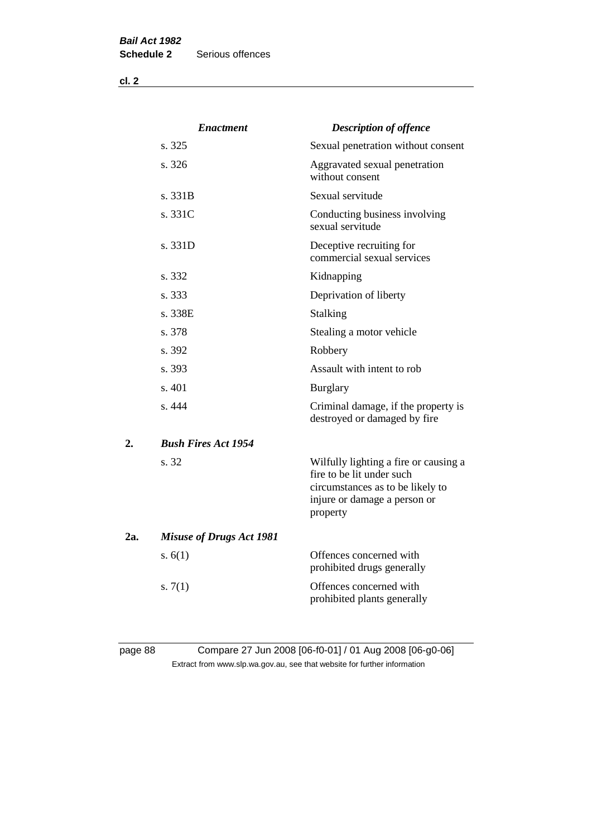|     | <b>Enactment</b>                | <b>Description of offence</b>                                                                                                                      |
|-----|---------------------------------|----------------------------------------------------------------------------------------------------------------------------------------------------|
|     | s. 325                          | Sexual penetration without consent                                                                                                                 |
|     | s. 326                          | Aggravated sexual penetration<br>without consent                                                                                                   |
|     | s. 331B                         | Sexual servitude                                                                                                                                   |
|     | s. 331C                         | Conducting business involving<br>sexual servitude                                                                                                  |
|     | s. 331D                         | Deceptive recruiting for<br>commercial sexual services                                                                                             |
|     | s. 332                          | Kidnapping                                                                                                                                         |
|     | s. 333                          | Deprivation of liberty                                                                                                                             |
|     | s. 338E                         | Stalking                                                                                                                                           |
|     | s. 378                          | Stealing a motor vehicle                                                                                                                           |
|     | s. 392                          | Robbery                                                                                                                                            |
|     | s. 393                          | Assault with intent to rob                                                                                                                         |
|     | s. 401                          | <b>Burglary</b>                                                                                                                                    |
|     | s.444                           | Criminal damage, if the property is<br>destroyed or damaged by fire                                                                                |
| 2.  | <b>Bush Fires Act 1954</b>      |                                                                                                                                                    |
|     | s. 32                           | Wilfully lighting a fire or causing a<br>fire to be lit under such<br>circumstances as to be likely to<br>injure or damage a person or<br>property |
| 2a. | <b>Misuse of Drugs Act 1981</b> |                                                                                                                                                    |
|     | s. $6(1)$                       | Offences concerned with<br>prohibited drugs generally                                                                                              |
|     | s. $7(1)$                       | Offences concerned with<br>prohibited plants generally                                                                                             |
|     |                                 |                                                                                                                                                    |

# page 88 Compare 27 Jun 2008 [06-f0-01] / 01 Aug 2008 [06-g0-06] Extract from www.slp.wa.gov.au, see that website for further information

**cl. 2**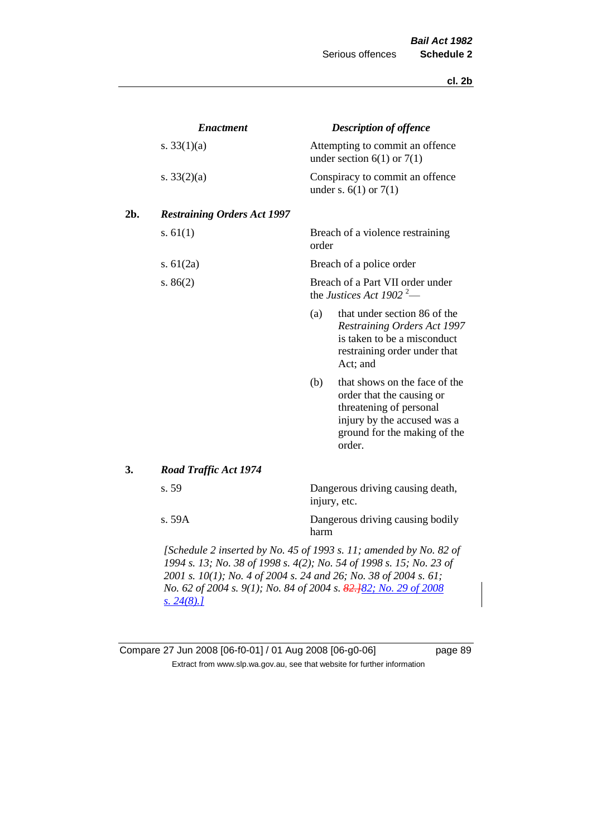**cl. 2b**

| <b>Enactment</b>                   | <b>Description of offence</b>                                                                                                                                                                                                                                                     |
|------------------------------------|-----------------------------------------------------------------------------------------------------------------------------------------------------------------------------------------------------------------------------------------------------------------------------------|
| s. $33(1)(a)$                      | Attempting to commit an offence<br>under section $6(1)$ or $7(1)$                                                                                                                                                                                                                 |
| s. $33(2)(a)$                      | Conspiracy to commit an offence<br>under s. $6(1)$ or $7(1)$                                                                                                                                                                                                                      |
| <b>Restraining Orders Act 1997</b> |                                                                                                                                                                                                                                                                                   |
| s. $61(1)$                         | Breach of a violence restraining<br>order                                                                                                                                                                                                                                         |
| s. $61(2a)$                        | Breach of a police order                                                                                                                                                                                                                                                          |
| s. $86(2)$                         | Breach of a Part VII order under<br>the Justices Act 1902 <sup>2</sup> —                                                                                                                                                                                                          |
|                                    | (a)<br>that under section 86 of the<br>Restraining Orders Act 1997<br>is taken to be a misconduct<br>restraining order under that<br>Act; and                                                                                                                                     |
|                                    | that shows on the face of the<br>(b)<br>order that the causing or<br>threatening of personal<br>injury by the accused was a<br>ground for the making of the<br>order.                                                                                                             |
| <b>Road Traffic Act 1974</b>       |                                                                                                                                                                                                                                                                                   |
| s. 59                              | Dangerous driving causing death,<br>injury, etc.                                                                                                                                                                                                                                  |
| s. 59A                             | Dangerous driving causing bodily<br>harm                                                                                                                                                                                                                                          |
| <u>s. 24(8).]</u>                  | [Schedule 2 inserted by No. 45 of 1993 s. 11; amended by No. 82 of<br>1994 s. 13; No. 38 of 1998 s. 4(2); No. 54 of 1998 s. 15; No. 23 of<br>2001 s. 10(1); No. 4 of 2004 s. 24 and 26; No. 38 of 2004 s. 61;<br>No. 62 of 2004 s. 9(1); No. 84 of 2004 s. 82.182; No. 29 of 2008 |

# Compare 27 Jun 2008 [06-f0-01] / 01 Aug 2008 [06-g0-06] page 89 Extract from www.slp.wa.gov.au, see that website for further information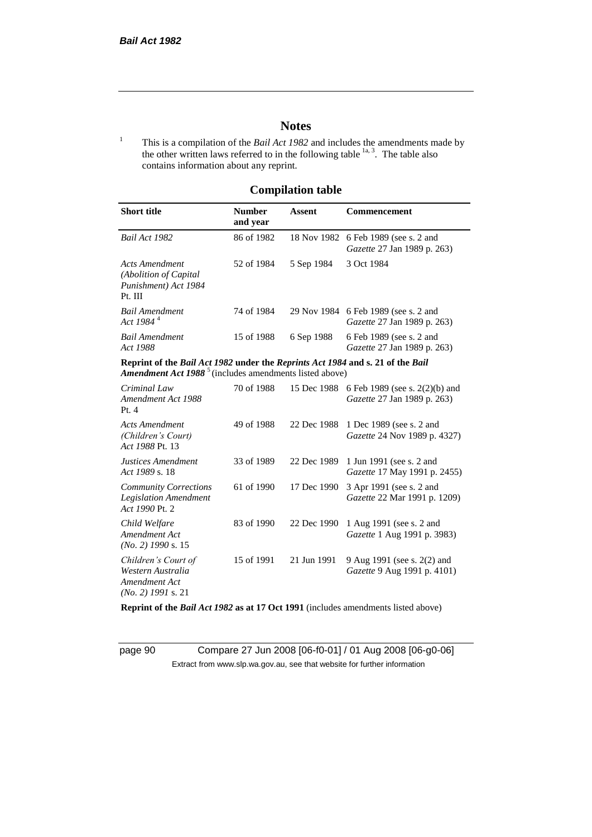## **Notes**

<sup>1</sup> This is a compilation of the *Bail Act 1982* and includes the amendments made by the other written laws referred to in the following table  $\frac{1}{a}$ , The table also contains information about any reprint.

## **Compilation table**

| <b>Short title</b>                                                                                                                                   | <b>Number</b><br>and year | Assent     | Commencement                                                                                      |
|------------------------------------------------------------------------------------------------------------------------------------------------------|---------------------------|------------|---------------------------------------------------------------------------------------------------|
| Bail Act 1982                                                                                                                                        | 86 of 1982                |            | 18 Nov 1982 6 Feb 1989 (see s. 2 and<br><i>Gazette</i> 27 Jan 1989 p. 263)                        |
| Acts Amendment<br>(Abolition of Capital)<br>Punishment) Act 1984<br>Pt. III                                                                          | 52 of 1984                | 5 Sep 1984 | 3 Oct 1984                                                                                        |
| <b>Bail Amendment</b><br>Act 1984 <sup>4</sup>                                                                                                       | 74 of 1984                |            | 29 Nov 1984 6 Feb 1989 (see s. 2 and<br><i>Gazette</i> 27 Jan 1989 p. 263)                        |
| <b>Bail Amendment</b><br><i>Act 1988</i>                                                                                                             | 15 of 1988                | 6 Sep 1988 | 6 Feb 1989 (see s. 2 and<br><i>Gazette</i> 27 Jan 1989 p. 263)                                    |
| Reprint of the Bail Act 1982 under the Reprints Act 1984 and s. 21 of the Bail<br>Amendment Act 1988 <sup>5</sup> (includes amendments listed above) |                           |            |                                                                                                   |
| Criminal Law<br>$A_{\text{max}}$ discover $A_{\text{out}}$ 1000                                                                                      | 70 of 1988                |            | 15 Dec 1988 6 Feb 1989 (see s. 2(2)(b) and<br>$C_{\text{cosatto}}$ 27 I <sub>an</sub> 1000 - 262) |

| Criminal Law<br>Amendment Act 1988<br>Pt.4                                        | 70 OF 1988 |             | 15 Dec 1988 6 Feb 1989 (see s. $2(2)(b)$ and<br>Gazette 27 Jan 1989 p. 263) |
|-----------------------------------------------------------------------------------|------------|-------------|-----------------------------------------------------------------------------|
| <b>Acts Amendment</b><br>(Children's Court)<br>Act 1988 Pt. 13                    | 49 of 1988 | 22 Dec 1988 | 1 Dec 1989 (see s. 2 and<br><i>Gazette</i> 24 Nov 1989 p. 4327)             |
| Justices Amendment<br>Act 1989 s. 18                                              | 33 of 1989 | 22 Dec 1989 | 1 Jun 1991 (see s. 2 and<br><i>Gazette</i> 17 May 1991 p. 2455)             |
| <b>Community Corrections</b><br><b>Legislation Amendment</b><br>Act 1990 Pt. 2    | 61 of 1990 | 17 Dec 1990 | 3 Apr 1991 (see s. 2 and<br>Gazette 22 Mar 1991 p. 1209)                    |
| Child Welfare<br>Amendment Act<br>$(No. 2)$ 1990 s. 15                            | 83 of 1990 | 22 Dec 1990 | 1 Aug 1991 (see s. 2 and<br><i>Gazette</i> 1 Aug 1991 p. 3983)              |
| Children's Court of<br>Western Australia<br>Amendment Act<br>$(No. 2)$ 1991 s. 21 | 15 of 1991 | 21 Jun 1991 | 9 Aug 1991 (see s. 2(2) and<br>Gazette 9 Aug 1991 p. 4101)                  |

**Reprint of the** *Bail Act 1982* **as at 17 Oct 1991** (includes amendments listed above)

page 90 Compare 27 Jun 2008 [06-f0-01] / 01 Aug 2008 [06-g0-06] Extract from www.slp.wa.gov.au, see that website for further information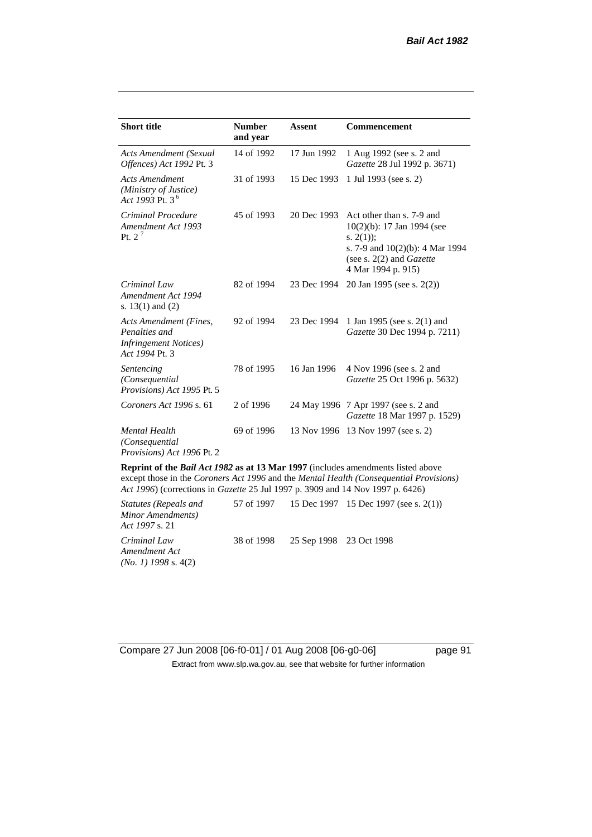| <b>Short title</b>                                                                         | <b>Number</b><br>and year | <b>Assent</b> | <b>Commencement</b>                                                                                                                                                        |
|--------------------------------------------------------------------------------------------|---------------------------|---------------|----------------------------------------------------------------------------------------------------------------------------------------------------------------------------|
| Acts Amendment (Sexual<br>Offences) Act 1992 Pt. 3                                         | 14 of 1992                | 17 Jun 1992   | 1 Aug 1992 (see s. 2 and<br><i>Gazette</i> 28 Jul 1992 p. 3671)                                                                                                            |
| <b>Acts Amendment</b><br>(Ministry of Justice)<br>Act 1993 Pt. 3 <sup>6</sup>              | 31 of 1993                | 15 Dec 1993   | 1 Jul 1993 (see s. 2)                                                                                                                                                      |
| Criminal Procedure<br>Amendment Act 1993<br>Pt. $2^7$                                      | 45 of 1993                | 20 Dec 1993   | Act other than s. 7-9 and<br>$10(2)(b)$ : 17 Jan 1994 (see<br>s. $2(1)$ ;<br>s. 7-9 and $10(2)(b)$ : 4 Mar 1994<br>(see s. $2(2)$ and <i>Gazette</i><br>4 Mar 1994 p. 915) |
| Criminal Law<br>Amendment Act 1994<br>s. $13(1)$ and $(2)$                                 | 82 of 1994                | 23 Dec 1994   | 20 Jan 1995 (see s. 2(2))                                                                                                                                                  |
| Acts Amendment (Fines,<br>Penalties and<br><i>Infringement Notices</i> )<br>Act 1994 Pt. 3 | 92 of 1994                | 23 Dec 1994   | 1 Jan 1995 (see s. 2(1) and<br>Gazette 30 Dec 1994 p. 7211)                                                                                                                |
| Sentencing<br>(Consequential<br>Provisions) Act 1995 Pt. 5                                 | 78 of 1995                | 16 Jan 1996   | 4 Nov 1996 (see s. 2 and<br>Gazette 25 Oct 1996 p. 5632)                                                                                                                   |
| Coroners Act 1996 s. 61                                                                    | 2 of 1996                 |               | 24 May 1996 7 Apr 1997 (see s. 2 and<br>Gazette 18 Mar 1997 p. 1529)                                                                                                       |
| <b>Mental Health</b><br>(Consequential<br>Provisions) Act 1996 Pt. 2                       | 69 of 1996                | 13 Nov 1996   | 13 Nov 1997 (see s. 2)                                                                                                                                                     |
|                                                                                            |                           |               |                                                                                                                                                                            |

**Reprint of the** *Bail Act 1982* **as at 13 Mar 1997** (includes amendments listed above except those in the *Coroners Act 1996* and the *Mental Health (Consequential Provisions) Act 1996*) (corrections in *Gazette* 25 Jul 1997 p. 3909 and 14 Nov 1997 p. 6426)

*Statutes (Repeals and Minor Amendments) Act 1997* s. 21 57 of 1997 15 Dec 1997 15 Dec 1997 (see s. 2(1)) *Criminal Law Amendment Act (No. 1) 1998* s. 4(2) 38 of 1998 25 Sep 1998 23 Oct 1998

Compare 27 Jun 2008 [06-f0-01] / 01 Aug 2008 [06-g0-06] page 91 Extract from www.slp.wa.gov.au, see that website for further information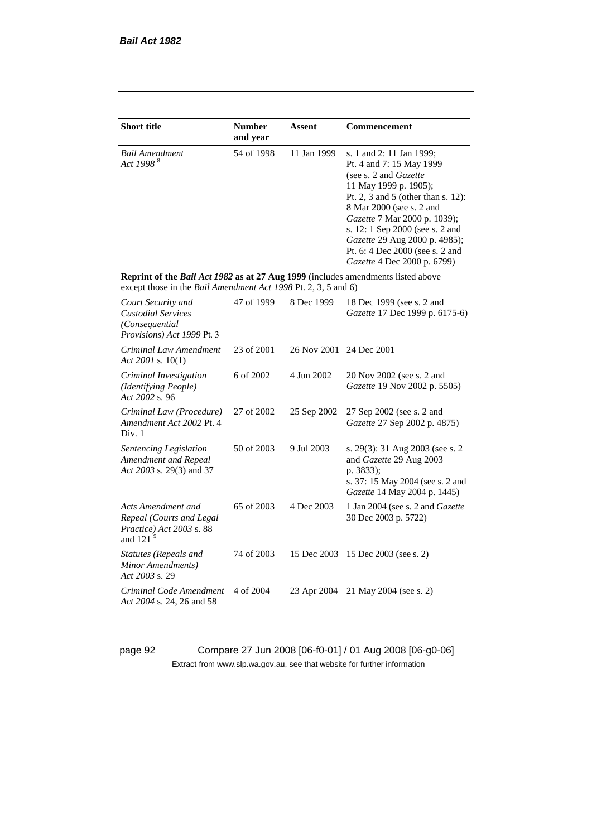| <b>Short title</b>                                                                                                                                 | <b>Number</b><br>and year | Assent      | Commencement                                                                                                                                                                                                                                                                                                                                            |
|----------------------------------------------------------------------------------------------------------------------------------------------------|---------------------------|-------------|---------------------------------------------------------------------------------------------------------------------------------------------------------------------------------------------------------------------------------------------------------------------------------------------------------------------------------------------------------|
| <b>Bail Amendment</b><br>Act 1998 <sup>8</sup>                                                                                                     | 54 of 1998                | 11 Jan 1999 | s. 1 and 2: 11 Jan 1999;<br>Pt. 4 and 7: 15 May 1999<br>(see s. 2 and <i>Gazette</i> )<br>11 May 1999 p. 1905);<br>Pt. 2, 3 and 5 (other than s. 12):<br>8 Mar 2000 (see s. 2 and<br>Gazette 7 Mar 2000 p. 1039);<br>s. 12: 1 Sep 2000 (see s. 2 and<br>Gazette 29 Aug 2000 p. 4985);<br>Pt. 6: 4 Dec 2000 (see s. 2 and<br>Gazette 4 Dec 2000 p. 6799) |
| Reprint of the Bail Act 1982 as at 27 Aug 1999 (includes amendments listed above<br>except those in the Bail Amendment Act 1998 Pt. 2, 3, 5 and 6) |                           |             |                                                                                                                                                                                                                                                                                                                                                         |
| Court Security and<br><b>Custodial Services</b><br>(Consequential<br>Provisions) Act 1999 Pt. 3                                                    | 47 of 1999                | 8 Dec 1999  | 18 Dec 1999 (see s. 2 and<br>Gazette 17 Dec 1999 p. 6175-6)                                                                                                                                                                                                                                                                                             |
| Criminal Law Amendment<br>Act 2001 s. $10(1)$                                                                                                      | 23 of 2001                | 26 Nov 2001 | 24 Dec 2001                                                                                                                                                                                                                                                                                                                                             |
| Criminal Investigation<br>(Identifying People)<br>Act 2002 s. 96                                                                                   | 6 of 2002                 | 4 Jun 2002  | 20 Nov 2002 (see s. 2 and<br>Gazette 19 Nov 2002 p. 5505)                                                                                                                                                                                                                                                                                               |
| Criminal Law (Procedure)<br>Amendment Act 2002 Pt. 4<br>Div. 1                                                                                     | 27 of 2002                | 25 Sep 2002 | 27 Sep 2002 (see s. 2 and<br>Gazette 27 Sep 2002 p. 4875)                                                                                                                                                                                                                                                                                               |
| Sentencing Legislation<br>Amendment and Repeal<br>Act 2003 s. 29(3) and 37                                                                         | 50 of 2003                | 9 Jul 2003  | s. 29(3): 31 Aug 2003 (see s. 2<br>and Gazette 29 Aug 2003<br>p. 3833);<br>s. 37: 15 May 2004 (see s. 2 and<br>Gazette 14 May 2004 p. 1445)                                                                                                                                                                                                             |
| Acts Amendment and<br>Repeal (Courts and Legal<br>Practice) Act 2003 s. 88<br>and 121 $9$                                                          | 65 of 2003                | 4 Dec 2003  | 1 Jan 2004 (see s. 2 and Gazette<br>30 Dec 2003 p. 5722)                                                                                                                                                                                                                                                                                                |
| Statutes (Repeals and<br>Minor Amendments)<br>Act 2003 s. 29                                                                                       | 74 of 2003                | 15 Dec 2003 | 15 Dec 2003 (see s. 2)                                                                                                                                                                                                                                                                                                                                  |
| Criminal Code Amendment<br>Act 2004 s. 24, 26 and 58                                                                                               | 4 of 2004                 | 23 Apr 2004 | 21 May 2004 (see s. 2)                                                                                                                                                                                                                                                                                                                                  |

page 92 Compare 27 Jun 2008 [06-f0-01] / 01 Aug 2008 [06-g0-06] Extract from www.slp.wa.gov.au, see that website for further information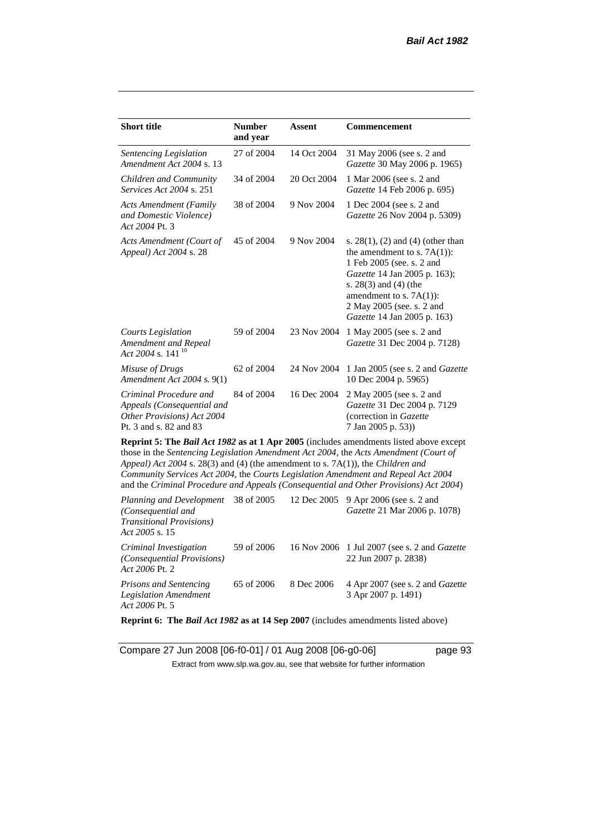| <b>Short title</b>                                                                                           | <b>Number</b><br>and year | <b>Assent</b> | <b>Commencement</b>                                                                                                                                                                                                                                                                                                                                                 |
|--------------------------------------------------------------------------------------------------------------|---------------------------|---------------|---------------------------------------------------------------------------------------------------------------------------------------------------------------------------------------------------------------------------------------------------------------------------------------------------------------------------------------------------------------------|
| Sentencing Legislation<br>Amendment Act 2004 s. 13                                                           | 27 of 2004                | 14 Oct 2004   | 31 May 2006 (see s. 2 and<br>Gazette 30 May 2006 p. 1965)                                                                                                                                                                                                                                                                                                           |
| Children and Community<br><i>Services Act 2004 s. 251</i>                                                    | 34 of 2004                | 20 Oct 2004   | 1 Mar 2006 (see s. 2 and<br>Gazette 14 Feb 2006 p. 695)                                                                                                                                                                                                                                                                                                             |
| <b>Acts Amendment (Family</b><br>and Domestic Violence)<br>Act 2004 Pt. 3                                    | 38 of 2004                | 9 Nov 2004    | 1 Dec 2004 (see s. 2 and<br>Gazette 26 Nov 2004 p. 5309)                                                                                                                                                                                                                                                                                                            |
| Acts Amendment (Court of<br>Appeal) Act 2004 s. 28                                                           | 45 of 2004                | 9 Nov 2004    | s. $28(1)$ , (2) and (4) (other than<br>the amendment to s. $7A(1)$ :<br>1 Feb 2005 (see. s. 2 and<br>Gazette 14 Jan 2005 p. 163);<br>s. $28(3)$ and $(4)$ (the<br>amendment to s. $7A(1)$ :<br>2 May 2005 (see. s. 2 and<br>Gazette 14 Jan 2005 p. 163)                                                                                                            |
| <b>Courts Legislation</b><br>Amendment and Repeal<br>Act 2004 s. 141 <sup>10</sup>                           | 59 of 2004                | 23 Nov 2004   | 1 May 2005 (see s. 2 and<br>Gazette 31 Dec 2004 p. 7128)                                                                                                                                                                                                                                                                                                            |
| Misuse of Drugs<br>Amendment Act 2004 s. 9(1)                                                                | 62 of 2004                | 24 Nov 2004   | 1 Jan 2005 (see s. 2 and <i>Gazette</i><br>10 Dec 2004 p. 5965)                                                                                                                                                                                                                                                                                                     |
| Criminal Procedure and<br>Appeals (Consequential and<br>Other Provisions) Act 2004<br>Pt. 3 and s. 82 and 83 | 84 of 2004                | 16 Dec 2004   | 2 May 2005 (see s. 2 and<br>Gazette 31 Dec 2004 p. 7129<br>(correction in Gazette<br>7 Jan 2005 p. 53))                                                                                                                                                                                                                                                             |
| Appeal) Act 2004 s. 28(3) and (4) (the amendment to s. 7A(1)), the Children and                              |                           |               | <b>Reprint 5: The Bail Act 1982 as at 1 Apr 2005</b> (includes amendments listed above except<br>those in the Sentencing Legislation Amendment Act 2004, the Acts Amendment (Court of<br>Community Services Act 2004, the Courts Legislation Amendment and Repeal Act 2004<br>and the Criminal Procedure and Appeals (Consequential and Other Provisions) Act 2004) |

*Planning and Development (Consequential and Transitional Provisions) Act 2005* s. 15 12 Dec 2005 9 Apr 2006 (see s. 2 and *Gazette* 21 Mar 2006 p. 1078) *Criminal Investigation (Consequential Provisions) Act 2006* Pt. 2 59 of 2006 16 Nov 2006 1 Jul 2007 (see s. 2 and *Gazette* 22 Jun 2007 p. 2838) *Prisons and Sentencing Legislation Amendment Act 2006* Pt. 5 65 of 2006 8 Dec 2006 4 Apr 2007 (see s. 2 and *Gazette* 3 Apr 2007 p. 1491)

**Reprint 6: The** *Bail Act 1982* **as at 14 Sep 2007** (includes amendments listed above)

Compare 27 Jun 2008 [06-f0-01] / 01 Aug 2008 [06-g0-06] page 93 Extract from www.slp.wa.gov.au, see that website for further information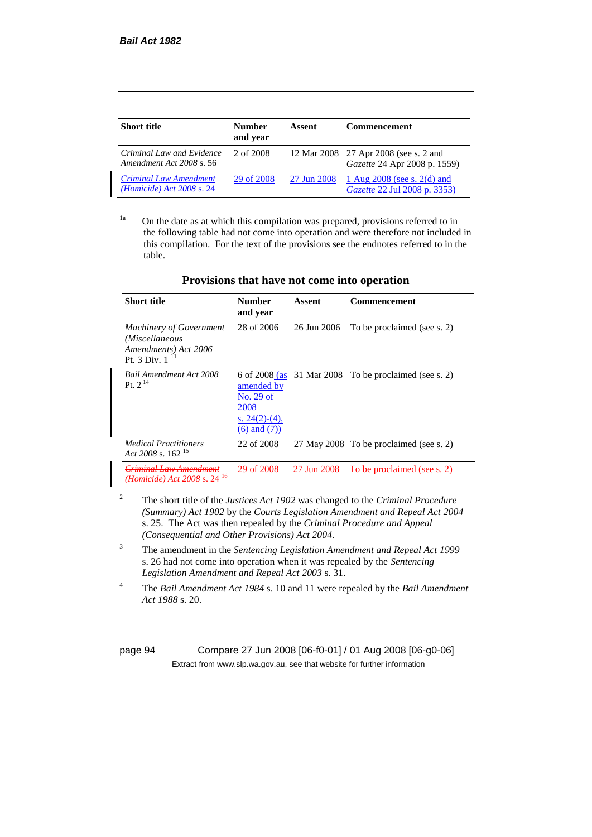| <b>Short title</b>                                           | <b>Number</b><br>and year | Assent      | <b>Commencement</b>                                                          |
|--------------------------------------------------------------|---------------------------|-------------|------------------------------------------------------------------------------|
| Criminal Law and Evidence<br>Amendment Act 2008 s. 56        | 2 of 2008                 |             | 12 Mar 2008 27 Apr 2008 (see s. 2 and<br><i>Gazette</i> 24 Apr 2008 p. 1559) |
| <b>Criminal Law Amendment</b><br>$(Homicide)$ Act 2008 s. 24 | 29 of 2008                | 27 Jun 2008 | 1 Aug $2008$ (see s. 2(d) and<br>Gazette 22 Jul 2008 p. 3353)                |

<sup>1a</sup> On the date as at which this compilation was prepared, provisions referred to in the following table had not come into operation and were therefore not included in this compilation. For the text of the provisions see the endnotes referred to in the table.

| <b>Short title</b>                                                                       | <b>Number</b><br>and year                                                | Assent      | Commencement                                            |
|------------------------------------------------------------------------------------------|--------------------------------------------------------------------------|-------------|---------------------------------------------------------|
| <b>Machinery of Government</b><br>(Miscellaneous<br>Amendments) Act 2006<br>$Pt$ 3 Div 1 | 28 of 2006                                                               | 26 Jun 2006 | To be proclaimed (see s. 2)                             |
| Bail Amendment Act 2008<br>Pt. $2^{14}$                                                  | amended by<br>No. 29 of<br>2008<br>s. $24(2)-(4)$ ,<br>$(6)$ and $(7)$ ) |             | 6 of 2008 (as $31$ Mar 2008 To be proclaimed (see s. 2) |
| <b>Medical Practitioners</b><br>Act 2008 s. $162^{15}$                                   | 22 of 2008                                                               |             | 27 May 2008 To be proclaimed (see s. 2)                 |
| iminal Law Amondmon<br><del>Homicide) Act 2008</del>                                     |                                                                          |             | To be proclaimed (see s.                                |

## **Provisions that have not come into operation**

- <sup>2</sup> The short title of the *Justices Act 1902* was changed to the *Criminal Procedure (Summary) Act 1902* by the *Courts Legislation Amendment and Repeal Act 2004*  s. 25. The Act was then repealed by the *Criminal Procedure and Appeal (Consequential and Other Provisions) Act 2004.*
- <sup>3</sup> The amendment in the *Sentencing Legislation Amendment and Repeal Act 1999* s. 26 had not come into operation when it was repealed by the *Sentencing Legislation Amendment and Repeal Act 2003* s. 31.
- <sup>4</sup> The *Bail Amendment Act 1984* s. 10 and 11 were repealed by the *Bail Amendment Act 1988* s. 20.

page 94 Compare 27 Jun 2008 [06-f0-01] / 01 Aug 2008 [06-g0-06] Extract from www.slp.wa.gov.au, see that website for further information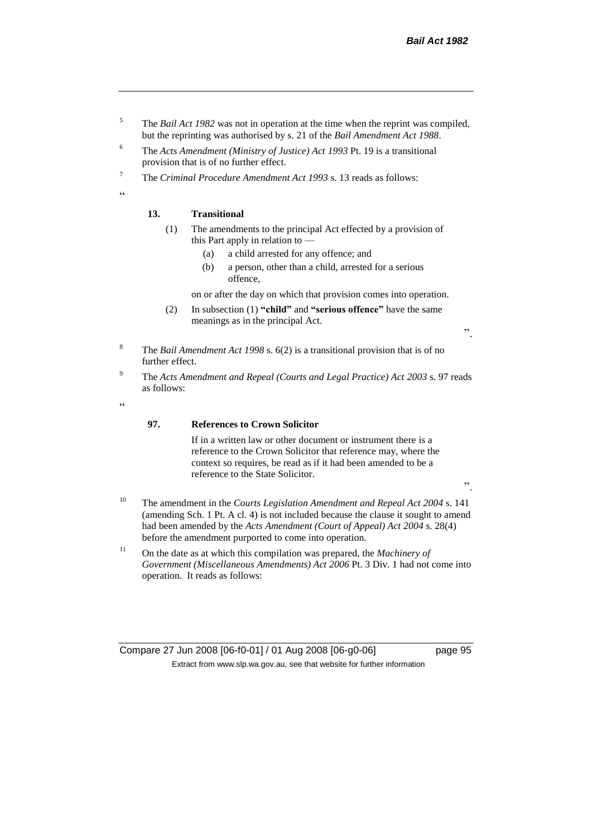- <sup>5</sup> The *Bail Act 1982* was not in operation at the time when the reprint was compiled, but the reprinting was authorised by s. 21 of the *Bail Amendment Act 1988*.
- <sup>6</sup> The *Acts Amendment (Ministry of Justice) Act 1993* Pt. 19 is a transitional provision that is of no further effect.
- <sup>7</sup> The *Criminal Procedure Amendment Act 1993* s. 13 reads as follows:

"

### **13. Transitional**

- (1) The amendments to the principal Act effected by a provision of this Part apply in relation to —
	- (a) a child arrested for any offence; and
	- (b) a person, other than a child, arrested for a serious offence,

on or after the day on which that provision comes into operation.

(2) In subsection (1) **"child"** and **"serious offence"** have the same meanings as in the principal Act.

".

- <sup>8</sup> The *Bail Amendment Act 1998* s. 6(2) is a transitional provision that is of no further effect.
- <sup>9</sup> The *Acts Amendment and Repeal (Courts and Legal Practice) Act 2003* s. 97 reads as follows:

 $\epsilon$ 

#### **97. References to Crown Solicitor**

If in a written law or other document or instrument there is a reference to the Crown Solicitor that reference may, where the context so requires, be read as if it had been amended to be a reference to the State Solicitor.

".

- <sup>10</sup> The amendment in the *Courts Legislation Amendment and Repeal Act 2004* s. 141 (amending Sch. 1 Pt. A cl. 4) is not included because the clause it sought to amend had been amended by the *Acts Amendment (Court of Appeal) Act 2004* s. 28(4) before the amendment purported to come into operation.
- <sup>11</sup> On the date as at which this compilation was prepared, the *Machinery of Government (Miscellaneous Amendments) Act 2006* Pt. 3 Div. 1 had not come into operation. It reads as follows:

Compare 27 Jun 2008 [06-f0-01] / 01 Aug 2008 [06-g0-06] page 95 Extract from www.slp.wa.gov.au, see that website for further information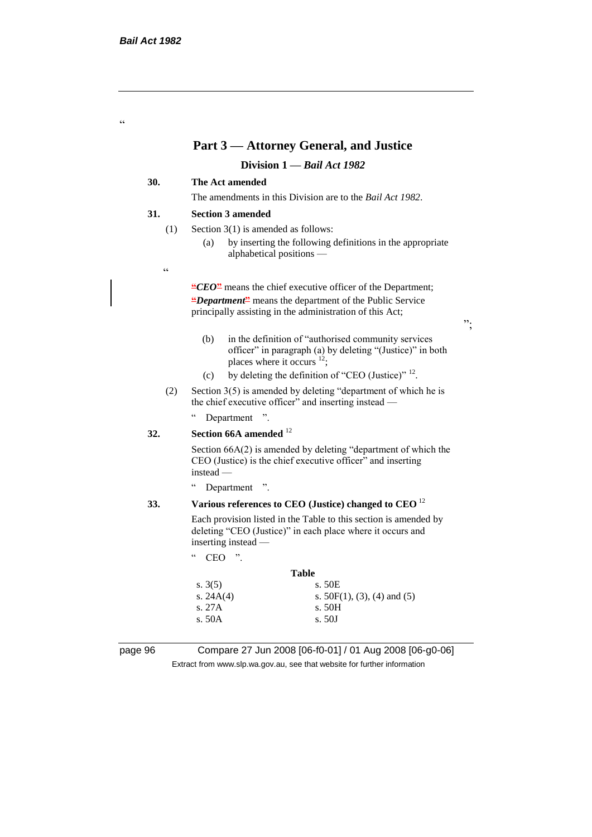.<br>C

## **Part 3 — Attorney General, and Justice**

### **Division 1 —** *Bail Act 1982*

### **30. The Act amended**

The amendments in this Division are to the *Bail Act 1982*.

#### **31. Section 3 amended**

- (1) Section 3(1) is amended as follows:
	- (a) by inserting the following definitions in the appropriate alphabetical positions —
- $\epsilon$

**"***CEO***"** means the chief executive officer of the Department; **"***Department***"** means the department of the Public Service principally assisting in the administration of this Act;

(b) in the definition of "authorised community services officer" in paragraph (a) by deleting "(Justice)" in both places where it occurs  $12$ ;

";

- (c) by deleting the definition of "CEO (Justice)"  $^{12}$ .
- (2) Section 3(5) is amended by deleting "department of which he is the chief executive officer" and inserting instead —

" Department ".

### **32. Section 66A amended** <sup>12</sup>

Section 66A(2) is amended by deleting "department of which the CEO (Justice) is the chief executive officer" and inserting instead —

" Department ".

#### **33. Various references to CEO (Justice) changed to CEO** <sup>12</sup>

Each provision listed in the Table to this section is amended by deleting "CEO (Justice)" in each place where it occurs and inserting instead —

" CEO ".

## **Table** s. 3(5) s. 50E s.  $24A(4)$  s.  $50F(1), (3), (4)$  and (5) s. 27A s. 50H s. 50A s. 50J

page 96 Compare 27 Jun 2008 [06-f0-01] / 01 Aug 2008 [06-g0-06] Extract from www.slp.wa.gov.au, see that website for further information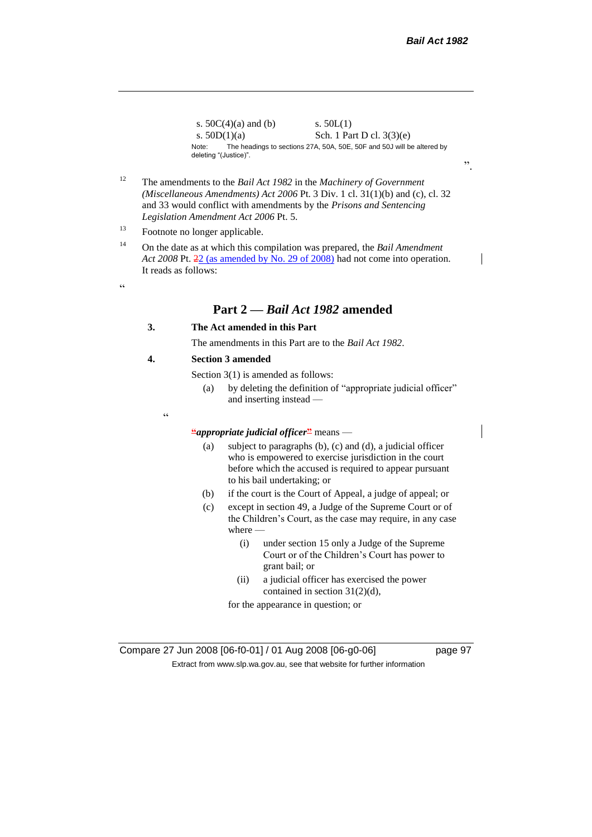s.  $50C(4)(a)$  and (b) s.  $50L(1)$ s.  $50D(1)(a)$  Sch. 1 Part D cl.  $3(3)(e)$ Note: The headings to sections 27A, 50A, 50E, 50F and 50J will be altered by deleting "(Justice)".

- <sup>12</sup> The amendments to the *Bail Act 1982* in the *Machinery of Government (Miscellaneous Amendments) Act 2006* Pt. 3 Div. 1 cl. 31(1)(b) and (c), cl. 32 and 33 would conflict with amendments by the *Prisons and Sentencing Legislation Amendment Act 2006* Pt. 5.
- <sup>13</sup> Footnote no longer applicable.
- <sup>14</sup> On the date as at which this compilation was prepared, the *Bail Amendment Act 2008* Pt. 22 (as amended by No. 29 of 2008) had not come into operation. It reads as follows:
- $\epsilon$

## **Part 2 —** *Bail Act 1982* **amended**

#### **3. The Act amended in this Part**

The amendments in this Part are to the *Bail Act 1982*.

#### **4. Section 3 amended**

Section 3(1) is amended as follows:

- (a) by deleting the definition of "appropriate judicial officer" and inserting instead —
- 

 $\epsilon$ 

## **"***appropriate judicial officer***"** means —

- (a) subject to paragraphs (b), (c) and (d), a judicial officer who is empowered to exercise jurisdiction in the court before which the accused is required to appear pursuant to his bail undertaking; or
- (b) if the court is the Court of Appeal, a judge of appeal; or
- (c) except in section 49, a Judge of the Supreme Court or of the Children's Court, as the case may require, in any case where —
	- (i) under section 15 only a Judge of the Supreme Court or of the Children's Court has power to grant bail; or
	- (ii) a judicial officer has exercised the power contained in section 31(2)(d),

for the appearance in question; or

".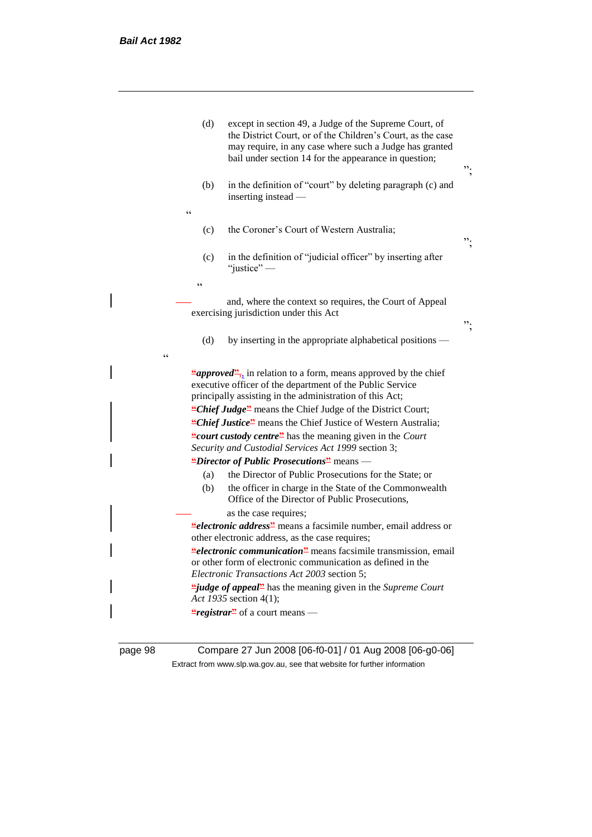|            | (d)               | except in section 49, a Judge of the Supreme Court, of<br>the District Court, or of the Children's Court, as the case<br>may require, in any case where such a Judge has granted<br>bail under section 14 for the appearance in question; | ". |
|------------|-------------------|-------------------------------------------------------------------------------------------------------------------------------------------------------------------------------------------------------------------------------------------|----|
|            | (b)<br>$\epsilon$ | in the definition of "court" by deleting paragraph (c) and<br>inserting instead —                                                                                                                                                         |    |
|            | (c)               | the Coroner's Court of Western Australia;                                                                                                                                                                                                 | ". |
|            | (c)               | in the definition of "judicial officer" by inserting after<br>"justice" $-$                                                                                                                                                               |    |
|            | $\epsilon$        |                                                                                                                                                                                                                                           |    |
|            |                   | and, where the context so requires, the Court of Appeal<br>exercising jurisdiction under this Act                                                                                                                                         | ". |
| $\epsilon$ | (d)               | by inserting in the appropriate alphabetical positions -                                                                                                                                                                                  |    |
|            |                   |                                                                                                                                                                                                                                           |    |
|            |                   | " <i>approved</i> ", in relation to a form, means approved by the chief<br>executive officer of the department of the Public Service<br>principally assisting in the administration of this Act;                                          |    |
|            |                   | "Chief Judge" means the Chief Judge of the District Court;                                                                                                                                                                                |    |
|            |                   | "Chief Justice" means the Chief Justice of Western Australia;                                                                                                                                                                             |    |
|            |                   | "court custody centre" has the meaning given in the Court<br>Security and Custodial Services Act 1999 section 3;                                                                                                                          |    |
|            |                   | "Director of Public Prosecutions" means -                                                                                                                                                                                                 |    |
|            | (a)               | the Director of Public Prosecutions for the State; or                                                                                                                                                                                     |    |
|            | (b)               | the officer in charge in the State of the Commonwealth<br>Office of the Director of Public Prosecutions,                                                                                                                                  |    |
|            |                   | as the case requires;                                                                                                                                                                                                                     |    |
|            |                   | <i>electronic address<sup>22</sup></i> means a facsimile number, email address or<br>other electronic address, as the case requires;                                                                                                      |    |
|            |                   | <i>electronic communication<sup>2</sup></i> means facsimile transmission, email<br>or other form of electronic communication as defined in the<br>Electronic Transactions Act 2003 section 5;                                             |    |
|            |                   | <i>ijudge of appeal</i> <sup>2</sup> has the meaning given in the Supreme Court<br>Act 1935 section 4(1);                                                                                                                                 |    |
|            |                   | "registrar" of a court means —                                                                                                                                                                                                            |    |
|            |                   |                                                                                                                                                                                                                                           |    |

page 98 Compare 27 Jun 2008 [06-f0-01] / 01 Aug 2008 [06-g0-06] Extract from www.slp.wa.gov.au, see that website for further information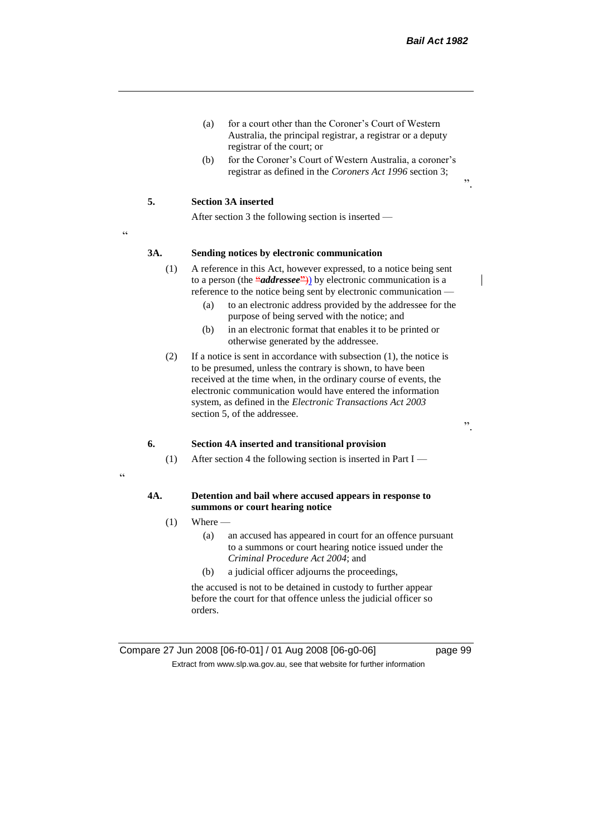- (a) for a court other than the Coroner's Court of Western Australia, the principal registrar, a registrar or a deputy registrar of the court; or
- (b) for the Coroner's Court of Western Australia, a coroner's registrar as defined in the *Coroners Act 1996* section 3;

#### **5. Section 3A inserted**

After section 3 the following section is inserted —

<u>،</u>

#### **3A. Sending notices by electronic communication**

- (1) A reference in this Act, however expressed, to a notice being sent to a person (the **"***addressee***"**)) by electronic communication is a reference to the notice being sent by electronic communication —
	- (a) to an electronic address provided by the addressee for the purpose of being served with the notice; and
	- (b) in an electronic format that enables it to be printed or otherwise generated by the addressee.
- (2) If a notice is sent in accordance with subsection (1), the notice is to be presumed, unless the contrary is shown, to have been received at the time when, in the ordinary course of events, the electronic communication would have entered the information system, as defined in the *Electronic Transactions Act 2003* section 5, of the addressee.

".

".

#### **6. Section 4A inserted and transitional provision**

(1) After section 4 the following section is inserted in Part I —

### "

#### **4A. Detention and bail where accused appears in response to summons or court hearing notice**

- $(1)$  Where
	- (a) an accused has appeared in court for an offence pursuant to a summons or court hearing notice issued under the *Criminal Procedure Act 2004*; and
	- (b) a judicial officer adjourns the proceedings,

the accused is not to be detained in custody to further appear before the court for that offence unless the judicial officer so orders.

Compare 27 Jun 2008 [06-f0-01] / 01 Aug 2008 [06-g0-06] page 99 Extract from www.slp.wa.gov.au, see that website for further information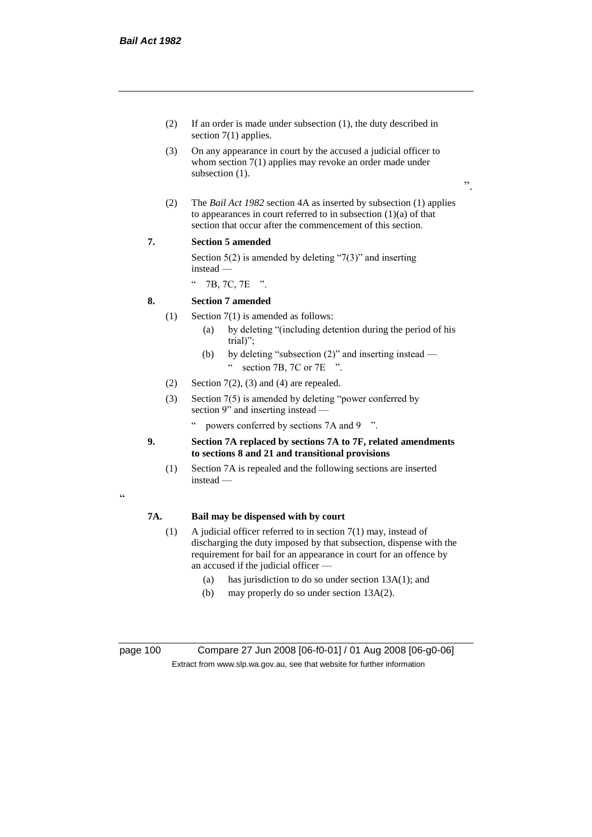"

- (2) If an order is made under subsection (1), the duty described in section 7(1) applies.
- (3) On any appearance in court by the accused a judicial officer to whom section 7(1) applies may revoke an order made under subsection  $(1)$ .
- ".
- (2) The *Bail Act 1982* section 4A as inserted by subsection (1) applies to appearances in court referred to in subsection  $(1)(a)$  of that section that occur after the commencement of this section.

### **7. Section 5 amended**

Section  $5(2)$  is amended by deleting "7(3)" and inserting instead —

" 7B, 7C, 7E ".

### **8. Section 7 amended**

- (1) Section 7(1) is amended as follows:
	- (a) by deleting "(including detention during the period of his trial)";
	- (b) by deleting "subsection (2)" and inserting instead " section 7B, 7C or 7E ".
- (2) Section  $7(2)$ , (3) and (4) are repealed.
- (3) Section 7(5) is amended by deleting "power conferred by section 9" and inserting instead
	- powers conferred by sections 7A and 9  $\degree$ ".
- **9. Section 7A replaced by sections 7A to 7F, related amendments to sections 8 and 21 and transitional provisions**
	- (1) Section 7A is repealed and the following sections are inserted instead —

## **7A. Bail may be dispensed with by court**

- (1) A judicial officer referred to in section 7(1) may, instead of discharging the duty imposed by that subsection, dispense with the requirement for bail for an appearance in court for an offence by an accused if the judicial officer —
	- (a) has jurisdiction to do so under section 13A(1); and
	- (b) may properly do so under section 13A(2).

page 100 Compare 27 Jun 2008 [06-f0-01] / 01 Aug 2008 [06-g0-06] Extract from www.slp.wa.gov.au, see that website for further information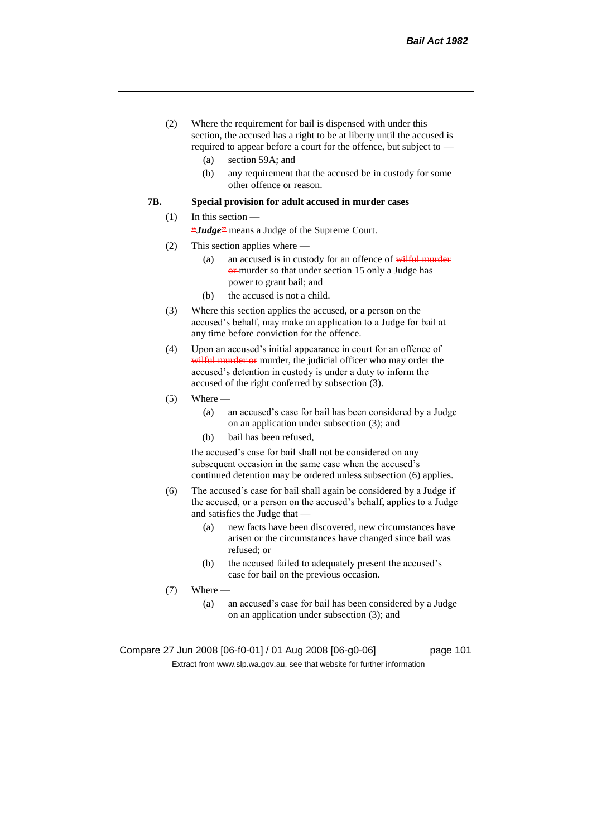- (2) Where the requirement for bail is dispensed with under this section, the accused has a right to be at liberty until the accused is required to appear before a court for the offence, but subject to —
	- (a) section 59A; and
	- (b) any requirement that the accused be in custody for some other offence or reason.

### **7B. Special provision for adult accused in murder cases**

#### (1) In this section —

**"***Judge***"** means a Judge of the Supreme Court.

- (2) This section applies where
	- (a) an accused is in custody for an offence of wilful murder **or**-murder so that under section 15 only a Judge has power to grant bail; and
	- (b) the accused is not a child.
- (3) Where this section applies the accused, or a person on the accused's behalf, may make an application to a Judge for bail at any time before conviction for the offence.
- (4) Upon an accused's initial appearance in court for an offence of wilful murder or murder, the judicial officer who may order the accused's detention in custody is under a duty to inform the accused of the right conferred by subsection (3).
- $(5)$  Where
	- (a) an accused's case for bail has been considered by a Judge on an application under subsection (3); and
	- (b) bail has been refused,

the accused's case for bail shall not be considered on any subsequent occasion in the same case when the accused's continued detention may be ordered unless subsection (6) applies.

- (6) The accused's case for bail shall again be considered by a Judge if the accused, or a person on the accused's behalf, applies to a Judge and satisfies the Judge that —
	- (a) new facts have been discovered, new circumstances have arisen or the circumstances have changed since bail was refused; or
	- (b) the accused failed to adequately present the accused's case for bail on the previous occasion.
- (7) Where
	- (a) an accused's case for bail has been considered by a Judge on an application under subsection (3); and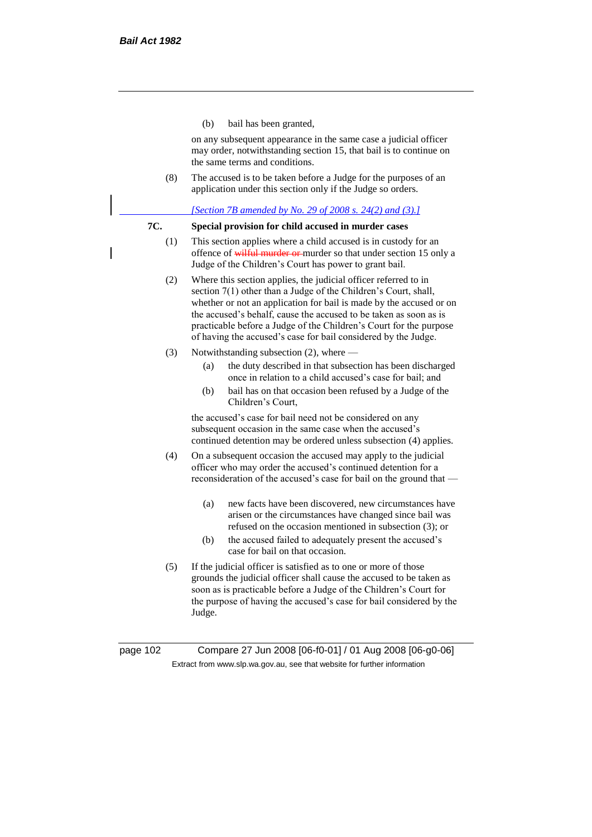(b) bail has been granted,

on any subsequent appearance in the same case a judicial officer may order, notwithstanding section 15, that bail is to continue on the same terms and conditions.

(8) The accused is to be taken before a Judge for the purposes of an application under this section only if the Judge so orders.

#### *[Section 7B amended by No. 29 of 2008 s. 24(2) and (3).]*

### **7C. Special provision for child accused in murder cases**

- (1) This section applies where a child accused is in custody for an offence of wilful murder or murder so that under section 15 only a Judge of the Children's Court has power to grant bail.
- (2) Where this section applies, the judicial officer referred to in section 7(1) other than a Judge of the Children's Court, shall, whether or not an application for bail is made by the accused or on the accused's behalf, cause the accused to be taken as soon as is practicable before a Judge of the Children's Court for the purpose of having the accused's case for bail considered by the Judge.
- (3) Notwithstanding subsection (2), where
	- (a) the duty described in that subsection has been discharged once in relation to a child accused's case for bail; and
	- (b) bail has on that occasion been refused by a Judge of the Children's Court,

the accused's case for bail need not be considered on any subsequent occasion in the same case when the accused's continued detention may be ordered unless subsection (4) applies.

- (4) On a subsequent occasion the accused may apply to the judicial officer who may order the accused's continued detention for a reconsideration of the accused's case for bail on the ground that —
	- (a) new facts have been discovered, new circumstances have arisen or the circumstances have changed since bail was refused on the occasion mentioned in subsection (3); or
	- (b) the accused failed to adequately present the accused's case for bail on that occasion.
- (5) If the judicial officer is satisfied as to one or more of those grounds the judicial officer shall cause the accused to be taken as soon as is practicable before a Judge of the Children's Court for the purpose of having the accused's case for bail considered by the Judge.

page 102 Compare 27 Jun 2008 [06-f0-01] / 01 Aug 2008 [06-g0-06] Extract from www.slp.wa.gov.au, see that website for further information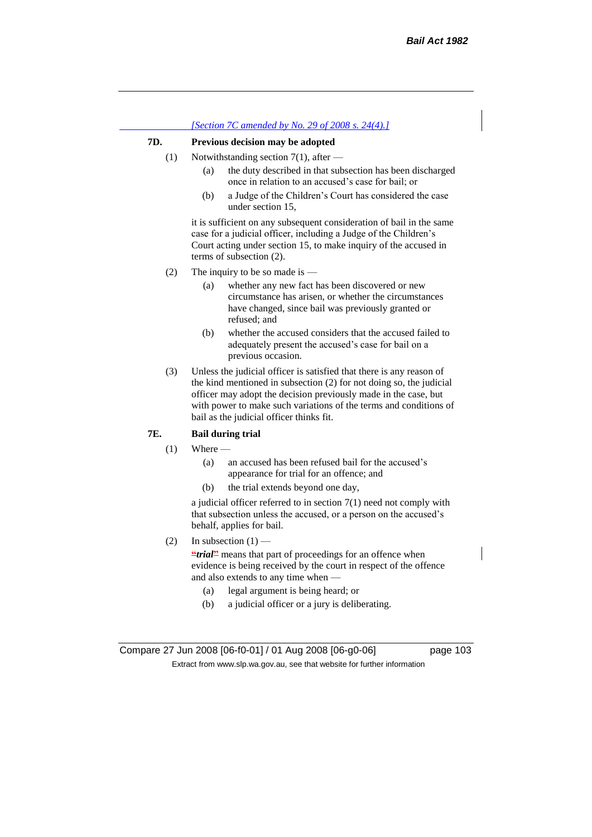## *[Section 7C amended by No. 29 of 2008 s. 24(4).]* **7D. Previous decision may be adopted** (1) Notwithstanding section 7(1), after — (a) the duty described in that subsection has been discharged once in relation to an accused's case for bail; or (b) a Judge of the Children's Court has considered the case under section 15, it is sufficient on any subsequent consideration of bail in the same

case for a judicial officer, including a Judge of the Children's Court acting under section 15, to make inquiry of the accused in terms of subsection (2).

- (2) The inquiry to be so made is  $-$ 
	- (a) whether any new fact has been discovered or new circumstance has arisen, or whether the circumstances have changed, since bail was previously granted or refused; and
	- (b) whether the accused considers that the accused failed to adequately present the accused's case for bail on a previous occasion.
- (3) Unless the judicial officer is satisfied that there is any reason of the kind mentioned in subsection (2) for not doing so, the judicial officer may adopt the decision previously made in the case, but with power to make such variations of the terms and conditions of bail as the judicial officer thinks fit.

### **7E. Bail during trial**

- $(1)$  Where
	- (a) an accused has been refused bail for the accused's appearance for trial for an offence; and
	- (b) the trial extends beyond one day,

a judicial officer referred to in section 7(1) need not comply with that subsection unless the accused, or a person on the accused's behalf, applies for bail.

(2) In subsection  $(1)$  —

**"***trial*" means that part of proceedings for an offence when evidence is being received by the court in respect of the offence and also extends to any time when —

- (a) legal argument is being heard; or
- (b) a judicial officer or a jury is deliberating.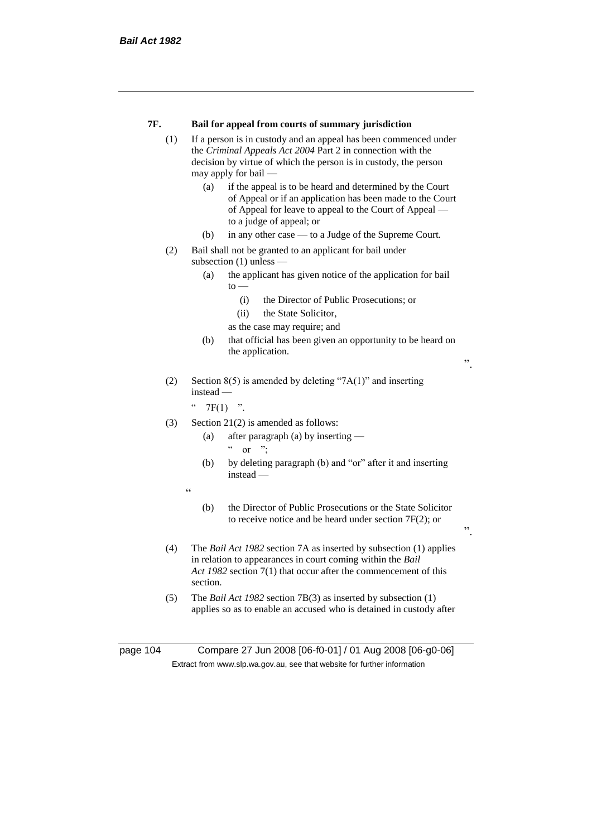| 7F. | Bail for appeal from courts of summary jurisdiction |  |  |
|-----|-----------------------------------------------------|--|--|
|-----|-----------------------------------------------------|--|--|

- (1) If a person is in custody and an appeal has been commenced under the *Criminal Appeals Act 2004* Part 2 in connection with the decision by virtue of which the person is in custody, the person may apply for bail —
	- (a) if the appeal is to be heard and determined by the Court of Appeal or if an application has been made to the Court of Appeal for leave to appeal to the Court of Appeal to a judge of appeal; or
	- (b) in any other case to a Judge of the Supreme Court.
- (2) Bail shall not be granted to an applicant for bail under subsection (1) unless —
	- (a) the applicant has given notice of the application for bail  $to -$ 
		- (i) the Director of Public Prosecutions; or
		- (ii) the State Solicitor,
		- as the case may require; and
	- (b) that official has been given an opportunity to be heard on the application.

".

".

(2) Section 8(5) is amended by deleting "7A(1)" and inserting instead —

 $"$  7F(1) ".

- (3) Section 21(2) is amended as follows:
	- (a) after paragraph (a) by inserting  $\alpha$  or ";
	- (b) by deleting paragraph (b) and "or" after it and inserting instead —
	- "
- (b) the Director of Public Prosecutions or the State Solicitor to receive notice and be heard under section 7F(2); or
- (4) The *Bail Act 1982* section 7A as inserted by subsection (1) applies in relation to appearances in court coming within the *Bail Act 1982* section 7(1) that occur after the commencement of this section.
- (5) The *Bail Act 1982* section 7B(3) as inserted by subsection (1) applies so as to enable an accused who is detained in custody after

page 104 Compare 27 Jun 2008 [06-f0-01] / 01 Aug 2008 [06-g0-06] Extract from www.slp.wa.gov.au, see that website for further information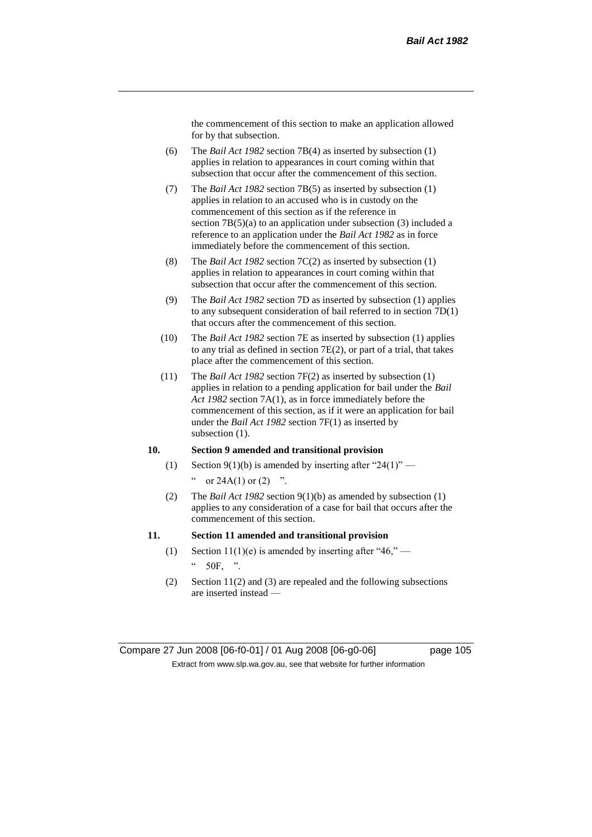the commencement of this section to make an application allowed for by that subsection.

- (6) The *Bail Act 1982* section 7B(4) as inserted by subsection (1) applies in relation to appearances in court coming within that subsection that occur after the commencement of this section.
- (7) The *Bail Act 1982* section 7B(5) as inserted by subsection (1) applies in relation to an accused who is in custody on the commencement of this section as if the reference in section 7B(5)(a) to an application under subsection (3) included a reference to an application under the *Bail Act 1982* as in force immediately before the commencement of this section.
- (8) The *Bail Act 1982* section 7C(2) as inserted by subsection (1) applies in relation to appearances in court coming within that subsection that occur after the commencement of this section.
- (9) The *Bail Act 1982* section 7D as inserted by subsection (1) applies to any subsequent consideration of bail referred to in section 7D(1) that occurs after the commencement of this section.
- (10) The *Bail Act 1982* section 7E as inserted by subsection (1) applies to any trial as defined in section 7E(2), or part of a trial, that takes place after the commencement of this section.
- (11) The *Bail Act 1982* section 7F(2) as inserted by subsection (1) applies in relation to a pending application for bail under the *Bail Act 1982* section 7A(1), as in force immediately before the commencement of this section, as if it were an application for bail under the *Bail Act 1982* section 7F(1) as inserted by subsection  $(1)$ .

### **10. Section 9 amended and transitional provision**

- (1) Section 9(1)(b) is amended by inserting after "24(1)" " or  $24A(1)$  or  $(2)$  ".
- (2) The *Bail Act 1982* section 9(1)(b) as amended by subsection (1) applies to any consideration of a case for bail that occurs after the commencement of this section.

#### **11. Section 11 amended and transitional provision**

- (1) Section 11(1)(e) is amended by inserting after "46,"  $\degree$  50F, ".
- (2) Section 11(2) and (3) are repealed and the following subsections are inserted instead —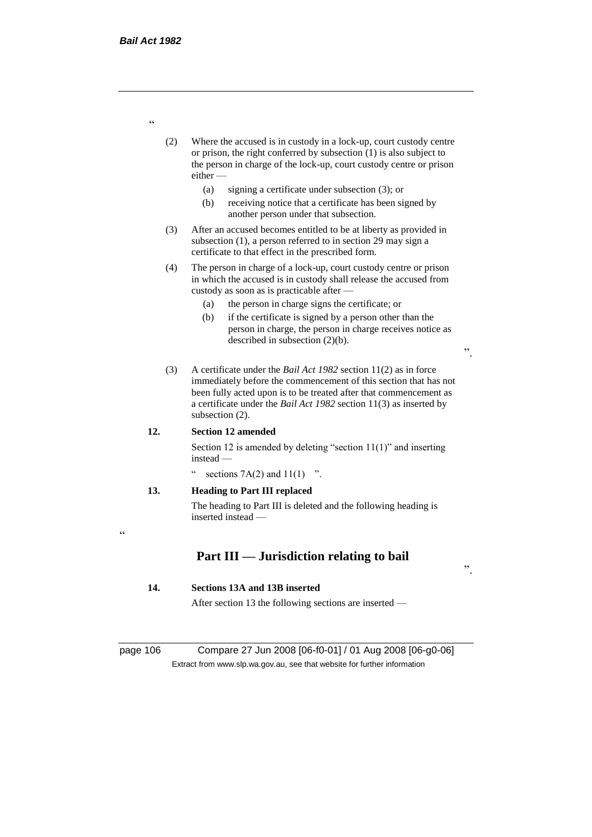- (2) Where the accused is in custody in a lock-up, court custody centre or prison, the right conferred by subsection (1) is also subject to the person in charge of the lock-up, court custody centre or prison either —
	- (a) signing a certificate under subsection (3); or
	- (b) receiving notice that a certificate has been signed by another person under that subsection.
- (3) After an accused becomes entitled to be at liberty as provided in subsection (1), a person referred to in section 29 may sign a certificate to that effect in the prescribed form.
- (4) The person in charge of a lock-up, court custody centre or prison in which the accused is in custody shall release the accused from custody as soon as is practicable after —
	- (a) the person in charge signs the certificate; or
	- (b) if the certificate is signed by a person other than the person in charge, the person in charge receives notice as described in subsection (2)(b).

".

".

(3) A certificate under the *Bail Act 1982* section 11(2) as in force immediately before the commencement of this section that has not been fully acted upon is to be treated after that commencement as a certificate under the *Bail Act 1982* section 11(3) as inserted by subsection (2).

#### **12. Section 12 amended**

Section 12 is amended by deleting "section 11(1)" and inserting instead —

sections  $7A(2)$  and  $11(1)$  ".

### **13. Heading to Part III replaced**

The heading to Part III is deleted and the following heading is inserted instead —

 $\epsilon$ 

# **Part III — Jurisdiction relating to bail**

#### **14. Sections 13A and 13B inserted**

After section 13 the following sections are inserted —

page 106 Compare 27 Jun 2008 [06-f0-01] / 01 Aug 2008 [06-g0-06] Extract from www.slp.wa.gov.au, see that website for further information

"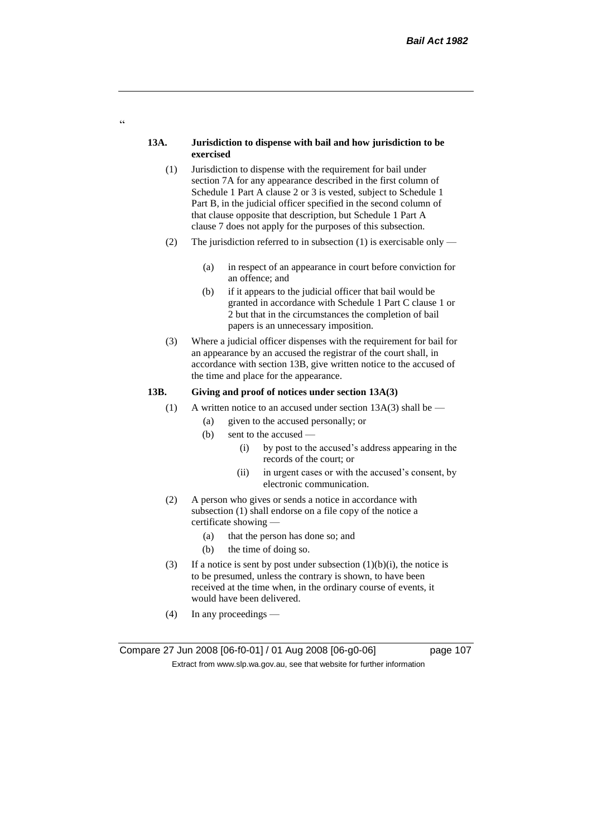#### **13A. Jurisdiction to dispense with bail and how jurisdiction to be exercised**

 $\epsilon$ 

- (1) Jurisdiction to dispense with the requirement for bail under section 7A for any appearance described in the first column of Schedule 1 Part A clause 2 or 3 is vested, subject to Schedule 1 Part B, in the judicial officer specified in the second column of that clause opposite that description, but Schedule 1 Part A clause 7 does not apply for the purposes of this subsection.
- (2) The jurisdiction referred to in subsection (1) is exercisable only
	- (a) in respect of an appearance in court before conviction for an offence; and
	- (b) if it appears to the judicial officer that bail would be granted in accordance with Schedule 1 Part C clause 1 or 2 but that in the circumstances the completion of bail papers is an unnecessary imposition.
- (3) Where a judicial officer dispenses with the requirement for bail for an appearance by an accused the registrar of the court shall, in accordance with section 13B, give written notice to the accused of the time and place for the appearance.

#### **13B. Giving and proof of notices under section 13A(3)**

- (1) A written notice to an accused under section  $13A(3)$  shall be
	- (a) given to the accused personally; or
	- (b) sent to the accused
		- (i) by post to the accused's address appearing in the records of the court; or
		- (ii) in urgent cases or with the accused's consent, by electronic communication.
- (2) A person who gives or sends a notice in accordance with subsection (1) shall endorse on a file copy of the notice a certificate showing —
	- (a) that the person has done so; and
	- (b) the time of doing so.
- (3) If a notice is sent by post under subsection  $(1)(b)(i)$ , the notice is to be presumed, unless the contrary is shown, to have been received at the time when, in the ordinary course of events, it would have been delivered.
- (4) In any proceedings —

Compare 27 Jun 2008 [06-f0-01] / 01 Aug 2008 [06-g0-06] page 107 Extract from www.slp.wa.gov.au, see that website for further information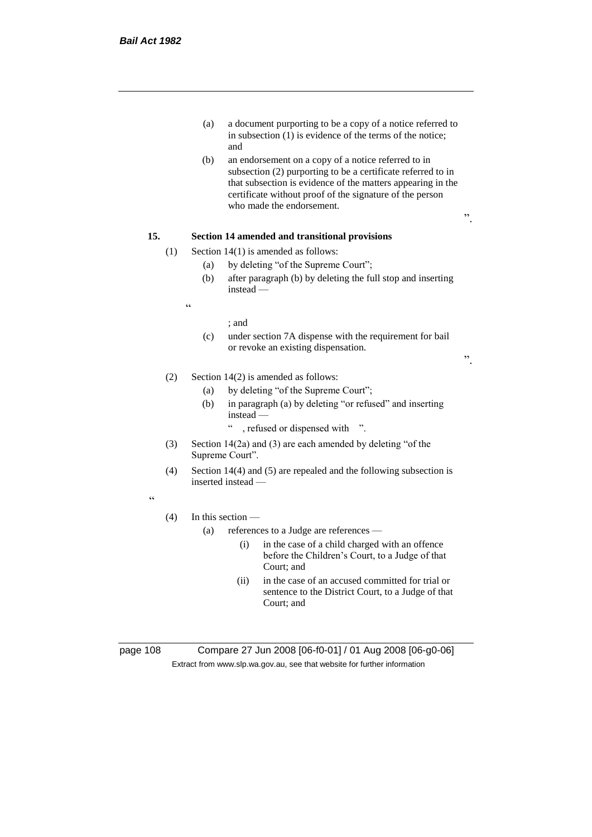- (a) a document purporting to be a copy of a notice referred to in subsection (1) is evidence of the terms of the notice; and
- (b) an endorsement on a copy of a notice referred to in subsection (2) purporting to be a certificate referred to in that subsection is evidence of the matters appearing in the certificate without proof of the signature of the person who made the endorsement.

# **15. Section 14 amended and transitional provisions**

- (1) Section 14(1) is amended as follows:
	- (a) by deleting "of the Supreme Court";
	- (b) after paragraph (b) by deleting the full stop and inserting instead —

 $\epsilon$ 

#### ; and

(c) under section 7A dispense with the requirement for bail or revoke an existing dispensation.

".

".

## (2) Section 14(2) is amended as follows:

- (a) by deleting "of the Supreme Court";
- (b) in paragraph (a) by deleting "or refused" and inserting instead —
	- " , refused or dispensed with ".
- (3) Section 14(2a) and (3) are each amended by deleting "of the Supreme Court".
- (4) Section 14(4) and (5) are repealed and the following subsection is inserted instead —

 $\epsilon$ 

## (4) In this section —

- (a) references to a Judge are references
	- (i) in the case of a child charged with an offence before the Children's Court, to a Judge of that Court; and
	- (ii) in the case of an accused committed for trial or sentence to the District Court, to a Judge of that Court; and

page 108 Compare 27 Jun 2008 [06-f0-01] / 01 Aug 2008 [06-g0-06] Extract from www.slp.wa.gov.au, see that website for further information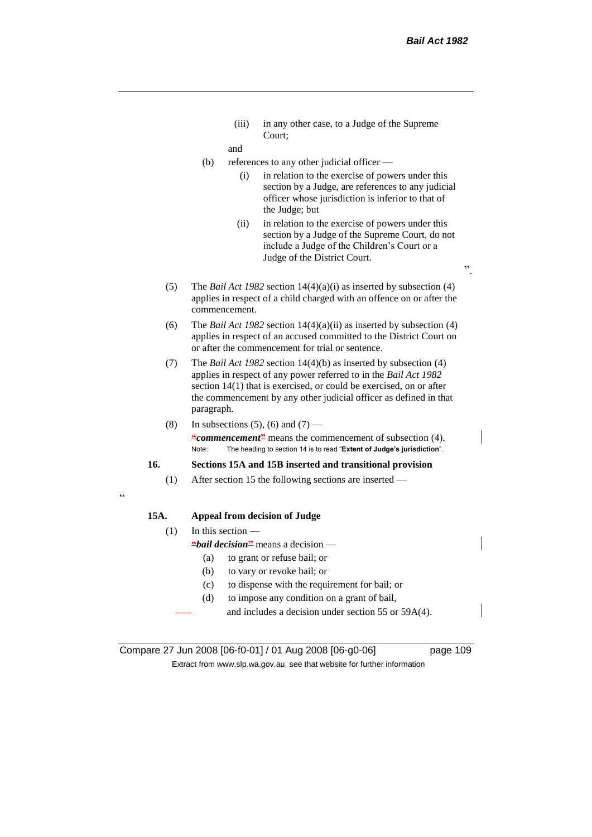(iii) in any other case, to a Judge of the Supreme Court;

and

- (b) references to any other judicial officer
	- (i) in relation to the exercise of powers under this section by a Judge, are references to any judicial officer whose jurisdiction is inferior to that of the Judge; but
	- (ii) in relation to the exercise of powers under this section by a Judge of the Supreme Court, do not include a Judge of the Children's Court or a Judge of the District Court.
- (5) The *Bail Act 1982* section 14(4)(a)(i) as inserted by subsection (4) applies in respect of a child charged with an offence on or after the commencement.
- (6) The *Bail Act 1982* section 14(4)(a)(ii) as inserted by subsection (4) applies in respect of an accused committed to the District Court on or after the commencement for trial or sentence.
- (7) The *Bail Act 1982* section 14(4)(b) as inserted by subsection (4) applies in respect of any power referred to in the *Bail Act 1982* section  $14(1)$  that is exercised, or could be exercised, on or after the commencement by any other judicial officer as defined in that paragraph.
- (8) In subsections (5), (6) and  $(7)$  **"***commencement***"** means the commencement of subsection (4). Note: The heading to section 14 is to read "**Extent of Judge's jurisdiction**".

#### **16. Sections 15A and 15B inserted and transitional provision**

(1) After section 15 the following sections are inserted —

## **15A. Appeal from decision of Judge**

(1) In this section —

 $\epsilon$ 

**"***bail decision***"** means a decision —

- (a) to grant or refuse bail; or
- (b) to vary or revoke bail; or
- (c) to dispense with the requirement for bail; or
- (d) to impose any condition on a grant of bail,
	- and includes a decision under section 55 or 59A(4).

Compare 27 Jun 2008 [06-f0-01] / 01 Aug 2008 [06-g0-06] page 109 Extract from www.slp.wa.gov.au, see that website for further information

 $\cdot$ ,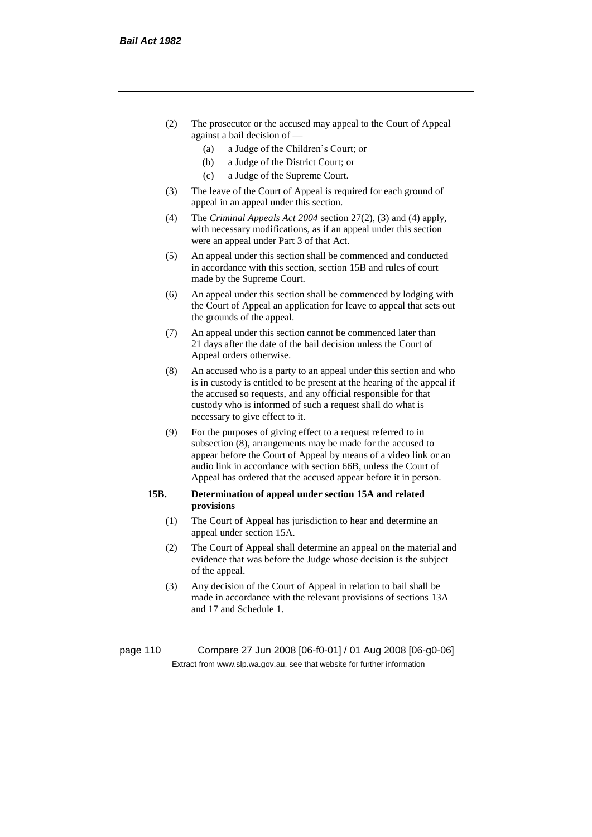- (2) The prosecutor or the accused may appeal to the Court of Appeal against a bail decision of —
	- (a) a Judge of the Children's Court; or
	- (b) a Judge of the District Court; or
	- (c) a Judge of the Supreme Court.
- (3) The leave of the Court of Appeal is required for each ground of appeal in an appeal under this section.
- (4) The *Criminal Appeals Act 2004* section 27(2), (3) and (4) apply, with necessary modifications, as if an appeal under this section were an appeal under Part 3 of that Act.
- (5) An appeal under this section shall be commenced and conducted in accordance with this section, section 15B and rules of court made by the Supreme Court.
- (6) An appeal under this section shall be commenced by lodging with the Court of Appeal an application for leave to appeal that sets out the grounds of the appeal.
- (7) An appeal under this section cannot be commenced later than 21 days after the date of the bail decision unless the Court of Appeal orders otherwise.
- (8) An accused who is a party to an appeal under this section and who is in custody is entitled to be present at the hearing of the appeal if the accused so requests, and any official responsible for that custody who is informed of such a request shall do what is necessary to give effect to it.
- (9) For the purposes of giving effect to a request referred to in subsection (8), arrangements may be made for the accused to appear before the Court of Appeal by means of a video link or an audio link in accordance with section 66B, unless the Court of Appeal has ordered that the accused appear before it in person.

## **15B. Determination of appeal under section 15A and related provisions**

- (1) The Court of Appeal has jurisdiction to hear and determine an appeal under section 15A.
- (2) The Court of Appeal shall determine an appeal on the material and evidence that was before the Judge whose decision is the subject of the appeal.
- (3) Any decision of the Court of Appeal in relation to bail shall be made in accordance with the relevant provisions of sections 13A and 17 and Schedule 1.

page 110 Compare 27 Jun 2008 [06-f0-01] / 01 Aug 2008 [06-g0-06] Extract from www.slp.wa.gov.au, see that website for further information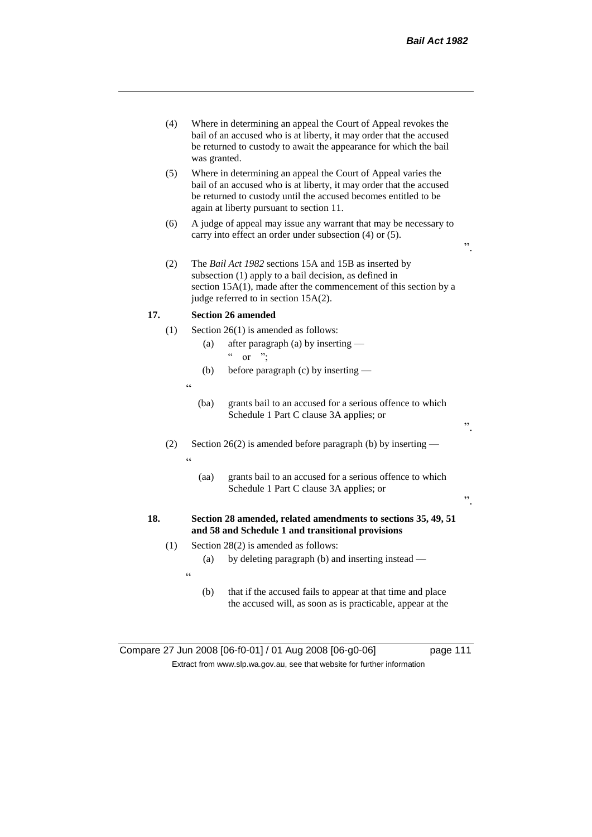".

".

- (4) Where in determining an appeal the Court of Appeal revokes the bail of an accused who is at liberty, it may order that the accused be returned to custody to await the appearance for which the bail was granted.
- (5) Where in determining an appeal the Court of Appeal varies the bail of an accused who is at liberty, it may order that the accused be returned to custody until the accused becomes entitled to be again at liberty pursuant to section 11.
- (6) A judge of appeal may issue any warrant that may be necessary to carry into effect an order under subsection (4) or (5).
- (2) The *Bail Act 1982* sections 15A and 15B as inserted by subsection (1) apply to a bail decision, as defined in section 15A(1), made after the commencement of this section by a judge referred to in section 15A(2).

## **17. Section 26 amended**

- (1) Section 26(1) is amended as follows:
	- (a) after paragraph (a) by inserting  $\frac{1}{2}$  or ";
	- (b) before paragraph (c) by inserting —
	- $\epsilon$

 $\epsilon$ 

- (ba) grants bail to an accused for a serious offence to which Schedule 1 Part C clause 3A applies; or
- (2) Section 26(2) is amended before paragraph (b) by inserting
	- (aa) grants bail to an accused for a serious offence to which Schedule 1 Part C clause 3A applies; or

## **18. Section 28 amended, related amendments to sections 35, 49, 51 and 58 and Schedule 1 and transitional provisions**

- (1) Section 28(2) is amended as follows:
	- (a) by deleting paragraph (b) and inserting instead —
	- $\epsilon$
- (b) that if the accused fails to appear at that time and place the accused will, as soon as is practicable, appear at the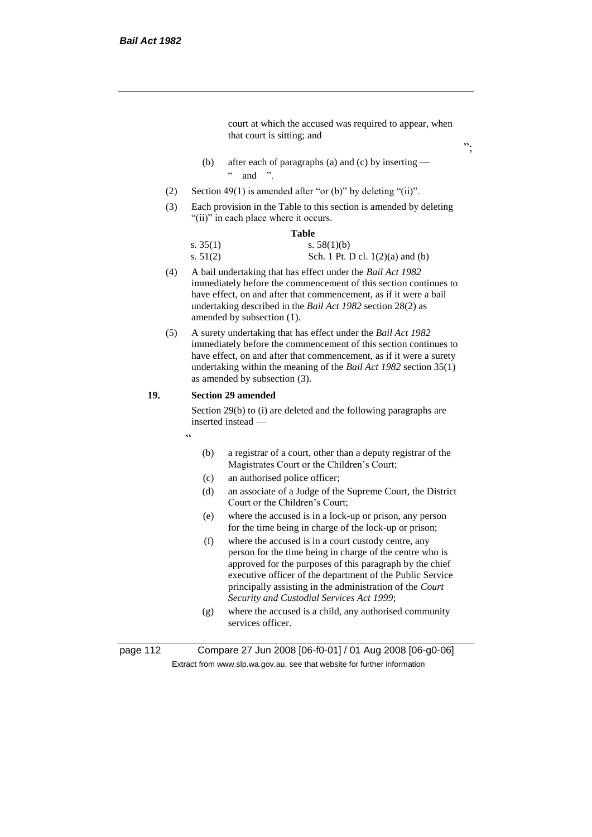court at which the accused was required to appear, when that court is sitting; and

";

- (b) after each of paragraphs (a) and (c) by inserting  $\frac{1}{2}$  and "
- (2) Section 49(1) is amended after "or (b)" by deleting "(ii)".
- (3) Each provision in the Table to this section is amended by deleting "(ii)" in each place where it occurs.

#### **Table**

| s. $35(1)$ | s. $58(1)(b)$                      |
|------------|------------------------------------|
| s. $51(2)$ | Sch. 1 Pt. D cl. $1(2)(a)$ and (b) |

- (4) A bail undertaking that has effect under the *Bail Act 1982* immediately before the commencement of this section continues to have effect, on and after that commencement, as if it were a bail undertaking described in the *Bail Act 1982* section 28(2) as amended by subsection (1).
- (5) A surety undertaking that has effect under the *Bail Act 1982* immediately before the commencement of this section continues to have effect, on and after that commencement, as if it were a surety undertaking within the meaning of the *Bail Act 1982* section 35(1) as amended by subsection (3).

## **19. Section 29 amended**

Section 29(b) to (i) are deleted and the following paragraphs are inserted instead —

- "
- (b) a registrar of a court, other than a deputy registrar of the Magistrates Court or the Children's Court;
- (c) an authorised police officer;
- (d) an associate of a Judge of the Supreme Court, the District Court or the Children's Court;
- (e) where the accused is in a lock-up or prison, any person for the time being in charge of the lock-up or prison;
- (f) where the accused is in a court custody centre, any person for the time being in charge of the centre who is approved for the purposes of this paragraph by the chief executive officer of the department of the Public Service principally assisting in the administration of the *Court Security and Custodial Services Act 1999*;
- (g) where the accused is a child, any authorised community services officer.

page 112 Compare 27 Jun 2008 [06-f0-01] / 01 Aug 2008 [06-g0-06] Extract from www.slp.wa.gov.au, see that website for further information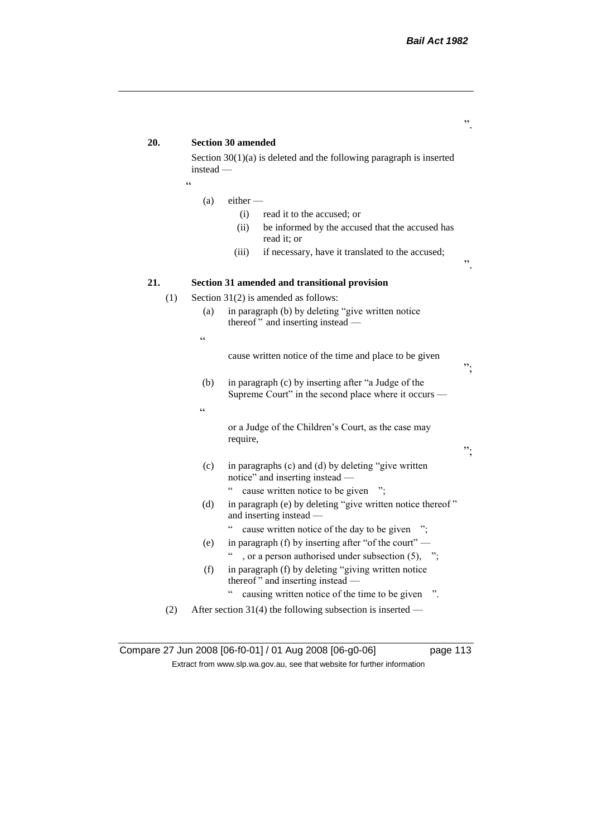# **20. Section 30 amended** Section 30(1)(a) is deleted and the following paragraph is inserted instead — "  $(a)$  either – (i) read it to the accused; or (ii) be informed by the accused that the accused has read it; or (iii) if necessary, have it translated to the accused; ". **21. Section 31 amended and transitional provision** (1) Section 31(2) is amended as follows: (a) in paragraph (b) by deleting "give written notice thereof" and inserting instead — " cause written notice of the time and place to be given "; (b) in paragraph (c) by inserting after "a Judge of the Supreme Court" in the second place where it occurs —  $\epsilon$ or a Judge of the Children's Court, as the case may require, "; (c) in paragraphs (c) and (d) by deleting "give written notice" and inserting instead — " cause written notice to be given "; (d) in paragraph (e) by deleting "give written notice thereof " and inserting instead — " cause written notice of the day to be given "; (e) in paragraph (f) by inserting after "of the court" — ", or a person authorised under subsection  $(5)$ , "; (f) in paragraph (f) by deleting "giving written notice thereof " and inserting instead — " causing written notice of the time to be given ". (2) After section 31(4) the following subsection is inserted —

Compare 27 Jun 2008 [06-f0-01] / 01 Aug 2008 [06-g0-06] page 113 Extract from www.slp.wa.gov.au, see that website for further information

".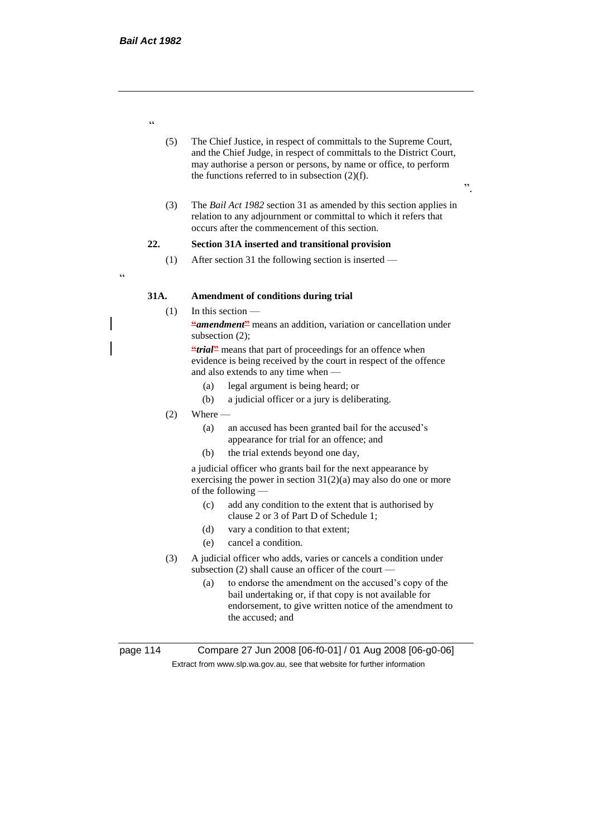- (5) The Chief Justice, in respect of committals to the Supreme Court, and the Chief Judge, in respect of committals to the District Court, may authorise a person or persons, by name or office, to perform the functions referred to in subsection  $(2)(f)$ .
- ".
- (3) The *Bail Act 1982* section 31 as amended by this section applies in relation to any adjournment or committal to which it refers that occurs after the commencement of this section.

## **22. Section 31A inserted and transitional provision**

(1) After section 31 the following section is inserted —

# **31A. Amendment of conditions during trial**

## $(1)$  In this section —

**"***amendment***"** means an addition, variation or cancellation under subsection (2);

**"***trial*" means that part of proceedings for an offence when evidence is being received by the court in respect of the offence and also extends to any time when —

- (a) legal argument is being heard; or
- (b) a judicial officer or a jury is deliberating.
- $(2)$  Where  $-$ 
	- (a) an accused has been granted bail for the accused's appearance for trial for an offence; and
	- (b) the trial extends beyond one day,

a judicial officer who grants bail for the next appearance by exercising the power in section  $31(2)(a)$  may also do one or more of the following —

- (c) add any condition to the extent that is authorised by clause 2 or 3 of Part D of Schedule 1;
- (d) vary a condition to that extent;
- (e) cancel a condition.
- (3) A judicial officer who adds, varies or cancels a condition under subsection (2) shall cause an officer of the court —
	- (a) to endorse the amendment on the accused's copy of the bail undertaking or, if that copy is not available for endorsement, to give written notice of the amendment to the accused; and

page 114 Compare 27 Jun 2008 [06-f0-01] / 01 Aug 2008 [06-g0-06] Extract from www.slp.wa.gov.au, see that website for further information

"

"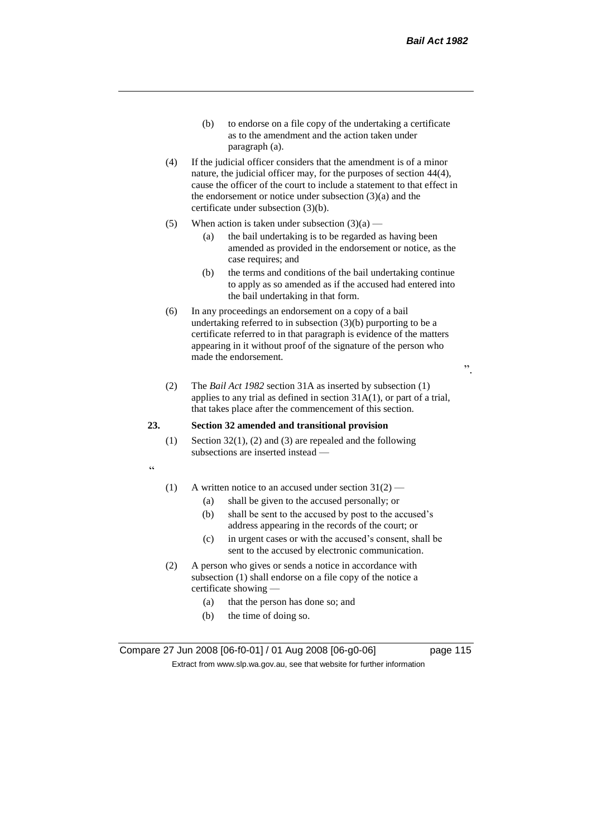- (b) to endorse on a file copy of the undertaking a certificate as to the amendment and the action taken under paragraph (a).
- (4) If the judicial officer considers that the amendment is of a minor nature, the judicial officer may, for the purposes of section 44(4), cause the officer of the court to include a statement to that effect in the endorsement or notice under subsection (3)(a) and the certificate under subsection (3)(b).
- (5) When action is taken under subsection  $(3)(a)$ 
	- (a) the bail undertaking is to be regarded as having been amended as provided in the endorsement or notice, as the case requires; and
	- (b) the terms and conditions of the bail undertaking continue to apply as so amended as if the accused had entered into the bail undertaking in that form.
- (6) In any proceedings an endorsement on a copy of a bail undertaking referred to in subsection (3)(b) purporting to be a certificate referred to in that paragraph is evidence of the matters appearing in it without proof of the signature of the person who made the endorsement.

(2) The *Bail Act 1982* section 31A as inserted by subsection (1) applies to any trial as defined in section 31A(1), or part of a trial, that takes place after the commencement of this section.

## **23. Section 32 amended and transitional provision**

(1) Section  $32(1)$ , (2) and (3) are repealed and the following subsections are inserted instead —

 $\alpha$ 

- (1) A written notice to an accused under section  $31(2)$ 
	- (a) shall be given to the accused personally; or
	- (b) shall be sent to the accused by post to the accused's address appearing in the records of the court; or
	- (c) in urgent cases or with the accused's consent, shall be sent to the accused by electronic communication.
- (2) A person who gives or sends a notice in accordance with subsection (1) shall endorse on a file copy of the notice a certificate showing —
	- (a) that the person has done so; and
	- (b) the time of doing so.

Compare 27 Jun 2008 [06-f0-01] / 01 Aug 2008 [06-g0-06] page 115 Extract from www.slp.wa.gov.au, see that website for further information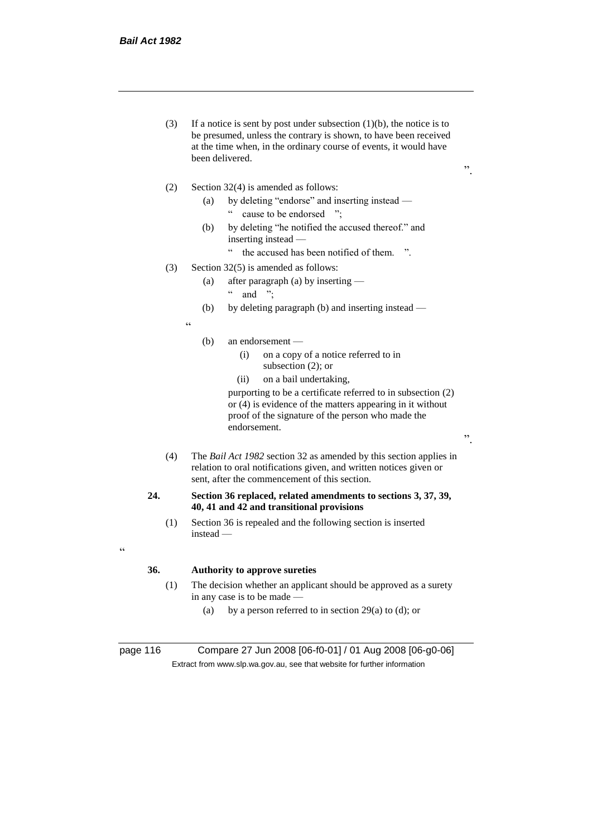(3) If a notice is sent by post under subsection  $(1)(b)$ , the notice is to be presumed, unless the contrary is shown, to have been received at the time when, in the ordinary course of events, it would have been delivered.

".

".

- (2) Section 32(4) is amended as follows:
	- (a) by deleting "endorse" and inserting instead " cause to be endorsed ";
	- (b) by deleting "he notified the accused thereof." and inserting instead —
		- " the accused has been notified of them. ".
- (3) Section 32(5) is amended as follows:
	- (a) after paragraph (a) by inserting
		- $\lq$  and ";
	- (b) by deleting paragraph (b) and inserting instead —
	- .<br>.<br>.
- (b) an endorsement
	- (i) on a copy of a notice referred to in subsection (2); or
	- (ii) on a bail undertaking,

purporting to be a certificate referred to in subsection (2) or (4) is evidence of the matters appearing in it without proof of the signature of the person who made the endorsement.

(4) The *Bail Act 1982* section 32 as amended by this section applies in relation to oral notifications given, and written notices given or sent, after the commencement of this section.

#### **24. Section 36 replaced, related amendments to sections 3, 37, 39, 40, 41 and 42 and transitional provisions**

(1) Section 36 is repealed and the following section is inserted instead —

# <u>،</u>

## **36. Authority to approve sureties**

- (1) The decision whether an applicant should be approved as a surety in any case is to be made —
	- (a) by a person referred to in section 29(a) to (d); or

page 116 Compare 27 Jun 2008 [06-f0-01] / 01 Aug 2008 [06-g0-06] Extract from www.slp.wa.gov.au, see that website for further information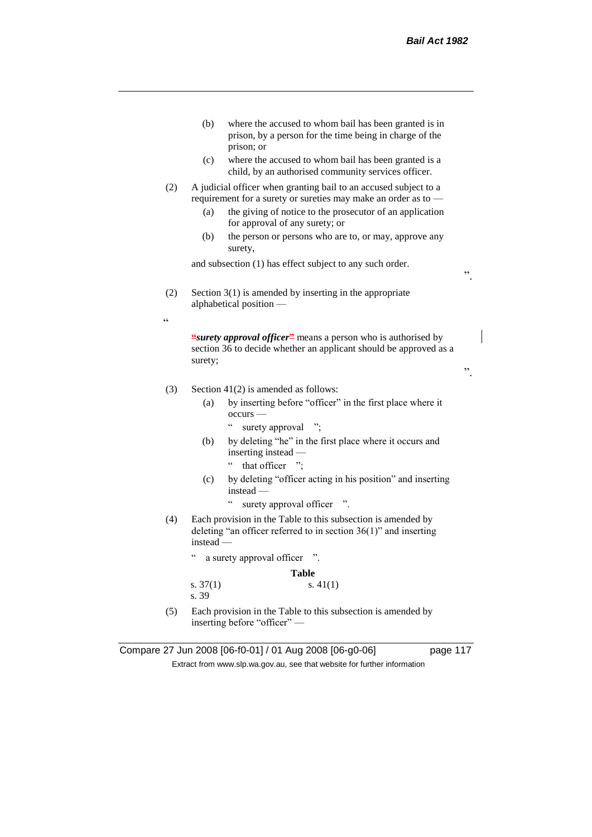

(5) Each provision in the Table to this subsection is amended by inserting before "officer" —

Compare 27 Jun 2008 [06-f0-01] / 01 Aug 2008 [06-g0-06] page 117

Extract from www.slp.wa.gov.au, see that website for further information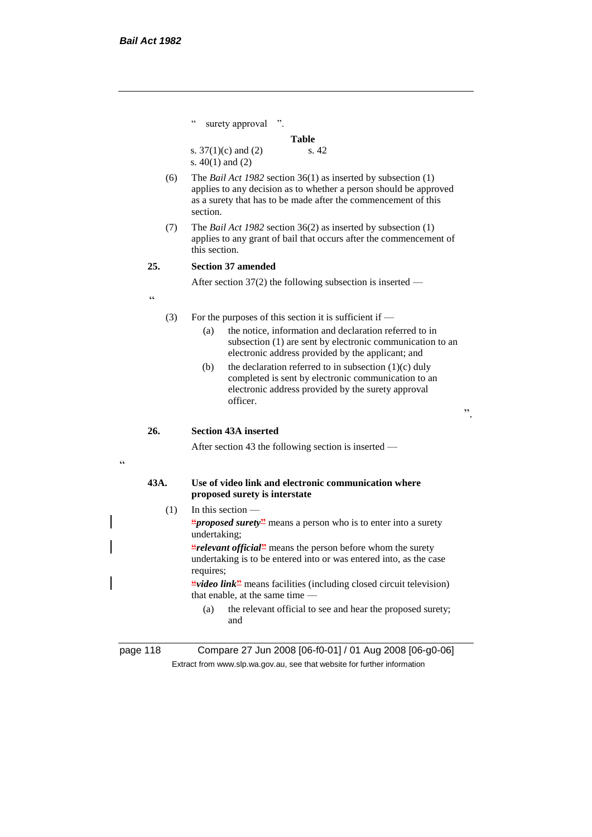|      | C<br>surety approval ".                                                                                                                                                                                                                                                                                                                                                                                                                      |
|------|----------------------------------------------------------------------------------------------------------------------------------------------------------------------------------------------------------------------------------------------------------------------------------------------------------------------------------------------------------------------------------------------------------------------------------------------|
|      | <b>Table</b>                                                                                                                                                                                                                                                                                                                                                                                                                                 |
|      | s.42<br>s. $37(1)(c)$ and (2)<br>s. $40(1)$ and $(2)$                                                                                                                                                                                                                                                                                                                                                                                        |
| (6)  | The <i>Bail Act 1982</i> section $36(1)$ as inserted by subsection $(1)$<br>applies to any decision as to whether a person should be approved<br>as a surety that has to be made after the commencement of this<br>section.                                                                                                                                                                                                                  |
| (7)  | The <i>Bail Act 1982</i> section $36(2)$ as inserted by subsection $(1)$<br>applies to any grant of bail that occurs after the commencement of<br>this section                                                                                                                                                                                                                                                                               |
| 25.  | <b>Section 37 amended</b>                                                                                                                                                                                                                                                                                                                                                                                                                    |
|      | After section $37(2)$ the following subsection is inserted —                                                                                                                                                                                                                                                                                                                                                                                 |
| C    |                                                                                                                                                                                                                                                                                                                                                                                                                                              |
| (3)  | For the purposes of this section it is sufficient if $-$<br>the notice, information and declaration referred to in<br>(a)<br>subsection (1) are sent by electronic communication to an<br>electronic address provided by the applicant; and<br>the declaration referred to in subsection $(1)(c)$ duly<br>(b)<br>completed is sent by electronic communication to an<br>electronic address provided by the surety approval<br>officer.<br>,, |
| 26.  | <b>Section 43A inserted</b>                                                                                                                                                                                                                                                                                                                                                                                                                  |
|      | After section 43 the following section is inserted $-$                                                                                                                                                                                                                                                                                                                                                                                       |
| 43A. | Use of video link and electronic communication where<br>proposed surety is interstate                                                                                                                                                                                                                                                                                                                                                        |
| (1)  | In this section $-$                                                                                                                                                                                                                                                                                                                                                                                                                          |
|      | <i>"proposed surety</i> " means a person who is to enter into a surety<br>undertaking;                                                                                                                                                                                                                                                                                                                                                       |
|      | <i>e</i> relevant official <sup>22</sup> means the person before whom the surety<br>undertaking is to be entered into or was entered into, as the case<br>requires;                                                                                                                                                                                                                                                                          |
|      | <i>"video link</i> " means facilities (including closed circuit television)<br>that enable, at the same time -                                                                                                                                                                                                                                                                                                                               |
|      | (a)<br>the relevant official to see and hear the proposed surety;<br>and                                                                                                                                                                                                                                                                                                                                                                     |
|      |                                                                                                                                                                                                                                                                                                                                                                                                                                              |

 $\epsilon$ 

page 118 Compare 27 Jun 2008 [06-f0-01] / 01 Aug 2008 [06-g0-06] Extract from www.slp.wa.gov.au, see that website for further information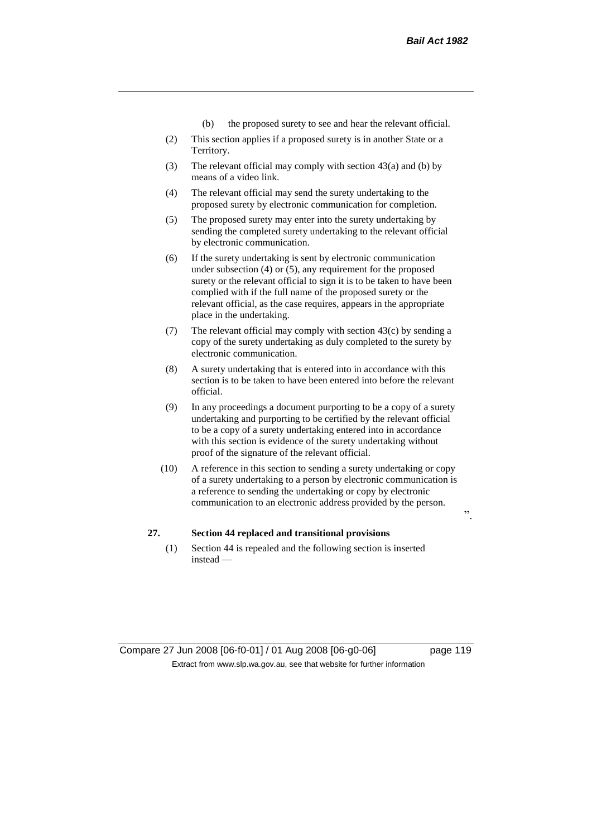- (b) the proposed surety to see and hear the relevant official.
- (2) This section applies if a proposed surety is in another State or a Territory.
- (3) The relevant official may comply with section 43(a) and (b) by means of a video link.
- (4) The relevant official may send the surety undertaking to the proposed surety by electronic communication for completion.
- (5) The proposed surety may enter into the surety undertaking by sending the completed surety undertaking to the relevant official by electronic communication.
- (6) If the surety undertaking is sent by electronic communication under subsection (4) or (5), any requirement for the proposed surety or the relevant official to sign it is to be taken to have been complied with if the full name of the proposed surety or the relevant official, as the case requires, appears in the appropriate place in the undertaking.
- (7) The relevant official may comply with section 43(c) by sending a copy of the surety undertaking as duly completed to the surety by electronic communication.
- (8) A surety undertaking that is entered into in accordance with this section is to be taken to have been entered into before the relevant official.
- (9) In any proceedings a document purporting to be a copy of a surety undertaking and purporting to be certified by the relevant official to be a copy of a surety undertaking entered into in accordance with this section is evidence of the surety undertaking without proof of the signature of the relevant official.
- (10) A reference in this section to sending a surety undertaking or copy of a surety undertaking to a person by electronic communication is a reference to sending the undertaking or copy by electronic communication to an electronic address provided by the person.

## **27. Section 44 replaced and transitional provisions**

(1) Section 44 is repealed and the following section is inserted instead —

 $\cdot$ ,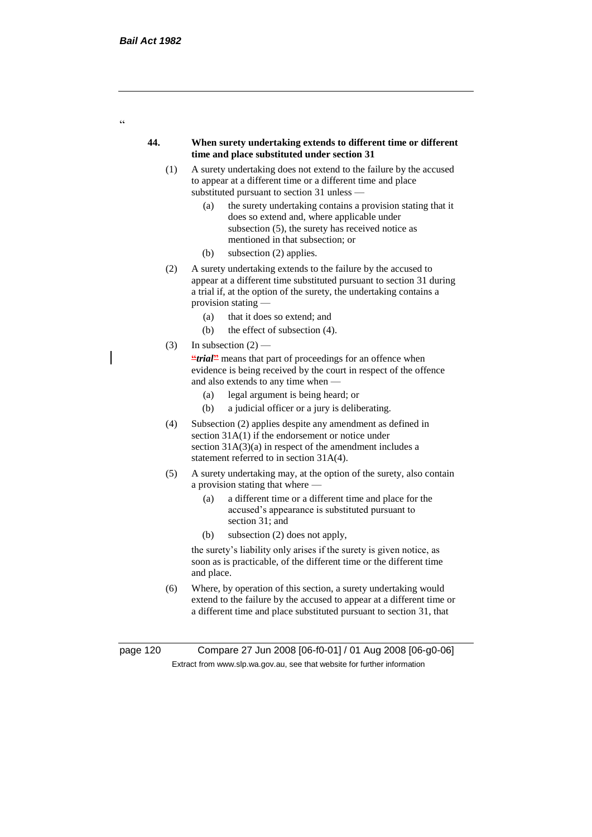$\epsilon$ 

#### **44. When surety undertaking extends to different time or different time and place substituted under section 31**

- (1) A surety undertaking does not extend to the failure by the accused to appear at a different time or a different time and place substituted pursuant to section 31 unless —
	- (a) the surety undertaking contains a provision stating that it does so extend and, where applicable under subsection (5), the surety has received notice as mentioned in that subsection; or
	- (b) subsection (2) applies.
- (2) A surety undertaking extends to the failure by the accused to appear at a different time substituted pursuant to section 31 during a trial if, at the option of the surety, the undertaking contains a provision stating —
	- (a) that it does so extend; and
	- (b) the effect of subsection (4).
- (3) In subsection  $(2)$  –

**"***trial*" means that part of proceedings for an offence when evidence is being received by the court in respect of the offence and also extends to any time when —

- (a) legal argument is being heard; or
- (b) a judicial officer or a jury is deliberating.
- (4) Subsection (2) applies despite any amendment as defined in section 31A(1) if the endorsement or notice under section  $31A(3)(a)$  in respect of the amendment includes a statement referred to in section 31A(4).
- (5) A surety undertaking may, at the option of the surety, also contain a provision stating that where —
	- (a) a different time or a different time and place for the accused's appearance is substituted pursuant to section 31; and
	- (b) subsection (2) does not apply,

the surety's liability only arises if the surety is given notice, as soon as is practicable, of the different time or the different time and place.

(6) Where, by operation of this section, a surety undertaking would extend to the failure by the accused to appear at a different time or a different time and place substituted pursuant to section 31, that

page 120 Compare 27 Jun 2008 [06-f0-01] / 01 Aug 2008 [06-g0-06] Extract from www.slp.wa.gov.au, see that website for further information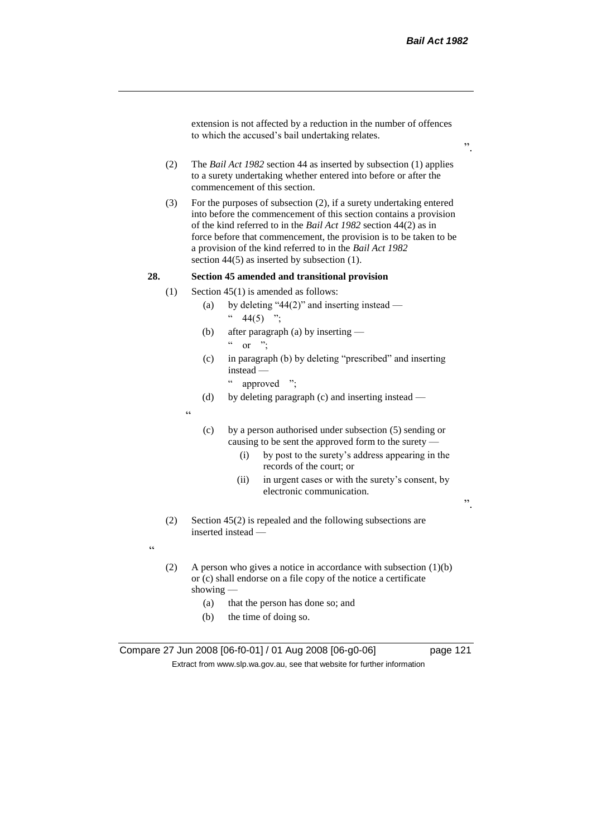extension is not affected by a reduction in the number of offences to which the accused's bail undertaking relates.

- (2) The *Bail Act 1982* section 44 as inserted by subsection (1) applies to a surety undertaking whether entered into before or after the commencement of this section.
- (3) For the purposes of subsection (2), if a surety undertaking entered into before the commencement of this section contains a provision of the kind referred to in the *Bail Act 1982* section 44(2) as in force before that commencement, the provision is to be taken to be a provision of the kind referred to in the *Bail Act 1982*  section 44(5) as inserted by subsection (1).

## **28. Section 45 amended and transitional provision**

- (1) Section 45(1) is amended as follows:
	- (a) by deleting "44(2)" and inserting instead  $44(5)$  ";
	- (b) after paragraph (a) by inserting  $\alpha$  or ".
	- (c) in paragraph (b) by deleting "prescribed" and inserting instead —

" approved ";

(d) by deleting paragraph (c) and inserting instead —

 $\epsilon$ 

- (c) by a person authorised under subsection (5) sending or causing to be sent the approved form to the surety —
	- (i) by post to the surety's address appearing in the records of the court; or
	- (ii) in urgent cases or with the surety's consent, by electronic communication.

".

(2) Section 45(2) is repealed and the following subsections are inserted instead —

 $\epsilon$ 

- (2) A person who gives a notice in accordance with subsection (1)(b) or (c) shall endorse on a file copy of the notice a certificate showing —
	- (a) that the person has done so; and
	- (b) the time of doing so.

Compare 27 Jun 2008 [06-f0-01] / 01 Aug 2008 [06-g0-06] page 121 Extract from www.slp.wa.gov.au, see that website for further information

".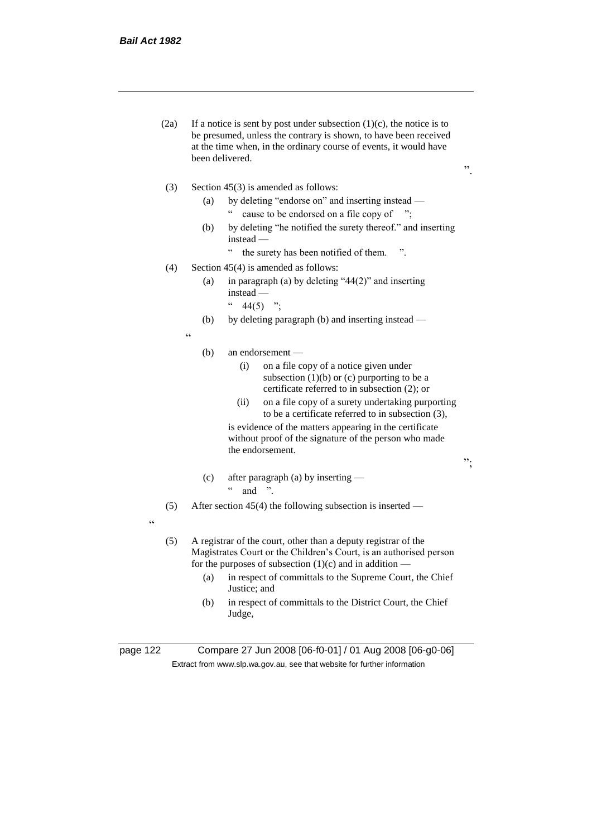- (2a) If a notice is sent by post under subsection  $(1)(c)$ , the notice is to be presumed, unless the contrary is shown, to have been received at the time when, in the ordinary course of events, it would have been delivered.
- (3) Section 45(3) is amended as follows:
	- (a) by deleting "endorse on" and inserting instead " cause to be endorsed on a file copy of ";
		-
	- (b) by deleting "he notified the surety thereof." and inserting instead —

";

- " the surety has been notified of them. ".
- (4) Section 45(4) is amended as follows:
	- (a) in paragraph (a) by deleting "44(2)" and inserting instead —
		- $44(5)$  ";
	- (b) by deleting paragraph (b) and inserting instead —

"

#### (b) an endorsement —

- (i) on a file copy of a notice given under subsection  $(1)(b)$  or  $(c)$  purporting to be a certificate referred to in subsection (2); or
- (ii) on a file copy of a surety undertaking purporting to be a certificate referred to in subsection (3),

is evidence of the matters appearing in the certificate without proof of the signature of the person who made the endorsement.

(c) after paragraph (a) by inserting —  $\lq$  and ".

(5) After section 45(4) the following subsection is inserted —

- "
- (5) A registrar of the court, other than a deputy registrar of the Magistrates Court or the Children's Court, is an authorised person for the purposes of subsection  $(1)(c)$  and in addition —
	- (a) in respect of committals to the Supreme Court, the Chief Justice; and
	- (b) in respect of committals to the District Court, the Chief Judge,

page 122 Compare 27 Jun 2008 [06-f0-01] / 01 Aug 2008 [06-g0-06] Extract from www.slp.wa.gov.au, see that website for further information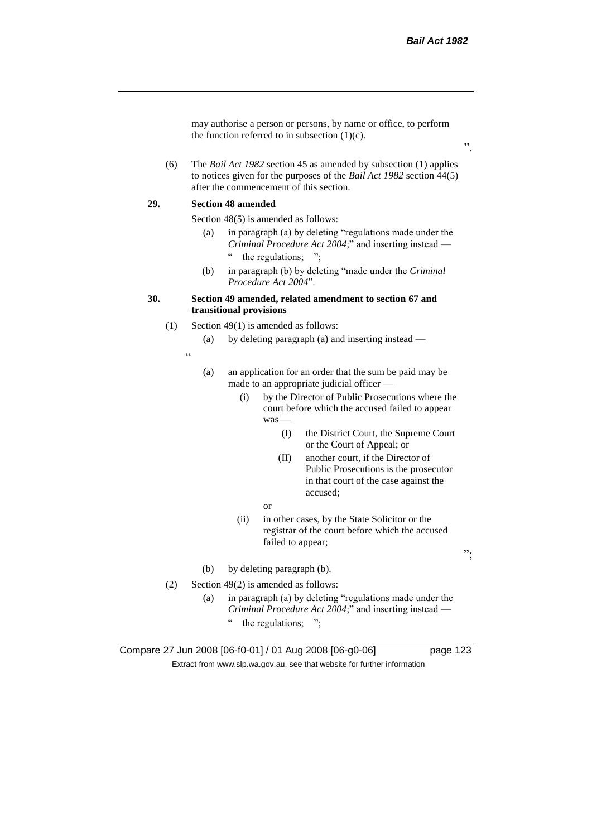may authorise a person or persons, by name or office, to perform the function referred to in subsection  $(1)(c)$ .

(6) The *Bail Act 1982* section 45 as amended by subsection (1) applies to notices given for the purposes of the *Bail Act 1982* section 44(5) after the commencement of this section.

#### **29. Section 48 amended**

Section 48(5) is amended as follows:

- (a) in paragraph (a) by deleting "regulations made under the *Criminal Procedure Act 2004*;" and inserting instead — " the regulations;
- (b) in paragraph (b) by deleting "made under the *Criminal Procedure Act 2004*".

## **30. Section 49 amended, related amendment to section 67 and transitional provisions**

- (1) Section 49(1) is amended as follows:
	- (a) by deleting paragraph (a) and inserting instead —
	- "
- (a) an application for an order that the sum be paid may be made to an appropriate judicial officer —
	- (i) by the Director of Public Prosecutions where the court before which the accused failed to appear was —
		- (I) the District Court, the Supreme Court or the Court of Appeal; or
		- (II) another court, if the Director of Public Prosecutions is the prosecutor in that court of the case against the accused;
		- or
	- (ii) in other cases, by the State Solicitor or the registrar of the court before which the accused failed to appear;
- (b) by deleting paragraph (b).
- (2) Section 49(2) is amended as follows:
	- (a) in paragraph (a) by deleting "regulations made under the *Criminal Procedure Act 2004*;" and inserting instead —
		- " the regulations; ";

Compare 27 Jun 2008 [06-f0-01] / 01 Aug 2008 [06-g0-06] page 123 Extract from www.slp.wa.gov.au, see that website for further information

";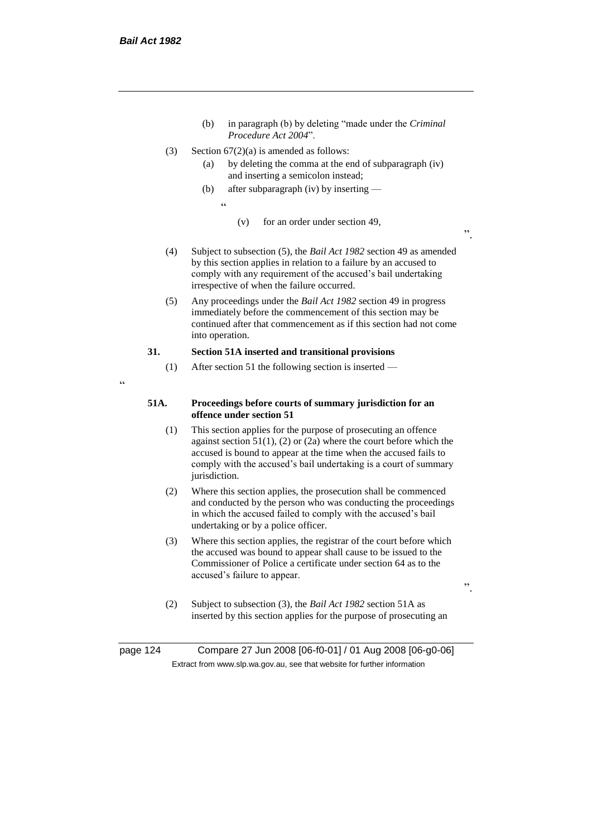- (b) in paragraph (b) by deleting "made under the *Criminal Procedure Act 2004*".
- (3) Section  $67(2)(a)$  is amended as follows:
	- (a) by deleting the comma at the end of subparagraph (iv) and inserting a semicolon instead;
	- (b) after subparagraph (iv) by inserting
		- $\epsilon$
- (v) for an order under section 49,
- (4) Subject to subsection (5), the *Bail Act 1982* section 49 as amended by this section applies in relation to a failure by an accused to comply with any requirement of the accused's bail undertaking irrespective of when the failure occurred.
- (5) Any proceedings under the *Bail Act 1982* section 49 in progress immediately before the commencement of this section may be continued after that commencement as if this section had not come into operation.

## **31. Section 51A inserted and transitional provisions**

- (1) After section 51 the following section is inserted —
- $\epsilon$

#### **51A. Proceedings before courts of summary jurisdiction for an offence under section 51**

- (1) This section applies for the purpose of prosecuting an offence against section  $51(1)$ , (2) or (2a) where the court before which the accused is bound to appear at the time when the accused fails to comply with the accused's bail undertaking is a court of summary jurisdiction.
- (2) Where this section applies, the prosecution shall be commenced and conducted by the person who was conducting the proceedings in which the accused failed to comply with the accused's bail undertaking or by a police officer.
- (3) Where this section applies, the registrar of the court before which the accused was bound to appear shall cause to be issued to the Commissioner of Police a certificate under section 64 as to the accused's failure to appear.

".

".

(2) Subject to subsection (3), the *Bail Act 1982* section 51A as inserted by this section applies for the purpose of prosecuting an

page 124 Compare 27 Jun 2008 [06-f0-01] / 01 Aug 2008 [06-g0-06] Extract from www.slp.wa.gov.au, see that website for further information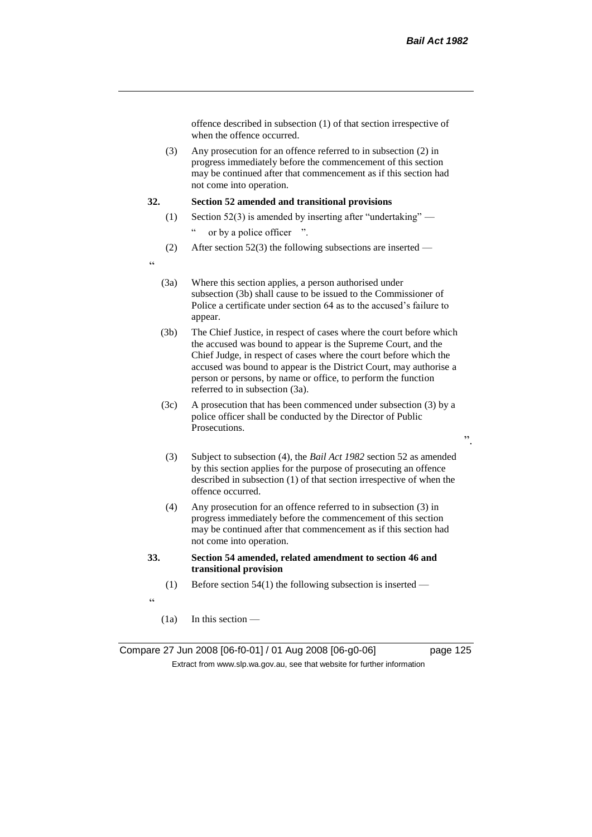offence described in subsection (1) of that section irrespective of when the offence occurred.

(3) Any prosecution for an offence referred to in subsection (2) in progress immediately before the commencement of this section may be continued after that commencement as if this section had not come into operation.

### **32. Section 52 amended and transitional provisions**

- (1) Section 52(3) is amended by inserting after "undertaking"
	- " or by a police officer ".
- (2) After section 52(3) the following subsections are inserted —
- $\epsilon$
- (3a) Where this section applies, a person authorised under subsection (3b) shall cause to be issued to the Commissioner of Police a certificate under section 64 as to the accused's failure to appear.
- (3b) The Chief Justice, in respect of cases where the court before which the accused was bound to appear is the Supreme Court, and the Chief Judge, in respect of cases where the court before which the accused was bound to appear is the District Court, may authorise a person or persons, by name or office, to perform the function referred to in subsection (3a).
- (3c) A prosecution that has been commenced under subsection (3) by a police officer shall be conducted by the Director of Public Prosecutions.
- (3) Subject to subsection (4), the *Bail Act 1982* section 52 as amended by this section applies for the purpose of prosecuting an offence described in subsection (1) of that section irrespective of when the offence occurred.
- (4) Any prosecution for an offence referred to in subsection (3) in progress immediately before the commencement of this section may be continued after that commencement as if this section had not come into operation.
- **33. Section 54 amended, related amendment to section 46 and transitional provision**
	- (1) Before section  $54(1)$  the following subsection is inserted —
- "
- (1a) In this section —

Compare 27 Jun 2008 [06-f0-01] / 01 Aug 2008 [06-g0-06] page 125 Extract from www.slp.wa.gov.au, see that website for further information

".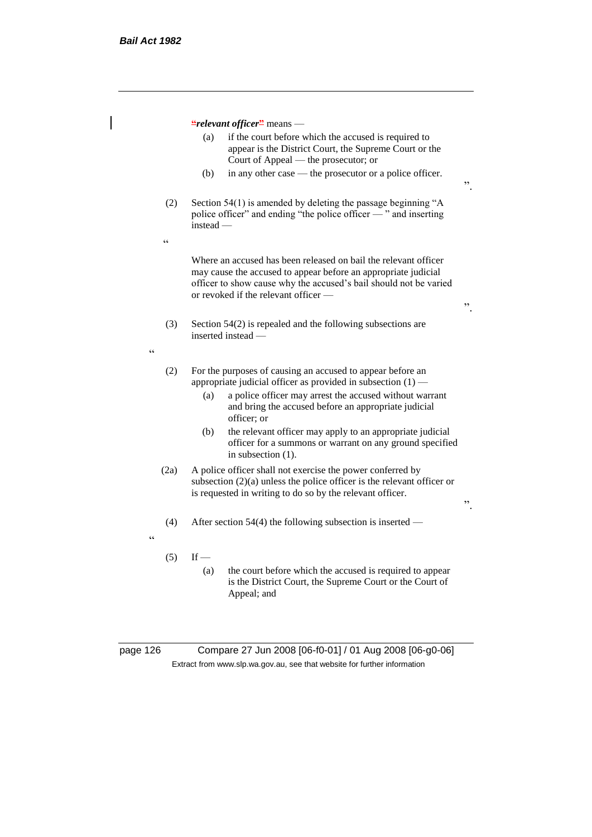**"***relevant officer***"** means — (a) if the court before which the accused is required to appear is the District Court, the Supreme Court or the Court of Appeal — the prosecutor; or (b) in any other case — the prosecutor or a police officer. (2) Section 54(1) is amended by deleting the passage beginning "A police officer" and ending "the police officer — " and inserting instead —  $\epsilon$ Where an accused has been released on bail the relevant officer may cause the accused to appear before an appropriate judicial officer to show cause why the accused's bail should not be varied or revoked if the relevant officer — (3) Section 54(2) is repealed and the following subsections are inserted instead — <u>،</u> (2) For the purposes of causing an accused to appear before an appropriate judicial officer as provided in subsection (1) — (a) a police officer may arrest the accused without warrant and bring the accused before an appropriate judicial officer; or (b) the relevant officer may apply to an appropriate judicial officer for a summons or warrant on any ground specified in subsection (1). (2a) A police officer shall not exercise the power conferred by subsection (2)(a) unless the police officer is the relevant officer or is requested in writing to do so by the relevant officer. (4) After section 54(4) the following subsection is inserted — <u>،</u>  $(5)$  If — (a) the court before which the accused is required to appear is the District Court, the Supreme Court or the Court of

".

".

".

Appeal; and

page 126 Compare 27 Jun 2008 [06-f0-01] / 01 Aug 2008 [06-g0-06] Extract from www.slp.wa.gov.au, see that website for further information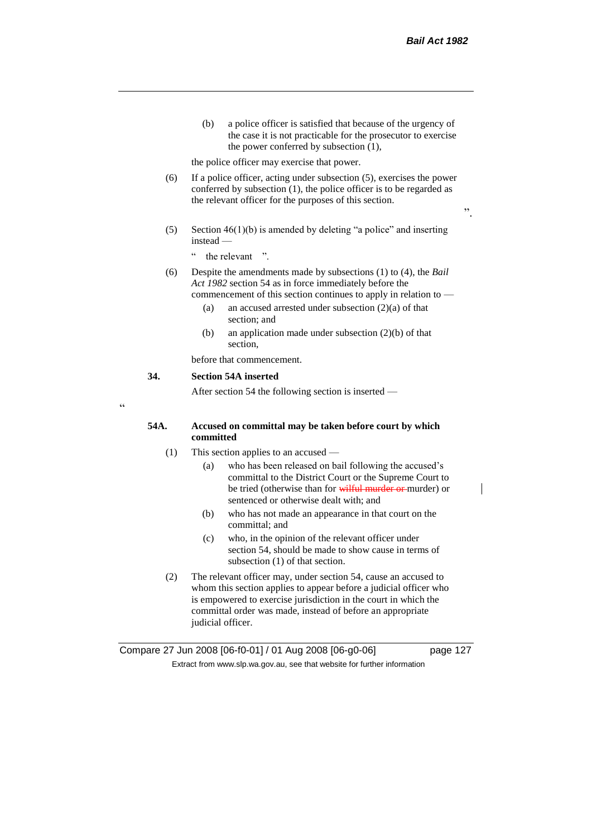(b) a police officer is satisfied that because of the urgency of the case it is not practicable for the prosecutor to exercise the power conferred by subsection (1),

the police officer may exercise that power.

- (6) If a police officer, acting under subsection (5), exercises the power conferred by subsection (1), the police officer is to be regarded as the relevant officer for the purposes of this section.
- (5) Section  $46(1)(b)$  is amended by deleting "a police" and inserting instead —
	- " the relevant ".
- (6) Despite the amendments made by subsections (1) to (4), the *Bail Act 1982* section 54 as in force immediately before the commencement of this section continues to apply in relation to —
	- (a) an accused arrested under subsection (2)(a) of that section; and
	- (b) an application made under subsection (2)(b) of that section,

before that commencement.

#### **34. Section 54A inserted**

After section 54 the following section is inserted —

.<br>C

#### **54A. Accused on committal may be taken before court by which committed**

- (1) This section applies to an accused
	- (a) who has been released on bail following the accused's committal to the District Court or the Supreme Court to be tried (otherwise than for wilful murder or murder) or sentenced or otherwise dealt with; and
	- (b) who has not made an appearance in that court on the committal; and
	- (c) who, in the opinion of the relevant officer under section 54, should be made to show cause in terms of subsection (1) of that section.
- (2) The relevant officer may, under section 54, cause an accused to whom this section applies to appear before a judicial officer who is empowered to exercise jurisdiction in the court in which the committal order was made, instead of before an appropriate judicial officer.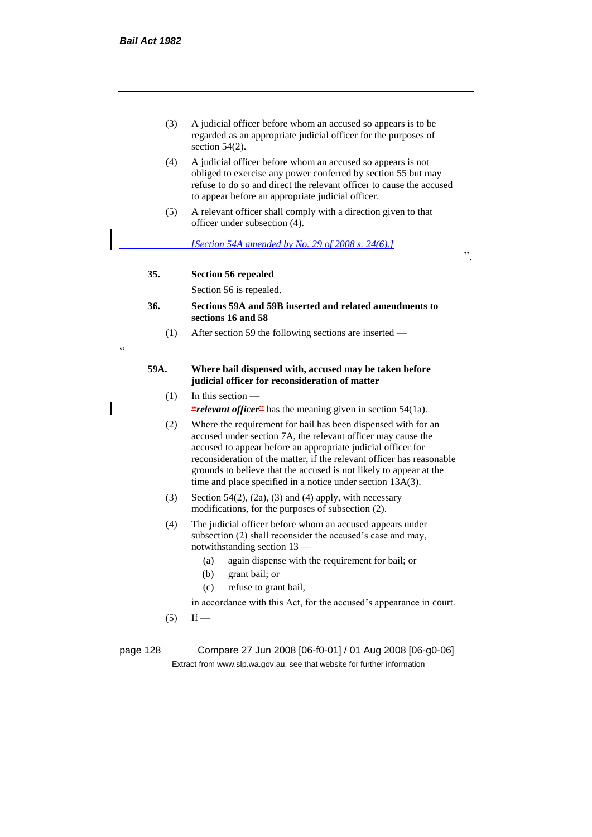.<br>C

- (3) A judicial officer before whom an accused so appears is to be regarded as an appropriate judicial officer for the purposes of section 54(2).
- (4) A judicial officer before whom an accused so appears is not obliged to exercise any power conferred by section 55 but may refuse to do so and direct the relevant officer to cause the accused to appear before an appropriate judicial officer.
- (5) A relevant officer shall comply with a direction given to that officer under subsection (4).

*[Section 54A amended by No. 29 of 2008 s. 24(6).]*

".

## **35. Section 56 repealed**

Section 56 is repealed.

- **36. Sections 59A and 59B inserted and related amendments to sections 16 and 58**
	- (1) After section 59 the following sections are inserted —

## **59A. Where bail dispensed with, accused may be taken before judicial officer for reconsideration of matter**

 $(1)$  In this section —

*<u></u>relevant officer*<sup>*n*</sup> has the meaning given in section 54(1a).

- (2) Where the requirement for bail has been dispensed with for an accused under section 7A, the relevant officer may cause the accused to appear before an appropriate judicial officer for reconsideration of the matter, if the relevant officer has reasonable grounds to believe that the accused is not likely to appear at the time and place specified in a notice under section 13A(3).
- (3) Section 54(2), (2a), (3) and (4) apply, with necessary modifications, for the purposes of subsection (2).
- (4) The judicial officer before whom an accused appears under subsection (2) shall reconsider the accused's case and may, notwithstanding section 13 —
	- (a) again dispense with the requirement for bail; or
	- (b) grant bail; or
	- (c) refuse to grant bail,

in accordance with this Act, for the accused's appearance in court.

 $(5)$  If —

page 128 Compare 27 Jun 2008 [06-f0-01] / 01 Aug 2008 [06-g0-06] Extract from www.slp.wa.gov.au, see that website for further information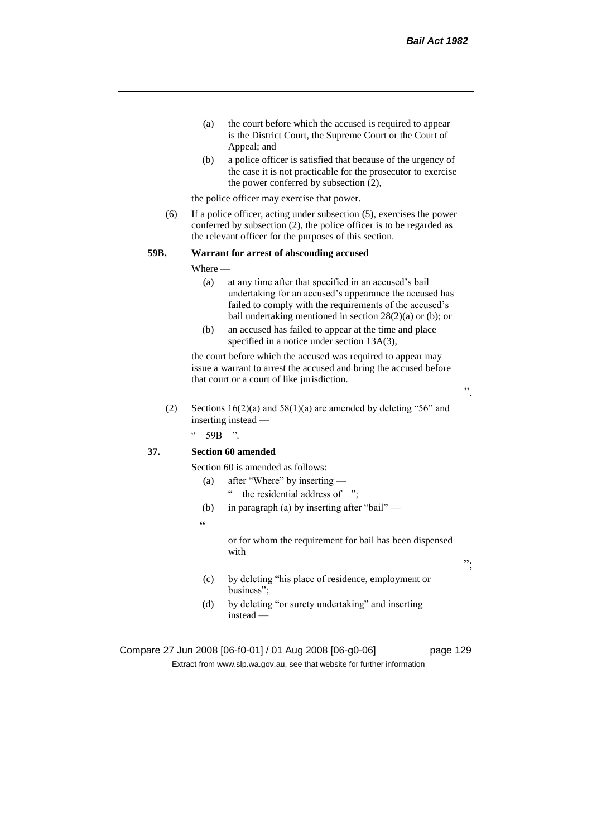- (a) the court before which the accused is required to appear is the District Court, the Supreme Court or the Court of Appeal; and
- (b) a police officer is satisfied that because of the urgency of the case it is not practicable for the prosecutor to exercise the power conferred by subsection (2),

the police officer may exercise that power.

(6) If a police officer, acting under subsection (5), exercises the power conferred by subsection (2), the police officer is to be regarded as the relevant officer for the purposes of this section.

#### **59B. Warrant for arrest of absconding accused**

Where —

- (a) at any time after that specified in an accused's bail undertaking for an accused's appearance the accused has failed to comply with the requirements of the accused's bail undertaking mentioned in section 28(2)(a) or (b); or
- (b) an accused has failed to appear at the time and place specified in a notice under section 13A(3),

the court before which the accused was required to appear may issue a warrant to arrest the accused and bring the accused before that court or a court of like jurisdiction.

(2) Sections  $16(2)(a)$  and  $58(1)(a)$  are amended by deleting "56" and inserting instead —

 $\degree$  59B ".

## **37. Section 60 amended**

- Section 60 is amended as follows:
	- (a) after "Where" by inserting
		- " the residential address of ";
	- (b) in paragraph (a) by inserting after "bail" —
	- $\alpha$

or for whom the requirement for bail has been dispensed with

- (c) by deleting "his place of residence, employment or business";
- (d) by deleting "or surety undertaking" and inserting instead —

Compare 27 Jun 2008 [06-f0-01] / 01 Aug 2008 [06-g0-06] page 129 Extract from www.slp.wa.gov.au, see that website for further information

";

".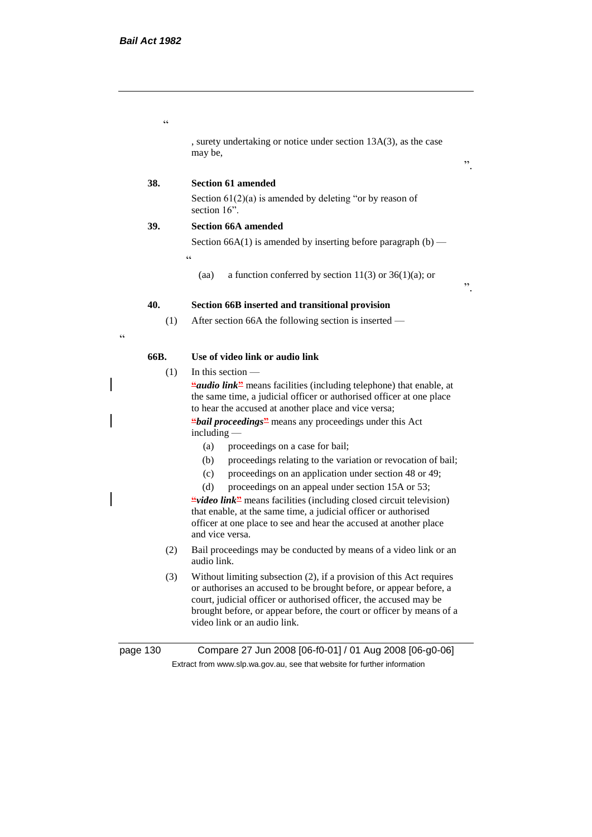$\epsilon$ 

, surety undertaking or notice under section 13A(3), as the case may be,

".

".

## **38. Section 61 amended**

Section  $61(2)(a)$  is amended by deleting "or by reason of section 16".

## **39. Section 66A amended**

"

 $\epsilon$ 

Section  $66A(1)$  is amended by inserting before paragraph  $(b)$  —

(aa) a function conferred by section  $11(3)$  or  $36(1)(a)$ ; or

#### **40. Section 66B inserted and transitional provision**

(1) After section 66A the following section is inserted —

**66B. Use of video link or audio link**

(1) In this section —

**"***audio link***"** means facilities (including telephone) that enable, at the same time, a judicial officer or authorised officer at one place to hear the accused at another place and vice versa;

**"***bail proceedings***"** means any proceedings under this Act including —

- (a) proceedings on a case for bail;
- (b) proceedings relating to the variation or revocation of bail;
- (c) proceedings on an application under section 48 or 49;
- (d) proceedings on an appeal under section 15A or 53;

**"***video link***"** means facilities (including closed circuit television) that enable, at the same time, a judicial officer or authorised officer at one place to see and hear the accused at another place and vice versa.

- (2) Bail proceedings may be conducted by means of a video link or an audio link.
- (3) Without limiting subsection (2), if a provision of this Act requires or authorises an accused to be brought before, or appear before, a court, judicial officer or authorised officer, the accused may be brought before, or appear before, the court or officer by means of a video link or an audio link.

page 130 Compare 27 Jun 2008 [06-f0-01] / 01 Aug 2008 [06-g0-06] Extract from www.slp.wa.gov.au, see that website for further information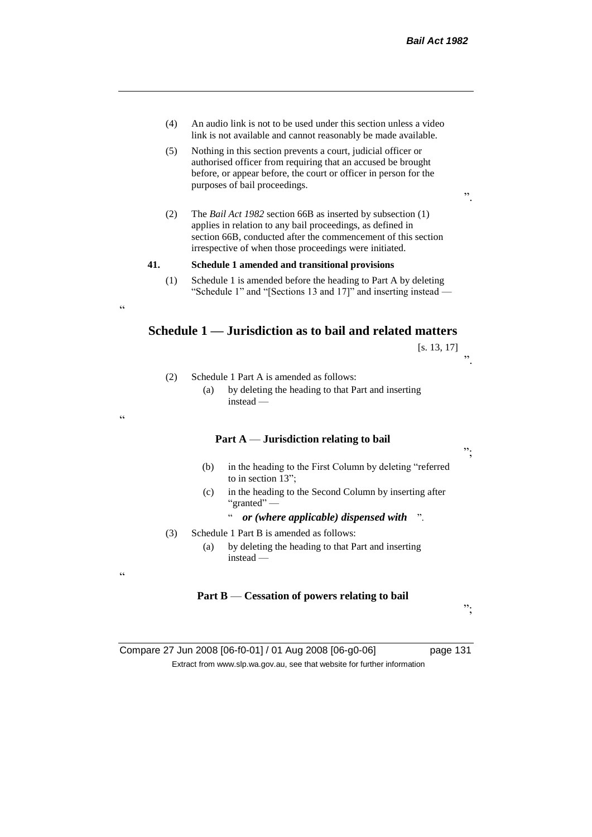- (4) An audio link is not to be used under this section unless a video link is not available and cannot reasonably be made available.
- (5) Nothing in this section prevents a court, judicial officer or authorised officer from requiring that an accused be brought before, or appear before, the court or officer in person for the purposes of bail proceedings.
- (2) The *Bail Act 1982* section 66B as inserted by subsection (1) applies in relation to any bail proceedings, as defined in section 66B, conducted after the commencement of this section irrespective of when those proceedings were initiated.

#### **41. Schedule 1 amended and transitional provisions**

(2) Schedule 1 Part A is amended as follows:

instead —

 $\epsilon$ 

"

 $\epsilon$ 

(1) Schedule 1 is amended before the heading to Part A by deleting "Schedule 1" and "[Sections 13 and 17]" and inserting instead —

# **Schedule 1 — Jurisdiction as to bail and related matters**

|                                                           | $\left[ \text{s. 13, 17} \right]$ |    |
|-----------------------------------------------------------|-----------------------------------|----|
|                                                           |                                   | ,, |
| hedule 1 Part A is amended as follows:                    |                                   |    |
| by deleting the heading to that Part and inserting<br>(a) |                                   |    |

## **Part A** — **Jurisdiction relating to bail**

- (b) in the heading to the First Column by deleting "referred to in section 13";
- (c) in the heading to the Second Column by inserting after "granted" —

## " *or (where applicable) dispensed with* ".

- (3) Schedule 1 Part B is amended as follows:
	- (a) by deleting the heading to that Part and inserting instead —

#### **Part B** — **Cessation of powers relating to bail**

";

";

Compare 27 Jun 2008 [06-f0-01] / 01 Aug 2008 [06-g0-06] page 131 Extract from www.slp.wa.gov.au, see that website for further information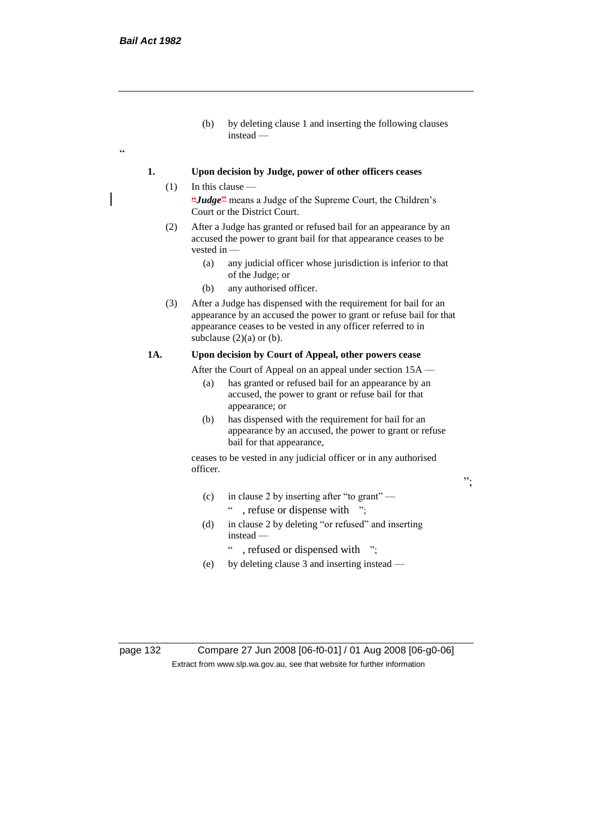$\epsilon$ 

(b) by deleting clause 1 and inserting the following clauses instead —

## **1. Upon decision by Judge, power of other officers ceases**

- $(1)$  In this clause **"***Judge***"** means a Judge of the Supreme Court, the Children's Court or the District Court.
	- (2) After a Judge has granted or refused bail for an appearance by an accused the power to grant bail for that appearance ceases to be vested in -
		- (a) any judicial officer whose jurisdiction is inferior to that of the Judge; or
		- (b) any authorised officer.
	- (3) After a Judge has dispensed with the requirement for bail for an appearance by an accused the power to grant or refuse bail for that appearance ceases to be vested in any officer referred to in subclause  $(2)(a)$  or  $(b)$ .

## **1A. Upon decision by Court of Appeal, other powers cease**

After the Court of Appeal on an appeal under section 15A —

- (a) has granted or refused bail for an appearance by an accused, the power to grant or refuse bail for that appearance; or
- (b) has dispensed with the requirement for bail for an appearance by an accused, the power to grant or refuse bail for that appearance,

";

ceases to be vested in any judicial officer or in any authorised officer.

- (c) in clause 2 by inserting after "to grant" " , refuse or dispense with ";
- (d) in clause 2 by deleting "or refused" and inserting instead —
	- ": refused or dispensed with ";
- (e) by deleting clause 3 and inserting instead —

page 132 Compare 27 Jun 2008 [06-f0-01] / 01 Aug 2008 [06-g0-06] Extract from www.slp.wa.gov.au, see that website for further information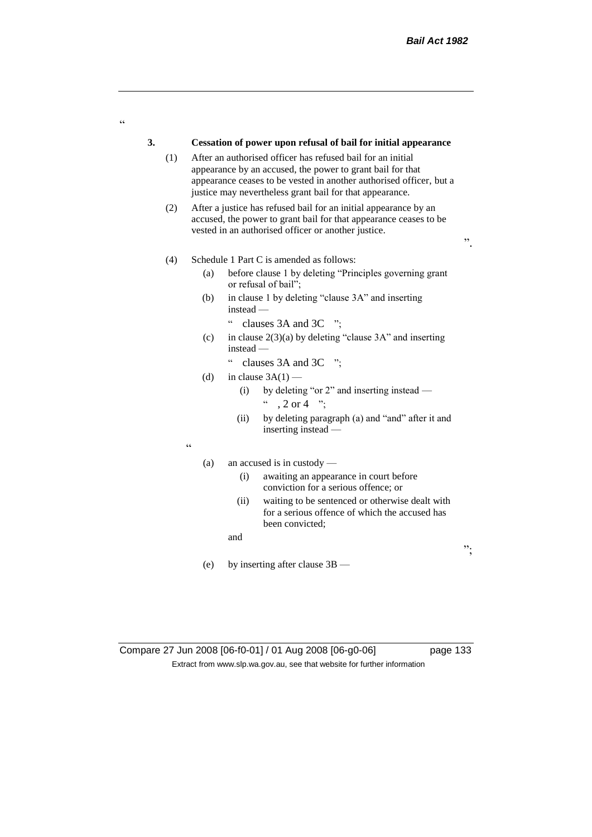# **3. Cessation of power upon refusal of bail for initial appearance** (1) After an authorised officer has refused bail for an initial appearance by an accused, the power to grant bail for that appearance ceases to be vested in another authorised officer, but a justice may nevertheless grant bail for that appearance. (2) After a justice has refused bail for an initial appearance by an accused, the power to grant bail for that appearance ceases to be vested in an authorised officer or another justice. (4) Schedule 1 Part C is amended as follows: (a) before clause 1 by deleting "Principles governing grant or refusal of bail"; (b) in clause 1 by deleting "clause 3A" and inserting instead — " clauses 3A and 3C "; (c) in clause  $2(3)(a)$  by deleting "clause 3A" and inserting instead — " clauses 3A and 3C "; (d) in clause  $3A(1)$  — (i) by deleting "or 2" and inserting instead —  $\degree$  , 2 or 4  $\degree$ ; (ii) by deleting paragraph (a) and "and" after it and inserting instead —  $\epsilon$ (a) an accused is in custody — (i) awaiting an appearance in court before conviction for a serious offence; or

(ii) waiting to be sentenced or otherwise dealt with for a serious offence of which the accused has been convicted;

and

(e) by inserting after clause 3B —

.<br>C

".

";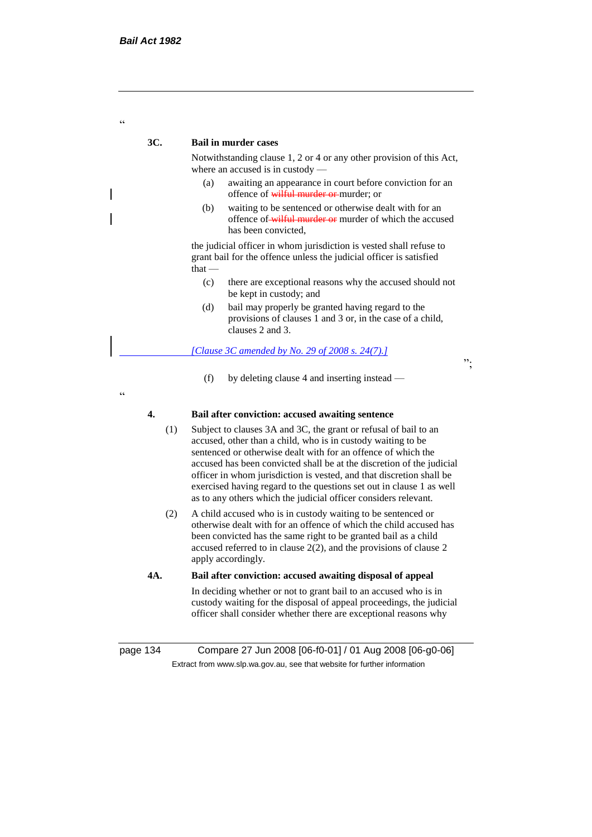$\alpha$ 

## **3C. Bail in murder cases**

Notwithstanding clause 1, 2 or 4 or any other provision of this Act, where an accused is in custody —

- (a) awaiting an appearance in court before conviction for an offence of wilful murder or murder; or
- (b) waiting to be sentenced or otherwise dealt with for an offence of wilful murder or murder of which the accused has been convicted,

the judicial officer in whom jurisdiction is vested shall refuse to grant bail for the offence unless the judicial officer is satisfied that —

- (c) there are exceptional reasons why the accused should not be kept in custody; and
- (d) bail may properly be granted having regard to the provisions of clauses 1 and 3 or, in the case of a child, clauses 2 and 3.

*[Clause 3C amended by No. 29 of 2008 s. 24(7).]*

";

(f) by deleting clause 4 and inserting instead —

 $\ddot{\phantom{0}}$ 

## **4. Bail after conviction: accused awaiting sentence**

- (1) Subject to clauses 3A and 3C, the grant or refusal of bail to an accused, other than a child, who is in custody waiting to be sentenced or otherwise dealt with for an offence of which the accused has been convicted shall be at the discretion of the judicial officer in whom jurisdiction is vested, and that discretion shall be exercised having regard to the questions set out in clause 1 as well as to any others which the judicial officer considers relevant.
- (2) A child accused who is in custody waiting to be sentenced or otherwise dealt with for an offence of which the child accused has been convicted has the same right to be granted bail as a child accused referred to in clause 2(2), and the provisions of clause 2 apply accordingly.

## **4A. Bail after conviction: accused awaiting disposal of appeal**

In deciding whether or not to grant bail to an accused who is in custody waiting for the disposal of appeal proceedings, the judicial officer shall consider whether there are exceptional reasons why

page 134 Compare 27 Jun 2008 [06-f0-01] / 01 Aug 2008 [06-g0-06] Extract from www.slp.wa.gov.au, see that website for further information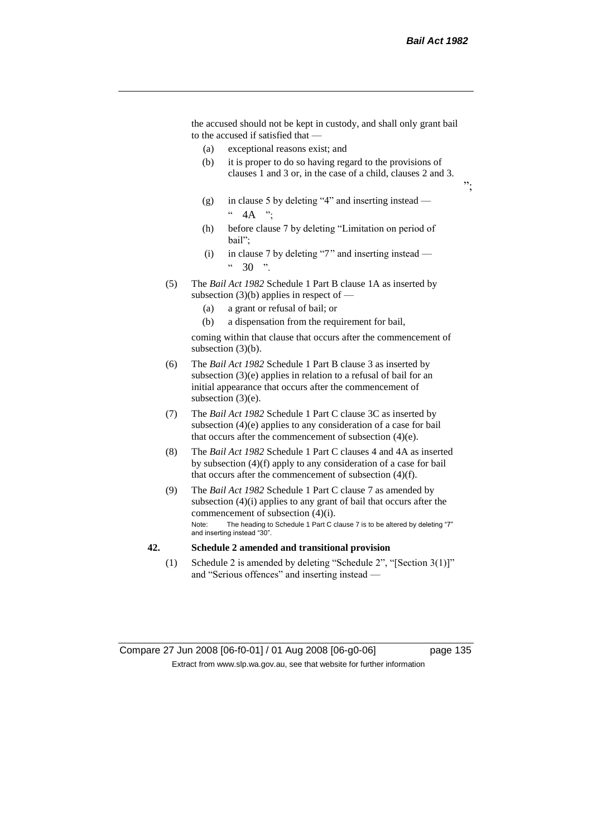the accused should not be kept in custody, and shall only grant bail to the accused if satisfied that —

- (a) exceptional reasons exist; and
- (b) it is proper to do so having regard to the provisions of clauses 1 and 3 or, in the case of a child, clauses 2 and 3.
- (g) in clause 5 by deleting "4" and inserting instead  $\degree$  4A ":
- (h) before clause 7 by deleting "Limitation on period of bail";
- (i) in clause 7 by deleting "7" and inserting instead  $30<sup>°</sup>$
- (5) The *Bail Act 1982* Schedule 1 Part B clause 1A as inserted by subsection  $(3)(b)$  applies in respect of —
	- (a) a grant or refusal of bail; or
	- (b) a dispensation from the requirement for bail,

coming within that clause that occurs after the commencement of subsection (3)(b).

- (6) The *Bail Act 1982* Schedule 1 Part B clause 3 as inserted by subsection (3)(e) applies in relation to a refusal of bail for an initial appearance that occurs after the commencement of subsection (3)(e).
- (7) The *Bail Act 1982* Schedule 1 Part C clause 3C as inserted by subsection (4)(e) applies to any consideration of a case for bail that occurs after the commencement of subsection (4)(e).
- (8) The *Bail Act 1982* Schedule 1 Part C clauses 4 and 4A as inserted by subsection (4)(f) apply to any consideration of a case for bail that occurs after the commencement of subsection (4)(f).
- (9) The *Bail Act 1982* Schedule 1 Part C clause 7 as amended by subsection (4)(i) applies to any grant of bail that occurs after the commencement of subsection (4)(i). Note: The heading to Schedule 1 Part C clause 7 is to be altered by deleting "7" and inserting instead "30".

#### **42. Schedule 2 amended and transitional provision**

(1) Schedule 2 is amended by deleting "Schedule 2", "[Section 3(1)]" and "Serious offences" and inserting instead —

";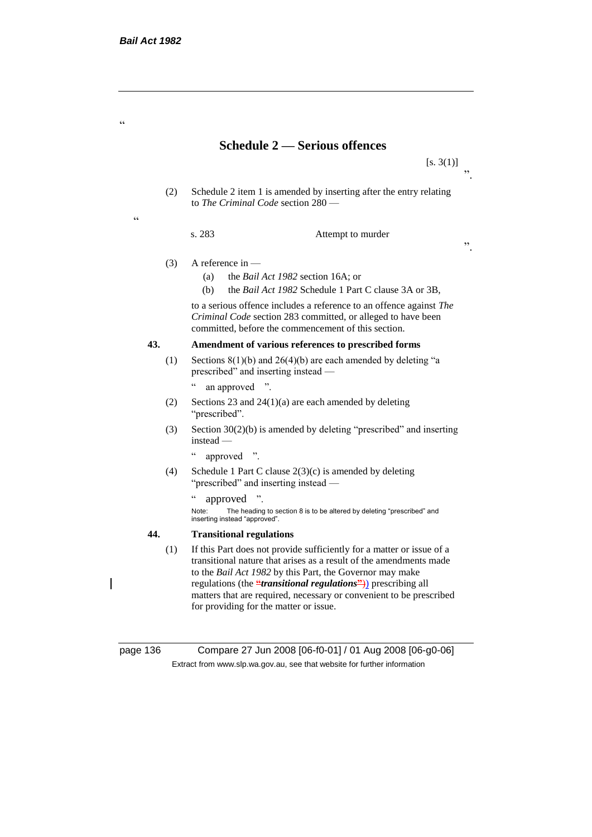.<br>C

 $\epsilon$ 

# **Schedule 2 — Serious offences**

 $[s. 3(1)]$  $\cdot$ ,

".

(2) Schedule 2 item 1 is amended by inserting after the entry relating to *The Criminal Code* section 280 —

s. 283 Attempt to murder

- (3) A reference in
	- (a) the *Bail Act 1982* section 16A; or
	- (b) the *Bail Act 1982* Schedule 1 Part C clause 3A or 3B,

to a serious offence includes a reference to an offence against *The Criminal Code* section 283 committed, or alleged to have been committed, before the commencement of this section.

## **43. Amendment of various references to prescribed forms**

- (1) Sections  $8(1)(b)$  and  $26(4)(b)$  are each amended by deleting "a prescribed" and inserting instead —
	- " an approved ".
- (2) Sections 23 and  $24(1)(a)$  are each amended by deleting "prescribed".
- (3) Section 30(2)(b) is amended by deleting "prescribed" and inserting instead —
	- " approved ".
- (4) Schedule 1 Part C clause  $2(3)(c)$  is amended by deleting "prescribed" and inserting instead —
	- " approved ".

Note: The heading to section 8 is to be altered by deleting "prescribed" and inserting instead "approved".

## **44. Transitional regulations**

(1) If this Part does not provide sufficiently for a matter or issue of a transitional nature that arises as a result of the amendments made to the *Bail Act 1982* by this Part, the Governor may make regulations (the **"***transitional regulations***"**)) prescribing all matters that are required, necessary or convenient to be prescribed for providing for the matter or issue.

page 136 Compare 27 Jun 2008 [06-f0-01] / 01 Aug 2008 [06-g0-06] Extract from www.slp.wa.gov.au, see that website for further information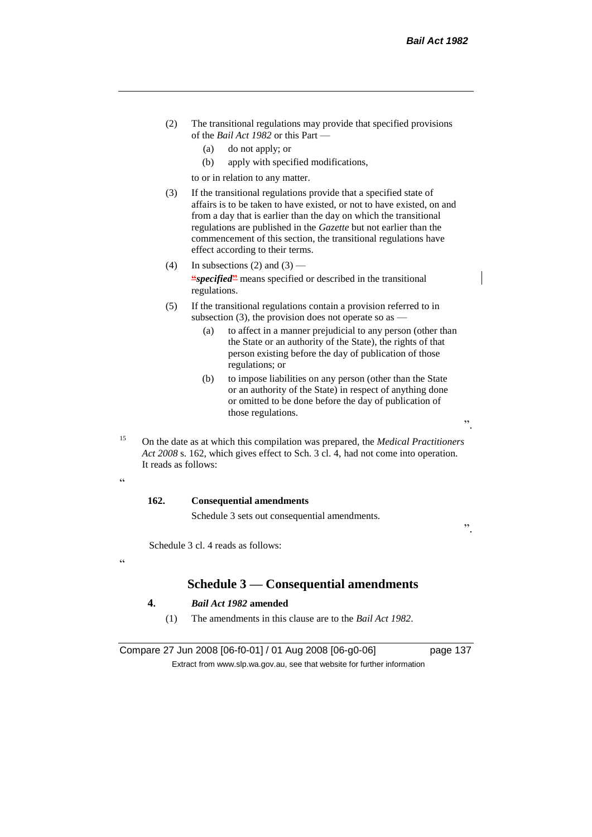".

- (2) The transitional regulations may provide that specified provisions of the *Bail Act 1982* or this Part —
	- (a) do not apply; or
	- (b) apply with specified modifications,

to or in relation to any matter.

- (3) If the transitional regulations provide that a specified state of affairs is to be taken to have existed, or not to have existed, on and from a day that is earlier than the day on which the transitional regulations are published in the *Gazette* but not earlier than the commencement of this section, the transitional regulations have effect according to their terms.
- (4) In subsections (2) and  $(3)$  **"***specified***"** means specified or described in the transitional regulations.
- (5) If the transitional regulations contain a provision referred to in subsection (3), the provision does not operate so as  $-$ 
	- (a) to affect in a manner prejudicial to any person (other than the State or an authority of the State), the rights of that person existing before the day of publication of those regulations; or
	- (b) to impose liabilities on any person (other than the State or an authority of the State) in respect of anything done or omitted to be done before the day of publication of those regulations.
- <sup>15</sup> On the date as at which this compilation was prepared, the *Medical Practitioners Act 2008* s. 162, which gives effect to Sch. 3 cl. 4, had not come into operation. It reads as follows:

.<br>c

 $\epsilon$ 

#### **162. Consequential amendments**

Schedule 3 sets out consequential amendments.

Schedule 3 cl. 4 reads as follows:

# **Schedule 3 — Consequential amendments**

## **4.** *Bail Act 1982* **amended**

(1) The amendments in this clause are to the *Bail Act 1982*.

Compare 27 Jun 2008 [06-f0-01] / 01 Aug 2008 [06-g0-06] page 137 Extract from www.slp.wa.gov.au, see that website for further information